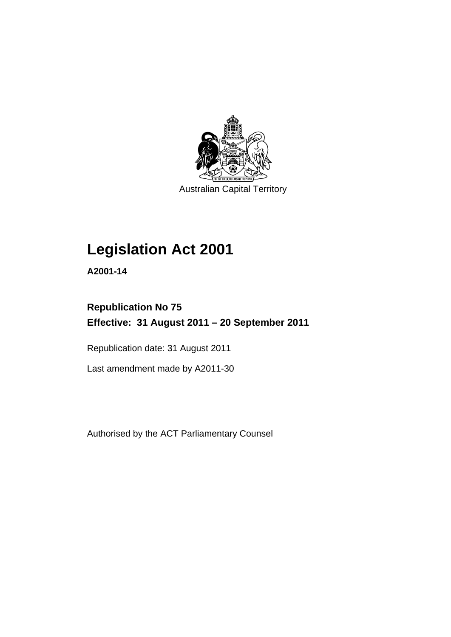

Australian Capital Territory

# **Legislation Act 2001**

**A2001-14** 

# **Republication No 75 Effective: 31 August 2011 – 20 September 2011**

Republication date: 31 August 2011

Last amendment made by A2011-30

Authorised by the ACT Parliamentary Counsel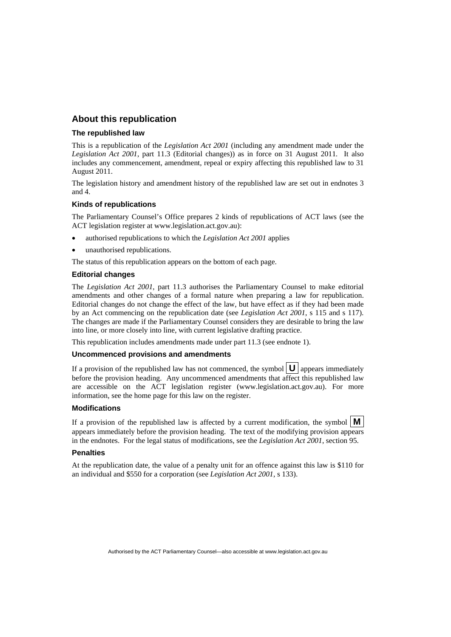## **About this republication**

#### **The republished law**

This is a republication of the *Legislation Act 2001* (including any amendment made under the *Legislation Act 2001*, part 11.3 (Editorial changes)) as in force on 31 August 2011*.* It also includes any commencement, amendment, repeal or expiry affecting this republished law to 31 August 2011.

The legislation history and amendment history of the republished law are set out in endnotes 3 and 4.

### **Kinds of republications**

The Parliamentary Counsel's Office prepares 2 kinds of republications of ACT laws (see the ACT legislation register at www.legislation.act.gov.au):

- authorised republications to which the *Legislation Act 2001* applies
- unauthorised republications.

The status of this republication appears on the bottom of each page.

#### **Editorial changes**

The *Legislation Act 2001*, part 11.3 authorises the Parliamentary Counsel to make editorial amendments and other changes of a formal nature when preparing a law for republication. Editorial changes do not change the effect of the law, but have effect as if they had been made by an Act commencing on the republication date (see *Legislation Act 2001*, s 115 and s 117). The changes are made if the Parliamentary Counsel considers they are desirable to bring the law into line, or more closely into line, with current legislative drafting practice.

This republication includes amendments made under part 11.3 (see endnote 1).

#### **Uncommenced provisions and amendments**

If a provision of the republished law has not commenced, the symbol  $\mathbf{U}$  appears immediately before the provision heading. Any uncommenced amendments that affect this republished law are accessible on the ACT legislation register (www.legislation.act.gov.au). For more information, see the home page for this law on the register.

#### **Modifications**

If a provision of the republished law is affected by a current modification, the symbol  $\mathbf{M}$ appears immediately before the provision heading. The text of the modifying provision appears in the endnotes. For the legal status of modifications, see the *Legislation Act 2001*, section 95.

#### **Penalties**

At the republication date, the value of a penalty unit for an offence against this law is \$110 for an individual and \$550 for a corporation (see *Legislation Act 2001*, s 133).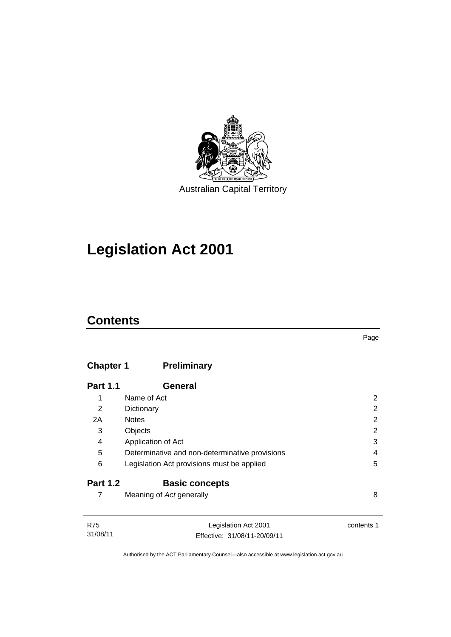

# **Legislation Act 2001**

# **Contents**

## **Chapter 1 [Preliminary](#page-17-0)**

| <b>Part 1.1</b> | General                                        |   |
|-----------------|------------------------------------------------|---|
| 1               | Name of Act                                    | 2 |
| 2               | Dictionary                                     | 2 |
| 2A              | <b>Notes</b>                                   | 2 |
| 3               | Objects                                        | 2 |
| 4               | Application of Act                             | 3 |
| 5               | Determinative and non-determinative provisions | 4 |
| 6               | Legislation Act provisions must be applied     | 5 |
| <b>Part 1.2</b> | <b>Basic concepts</b>                          |   |
|                 | Meaning of Act generally                       | 8 |

| R75      | Legislation Act 2001         | contents 1 |
|----------|------------------------------|------------|
| 31/08/11 | Effective: 31/08/11-20/09/11 |            |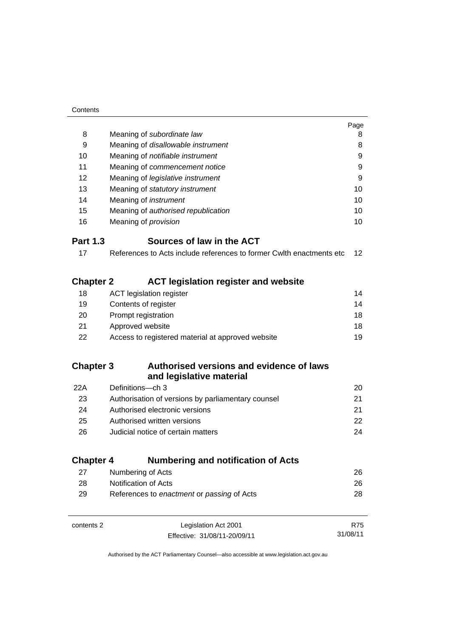| Contents         |                                                                       |                   |
|------------------|-----------------------------------------------------------------------|-------------------|
|                  |                                                                       | Page              |
| 8                | Meaning of subordinate law                                            | 8                 |
| 9                | Meaning of disallowable instrument                                    | 8                 |
| 10               | Meaning of notifiable instrument                                      | 9                 |
| 11               | Meaning of commencement notice                                        | 9                 |
| 12               | Meaning of legislative instrument                                     | 9                 |
| 13               | Meaning of statutory instrument                                       | 10                |
| 14               | Meaning of <i>instrument</i>                                          | 10                |
| 15               | Meaning of authorised republication                                   | 10                |
| 16               | Meaning of <i>provision</i>                                           | 10                |
| <b>Part 1.3</b>  | Sources of law in the ACT                                             |                   |
| 17               | References to Acts include references to former Cwith enactments etc. | $12 \overline{ }$ |
|                  |                                                                       |                   |
| <b>Chapter 2</b> | <b>ACT legislation register and website</b>                           |                   |
| 18               | <b>ACT</b> legislation register                                       | 14                |
| 19               | Contents of register                                                  | 14                |
| 20               | Prompt registration                                                   | 18                |
| 21               | Approved website                                                      | 18                |
| 22               | Access to registered material at approved website                     | 19                |
|                  |                                                                       |                   |
| <b>Chapter 3</b> | Authorised versions and evidence of laws                              |                   |
|                  | and legislative material                                              |                   |
| 22A              | Definitions-ch 3                                                      | 20                |
| 23               | Authorisation of versions by parliamentary counsel                    | 21                |
| 24               | Authorised electronic versions                                        | 21                |
| 25               | Authorised written versions                                           | 22                |
| 26               | Judicial notice of certain matters                                    | 24                |
|                  |                                                                       |                   |
| <b>Chapter 4</b> | <b>Numbering and notification of Acts</b>                             |                   |
| 27               | Numbering of Acts                                                     | 26                |
| 28               | Notification of Acts                                                  | 26                |
| 29               | References to enactment or passing of Acts                            | 28                |
|                  |                                                                       |                   |
| contents 2       | Legislation Act 2001                                                  | R75               |
|                  | Effective: 31/08/11-20/09/11                                          | 31/08/11          |
|                  |                                                                       |                   |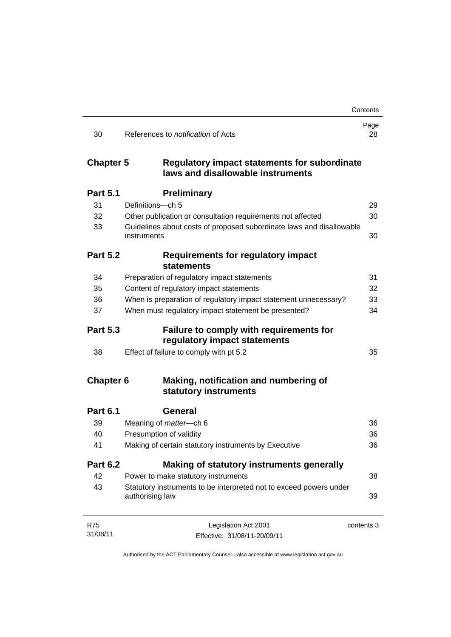|                  |                                                                                          | Contents   |
|------------------|------------------------------------------------------------------------------------------|------------|
| 30               | References to <i>notification</i> of Acts                                                | Page<br>28 |
| <b>Chapter 5</b> | <b>Regulatory impact statements for subordinate</b><br>laws and disallowable instruments |            |
| <b>Part 5.1</b>  | <b>Preliminary</b>                                                                       |            |
| 31               | Definitions-ch 5                                                                         | 29         |
| 32               | Other publication or consultation requirements not affected                              | 30         |
| 33               | Guidelines about costs of proposed subordinate laws and disallowable<br>instruments      | 30         |
| <b>Part 5.2</b>  | <b>Requirements for regulatory impact</b><br><b>statements</b>                           |            |
| 34               | Preparation of regulatory impact statements                                              | 31         |
| 35               | Content of regulatory impact statements                                                  | 32         |
| 36               | When is preparation of regulatory impact statement unnecessary?                          | 33         |
| 37               | When must regulatory impact statement be presented?                                      | 34         |
| <b>Part 5.3</b>  | <b>Failure to comply with requirements for</b><br>regulatory impact statements           |            |
| 38               | Effect of failure to comply with pt 5.2                                                  | 35         |
| <b>Chapter 6</b> | Making, notification and numbering of<br>statutory instruments                           |            |
| <b>Part 6.1</b>  | General                                                                                  |            |
| 39               | Meaning of matter-ch 6                                                                   | 36         |
| 40               | Presumption of validity                                                                  | 36         |
| 41               | Making of certain statutory instruments by Executive                                     | 36         |
| <b>Part 6.2</b>  | Making of statutory instruments generally                                                |            |
| 42               | Power to make statutory instruments                                                      | 38         |
| 43               | Statutory instruments to be interpreted not to exceed powers under<br>authorising law    | 39         |
| <b>R75</b>       | Legislation Act 2001                                                                     | contents 3 |
| 31/08/11         | Effective: 31/08/11-20/09/11                                                             |            |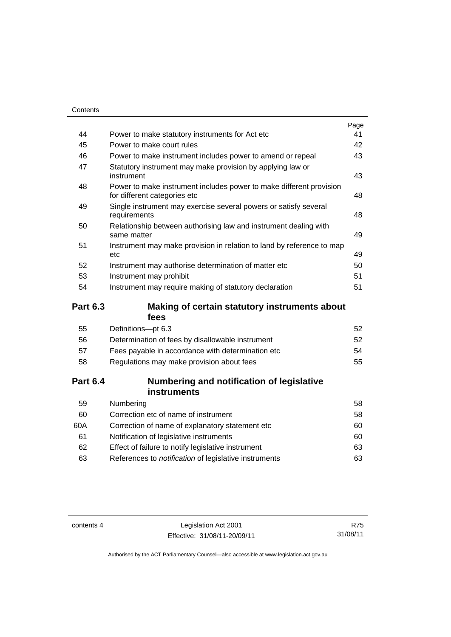| Contents        |                                                                                                     |      |
|-----------------|-----------------------------------------------------------------------------------------------------|------|
|                 |                                                                                                     | Page |
| 44              | Power to make statutory instruments for Act etc                                                     | 41   |
| 45              | Power to make court rules                                                                           | 42   |
| 46              | Power to make instrument includes power to amend or repeal                                          | 43   |
| 47              | Statutory instrument may make provision by applying law or<br>instrument                            | 43   |
| 48              | Power to make instrument includes power to make different provision<br>for different categories etc | 48   |
| 49              | Single instrument may exercise several powers or satisfy several<br>requirements                    | 48   |
| 50              | Relationship between authorising law and instrument dealing with<br>same matter                     | 49   |
| 51              | Instrument may make provision in relation to land by reference to map<br>etc.                       | 49   |
| 52              | Instrument may authorise determination of matter etc                                                | 50   |
| 53              | Instrument may prohibit                                                                             | 51   |
| 54              | Instrument may require making of statutory declaration                                              | 51   |
| <b>Part 6.3</b> | Making of certain statutory instruments about<br>fees                                               |      |
| 55              | Definitions-pt 6.3                                                                                  | 52   |
| 56              | Determination of fees by disallowable instrument                                                    | 52   |
| 57              | Fees payable in accordance with determination etc                                                   | 54   |
| 58              | Regulations may make provision about fees                                                           | 55   |
| <b>Part 6.4</b> | Numbering and notification of legislative<br><b>instruments</b>                                     |      |

| 59  | Numbering                                             | 58  |
|-----|-------------------------------------------------------|-----|
| 60  | Correction etc of name of instrument                  | 58  |
| 60A | Correction of name of explanatory statement etc.      | 60  |
| 61  | Notification of legislative instruments               | 60  |
| 62  | Effect of failure to notify legislative instrument    | 63  |
| 63  | References to notification of legislative instruments | 63. |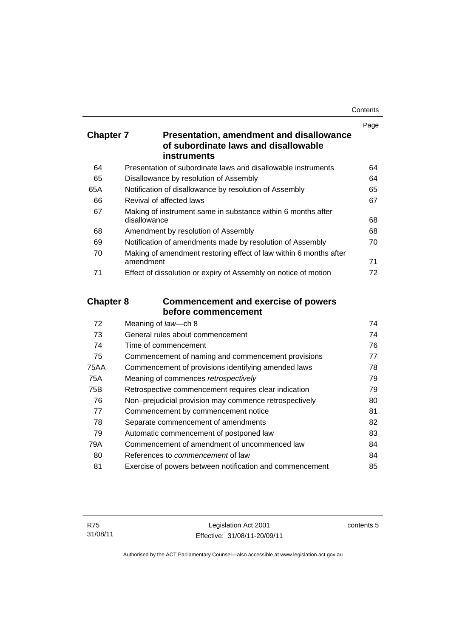| Contents |
|----------|
|----------|

|                  |                                                                                                               | Page |
|------------------|---------------------------------------------------------------------------------------------------------------|------|
| <b>Chapter 7</b> | <b>Presentation, amendment and disallowance</b><br>of subordinate laws and disallowable<br><b>instruments</b> |      |
|                  |                                                                                                               |      |
| 64               | Presentation of subordinate laws and disallowable instruments                                                 | 64   |
| 65               | Disallowance by resolution of Assembly                                                                        | 64   |
| 65A              | Notification of disallowance by resolution of Assembly                                                        | 65   |
| 66               | Revival of affected laws                                                                                      | 67   |
| 67               | Making of instrument same in substance within 6 months after<br>disallowance                                  | 68   |
| 68               | Amendment by resolution of Assembly                                                                           | 68   |
| 69               | Notification of amendments made by resolution of Assembly                                                     | 70   |
| 70               | Making of amendment restoring effect of law within 6 months after<br>amendment                                | 71   |
| 71               | Effect of dissolution or expiry of Assembly on notice of motion                                               | 72   |
| <b>Chapter 8</b> | <b>Commencement and exercise of powers</b>                                                                    |      |
|                  | before commencement                                                                                           |      |
| 72               | Meaning of law-ch 8                                                                                           | 74   |
| 73               | General rules about commencement                                                                              | 74   |
| 74               | Time of commencement                                                                                          | 76   |
| 75               | Commencement of naming and commencement provisions                                                            | 77   |
| <b>75AA</b>      | Commencement of provisions identifying amended laws                                                           | 78   |
| 75A              | Meaning of commences retrospectively                                                                          | 79   |
| 75B              | Retrospective commencement requires clear indication                                                          | 79   |
| 76               | Non-prejudicial provision may commence retrospectively                                                        | 80   |
| 77               | Commencement by commencement notice                                                                           | 81   |
| 78               | Separate commencement of amendments                                                                           | 82   |
| 79               | Automatic commencement of postponed law                                                                       | 83   |

80 References to *commencement* [of law 84](#page-99-1) 81 [Exercise of powers between notification and commencement 85](#page-100-0)

79A [Commencement of amendment of uncommenced law 84](#page-99-0)

contents 5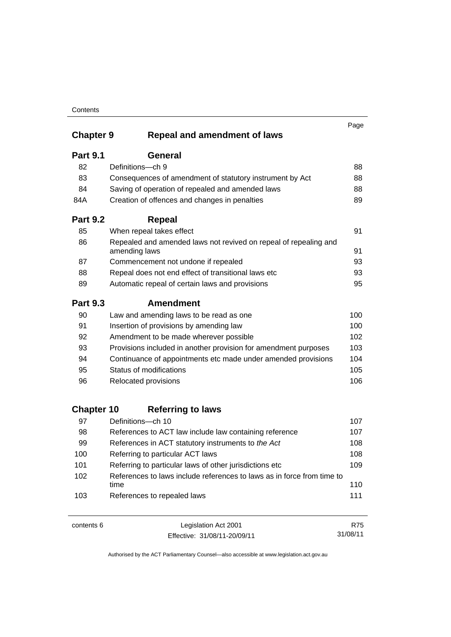|                   |                                                                                   | Page |
|-------------------|-----------------------------------------------------------------------------------|------|
| <b>Chapter 9</b>  | <b>Repeal and amendment of laws</b>                                               |      |
| <b>Part 9.1</b>   | General                                                                           |      |
| 82                | Definitions-ch 9                                                                  | 88   |
| 83                | Consequences of amendment of statutory instrument by Act                          | 88   |
| 84                | Saving of operation of repealed and amended laws                                  | 88   |
| 84A               | Creation of offences and changes in penalties                                     | 89   |
| <b>Part 9.2</b>   | <b>Repeal</b>                                                                     |      |
| 85                | When repeal takes effect                                                          | 91   |
| 86                | Repealed and amended laws not revived on repeal of repealing and<br>amending laws | 91   |
| 87                | Commencement not undone if repealed                                               | 93   |
| 88                | Repeal does not end effect of transitional laws etc                               | 93   |
| 89                | Automatic repeal of certain laws and provisions                                   | 95   |
| <b>Part 9.3</b>   | <b>Amendment</b>                                                                  |      |
| 90                | Law and amending laws to be read as one                                           | 100  |
| 91                | Insertion of provisions by amending law                                           | 100  |
| 92                | Amendment to be made wherever possible                                            | 102  |
| 93                | Provisions included in another provision for amendment purposes                   | 103  |
| 94                | Continuance of appointments etc made under amended provisions                     | 104  |
| 95                | Status of modifications                                                           | 105  |
| 96                | Relocated provisions                                                              | 106  |
| <b>Chapter 10</b> | <b>Referring to laws</b>                                                          |      |
| 97                | Definitions-ch 10                                                                 | 107  |
| 98                | References to ACT law include law containing reference                            | 107  |
| 99                | References in ACT statutory instruments to the Act                                | 108  |
| 100               | Referring to particular ACT laws                                                  | 108  |
| 101               | Referring to particular laws of other jurisdictions etc                           | 109  |
| 102               | References to laws include references to laws as in force from time to<br>time    | 110  |
| 103               | References to repealed laws                                                       | 111  |

contents 6 Legislation Act 2001 Effective: 31/08/11-20/09/11

R75 31/08/11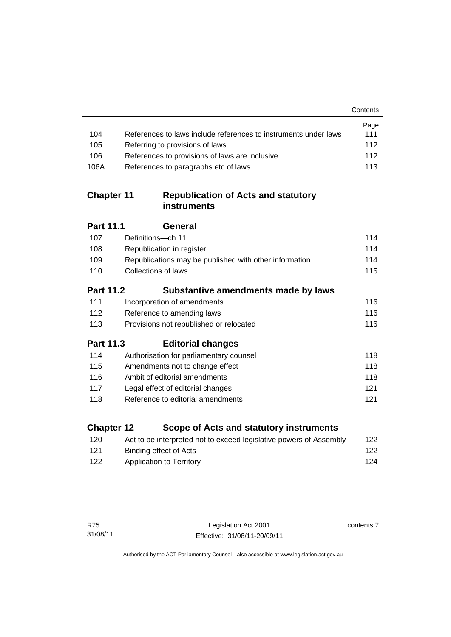|                   |                                                                    | Contents |
|-------------------|--------------------------------------------------------------------|----------|
|                   |                                                                    | Page     |
| 104               | References to laws include references to instruments under laws    | 111      |
| 105               | Referring to provisions of laws                                    | 112      |
| 106               | References to provisions of laws are inclusive                     | 112      |
| 106A              | References to paragraphs etc of laws                               | 113      |
| <b>Chapter 11</b> | <b>Republication of Acts and statutory</b><br><b>instruments</b>   |          |
| <b>Part 11.1</b>  | General                                                            |          |
| 107               | Definitions-ch 11                                                  | 114      |
| 108               | Republication in register                                          | 114      |
| 109               | Republications may be published with other information             | 114      |
| 110               | Collections of laws                                                | 115      |
| <b>Part 11.2</b>  | Substantive amendments made by laws                                |          |
| 111               | Incorporation of amendments                                        | 116      |
| 112               | Reference to amending laws                                         | 116      |
| 113               | Provisions not republished or relocated                            | 116      |
| <b>Part 11.3</b>  | <b>Editorial changes</b>                                           |          |
| 114               | Authorisation for parliamentary counsel                            | 118      |
| 115               | Amendments not to change effect                                    | 118      |
| 116               | Ambit of editorial amendments                                      | 118      |
| 117               | Legal effect of editorial changes                                  | 121      |
| 118               | Reference to editorial amendments                                  | 121      |
| <b>Chapter 12</b> | Scope of Acts and statutory instruments                            |          |
| 120               | Act to be interpreted not to exceed legislative powers of Assembly | 122      |
|                   |                                                                    |          |

121 [Binding effect of Acts 122](#page-137-2) 122 Application to Territory **124**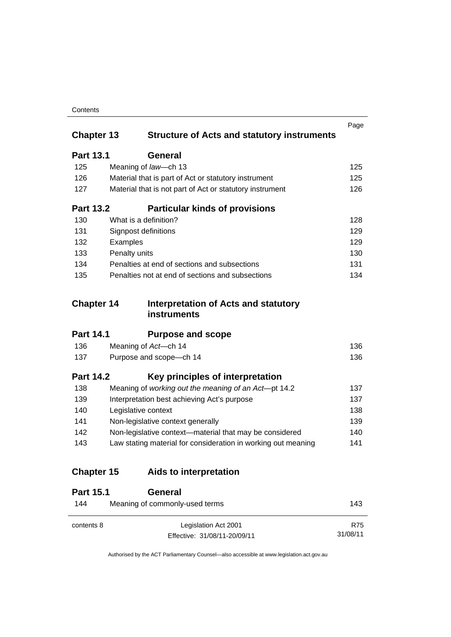| Contents |
|----------|
|----------|

| <b>Chapter 13</b> | <b>Structure of Acts and statutory instruments</b>            | Page       |  |  |
|-------------------|---------------------------------------------------------------|------------|--|--|
| <b>Part 13.1</b>  | <b>General</b>                                                |            |  |  |
| 125               | Meaning of law-ch 13                                          | 125        |  |  |
| 126               | Material that is part of Act or statutory instrument          | 125        |  |  |
| 127               | Material that is not part of Act or statutory instrument      | 126        |  |  |
| <b>Part 13.2</b>  | <b>Particular kinds of provisions</b>                         |            |  |  |
| 130               | What is a definition?                                         | 128        |  |  |
| 131               | Signpost definitions                                          | 129        |  |  |
| 132               | Examples                                                      | 129        |  |  |
| 133               | Penalty units                                                 | 130        |  |  |
| 134               | Penalties at end of sections and subsections                  | 131        |  |  |
| 135               | Penalties not at end of sections and subsections              |            |  |  |
| <b>Chapter 14</b> | Interpretation of Acts and statutory<br>instruments           |            |  |  |
| <b>Part 14.1</b>  | <b>Purpose and scope</b>                                      |            |  |  |
| 136               | Meaning of Act-ch 14                                          | 136        |  |  |
| 137               | Purpose and scope-ch 14                                       | 136        |  |  |
| <b>Part 14.2</b>  | Key principles of interpretation                              |            |  |  |
| 138               | Meaning of working out the meaning of an Act-pt 14.2          | 137        |  |  |
| 139               | Interpretation best achieving Act's purpose                   | 137        |  |  |
| 140               | Legislative context                                           | 138        |  |  |
| 141               | Non-legislative context generally                             | 139        |  |  |
| 142               | Non-legislative context-material that may be considered       | 140        |  |  |
| 143               | Law stating material for consideration in working out meaning | 141        |  |  |
| <b>Chapter 15</b> | Aids to interpretation                                        |            |  |  |
| <b>Part 15.1</b>  | <b>General</b>                                                |            |  |  |
| 144               | Meaning of commonly-used terms                                |            |  |  |
| contents 8        | Legislation Act 2001                                          | <b>R75</b> |  |  |

31/08/11

Effective: 31/08/11-20/09/11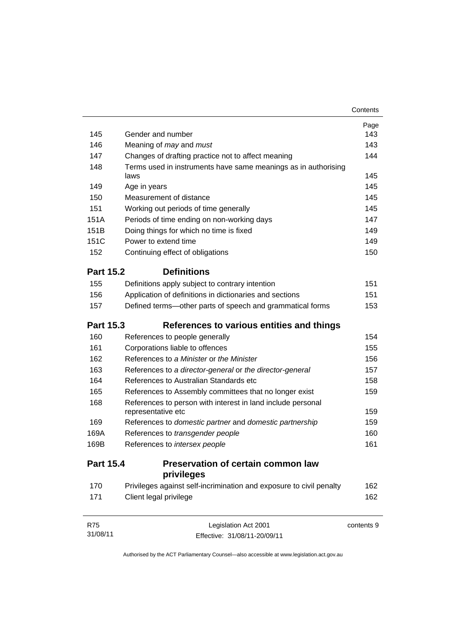|                  |                                                                        | Contents   |  |  |  |
|------------------|------------------------------------------------------------------------|------------|--|--|--|
|                  |                                                                        | Page       |  |  |  |
| 145              | Gender and number                                                      | 143        |  |  |  |
| 146              | Meaning of <i>may</i> and <i>must</i>                                  |            |  |  |  |
| 147              | Changes of drafting practice not to affect meaning                     |            |  |  |  |
| 148              | Terms used in instruments have same meanings as in authorising<br>laws | 145        |  |  |  |
| 149              | Age in years                                                           | 145        |  |  |  |
| 150              | Measurement of distance                                                | 145        |  |  |  |
| 151              | Working out periods of time generally                                  | 145        |  |  |  |
| 151A             | Periods of time ending on non-working days                             | 147        |  |  |  |
| 151B             | Doing things for which no time is fixed                                | 149        |  |  |  |
| 151C             | Power to extend time                                                   | 149        |  |  |  |
| 152              | Continuing effect of obligations                                       | 150        |  |  |  |
| <b>Part 15.2</b> | <b>Definitions</b>                                                     |            |  |  |  |
| 155              | Definitions apply subject to contrary intention                        | 151        |  |  |  |
| 156              | Application of definitions in dictionaries and sections                | 151        |  |  |  |
| 157              | Defined terms-other parts of speech and grammatical forms              | 153        |  |  |  |
| <b>Part 15.3</b> | References to various entities and things                              |            |  |  |  |
| 160              | References to people generally                                         | 154        |  |  |  |
| 161              | Corporations liable to offences                                        | 155        |  |  |  |
| 162              | References to a Minister or the Minister                               | 156        |  |  |  |
| 163              | References to a director-general or the director-general               | 157        |  |  |  |
| 164              | References to Australian Standards etc                                 | 158        |  |  |  |
| 165              | References to Assembly committees that no longer exist                 | 159        |  |  |  |
| 168              | References to person with interest in land include personal            |            |  |  |  |
|                  | representative etc                                                     | 159        |  |  |  |
| 169              | References to domestic partner and domestic partnership                | 159        |  |  |  |
| 169A             | References to transgender people                                       | 160        |  |  |  |
| 169B             | References to intersex people                                          | 161        |  |  |  |
| <b>Part 15.4</b> | <b>Preservation of certain common law</b><br>privileges                |            |  |  |  |
| 170              | Privileges against self-incrimination and exposure to civil penalty    | 162        |  |  |  |
| 171              | Client legal privilege                                                 | 162        |  |  |  |
| <b>R75</b>       | Legislation Act 2001                                                   | contents 9 |  |  |  |

Effective: 31/08/11-20/09/11

31/08/11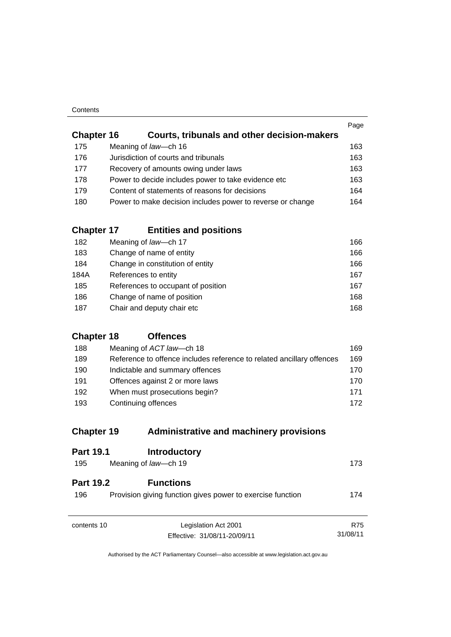| Contents |
|----------|
|----------|

|                   |                                                            | Page |
|-------------------|------------------------------------------------------------|------|
| <b>Chapter 16</b> | <b>Courts, tribunals and other decision-makers</b>         |      |
| 175               | Meaning of law-ch 16                                       | 163  |
| 176               | Jurisdiction of courts and tribunals                       | 163  |
| 177               | Recovery of amounts owing under laws                       | 163  |
| 178               | Power to decide includes power to take evidence etc        | 163  |
| 179               | Content of statements of reasons for decisions             | 164  |
| 180               | Power to make decision includes power to reverse or change | 164  |
|                   |                                                            |      |

# **Chapter 17 [Entities and positions](#page-181-0)**

| 182  | Meaning of law-ch 17               | 166 |
|------|------------------------------------|-----|
| 183  | Change of name of entity           | 166 |
| 184  | Change in constitution of entity   | 166 |
| 184A | References to entity               | 167 |
| 185  | References to occupant of position | 167 |
| 186  | Change of name of position         | 168 |
| 187  | Chair and deputy chair etc         | 168 |

## **[Chapter 18](#page-184-0) Offences**

| 188 | Meaning of ACT law—ch 18                                              | 169 |
|-----|-----------------------------------------------------------------------|-----|
| 189 | Reference to offence includes reference to related ancillary offences | 169 |
| 190 | Indictable and summary offences                                       | 170 |
| 191 | Offences against 2 or more laws                                       | 170 |
| 192 | When must prosecutions begin?                                         | 171 |
| 193 | Continuing offences                                                   | 172 |

## **Chapter 19 [Administrative and machinery provisions](#page-188-0)**

| <b>Part 19.1</b>        | <b>Introductory</b>                                                            |          |
|-------------------------|--------------------------------------------------------------------------------|----------|
| 195                     | Meaning of law-ch 19                                                           | 173      |
| <b>Part 19.2</b><br>196 | <b>Functions</b><br>Provision giving function gives power to exercise function | 174      |
| contents 10             | Legislation Act 2001                                                           | R75      |
|                         | Effective: 31/08/11-20/09/11                                                   | 31/08/11 |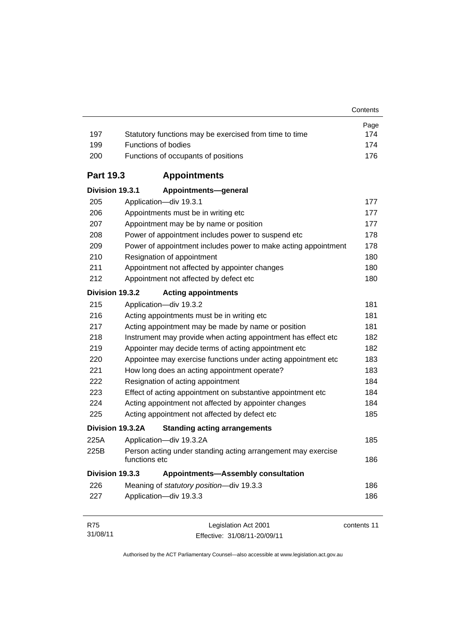| 197              | Statutory functions may be exercised from time to time                        | Page<br>174 |  |  |  |
|------------------|-------------------------------------------------------------------------------|-------------|--|--|--|
| 199              | Functions of bodies                                                           |             |  |  |  |
| 200              | Functions of occupants of positions                                           |             |  |  |  |
| <b>Part 19.3</b> | <b>Appointments</b>                                                           |             |  |  |  |
| Division 19.3.1  | Appointments-general                                                          |             |  |  |  |
| 205              | Application-div 19.3.1                                                        | 177         |  |  |  |
| 206              | Appointments must be in writing etc                                           | 177         |  |  |  |
| 207              | Appointment may be by name or position                                        | 177         |  |  |  |
| 208              | Power of appointment includes power to suspend etc                            | 178         |  |  |  |
| 209              | Power of appointment includes power to make acting appointment                | 178         |  |  |  |
| 210              | Resignation of appointment                                                    | 180         |  |  |  |
| 211              | Appointment not affected by appointer changes                                 | 180         |  |  |  |
| 212              | Appointment not affected by defect etc                                        | 180         |  |  |  |
| Division 19.3.2  | <b>Acting appointments</b>                                                    |             |  |  |  |
| 215              | Application-div 19.3.2                                                        | 181         |  |  |  |
| 216              | Acting appointments must be in writing etc                                    | 181         |  |  |  |
| 217              | Acting appointment may be made by name or position                            | 181         |  |  |  |
| 218              | Instrument may provide when acting appointment has effect etc                 | 182         |  |  |  |
| 219              | Appointer may decide terms of acting appointment etc                          | 182         |  |  |  |
| 220              | Appointee may exercise functions under acting appointment etc                 | 183         |  |  |  |
| 221              | How long does an acting appointment operate?                                  | 183         |  |  |  |
| 222              | Resignation of acting appointment                                             | 184         |  |  |  |
| 223              | Effect of acting appointment on substantive appointment etc                   | 184         |  |  |  |
| 224              | Acting appointment not affected by appointer changes                          | 184         |  |  |  |
| 225              | Acting appointment not affected by defect etc                                 | 185         |  |  |  |
|                  | Division 19.3.2A<br><b>Standing acting arrangements</b>                       |             |  |  |  |
| 225A             | Application-div 19.3.2A                                                       | 185         |  |  |  |
| 225B             | Person acting under standing acting arrangement may exercise<br>functions etc | 186         |  |  |  |
| Division 19.3.3  | <b>Appointments-Assembly consultation</b>                                     |             |  |  |  |
| 226              | Meaning of statutory position-div 19.3.3                                      | 186         |  |  |  |
| 227              | Application-div 19.3.3                                                        | 186         |  |  |  |
| R75              | Legislation Act 2001                                                          | contents 11 |  |  |  |

31/08/11 Effective: 31/08/11-20/09/11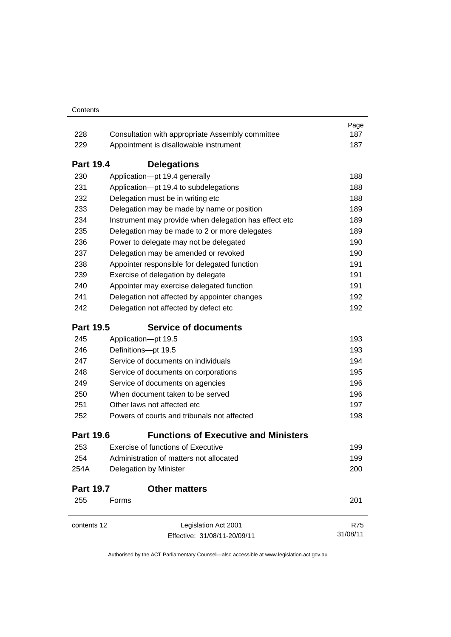|                  |                                                         | Page<br>187 |  |  |  |  |
|------------------|---------------------------------------------------------|-------------|--|--|--|--|
|                  | 228<br>Consultation with appropriate Assembly committee |             |  |  |  |  |
| 229              | Appointment is disallowable instrument                  |             |  |  |  |  |
| <b>Part 19.4</b> | <b>Delegations</b>                                      |             |  |  |  |  |
| 230              | Application-pt 19.4 generally                           | 188         |  |  |  |  |
| 231              | Application-pt 19.4 to subdelegations                   |             |  |  |  |  |
| 232              | Delegation must be in writing etc                       | 188         |  |  |  |  |
| 233              | Delegation may be made by name or position              | 189         |  |  |  |  |
| 234              | Instrument may provide when delegation has effect etc   | 189         |  |  |  |  |
| 235              | Delegation may be made to 2 or more delegates           | 189         |  |  |  |  |
| 236              | Power to delegate may not be delegated                  | 190         |  |  |  |  |
| 237              | Delegation may be amended or revoked                    | 190         |  |  |  |  |
| 238              | Appointer responsible for delegated function            | 191         |  |  |  |  |
| 239              | Exercise of delegation by delegate                      | 191         |  |  |  |  |
| 240              | Appointer may exercise delegated function               | 191         |  |  |  |  |
| 241              | Delegation not affected by appointer changes            | 192         |  |  |  |  |
| 242              | Delegation not affected by defect etc                   | 192         |  |  |  |  |
| <b>Part 19.5</b> | <b>Service of documents</b>                             |             |  |  |  |  |
| 245              | Application-pt 19.5                                     | 193         |  |  |  |  |
| 246              | Definitions-pt 19.5                                     | 193         |  |  |  |  |
| 247              | Service of documents on individuals                     | 194         |  |  |  |  |
| 248              | Service of documents on corporations                    | 195         |  |  |  |  |
| 249              | Service of documents on agencies                        | 196         |  |  |  |  |
| 250              | When document taken to be served                        | 196         |  |  |  |  |
| 251              | Other laws not affected etc                             | 197         |  |  |  |  |
| 252              | Powers of courts and tribunals not affected             | 198         |  |  |  |  |
| <b>Part 19.6</b> | <b>Functions of Executive and Ministers</b>             |             |  |  |  |  |
| 253              | <b>Exercise of functions of Executive</b>               | 199         |  |  |  |  |
| 254              | Administration of matters not allocated                 | 199         |  |  |  |  |
| 254A             | Delegation by Minister                                  | 200         |  |  |  |  |
| <b>Part 19.7</b> | <b>Other matters</b>                                    |             |  |  |  |  |
| 255              | Forms                                                   | 201         |  |  |  |  |
| contents 12      | Legislation Act 2001                                    | R75         |  |  |  |  |
|                  | Effective: 31/08/11-20/09/11                            | 31/08/11    |  |  |  |  |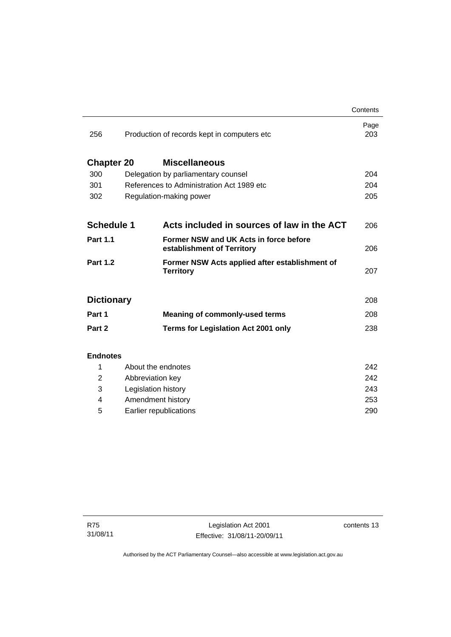|                   |                                              |                                                                      | Contents    |
|-------------------|----------------------------------------------|----------------------------------------------------------------------|-------------|
| 256               | Production of records kept in computers etc. |                                                                      | Page<br>203 |
| <b>Chapter 20</b> |                                              | <b>Miscellaneous</b>                                                 |             |
| 300               |                                              | Delegation by parliamentary counsel                                  | 204         |
| 301               | References to Administration Act 1989 etc    |                                                                      | 204         |
| 302               |                                              | Regulation-making power                                              | 205         |
|                   |                                              |                                                                      |             |
| <b>Schedule 1</b> |                                              | Acts included in sources of law in the ACT                           | 206         |
| <b>Part 1.1</b>   |                                              | Former NSW and UK Acts in force before<br>establishment of Territory | 206         |
| <b>Part 1.2</b>   |                                              | Former NSW Acts applied after establishment of<br><b>Territory</b>   | 207         |
| <b>Dictionary</b> |                                              |                                                                      | 208         |
| Part 1            |                                              | <b>Meaning of commonly-used terms</b>                                | 208         |
| Part 2            |                                              | <b>Terms for Legislation Act 2001 only</b>                           | 238         |
|                   |                                              |                                                                      |             |
| <b>Endnotes</b>   |                                              |                                                                      |             |
| 1                 | About the endnotes                           |                                                                      | 242         |
| 2                 | Abbreviation key                             |                                                                      | 242<br>243  |
| 3                 | Legislation history                          |                                                                      |             |
| 4                 | Amendment history                            |                                                                      |             |

5 [Earlier republications 290](#page-305-0)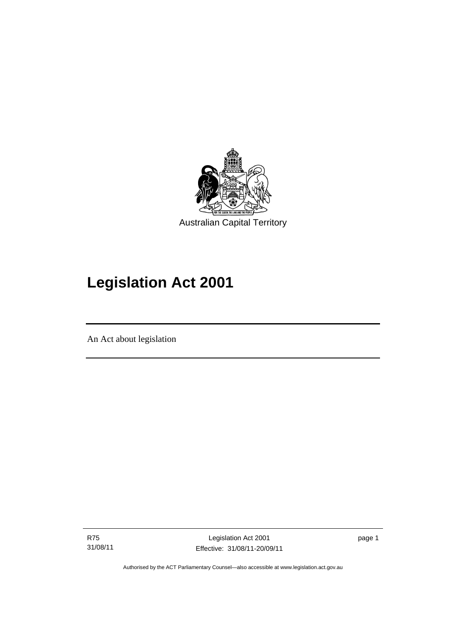

# **Legislation Act 2001**

An Act about legislation

R75 31/08/11

Ī

Legislation Act 2001 Effective: 31/08/11-20/09/11 page 1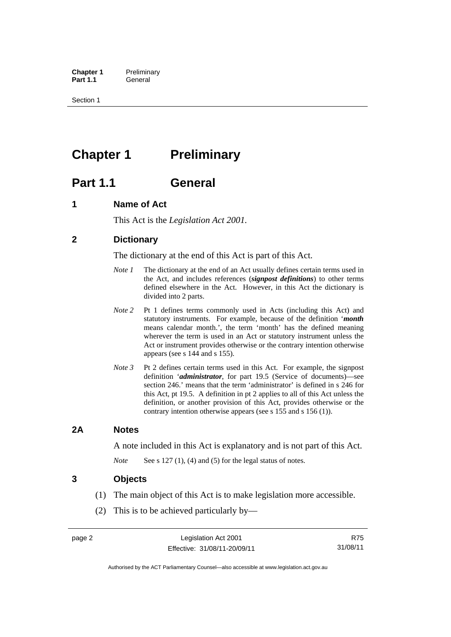**Chapter 1** Preliminary<br>**Part 1.1** General General

Section 1

# <span id="page-17-0"></span>**Chapter 1** Preliminary

# <span id="page-17-1"></span>**Part 1.1 General**

## <span id="page-17-2"></span>**1 Name of Act**

This Act is the *Legislation Act 2001.* 

## <span id="page-17-3"></span>**2 Dictionary**

The dictionary at the end of this Act is part of this Act.

- *Note 1* The dictionary at the end of an Act usually defines certain terms used in the Act, and includes references (*signpost definitions*) to other terms defined elsewhere in the Act. However, in this Act the dictionary is divided into 2 parts.
- *Note 2* Pt 1 defines terms commonly used in Acts (including this Act) and statutory instruments. For example, because of the definition '*month* means calendar month.', the term 'month' has the defined meaning wherever the term is used in an Act or statutory instrument unless the Act or instrument provides otherwise or the contrary intention otherwise appears (see s 144 and s 155).
- *Note 3* Pt 2 defines certain terms used in this Act. For example, the signpost definition '*administrator*, for part 19.5 (Service of documents)—see section 246.' means that the term 'administrator' is defined in s 246 for this Act, pt 19.5. A definition in pt 2 applies to all of this Act unless the definition, or another provision of this Act, provides otherwise or the contrary intention otherwise appears (see s 155 and s 156 (1)).

## <span id="page-17-4"></span>**2A Notes**

A note included in this Act is explanatory and is not part of this Act.

*Note* See s 127 (1), (4) and (5) for the legal status of notes.

## <span id="page-17-5"></span>**3 Objects**

- (1) The main object of this Act is to make legislation more accessible.
- (2) This is to be achieved particularly by—

R75 31/08/11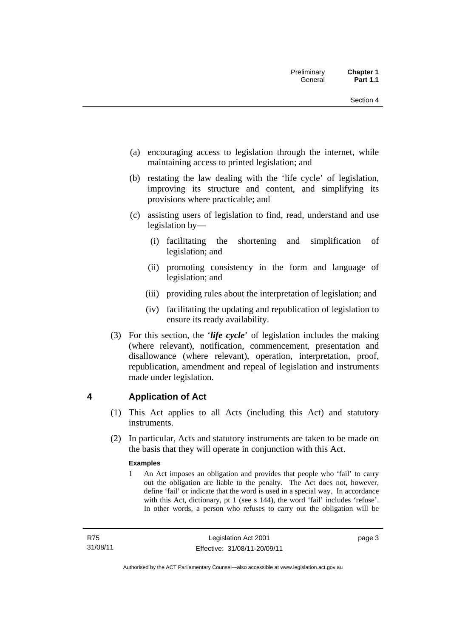- (a) encouraging access to legislation through the internet, while maintaining access to printed legislation; and
- (b) restating the law dealing with the 'life cycle' of legislation, improving its structure and content, and simplifying its provisions where practicable; and
- (c) assisting users of legislation to find, read, understand and use legislation by—
	- (i) facilitating the shortening and simplification of legislation; and
	- (ii) promoting consistency in the form and language of legislation; and
	- (iii) providing rules about the interpretation of legislation; and
	- (iv) facilitating the updating and republication of legislation to ensure its ready availability.
- (3) For this section, the '*life cycle*' of legislation includes the making (where relevant), notification, commencement, presentation and disallowance (where relevant), operation, interpretation, proof, republication, amendment and repeal of legislation and instruments made under legislation.

## <span id="page-18-0"></span>**4 Application of Act**

- (1) This Act applies to all Acts (including this Act) and statutory instruments.
- (2) In particular, Acts and statutory instruments are taken to be made on the basis that they will operate in conjunction with this Act.

## **Examples**

1 An Act imposes an obligation and provides that people who 'fail' to carry out the obligation are liable to the penalty. The Act does not, however, define 'fail' or indicate that the word is used in a special way. In accordance with this Act, dictionary, pt 1 (see s 144), the word 'fail' includes 'refuse'. In other words, a person who refuses to carry out the obligation will be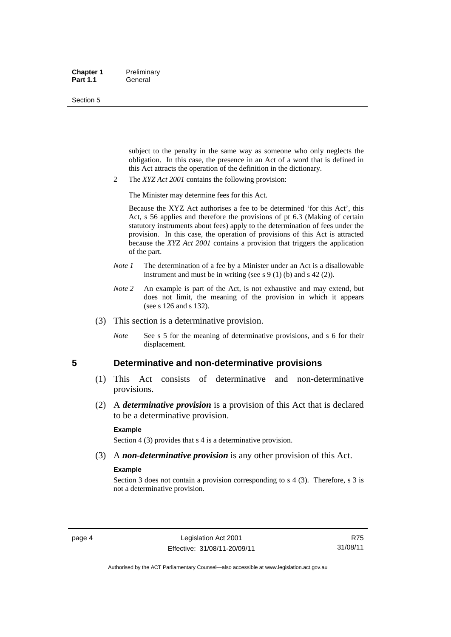#### Section 5

subject to the penalty in the same way as someone who only neglects the obligation. In this case, the presence in an Act of a word that is defined in this Act attracts the operation of the definition in the dictionary.

2 The *XYZ Act 2001* contains the following provision:

The Minister may determine fees for this Act.

Because the XYZ Act authorises a fee to be determined 'for this Act', this Act, s 56 applies and therefore the provisions of pt 6.3 (Making of certain statutory instruments about fees) apply to the determination of fees under the provision. In this case, the operation of provisions of this Act is attracted because the *XYZ Act 2001* contains a provision that triggers the application of the part.

- *Note 1* The determination of a fee by a Minister under an Act is a disallowable instrument and must be in writing (see s  $9(1)$  (b) and s  $42(2)$ ).
- *Note* 2 An example is part of the Act, is not exhaustive and may extend, but does not limit, the meaning of the provision in which it appears (see s 126 and s 132).
- (3) This section is a determinative provision.
	- *Note* See s 5 for the meaning of determinative provisions, and s 6 for their displacement.

### <span id="page-19-0"></span>**5 Determinative and non-determinative provisions**

- (1) This Act consists of determinative and non-determinative provisions.
- (2) A *determinative provision* is a provision of this Act that is declared to be a determinative provision.

#### **Example**

Section 4 (3) provides that s 4 is a determinative provision.

(3) A *non-determinative provision* is any other provision of this Act.

#### **Example**

Section 3 does not contain a provision corresponding to s 4 (3). Therefore, s 3 is not a determinative provision.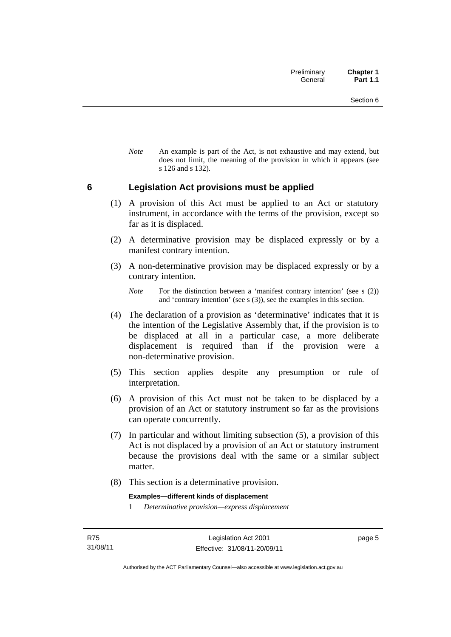*Note* An example is part of the Act, is not exhaustive and may extend, but does not limit, the meaning of the provision in which it appears (see s 126 and s 132).

## <span id="page-20-0"></span>**6 Legislation Act provisions must be applied**

- (1) A provision of this Act must be applied to an Act or statutory instrument, in accordance with the terms of the provision, except so far as it is displaced.
- (2) A determinative provision may be displaced expressly or by a manifest contrary intention.
- (3) A non-determinative provision may be displaced expressly or by a contrary intention.

- (4) The declaration of a provision as 'determinative' indicates that it is the intention of the Legislative Assembly that, if the provision is to be displaced at all in a particular case, a more deliberate displacement is required than if the provision were a non-determinative provision.
- (5) This section applies despite any presumption or rule of interpretation.
- (6) A provision of this Act must not be taken to be displaced by a provision of an Act or statutory instrument so far as the provisions can operate concurrently.
- (7) In particular and without limiting subsection (5), a provision of this Act is not displaced by a provision of an Act or statutory instrument because the provisions deal with the same or a similar subject matter.
- (8) This section is a determinative provision.

**Examples—different kinds of displacement** 

1 *Determinative provision—express displacement*

page 5

*Note* For the distinction between a 'manifest contrary intention' (see s (2)) and 'contrary intention' (see s (3)), see the examples in this section.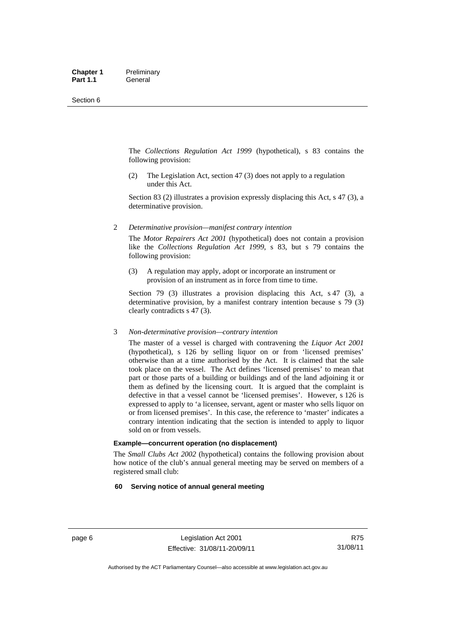The *Collections Regulation Act 1999* (hypothetical), s 83 contains the following provision:

(2) The Legislation Act, section 47 (3) does not apply to a regulation under this Act.

Section 83 (2) illustrates a provision expressly displacing this Act, s 47 (3), a determinative provision.

2 *Determinative provision—manifest contrary intention*

The *Motor Repairers Act 2001* (hypothetical) does not contain a provision like the *Collections Regulation Act 1999*, s 83, but s 79 contains the following provision:

(3) A regulation may apply, adopt or incorporate an instrument or provision of an instrument as in force from time to time.

Section 79 (3) illustrates a provision displacing this Act, s 47 (3), a determinative provision, by a manifest contrary intention because s 79 (3) clearly contradicts s 47 (3).

#### 3 *Non-determinative provision—contrary intention*

The master of a vessel is charged with contravening the *Liquor Act 2001* (hypothetical), s 126 by selling liquor on or from 'licensed premises' otherwise than at a time authorised by the Act. It is claimed that the sale took place on the vessel. The Act defines 'licensed premises' to mean that part or those parts of a building or buildings and of the land adjoining it or them as defined by the licensing court. It is argued that the complaint is defective in that a vessel cannot be 'licensed premises'. However, s 126 is expressed to apply to 'a licensee, servant, agent or master who sells liquor on or from licensed premises'. In this case, the reference to 'master' indicates a contrary intention indicating that the section is intended to apply to liquor sold on or from vessels.

#### **Example—concurrent operation (no displacement)**

The *Small Clubs Act 2002* (hypothetical) contains the following provision about how notice of the club's annual general meeting may be served on members of a registered small club:

#### **60 Serving notice of annual general meeting**

R75 31/08/11

Authorised by the ACT Parliamentary Counsel—also accessible at www.legislation.act.gov.au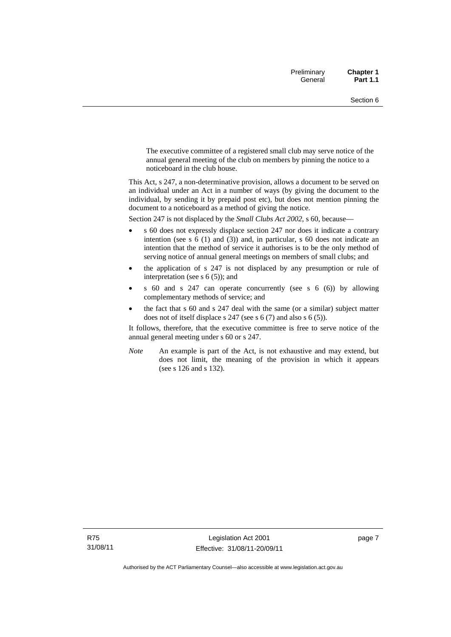The executive committee of a registered small club may serve notice of the annual general meeting of the club on members by pinning the notice to a noticeboard in the club house.

This Act, s 247, a non-determinative provision, allows a document to be served on an individual under an Act in a number of ways (by giving the document to the individual, by sending it by prepaid post etc), but does not mention pinning the document to a noticeboard as a method of giving the notice.

Section 247 is not displaced by the *Small Clubs Act 2002*, s 60, because—

- s 60 does not expressly displace section 247 nor does it indicate a contrary intention (see s 6 (1) and (3)) and, in particular, s 60 does not indicate an intention that the method of service it authorises is to be the only method of serving notice of annual general meetings on members of small clubs; and
- the application of s 247 is not displaced by any presumption or rule of interpretation (see s  $6(5)$ ); and
- s 60 and s 247 can operate concurrently (see s 6 (6)) by allowing complementary methods of service; and
- the fact that s 60 and s 247 deal with the same (or a similar) subject matter does not of itself displace s 247 (see s 6 (7) and also s 6 (5)).

It follows, therefore, that the executive committee is free to serve notice of the annual general meeting under s 60 or s 247.

*Note* An example is part of the Act, is not exhaustive and may extend, but does not limit, the meaning of the provision in which it appears (see s 126 and s 132).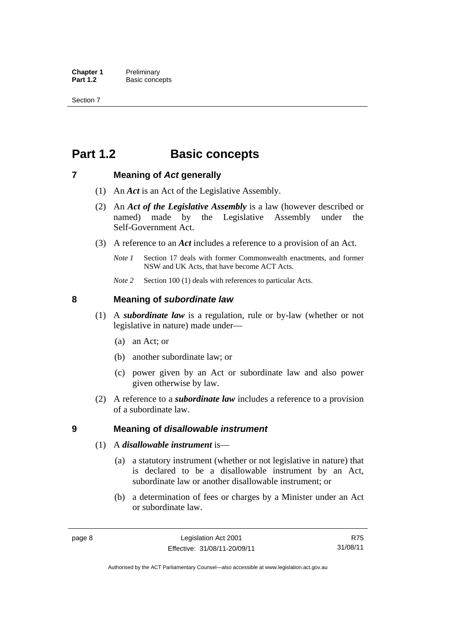# <span id="page-23-0"></span>**Part 1.2 Basic concepts**

## <span id="page-23-1"></span>**7 Meaning of** *Act* **generally**

- (1) An *Act* is an Act of the Legislative Assembly.
- (2) An *Act of the Legislative Assembly* is a law (however described or named) made by the Legislative Assembly under the Self-Government Act.
- (3) A reference to an *Act* includes a reference to a provision of an Act.
	- *Note 1* Section 17 deals with former Commonwealth enactments, and former NSW and UK Acts, that have become ACT Acts.
	- *Note 2* Section 100 (1) deals with references to particular Acts.

## <span id="page-23-2"></span>**8 Meaning of** *subordinate law*

- (1) A *subordinate law* is a regulation, rule or by-law (whether or not legislative in nature) made under—
	- (a) an Act; or
	- (b) another subordinate law; or
	- (c) power given by an Act or subordinate law and also power given otherwise by law.
- (2) A reference to a *subordinate law* includes a reference to a provision of a subordinate law.

## <span id="page-23-3"></span>**9 Meaning of** *disallowable instrument*

- (1) A *disallowable instrument* is—
	- (a) a statutory instrument (whether or not legislative in nature) that is declared to be a disallowable instrument by an Act, subordinate law or another disallowable instrument; or
	- (b) a determination of fees or charges by a Minister under an Act or subordinate law.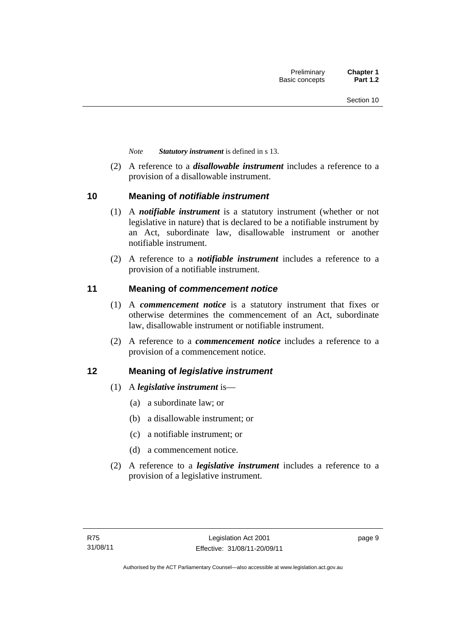*Note Statutory instrument* is defined in s 13.

 (2) A reference to a *disallowable instrument* includes a reference to a provision of a disallowable instrument.

## <span id="page-24-0"></span>**10 Meaning of** *notifiable instrument*

- (1) A *notifiable instrument* is a statutory instrument (whether or not legislative in nature) that is declared to be a notifiable instrument by an Act, subordinate law, disallowable instrument or another notifiable instrument.
- (2) A reference to a *notifiable instrument* includes a reference to a provision of a notifiable instrument.

## <span id="page-24-1"></span>**11 Meaning of** *commencement notice*

- (1) A *commencement notice* is a statutory instrument that fixes or otherwise determines the commencement of an Act, subordinate law, disallowable instrument or notifiable instrument.
- (2) A reference to a *commencement notice* includes a reference to a provision of a commencement notice.

## <span id="page-24-2"></span>**12 Meaning of** *legislative instrument*

- (1) A *legislative instrument* is—
	- (a) a subordinate law; or
	- (b) a disallowable instrument; or
	- (c) a notifiable instrument; or
	- (d) a commencement notice.
- (2) A reference to a *legislative instrument* includes a reference to a provision of a legislative instrument.

page 9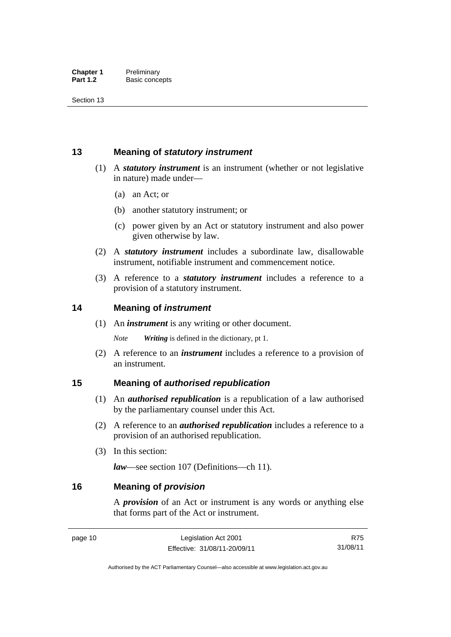## <span id="page-25-0"></span>**13 Meaning of** *statutory instrument*

- (1) A *statutory instrument* is an instrument (whether or not legislative in nature) made under—
	- (a) an Act; or
	- (b) another statutory instrument; or
	- (c) power given by an Act or statutory instrument and also power given otherwise by law.
- (2) A *statutory instrument* includes a subordinate law, disallowable instrument, notifiable instrument and commencement notice.
- (3) A reference to a *statutory instrument* includes a reference to a provision of a statutory instrument.

## <span id="page-25-1"></span>**14 Meaning of** *instrument*

(1) An *instrument* is any writing or other document.

*Note Writing* is defined in the dictionary, pt 1.

 (2) A reference to an *instrument* includes a reference to a provision of an instrument.

## <span id="page-25-2"></span>**15 Meaning of** *authorised republication*

- (1) An *authorised republication* is a republication of a law authorised by the parliamentary counsel under this Act.
- (2) A reference to an *authorised republication* includes a reference to a provision of an authorised republication.
- (3) In this section:

*law*—see section 107 (Definitions—ch 11).

## <span id="page-25-3"></span>**16 Meaning of** *provision*

A *provision* of an Act or instrument is any words or anything else that forms part of the Act or instrument.

page 10 Legislation Act 2001 Effective: 31/08/11-20/09/11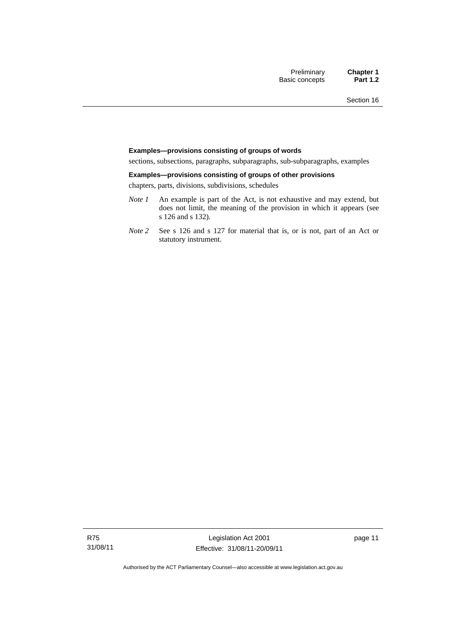#### **Examples—provisions consisting of groups of words**

sections, subsections, paragraphs, subparagraphs, sub-subparagraphs, examples

#### **Examples—provisions consisting of groups of other provisions**

chapters, parts, divisions, subdivisions, schedules

- *Note 1* An example is part of the Act, is not exhaustive and may extend, but does not limit, the meaning of the provision in which it appears (see s 126 and s 132).
- *Note 2* See s 126 and s 127 for material that is, or is not, part of an Act or statutory instrument.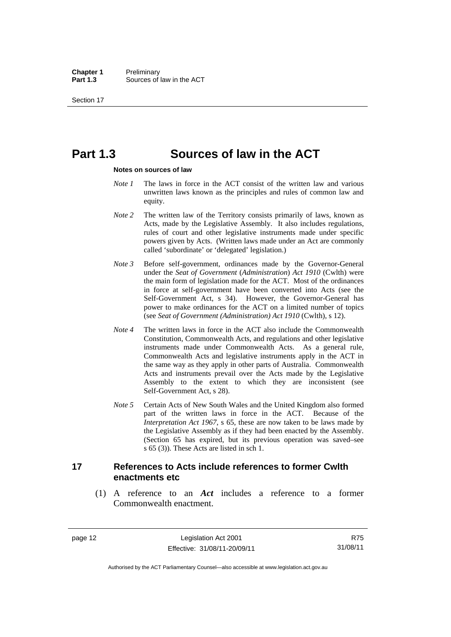# <span id="page-27-0"></span>**Part 1.3 Sources of law in the ACT**

#### **Notes on sources of law**

- *Note 1* The laws in force in the ACT consist of the written law and various unwritten laws known as the principles and rules of common law and equity.
- *Note* 2 The written law of the Territory consists primarily of laws, known as Acts, made by the Legislative Assembly. It also includes regulations, rules of court and other legislative instruments made under specific powers given by Acts. (Written laws made under an Act are commonly called 'subordinate' or 'delegated' legislation.)
- *Note 3* Before self-government, ordinances made by the Governor-General under the *Seat of Government* (*Administration*) *Act 1910* (Cwlth) were the main form of legislation made for the ACT. Most of the ordinances in force at self-government have been converted into Acts (see the Self-Government Act, s 34). However, the Governor-General has power to make ordinances for the ACT on a limited number of topics (see *Seat of Government (Administration) Act 1910* (Cwlth), s 12).
- *Note 4* The written laws in force in the ACT also include the Commonwealth Constitution, Commonwealth Acts, and regulations and other legislative instruments made under Commonwealth Acts. As a general rule, Commonwealth Acts and legislative instruments apply in the ACT in the same way as they apply in other parts of Australia. Commonwealth Acts and instruments prevail over the Acts made by the Legislative Assembly to the extent to which they are inconsistent (see Self-Government Act, s 28).
- *Note 5* Certain Acts of New South Wales and the United Kingdom also formed part of the written laws in force in the ACT. Because of the *Interpretation Act 1967*, s 65, these are now taken to be laws made by the Legislative Assembly as if they had been enacted by the Assembly. (Section 65 has expired, but its previous operation was saved–see s 65 (3)). These Acts are listed in sch 1.

## <span id="page-27-1"></span>**17 References to Acts include references to former Cwlth enactments etc**

 (1) A reference to an *Act* includes a reference to a former Commonwealth enactment.

page 12 Legislation Act 2001 Effective: 31/08/11-20/09/11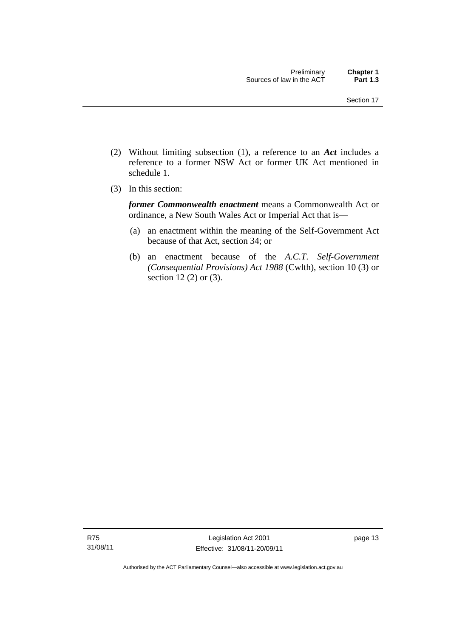- (2) Without limiting subsection (1), a reference to an *Act* includes a reference to a former NSW Act or former UK Act mentioned in schedule 1.
- (3) In this section:

*former Commonwealth enactment* means a Commonwealth Act or ordinance, a New South Wales Act or Imperial Act that is—

- (a) an enactment within the meaning of the Self-Government Act because of that Act, section 34; or
- (b) an enactment because of the *A.C.T*. *Self-Government (Consequential Provisions) Act 1988* (Cwlth), section 10 (3) or section 12 (2) or (3).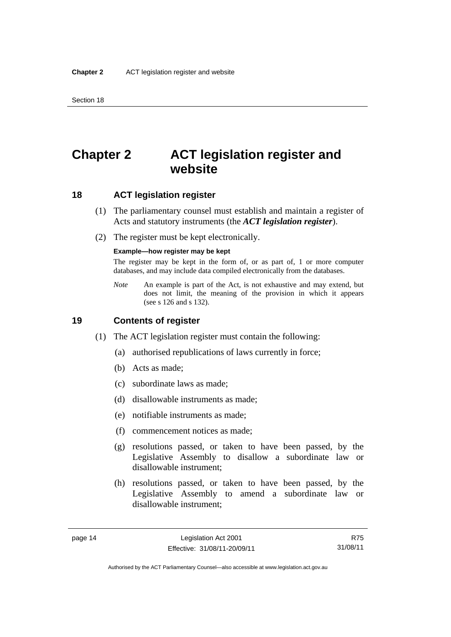# <span id="page-29-0"></span>**Chapter 2 ACT legislation register and website**

<span id="page-29-1"></span>**18 ACT legislation register** 

- (1) The parliamentary counsel must establish and maintain a register of Acts and statutory instruments (the *ACT legislation register*).
- (2) The register must be kept electronically.

#### **Example—how register may be kept**

The register may be kept in the form of, or as part of, 1 or more computer databases, and may include data compiled electronically from the databases.

*Note* An example is part of the Act, is not exhaustive and may extend, but does not limit, the meaning of the provision in which it appears (see s 126 and s 132).

## <span id="page-29-2"></span>**19 Contents of register**

- (1) The ACT legislation register must contain the following:
	- (a) authorised republications of laws currently in force;
	- (b) Acts as made;
	- (c) subordinate laws as made;
	- (d) disallowable instruments as made;
	- (e) notifiable instruments as made;
	- (f) commencement notices as made;
	- (g) resolutions passed, or taken to have been passed, by the Legislative Assembly to disallow a subordinate law or disallowable instrument;
	- (h) resolutions passed, or taken to have been passed, by the Legislative Assembly to amend a subordinate law or disallowable instrument;

R75 31/08/11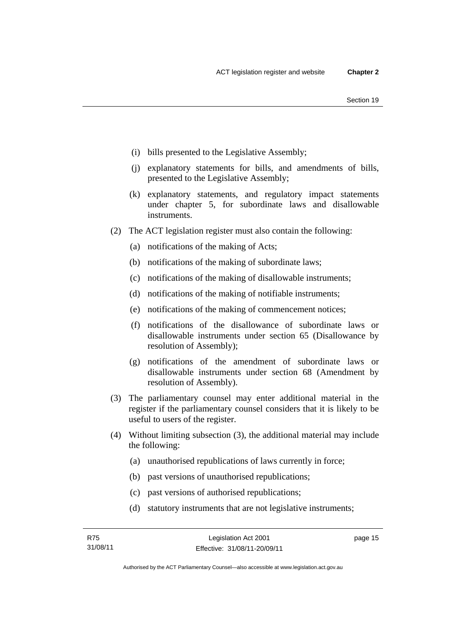- (i) bills presented to the Legislative Assembly;
- (j) explanatory statements for bills, and amendments of bills, presented to the Legislative Assembly;
- (k) explanatory statements, and regulatory impact statements under chapter 5, for subordinate laws and disallowable instruments.
- (2) The ACT legislation register must also contain the following:
	- (a) notifications of the making of Acts;
	- (b) notifications of the making of subordinate laws;
	- (c) notifications of the making of disallowable instruments;
	- (d) notifications of the making of notifiable instruments;
	- (e) notifications of the making of commencement notices;
	- (f) notifications of the disallowance of subordinate laws or disallowable instruments under section 65 (Disallowance by resolution of Assembly);
	- (g) notifications of the amendment of subordinate laws or disallowable instruments under section 68 (Amendment by resolution of Assembly).
- (3) The parliamentary counsel may enter additional material in the register if the parliamentary counsel considers that it is likely to be useful to users of the register.
- (4) Without limiting subsection (3), the additional material may include the following:
	- (a) unauthorised republications of laws currently in force;
	- (b) past versions of unauthorised republications;
	- (c) past versions of authorised republications;
	- (d) statutory instruments that are not legislative instruments;

page 15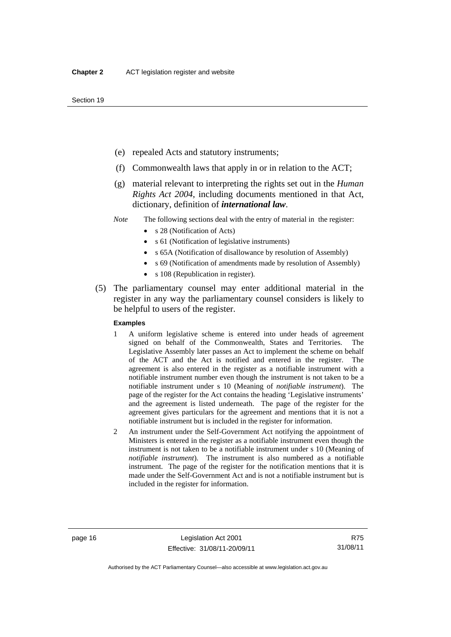- (e) repealed Acts and statutory instruments;
- (f) Commonwealth laws that apply in or in relation to the ACT;
- (g) material relevant to interpreting the rights set out in the *Human Rights Act 2004*, including documents mentioned in that Act, dictionary, definition of *international law*.
- *Note* The following sections deal with the entry of material in the register:
	- s 28 (Notification of Acts)
	- s 61 (Notification of legislative instruments)
	- s 65A (Notification of disallowance by resolution of Assembly)
	- s 69 (Notification of amendments made by resolution of Assembly)
	- s 108 (Republication in register).
- (5) The parliamentary counsel may enter additional material in the register in any way the parliamentary counsel considers is likely to be helpful to users of the register.

#### **Examples**

- 1 A uniform legislative scheme is entered into under heads of agreement signed on behalf of the Commonwealth, States and Territories. The Legislative Assembly later passes an Act to implement the scheme on behalf of the ACT and the Act is notified and entered in the register. The agreement is also entered in the register as a notifiable instrument with a notifiable instrument number even though the instrument is not taken to be a notifiable instrument under s 10 (Meaning of *notifiable instrument*). The page of the register for the Act contains the heading 'Legislative instruments' and the agreement is listed underneath. The page of the register for the agreement gives particulars for the agreement and mentions that it is not a notifiable instrument but is included in the register for information.
- 2 An instrument under the Self-Government Act notifying the appointment of Ministers is entered in the register as a notifiable instrument even though the instrument is not taken to be a notifiable instrument under s 10 (Meaning of *notifiable instrument*). The instrument is also numbered as a notifiable instrument. The page of the register for the notification mentions that it is made under the Self-Government Act and is not a notifiable instrument but is included in the register for information.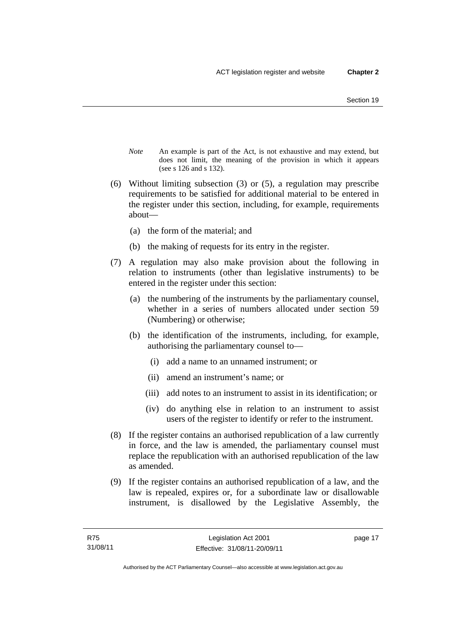- *Note* An example is part of the Act, is not exhaustive and may extend, but does not limit, the meaning of the provision in which it appears (see s 126 and s 132).
- (6) Without limiting subsection (3) or (5), a regulation may prescribe requirements to be satisfied for additional material to be entered in the register under this section, including, for example, requirements about—
	- (a) the form of the material; and
	- (b) the making of requests for its entry in the register.
- (7) A regulation may also make provision about the following in relation to instruments (other than legislative instruments) to be entered in the register under this section:
	- (a) the numbering of the instruments by the parliamentary counsel, whether in a series of numbers allocated under section 59 (Numbering) or otherwise;
	- (b) the identification of the instruments, including, for example, authorising the parliamentary counsel to—
		- (i) add a name to an unnamed instrument; or
		- (ii) amend an instrument's name; or
		- (iii) add notes to an instrument to assist in its identification; or
		- (iv) do anything else in relation to an instrument to assist users of the register to identify or refer to the instrument.
- (8) If the register contains an authorised republication of a law currently in force, and the law is amended, the parliamentary counsel must replace the republication with an authorised republication of the law as amended.
- (9) If the register contains an authorised republication of a law, and the law is repealed, expires or, for a subordinate law or disallowable instrument, is disallowed by the Legislative Assembly, the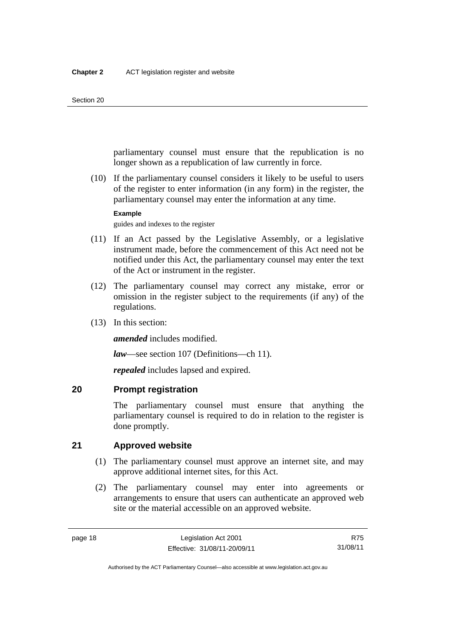#### Section 20

parliamentary counsel must ensure that the republication is no longer shown as a republication of law currently in force.

 (10) If the parliamentary counsel considers it likely to be useful to users of the register to enter information (in any form) in the register, the parliamentary counsel may enter the information at any time.

**Example** 

guides and indexes to the register

- (11) If an Act passed by the Legislative Assembly, or a legislative instrument made, before the commencement of this Act need not be notified under this Act, the parliamentary counsel may enter the text of the Act or instrument in the register.
- (12) The parliamentary counsel may correct any mistake, error or omission in the register subject to the requirements (if any) of the regulations.
- (13) In this section:

*amended* includes modified.

*law*—see section 107 (Definitions—ch 11).

*repealed* includes lapsed and expired.

## <span id="page-33-0"></span>**20 Prompt registration**

The parliamentary counsel must ensure that anything the parliamentary counsel is required to do in relation to the register is done promptly.

## <span id="page-33-1"></span>**21 Approved website**

- (1) The parliamentary counsel must approve an internet site, and may approve additional internet sites, for this Act.
- (2) The parliamentary counsel may enter into agreements or arrangements to ensure that users can authenticate an approved web site or the material accessible on an approved website.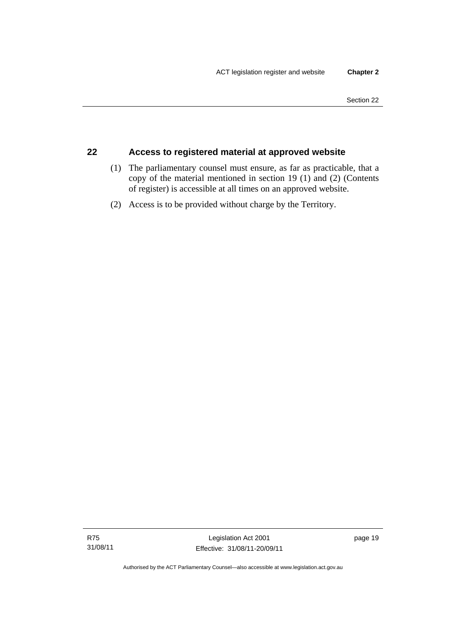## <span id="page-34-0"></span>**22 Access to registered material at approved website**

- (1) The parliamentary counsel must ensure, as far as practicable, that a copy of the material mentioned in section 19 (1) and (2) (Contents of register) is accessible at all times on an approved website.
- (2) Access is to be provided without charge by the Territory.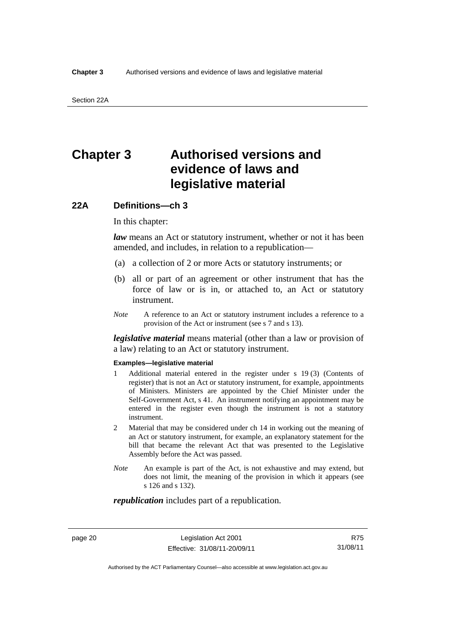# <span id="page-35-0"></span>**Chapter 3 Authorised versions and evidence of laws and legislative material**

## <span id="page-35-1"></span>**22A Definitions—ch 3**

In this chapter:

*law* means an Act or statutory instrument, whether or not it has been amended, and includes, in relation to a republication—

- (a) a collection of 2 or more Acts or statutory instruments; or
- (b) all or part of an agreement or other instrument that has the force of law or is in, or attached to, an Act or statutory instrument.
- *Note* A reference to an Act or statutory instrument includes a reference to a provision of the Act or instrument (see s 7 and s 13).

*legislative material* means material (other than a law or provision of a law) relating to an Act or statutory instrument.

#### **Examples—legislative material**

- 1 Additional material entered in the register under s 19 (3) (Contents of register) that is not an Act or statutory instrument, for example, appointments of Ministers. Ministers are appointed by the Chief Minister under the Self-Government Act, s 41. An instrument notifying an appointment may be entered in the register even though the instrument is not a statutory instrument.
- 2 Material that may be considered under ch 14 in working out the meaning of an Act or statutory instrument, for example, an explanatory statement for the bill that became the relevant Act that was presented to the Legislative Assembly before the Act was passed.
- *Note* An example is part of the Act, is not exhaustive and may extend, but does not limit, the meaning of the provision in which it appears (see s 126 and s 132).

*republication* includes part of a republication.

page 20 Legislation Act 2001 Effective: 31/08/11-20/09/11

R75 31/08/11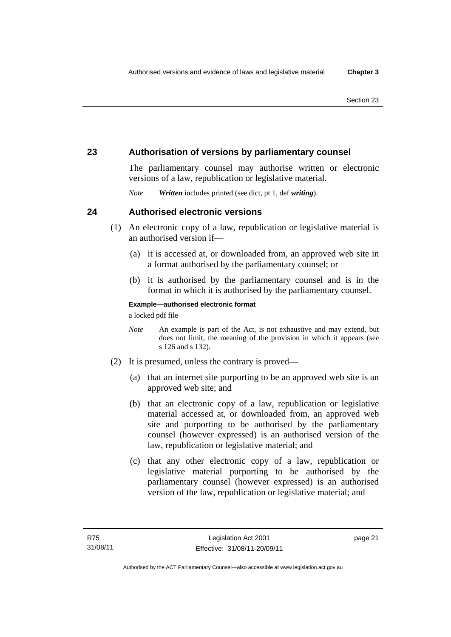# **23 Authorisation of versions by parliamentary counsel**

The parliamentary counsel may authorise written or electronic versions of a law, republication or legislative material.

*Note Written* includes printed (see dict, pt 1, def *writing*).

# **24 Authorised electronic versions**

- (1) An electronic copy of a law, republication or legislative material is an authorised version if—
	- (a) it is accessed at, or downloaded from, an approved web site in a format authorised by the parliamentary counsel; or
	- (b) it is authorised by the parliamentary counsel and is in the format in which it is authorised by the parliamentary counsel.

**Example—authorised electronic format** 

a locked pdf file

- *Note* An example is part of the Act, is not exhaustive and may extend, but does not limit, the meaning of the provision in which it appears (see s 126 and s 132).
- (2) It is presumed, unless the contrary is proved—
	- (a) that an internet site purporting to be an approved web site is an approved web site; and
	- (b) that an electronic copy of a law, republication or legislative material accessed at, or downloaded from, an approved web site and purporting to be authorised by the parliamentary counsel (however expressed) is an authorised version of the law, republication or legislative material; and
	- (c) that any other electronic copy of a law, republication or legislative material purporting to be authorised by the parliamentary counsel (however expressed) is an authorised version of the law, republication or legislative material; and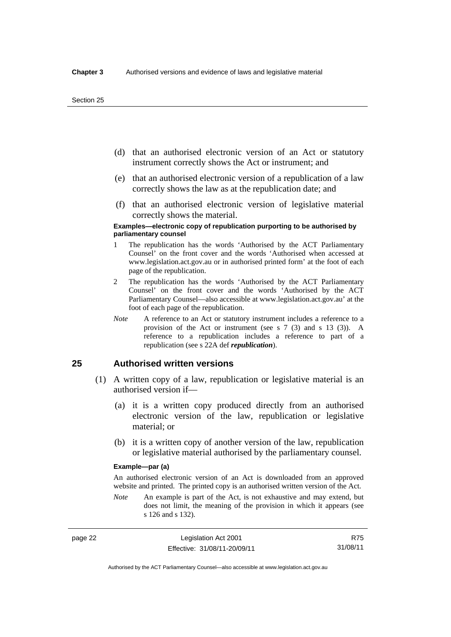- (d) that an authorised electronic version of an Act or statutory instrument correctly shows the Act or instrument; and
- (e) that an authorised electronic version of a republication of a law correctly shows the law as at the republication date; and
- (f) that an authorised electronic version of legislative material correctly shows the material.

#### **Examples—electronic copy of republication purporting to be authorised by parliamentary counsel**

- 1 The republication has the words 'Authorised by the ACT Parliamentary Counsel' on the front cover and the words 'Authorised when accessed at www.legislation.act.gov.au or in authorised printed form' at the foot of each page of the republication.
- 2 The republication has the words 'Authorised by the ACT Parliamentary Counsel' on the front cover and the words 'Authorised by the ACT Parliamentary Counsel—also accessible at www.legislation.act.gov.au' at the foot of each page of the republication.
- *Note* A reference to an Act or statutory instrument includes a reference to a provision of the Act or instrument (see s 7 (3) and s 13 (3)). A reference to a republication includes a reference to part of a republication (see s 22A def *republication*).

### **25 Authorised written versions**

- (1) A written copy of a law, republication or legislative material is an authorised version if—
	- (a) it is a written copy produced directly from an authorised electronic version of the law, republication or legislative material; or
	- (b) it is a written copy of another version of the law, republication or legislative material authorised by the parliamentary counsel.

#### **Example—par (a)**

An authorised electronic version of an Act is downloaded from an approved website and printed. The printed copy is an authorised written version of the Act.

*Note* An example is part of the Act, is not exhaustive and may extend, but does not limit, the meaning of the provision in which it appears (see s 126 and s 132).

Authorised by the ACT Parliamentary Counsel—also accessible at www.legislation.act.gov.au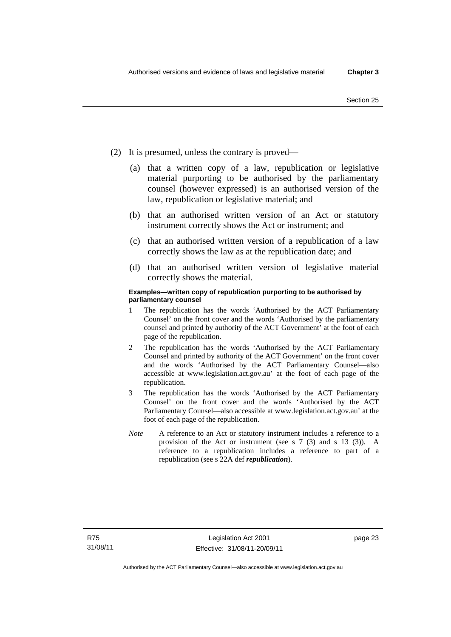- (2) It is presumed, unless the contrary is proved—
	- (a) that a written copy of a law, republication or legislative material purporting to be authorised by the parliamentary counsel (however expressed) is an authorised version of the law, republication or legislative material; and
	- (b) that an authorised written version of an Act or statutory instrument correctly shows the Act or instrument; and
	- (c) that an authorised written version of a republication of a law correctly shows the law as at the republication date; and
	- (d) that an authorised written version of legislative material correctly shows the material.

#### **Examples—written copy of republication purporting to be authorised by parliamentary counsel**

- 1 The republication has the words 'Authorised by the ACT Parliamentary Counsel' on the front cover and the words 'Authorised by the parliamentary counsel and printed by authority of the ACT Government' at the foot of each page of the republication.
- 2 The republication has the words 'Authorised by the ACT Parliamentary Counsel and printed by authority of the ACT Government' on the front cover and the words 'Authorised by the ACT Parliamentary Counsel—also accessible at www.legislation.act.gov.au' at the foot of each page of the republication.
- 3 The republication has the words 'Authorised by the ACT Parliamentary Counsel' on the front cover and the words 'Authorised by the ACT Parliamentary Counsel—also accessible at www.legislation.act.gov.au' at the foot of each page of the republication.
- *Note* A reference to an Act or statutory instrument includes a reference to a provision of the Act or instrument (see s 7 (3) and s 13 (3)). A reference to a republication includes a reference to part of a republication (see s 22A def *republication*).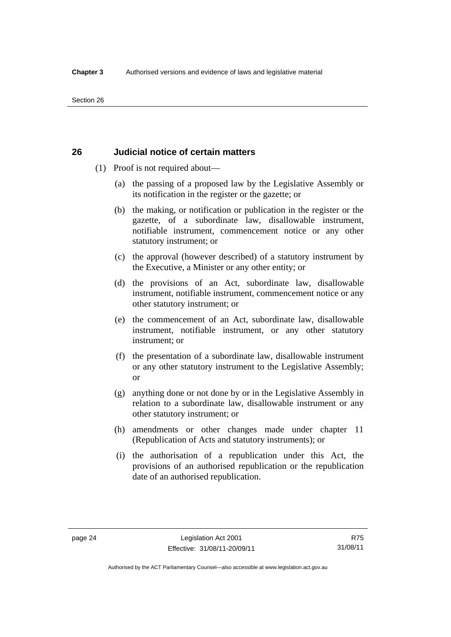# **26 Judicial notice of certain matters**

- (1) Proof is not required about—
	- (a) the passing of a proposed law by the Legislative Assembly or its notification in the register or the gazette; or
	- (b) the making, or notification or publication in the register or the gazette, of a subordinate law, disallowable instrument, notifiable instrument, commencement notice or any other statutory instrument; or
	- (c) the approval (however described) of a statutory instrument by the Executive, a Minister or any other entity; or
	- (d) the provisions of an Act, subordinate law, disallowable instrument, notifiable instrument, commencement notice or any other statutory instrument; or
	- (e) the commencement of an Act, subordinate law, disallowable instrument, notifiable instrument, or any other statutory instrument; or
	- (f) the presentation of a subordinate law, disallowable instrument or any other statutory instrument to the Legislative Assembly; or
	- (g) anything done or not done by or in the Legislative Assembly in relation to a subordinate law, disallowable instrument or any other statutory instrument; or
	- (h) amendments or other changes made under chapter 11 (Republication of Acts and statutory instruments); or
	- (i) the authorisation of a republication under this Act, the provisions of an authorised republication or the republication date of an authorised republication.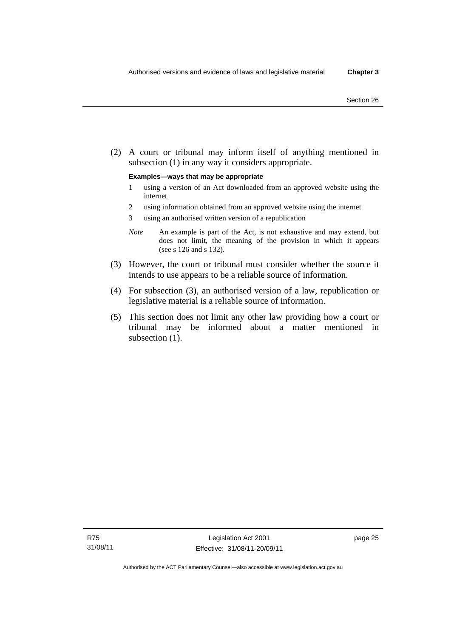(2) A court or tribunal may inform itself of anything mentioned in subsection (1) in any way it considers appropriate.

#### **Examples—ways that may be appropriate**

- 1 using a version of an Act downloaded from an approved website using the internet
- 2 using information obtained from an approved website using the internet
- 3 using an authorised written version of a republication
- *Note* An example is part of the Act, is not exhaustive and may extend, but does not limit, the meaning of the provision in which it appears (see s 126 and s 132).
- (3) However, the court or tribunal must consider whether the source it intends to use appears to be a reliable source of information.
- (4) For subsection (3), an authorised version of a law, republication or legislative material is a reliable source of information.
- (5) This section does not limit any other law providing how a court or tribunal may be informed about a matter mentioned in subsection  $(1)$ .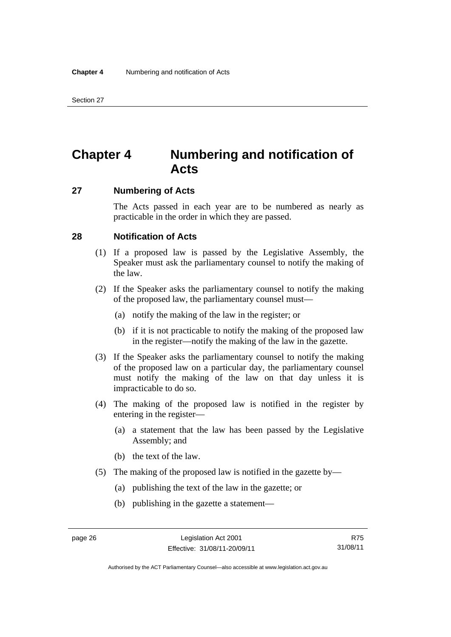# **Chapter 4 Numbering and notification of Acts**

# **27 Numbering of Acts**

The Acts passed in each year are to be numbered as nearly as practicable in the order in which they are passed.

### **28 Notification of Acts**

- (1) If a proposed law is passed by the Legislative Assembly, the Speaker must ask the parliamentary counsel to notify the making of the law.
- (2) If the Speaker asks the parliamentary counsel to notify the making of the proposed law, the parliamentary counsel must—
	- (a) notify the making of the law in the register; or
	- (b) if it is not practicable to notify the making of the proposed law in the register—notify the making of the law in the gazette.
- (3) If the Speaker asks the parliamentary counsel to notify the making of the proposed law on a particular day, the parliamentary counsel must notify the making of the law on that day unless it is impracticable to do so.
- (4) The making of the proposed law is notified in the register by entering in the register—
	- (a) a statement that the law has been passed by the Legislative Assembly; and
	- (b) the text of the law.
- (5) The making of the proposed law is notified in the gazette by—
	- (a) publishing the text of the law in the gazette; or
	- (b) publishing in the gazette a statement—

| L.<br>ı<br>. .<br>- 7 |  |
|-----------------------|--|
|-----------------------|--|

Authorised by the ACT Parliamentary Counsel—also accessible at www.legislation.act.gov.au

R75 31/08/11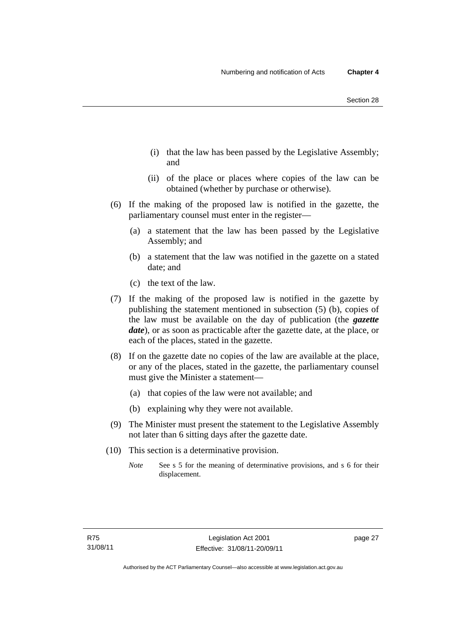- (i) that the law has been passed by the Legislative Assembly; and
- (ii) of the place or places where copies of the law can be obtained (whether by purchase or otherwise).
- (6) If the making of the proposed law is notified in the gazette, the parliamentary counsel must enter in the register—
	- (a) a statement that the law has been passed by the Legislative Assembly; and
	- (b) a statement that the law was notified in the gazette on a stated date; and
	- (c) the text of the law.
- (7) If the making of the proposed law is notified in the gazette by publishing the statement mentioned in subsection (5) (b), copies of the law must be available on the day of publication (the *gazette date*), or as soon as practicable after the gazette date, at the place, or each of the places, stated in the gazette.
- (8) If on the gazette date no copies of the law are available at the place, or any of the places, stated in the gazette, the parliamentary counsel must give the Minister a statement—
	- (a) that copies of the law were not available; and
	- (b) explaining why they were not available.
- (9) The Minister must present the statement to the Legislative Assembly not later than 6 sitting days after the gazette date.
- (10) This section is a determinative provision.
	- *Note* See s 5 for the meaning of determinative provisions, and s 6 for their displacement.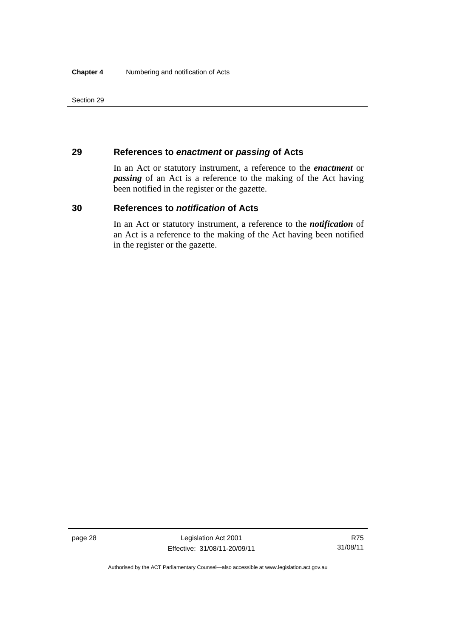Section 29

# **29 References to** *enactment* **or** *passing* **of Acts**

In an Act or statutory instrument, a reference to the *enactment* or *passing* of an Act is a reference to the making of the Act having been notified in the register or the gazette.

# **30 References to** *notification* **of Acts**

In an Act or statutory instrument, a reference to the *notification* of an Act is a reference to the making of the Act having been notified in the register or the gazette.

Authorised by the ACT Parliamentary Counsel—also accessible at www.legislation.act.gov.au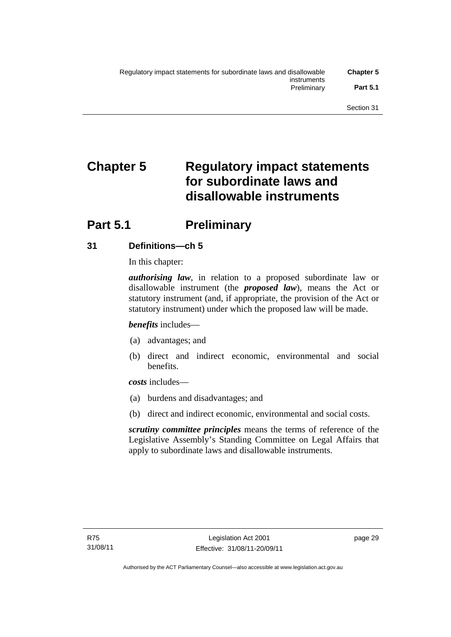# **Chapter 5 Regulatory impact statements for subordinate laws and disallowable instruments**

# **Part 5.1** Preliminary

# **31 Definitions—ch 5**

In this chapter:

*authorising law*, in relation to a proposed subordinate law or disallowable instrument (the *proposed law*), means the Act or statutory instrument (and, if appropriate, the provision of the Act or statutory instrument) under which the proposed law will be made.

*benefits* includes—

- (a) advantages; and
- (b) direct and indirect economic, environmental and social benefits.

*costs* includes—

- (a) burdens and disadvantages; and
- (b) direct and indirect economic, environmental and social costs.

*scrutiny committee principles* means the terms of reference of the Legislative Assembly's Standing Committee on Legal Affairs that apply to subordinate laws and disallowable instruments.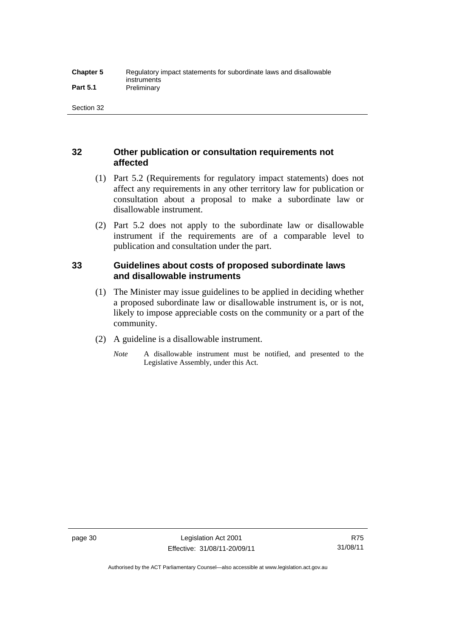# **32 Other publication or consultation requirements not affected**

- (1) Part 5.2 (Requirements for regulatory impact statements) does not affect any requirements in any other territory law for publication or consultation about a proposal to make a subordinate law or disallowable instrument.
- (2) Part 5.2 does not apply to the subordinate law or disallowable instrument if the requirements are of a comparable level to publication and consultation under the part.

# **33 Guidelines about costs of proposed subordinate laws and disallowable instruments**

- (1) The Minister may issue guidelines to be applied in deciding whether a proposed subordinate law or disallowable instrument is, or is not, likely to impose appreciable costs on the community or a part of the community.
- (2) A guideline is a disallowable instrument.
	- *Note* A disallowable instrument must be notified, and presented to the Legislative Assembly, under this Act.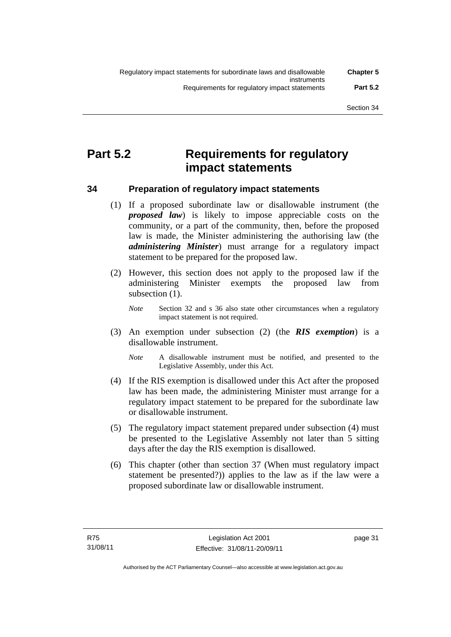# **Part 5.2 Requirements for regulatory impact statements**

**34 Preparation of regulatory impact statements** 

 (1) If a proposed subordinate law or disallowable instrument (the *proposed law*) is likely to impose appreciable costs on the community, or a part of the community, then, before the proposed law is made, the Minister administering the authorising law (the *administering Minister*) must arrange for a regulatory impact statement to be prepared for the proposed law.

 (2) However, this section does not apply to the proposed law if the administering Minister exempts the proposed law from subsection  $(1)$ .

*Note* Section 32 and s 36 also state other circumstances when a regulatory impact statement is not required.

- (3) An exemption under subsection (2) (the *RIS exemption*) is a disallowable instrument.
	- *Note* A disallowable instrument must be notified, and presented to the Legislative Assembly, under this Act.
- (4) If the RIS exemption is disallowed under this Act after the proposed law has been made, the administering Minister must arrange for a regulatory impact statement to be prepared for the subordinate law or disallowable instrument.
- (5) The regulatory impact statement prepared under subsection (4) must be presented to the Legislative Assembly not later than 5 sitting days after the day the RIS exemption is disallowed.
- (6) This chapter (other than section 37 (When must regulatory impact statement be presented?)) applies to the law as if the law were a proposed subordinate law or disallowable instrument.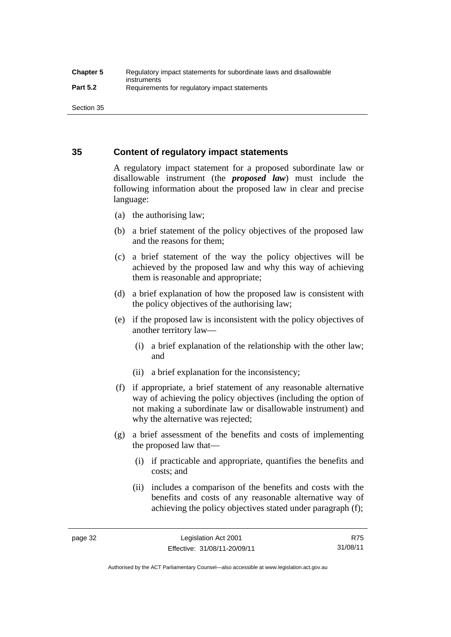Section 35

# **35 Content of regulatory impact statements**

A regulatory impact statement for a proposed subordinate law or disallowable instrument (the *proposed law*) must include the following information about the proposed law in clear and precise language:

- (a) the authorising law;
- (b) a brief statement of the policy objectives of the proposed law and the reasons for them;
- (c) a brief statement of the way the policy objectives will be achieved by the proposed law and why this way of achieving them is reasonable and appropriate;
- (d) a brief explanation of how the proposed law is consistent with the policy objectives of the authorising law;
- (e) if the proposed law is inconsistent with the policy objectives of another territory law—
	- (i) a brief explanation of the relationship with the other law; and
	- (ii) a brief explanation for the inconsistency;
- (f) if appropriate, a brief statement of any reasonable alternative way of achieving the policy objectives (including the option of not making a subordinate law or disallowable instrument) and why the alternative was rejected;
- (g) a brief assessment of the benefits and costs of implementing the proposed law that—
	- (i) if practicable and appropriate, quantifies the benefits and costs; and
	- (ii) includes a comparison of the benefits and costs with the benefits and costs of any reasonable alternative way of achieving the policy objectives stated under paragraph (f);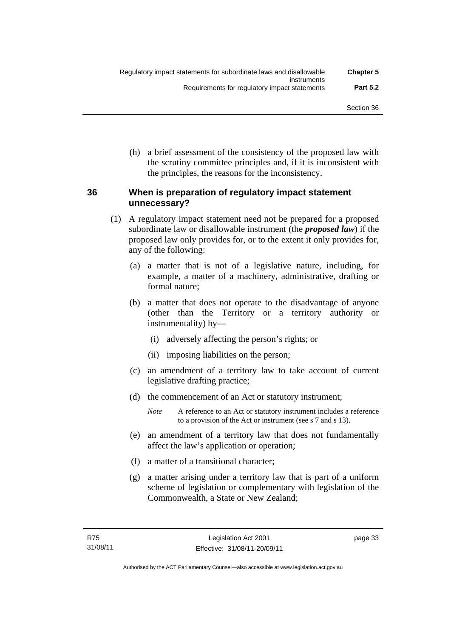(h) a brief assessment of the consistency of the proposed law with the scrutiny committee principles and, if it is inconsistent with the principles, the reasons for the inconsistency.

# **36 When is preparation of regulatory impact statement unnecessary?**

- (1) A regulatory impact statement need not be prepared for a proposed subordinate law or disallowable instrument (the *proposed law*) if the proposed law only provides for, or to the extent it only provides for, any of the following:
	- (a) a matter that is not of a legislative nature, including, for example, a matter of a machinery, administrative, drafting or formal nature;
	- (b) a matter that does not operate to the disadvantage of anyone (other than the Territory or a territory authority or instrumentality) by—
		- (i) adversely affecting the person's rights; or
		- (ii) imposing liabilities on the person;
	- (c) an amendment of a territory law to take account of current legislative drafting practice;
	- (d) the commencement of an Act or statutory instrument;
		- *Note* A reference to an Act or statutory instrument includes a reference to a provision of the Act or instrument (see s 7 and s 13).
	- (e) an amendment of a territory law that does not fundamentally affect the law's application or operation;
	- (f) a matter of a transitional character;
	- (g) a matter arising under a territory law that is part of a uniform scheme of legislation or complementary with legislation of the Commonwealth, a State or New Zealand;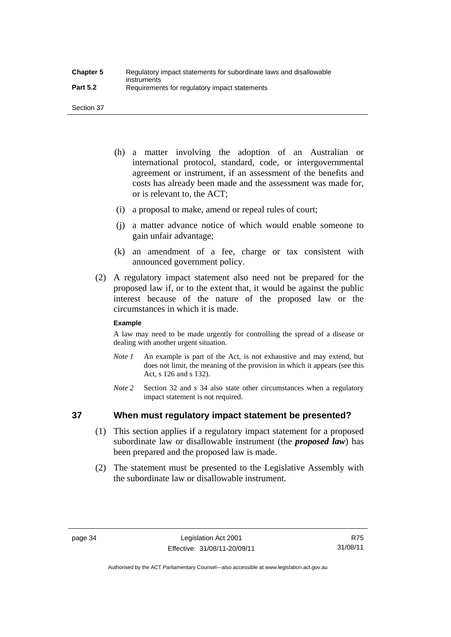Section 37

- (h) a matter involving the adoption of an Australian or international protocol, standard, code, or intergovernmental agreement or instrument, if an assessment of the benefits and costs has already been made and the assessment was made for, or is relevant to, the ACT;
- (i) a proposal to make, amend or repeal rules of court;
- (j) a matter advance notice of which would enable someone to gain unfair advantage;
- (k) an amendment of a fee, charge or tax consistent with announced government policy.
- (2) A regulatory impact statement also need not be prepared for the proposed law if, or to the extent that, it would be against the public interest because of the nature of the proposed law or the circumstances in which it is made.

#### **Example**

A law may need to be made urgently for controlling the spread of a disease or dealing with another urgent situation.

- *Note 1* An example is part of the Act, is not exhaustive and may extend, but does not limit, the meaning of the provision in which it appears (see this Act, s 126 and s 132).
- *Note* 2 Section 32 and s 34 also state other circumstances when a regulatory impact statement is not required.

# **37 When must regulatory impact statement be presented?**

- (1) This section applies if a regulatory impact statement for a proposed subordinate law or disallowable instrument (the *proposed law*) has been prepared and the proposed law is made.
- (2) The statement must be presented to the Legislative Assembly with the subordinate law or disallowable instrument.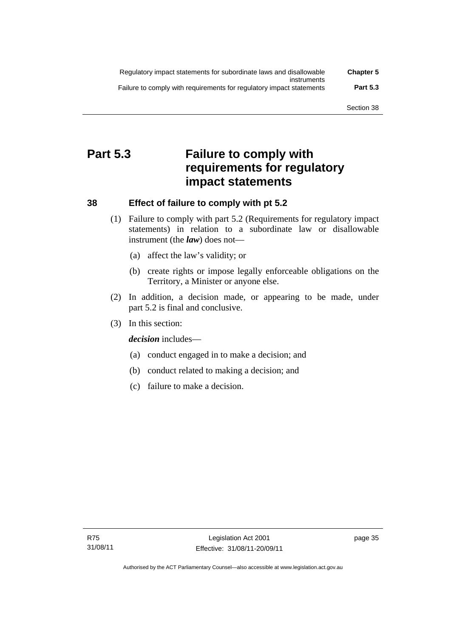| Regulatory impact statements for subordinate laws and disallowable   | <b>Chapter 5</b> |
|----------------------------------------------------------------------|------------------|
| instruments                                                          |                  |
| Failure to comply with requirements for regulatory impact statements | <b>Part 5.3</b>  |

# **Part 5.3 Failure to comply with requirements for regulatory impact statements**

# **38 Effect of failure to comply with pt 5.2**

- (1) Failure to comply with part 5.2 (Requirements for regulatory impact statements) in relation to a subordinate law or disallowable instrument (the *law*) does not—
	- (a) affect the law's validity; or
	- (b) create rights or impose legally enforceable obligations on the Territory, a Minister or anyone else.
- (2) In addition, a decision made, or appearing to be made, under part 5.2 is final and conclusive.
- (3) In this section:

*decision* includes—

- (a) conduct engaged in to make a decision; and
- (b) conduct related to making a decision; and
- (c) failure to make a decision.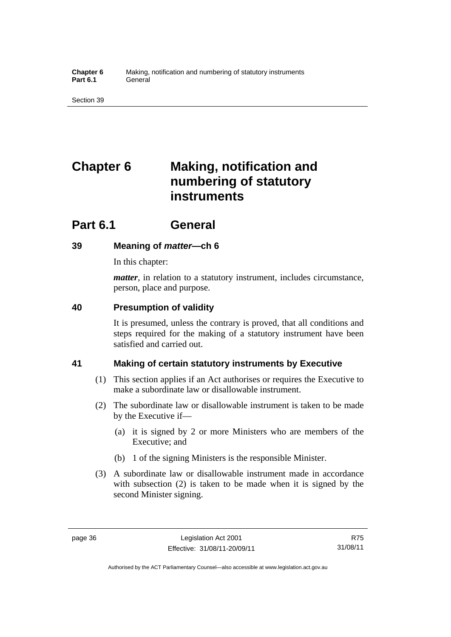# **Chapter 6 Making, notification and numbering of statutory instruments**

# **Part 6.1 General**

# **39 Meaning of** *matter***—ch 6**

In this chapter:

*matter*, in relation to a statutory instrument, includes circumstance, person, place and purpose.

# **40 Presumption of validity**

It is presumed, unless the contrary is proved, that all conditions and steps required for the making of a statutory instrument have been satisfied and carried out.

# **41 Making of certain statutory instruments by Executive**

- (1) This section applies if an Act authorises or requires the Executive to make a subordinate law or disallowable instrument.
- (2) The subordinate law or disallowable instrument is taken to be made by the Executive if—
	- (a) it is signed by 2 or more Ministers who are members of the Executive; and
	- (b) 1 of the signing Ministers is the responsible Minister.
- (3) A subordinate law or disallowable instrument made in accordance with subsection (2) is taken to be made when it is signed by the second Minister signing.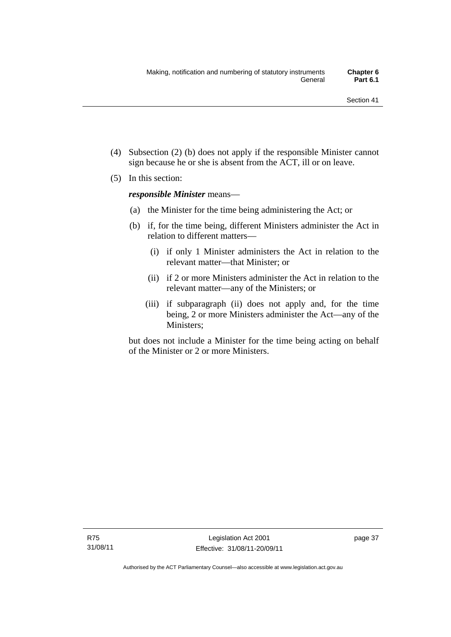- (4) Subsection (2) (b) does not apply if the responsible Minister cannot sign because he or she is absent from the ACT, ill or on leave.
- (5) In this section:

*responsible Minister* means—

- (a) the Minister for the time being administering the Act; or
- (b) if, for the time being, different Ministers administer the Act in relation to different matters—
	- (i) if only 1 Minister administers the Act in relation to the relevant matter—that Minister; or
	- (ii) if 2 or more Ministers administer the Act in relation to the relevant matter—any of the Ministers; or
	- (iii) if subparagraph (ii) does not apply and, for the time being, 2 or more Ministers administer the Act—any of the Ministers;

but does not include a Minister for the time being acting on behalf of the Minister or 2 or more Ministers.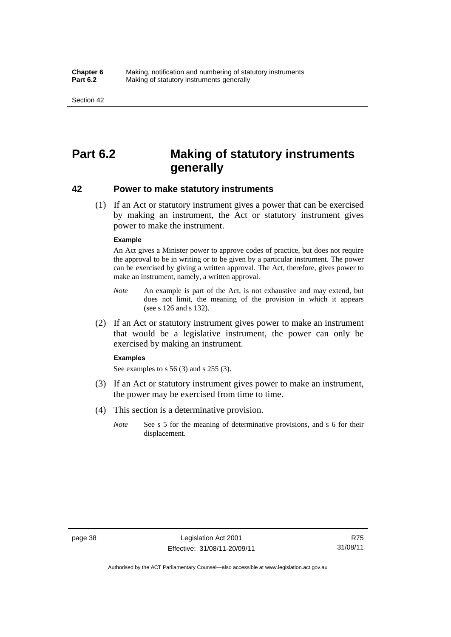# **Part 6.2 Making of statutory instruments generally**

### **42 Power to make statutory instruments**

 (1) If an Act or statutory instrument gives a power that can be exercised by making an instrument, the Act or statutory instrument gives power to make the instrument.

#### **Example**

An Act gives a Minister power to approve codes of practice, but does not require the approval to be in writing or to be given by a particular instrument. The power can be exercised by giving a written approval. The Act, therefore, gives power to make an instrument, namely, a written approval.

- *Note* An example is part of the Act, is not exhaustive and may extend, but does not limit, the meaning of the provision in which it appears (see s 126 and s 132).
- (2) If an Act or statutory instrument gives power to make an instrument that would be a legislative instrument, the power can only be exercised by making an instrument.

#### **Examples**

See examples to s 56 (3) and s 255 (3).

- (3) If an Act or statutory instrument gives power to make an instrument, the power may be exercised from time to time.
- (4) This section is a determinative provision.
	- *Note* See s 5 for the meaning of determinative provisions, and s 6 for their displacement.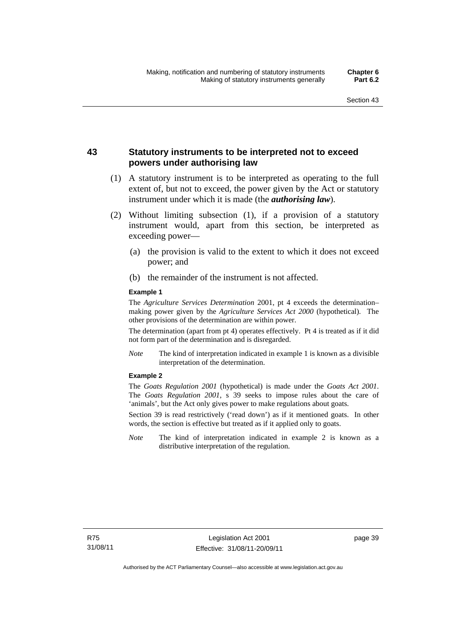# **43 Statutory instruments to be interpreted not to exceed powers under authorising law**

- (1) A statutory instrument is to be interpreted as operating to the full extent of, but not to exceed, the power given by the Act or statutory instrument under which it is made (the *authorising law*).
- (2) Without limiting subsection (1), if a provision of a statutory instrument would, apart from this section, be interpreted as exceeding power—
	- (a) the provision is valid to the extent to which it does not exceed power; and
	- (b) the remainder of the instrument is not affected.

#### **Example 1**

The *Agriculture Services Determination* 2001, pt 4 exceeds the determination– making power given by the *Agriculture Services Act 2000* (hypothetical). The other provisions of the determination are within power.

The determination (apart from pt 4) operates effectively. Pt 4 is treated as if it did not form part of the determination and is disregarded.

*Note* The kind of interpretation indicated in example 1 is known as a divisible interpretation of the determination.

### **Example 2**

The *Goats Regulation 2001* (hypothetical) is made under the *Goats Act 2001*. The *Goats Regulation 2001*, s 39 seeks to impose rules about the care of 'animals', but the Act only gives power to make regulations about goats.

Section 39 is read restrictively ('read down') as if it mentioned goats. In other words, the section is effective but treated as if it applied only to goats.

*Note* The kind of interpretation indicated in example 2 is known as a distributive interpretation of the regulation.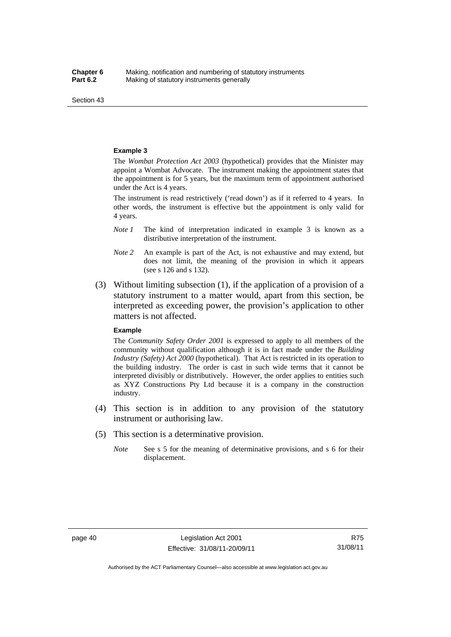Section 43

#### **Example 3**

The *Wombat Protection Act 2003* (hypothetical) provides that the Minister may appoint a Wombat Advocate. The instrument making the appointment states that the appointment is for 5 years, but the maximum term of appointment authorised under the Act is 4 years.

The instrument is read restrictively ('read down') as if it referred to 4 years. In other words, the instrument is effective but the appointment is only valid for 4 years.

- *Note 1* The kind of interpretation indicated in example 3 is known as a distributive interpretation of the instrument.
- *Note 2* An example is part of the Act, is not exhaustive and may extend, but does not limit, the meaning of the provision in which it appears (see s 126 and s 132).
- (3) Without limiting subsection (1), if the application of a provision of a statutory instrument to a matter would, apart from this section, be interpreted as exceeding power, the provision's application to other matters is not affected.

#### **Example**

The *Community Safety Order 2001* is expressed to apply to all members of the community without qualification although it is in fact made under the *Building Industry (Safety) Act 2000* (hypothetical). That Act is restricted in its operation to the building industry. The order is cast in such wide terms that it cannot be interpreted divisibly or distributively. However, the order applies to entities such as XYZ Constructions Pty Ltd because it is a company in the construction industry.

- (4) This section is in addition to any provision of the statutory instrument or authorising law.
- (5) This section is a determinative provision.
	- *Note* See s 5 for the meaning of determinative provisions, and s 6 for their displacement.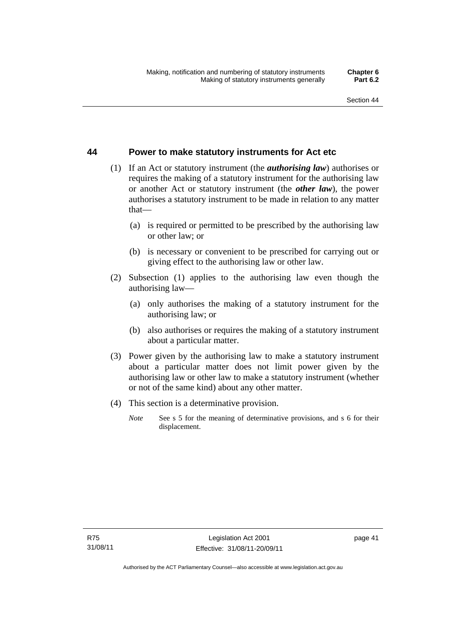# **44 Power to make statutory instruments for Act etc**

- (1) If an Act or statutory instrument (the *authorising law*) authorises or requires the making of a statutory instrument for the authorising law or another Act or statutory instrument (the *other law*), the power authorises a statutory instrument to be made in relation to any matter that—
	- (a) is required or permitted to be prescribed by the authorising law or other law; or
	- (b) is necessary or convenient to be prescribed for carrying out or giving effect to the authorising law or other law.
- (2) Subsection (1) applies to the authorising law even though the authorising law—
	- (a) only authorises the making of a statutory instrument for the authorising law; or
	- (b) also authorises or requires the making of a statutory instrument about a particular matter.
- (3) Power given by the authorising law to make a statutory instrument about a particular matter does not limit power given by the authorising law or other law to make a statutory instrument (whether or not of the same kind) about any other matter.
- (4) This section is a determinative provision.
	- *Note* See s 5 for the meaning of determinative provisions, and s 6 for their displacement.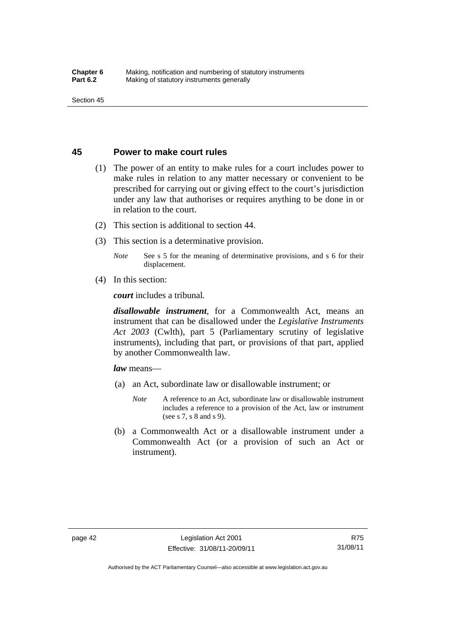### **45 Power to make court rules**

- (1) The power of an entity to make rules for a court includes power to make rules in relation to any matter necessary or convenient to be prescribed for carrying out or giving effect to the court's jurisdiction under any law that authorises or requires anything to be done in or in relation to the court.
- (2) This section is additional to section 44.
- (3) This section is a determinative provision.

*Note* See s 5 for the meaning of determinative provisions, and s 6 for their displacement.

(4) In this section:

*court* includes a tribunal*.*

*disallowable instrument*, for a Commonwealth Act, means an instrument that can be disallowed under the *Legislative Instruments Act 2003* (Cwlth), part 5 (Parliamentary scrutiny of legislative instruments), including that part, or provisions of that part, applied by another Commonwealth law.

*law* means—

- (a) an Act, subordinate law or disallowable instrument; or
	- *Note* A reference to an Act, subordinate law or disallowable instrument includes a reference to a provision of the Act, law or instrument (see s 7, s 8 and s 9).
- (b) a Commonwealth Act or a disallowable instrument under a Commonwealth Act (or a provision of such an Act or instrument).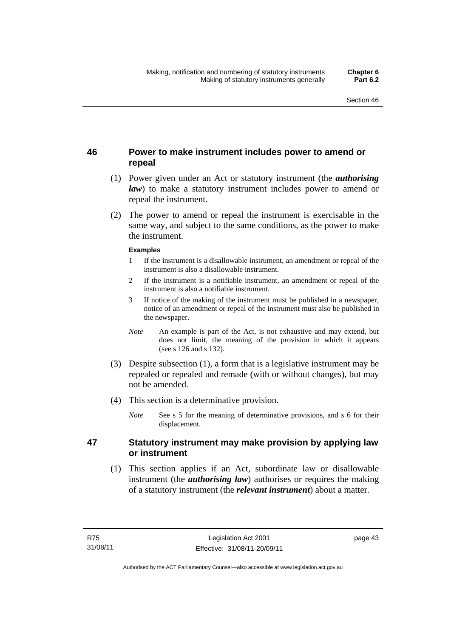# **46 Power to make instrument includes power to amend or repeal**

- (1) Power given under an Act or statutory instrument (the *authorising law*) to make a statutory instrument includes power to amend or repeal the instrument.
- (2) The power to amend or repeal the instrument is exercisable in the same way, and subject to the same conditions, as the power to make the instrument.

#### **Examples**

- 1 If the instrument is a disallowable instrument, an amendment or repeal of the instrument is also a disallowable instrument.
- 2 If the instrument is a notifiable instrument, an amendment or repeal of the instrument is also a notifiable instrument.
- 3 If notice of the making of the instrument must be published in a newspaper, notice of an amendment or repeal of the instrument must also be published in the newspaper.
- *Note* An example is part of the Act, is not exhaustive and may extend, but does not limit, the meaning of the provision in which it appears (see s 126 and s 132).
- (3) Despite subsection (1), a form that is a legislative instrument may be repealed or repealed and remade (with or without changes), but may not be amended.
- (4) This section is a determinative provision.
	- *Note* See s 5 for the meaning of determinative provisions, and s 6 for their displacement.

# **47 Statutory instrument may make provision by applying law or instrument**

 (1) This section applies if an Act, subordinate law or disallowable instrument (the *authorising law*) authorises or requires the making of a statutory instrument (the *relevant instrument*) about a matter.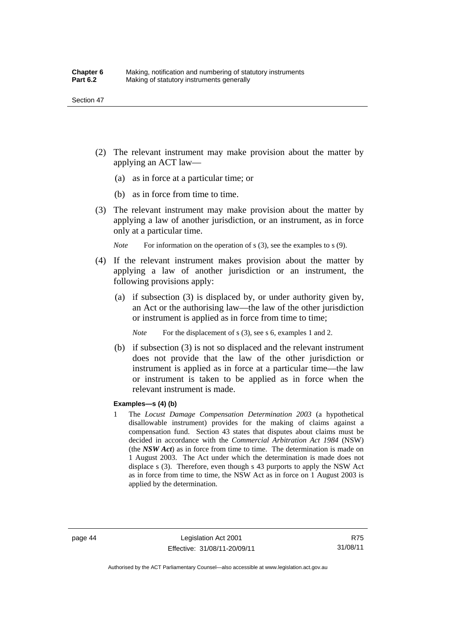- (2) The relevant instrument may make provision about the matter by applying an ACT law—
	- (a) as in force at a particular time; or
	- (b) as in force from time to time.
- (3) The relevant instrument may make provision about the matter by applying a law of another jurisdiction, or an instrument, as in force only at a particular time.

*Note* For information on the operation of s (3), see the examples to s (9).

- (4) If the relevant instrument makes provision about the matter by applying a law of another jurisdiction or an instrument, the following provisions apply:
	- (a) if subsection (3) is displaced by, or under authority given by, an Act or the authorising law—the law of the other jurisdiction or instrument is applied as in force from time to time;

*Note* For the displacement of s (3), see s 6, examples 1 and 2.

 (b) if subsection (3) is not so displaced and the relevant instrument does not provide that the law of the other jurisdiction or instrument is applied as in force at a particular time—the law or instrument is taken to be applied as in force when the relevant instrument is made.

#### **Examples—s (4) (b)**

1 The *Locust Damage Compensation Determination 2003* (a hypothetical disallowable instrument) provides for the making of claims against a compensation fund. Section 43 states that disputes about claims must be decided in accordance with the *Commercial Arbitration Act 1984* (NSW) (the *NSW Act*) as in force from time to time. The determination is made on 1 August 2003. The Act under which the determination is made does not displace s (3). Therefore, even though s 43 purports to apply the NSW Act as in force from time to time, the NSW Act as in force on 1 August 2003 is applied by the determination.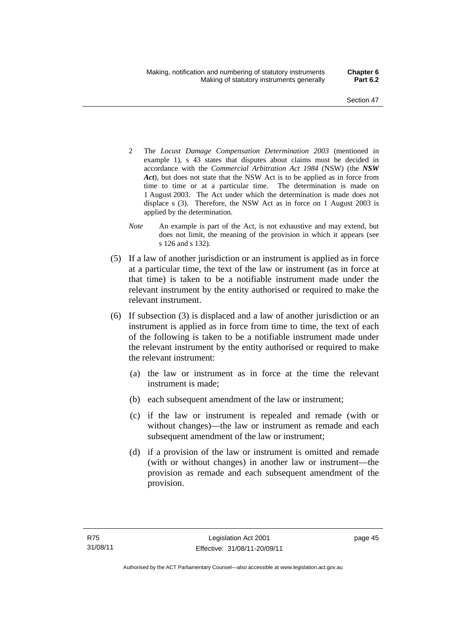- 2 The *Locust Damage Compensation Determination 2003* (mentioned in example 1), s 43 states that disputes about claims must be decided in accordance with the *Commercial Arbitration Act 1984* (NSW) (the *NSW Act*), but does not state that the NSW Act is to be applied as in force from time to time or at a particular time. The determination is made on 1 August 2003. The Act under which the determination is made does not displace s (3). Therefore, the NSW Act as in force on 1 August 2003 is applied by the determination.
- *Note* An example is part of the Act, is not exhaustive and may extend, but does not limit, the meaning of the provision in which it appears (see s 126 and s 132).
- (5) If a law of another jurisdiction or an instrument is applied as in force at a particular time, the text of the law or instrument (as in force at that time) is taken to be a notifiable instrument made under the relevant instrument by the entity authorised or required to make the relevant instrument.
- (6) If subsection (3) is displaced and a law of another jurisdiction or an instrument is applied as in force from time to time, the text of each of the following is taken to be a notifiable instrument made under the relevant instrument by the entity authorised or required to make the relevant instrument:
	- (a) the law or instrument as in force at the time the relevant instrument is made;
	- (b) each subsequent amendment of the law or instrument;
	- (c) if the law or instrument is repealed and remade (with or without changes)—the law or instrument as remade and each subsequent amendment of the law or instrument;
	- (d) if a provision of the law or instrument is omitted and remade (with or without changes) in another law or instrument—the provision as remade and each subsequent amendment of the provision.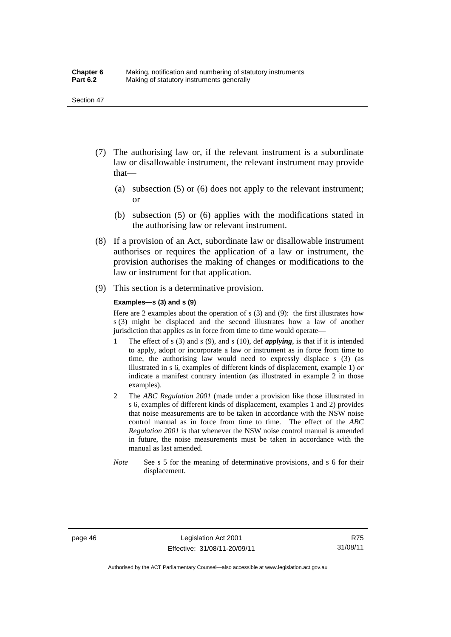- (7) The authorising law or, if the relevant instrument is a subordinate law or disallowable instrument, the relevant instrument may provide that—
	- (a) subsection (5) or (6) does not apply to the relevant instrument; or
	- (b) subsection (5) or (6) applies with the modifications stated in the authorising law or relevant instrument.
- (8) If a provision of an Act, subordinate law or disallowable instrument authorises or requires the application of a law or instrument, the provision authorises the making of changes or modifications to the law or instrument for that application.
- (9) This section is a determinative provision.

#### **Examples—s (3) and s (9)**

Here are 2 examples about the operation of s (3) and (9): the first illustrates how s (3) might be displaced and the second illustrates how a law of another jurisdiction that applies as in force from time to time would operate—

- 1 The effect of s (3) and s (9), and s (10), def *applying*, is that if it is intended to apply, adopt or incorporate a law or instrument as in force from time to time, the authorising law would need to expressly displace s (3) (as illustrated in s 6, examples of different kinds of displacement, example 1) *or* indicate a manifest contrary intention (as illustrated in example 2 in those examples).
- 2 The *ABC Regulation 2001* (made under a provision like those illustrated in s 6, examples of different kinds of displacement, examples 1 and 2) provides that noise measurements are to be taken in accordance with the NSW noise control manual as in force from time to time. The effect of the *ABC Regulation 2001* is that whenever the NSW noise control manual is amended in future, the noise measurements must be taken in accordance with the manual as last amended.
- *Note* See s 5 for the meaning of determinative provisions, and s 6 for their displacement.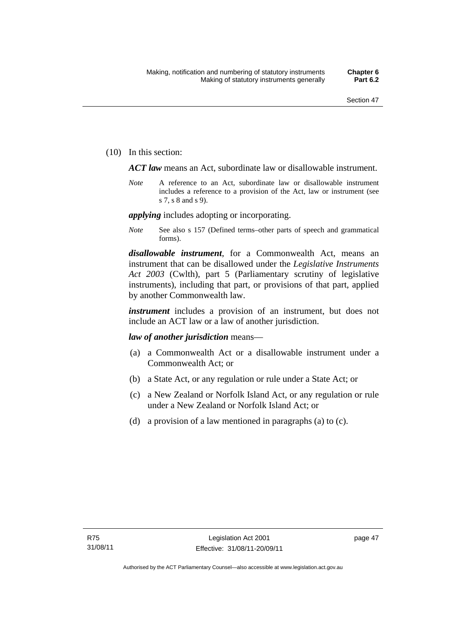(10) In this section:

*ACT law* means an Act, subordinate law or disallowable instrument.

*Note* A reference to an Act, subordinate law or disallowable instrument includes a reference to a provision of the Act, law or instrument (see s 7, s 8 and s 9).

*applying* includes adopting or incorporating.

*Note* See also s 157 (Defined terms–other parts of speech and grammatical forms).

*disallowable instrument*, for a Commonwealth Act, means an instrument that can be disallowed under the *Legislative Instruments Act 2003* (Cwlth), part 5 (Parliamentary scrutiny of legislative instruments), including that part, or provisions of that part, applied by another Commonwealth law.

*instrument* includes a provision of an instrument, but does not include an ACT law or a law of another jurisdiction.

### *law of another jurisdiction* means—

- (a) a Commonwealth Act or a disallowable instrument under a Commonwealth Act; or
- (b) a State Act, or any regulation or rule under a State Act; or
- (c) a New Zealand or Norfolk Island Act, or any regulation or rule under a New Zealand or Norfolk Island Act; or
- (d) a provision of a law mentioned in paragraphs (a) to (c).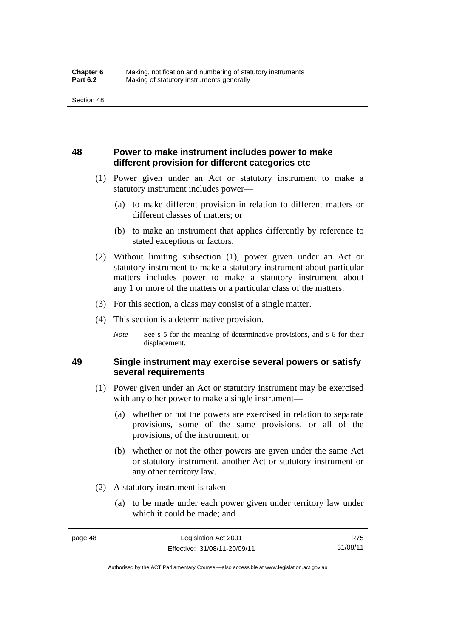# **48 Power to make instrument includes power to make different provision for different categories etc**

- (1) Power given under an Act or statutory instrument to make a statutory instrument includes power—
	- (a) to make different provision in relation to different matters or different classes of matters; or
	- (b) to make an instrument that applies differently by reference to stated exceptions or factors.
- (2) Without limiting subsection (1), power given under an Act or statutory instrument to make a statutory instrument about particular matters includes power to make a statutory instrument about any 1 or more of the matters or a particular class of the matters.
- (3) For this section, a class may consist of a single matter.
- (4) This section is a determinative provision.
	- *Note* See s 5 for the meaning of determinative provisions, and s 6 for their displacement.

# **49 Single instrument may exercise several powers or satisfy several requirements**

- (1) Power given under an Act or statutory instrument may be exercised with any other power to make a single instrument—
	- (a) whether or not the powers are exercised in relation to separate provisions, some of the same provisions, or all of the provisions, of the instrument; or
	- (b) whether or not the other powers are given under the same Act or statutory instrument, another Act or statutory instrument or any other territory law.
- (2) A statutory instrument is taken—
	- (a) to be made under each power given under territory law under which it could be made; and

Authorised by the ACT Parliamentary Counsel—also accessible at www.legislation.act.gov.au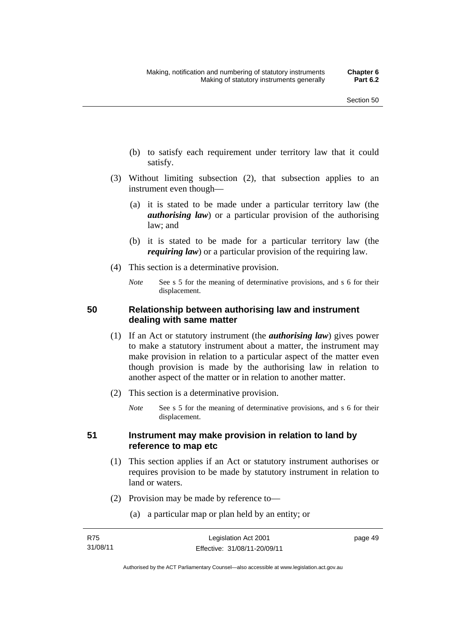- (b) to satisfy each requirement under territory law that it could satisfy.
- (3) Without limiting subsection (2), that subsection applies to an instrument even though—
	- (a) it is stated to be made under a particular territory law (the *authorising law*) or a particular provision of the authorising law; and
	- (b) it is stated to be made for a particular territory law (the *requiring law*) or a particular provision of the requiring law.
- (4) This section is a determinative provision.
	- *Note* See s 5 for the meaning of determinative provisions, and s 6 for their displacement.

# **50 Relationship between authorising law and instrument dealing with same matter**

- (1) If an Act or statutory instrument (the *authorising law*) gives power to make a statutory instrument about a matter, the instrument may make provision in relation to a particular aspect of the matter even though provision is made by the authorising law in relation to another aspect of the matter or in relation to another matter.
- (2) This section is a determinative provision.
	- *Note* See s 5 for the meaning of determinative provisions, and s 6 for their displacement.

# **51 Instrument may make provision in relation to land by reference to map etc**

- (1) This section applies if an Act or statutory instrument authorises or requires provision to be made by statutory instrument in relation to land or waters.
- (2) Provision may be made by reference to—
	- (a) a particular map or plan held by an entity; or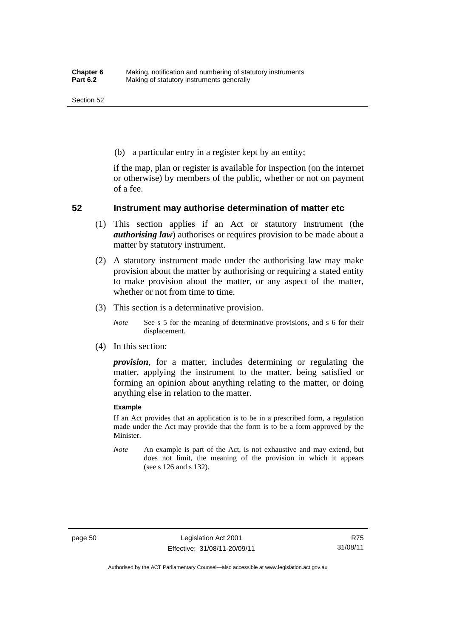(b) a particular entry in a register kept by an entity;

if the map, plan or register is available for inspection (on the internet or otherwise) by members of the public, whether or not on payment of a fee.

### **52 Instrument may authorise determination of matter etc**

- (1) This section applies if an Act or statutory instrument (the *authorising law*) authorises or requires provision to be made about a matter by statutory instrument.
- (2) A statutory instrument made under the authorising law may make provision about the matter by authorising or requiring a stated entity to make provision about the matter, or any aspect of the matter, whether or not from time to time.
- (3) This section is a determinative provision.

*Note* See s 5 for the meaning of determinative provisions, and s 6 for their displacement.

(4) In this section:

*provision*, for a matter, includes determining or regulating the matter, applying the instrument to the matter, being satisfied or forming an opinion about anything relating to the matter, or doing anything else in relation to the matter.

#### **Example**

If an Act provides that an application is to be in a prescribed form, a regulation made under the Act may provide that the form is to be a form approved by the Minister.

*Note* An example is part of the Act, is not exhaustive and may extend, but does not limit, the meaning of the provision in which it appears (see s 126 and s 132).

R75 31/08/11

Authorised by the ACT Parliamentary Counsel—also accessible at www.legislation.act.gov.au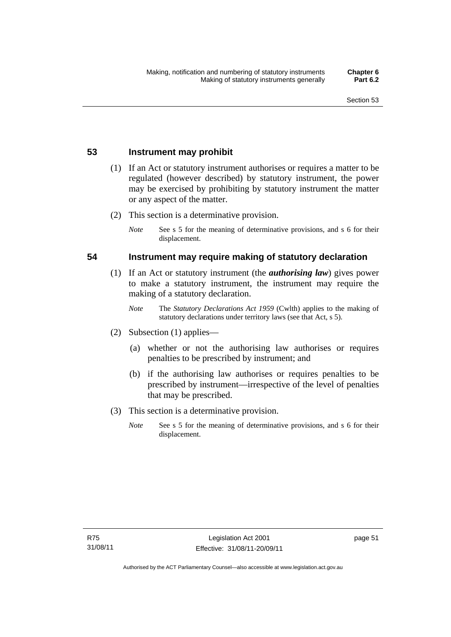# **53 Instrument may prohibit**

- (1) If an Act or statutory instrument authorises or requires a matter to be regulated (however described) by statutory instrument, the power may be exercised by prohibiting by statutory instrument the matter or any aspect of the matter.
- (2) This section is a determinative provision.
	- *Note* See s 5 for the meaning of determinative provisions, and s 6 for their displacement.

### **54 Instrument may require making of statutory declaration**

- (1) If an Act or statutory instrument (the *authorising law*) gives power to make a statutory instrument, the instrument may require the making of a statutory declaration.
	- *Note* The *Statutory Declarations Act 1959* (Cwlth) applies to the making of statutory declarations under territory laws (see that Act, s 5).
- (2) Subsection (1) applies—
	- (a) whether or not the authorising law authorises or requires penalties to be prescribed by instrument; and
	- (b) if the authorising law authorises or requires penalties to be prescribed by instrument—irrespective of the level of penalties that may be prescribed.
- (3) This section is a determinative provision.
	- *Note* See s 5 for the meaning of determinative provisions, and s 6 for their displacement.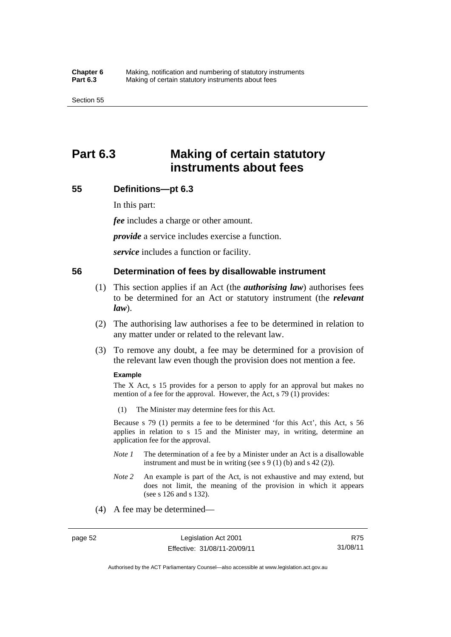# **Part 6.3 Making of certain statutory instruments about fees**

### **55 Definitions—pt 6.3**

In this part:

*fee* includes a charge or other amount.

*provide* a service includes exercise a function.

*service* includes a function or facility.

### **56 Determination of fees by disallowable instrument**

- (1) This section applies if an Act (the *authorising law*) authorises fees to be determined for an Act or statutory instrument (the *relevant law*).
- (2) The authorising law authorises a fee to be determined in relation to any matter under or related to the relevant law.
- (3) To remove any doubt, a fee may be determined for a provision of the relevant law even though the provision does not mention a fee.

#### **Example**

The  $X$  Act,  $s$  15 provides for a person to apply for an approval but makes no mention of a fee for the approval. However, the Act, s 79 (1) provides:

(1) The Minister may determine fees for this Act.

Because s 79 (1) permits a fee to be determined 'for this Act', this Act, s 56 applies in relation to s 15 and the Minister may, in writing, determine an application fee for the approval.

- *Note 1* The determination of a fee by a Minister under an Act is a disallowable instrument and must be in writing (see s 9 (1) (b) and s 42 (2)).
- *Note 2* An example is part of the Act, is not exhaustive and may extend, but does not limit, the meaning of the provision in which it appears (see s 126 and s 132).
- (4) A fee may be determined—

R75 31/08/11

Authorised by the ACT Parliamentary Counsel—also accessible at www.legislation.act.gov.au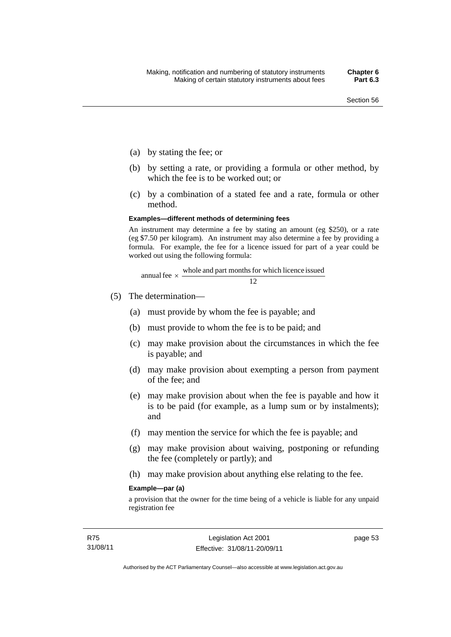- (a) by stating the fee; or
- (b) by setting a rate, or providing a formula or other method, by which the fee is to be worked out; or
- (c) by a combination of a stated fee and a rate, formula or other method.

#### **Examples—different methods of determining fees**

An instrument may determine a fee by stating an amount (eg \$250), or a rate (eg \$7.50 per kilogram). An instrument may also determine a fee by providing a formula. For example, the fee for a licence issued for part of a year could be worked out using the following formula:

annual fee 
$$
\times
$$
  $\frac{\text{whole and part months for which licence issued}}{12}$ 

- (5) The determination—
	- (a) must provide by whom the fee is payable; and
	- (b) must provide to whom the fee is to be paid; and
	- (c) may make provision about the circumstances in which the fee is payable; and
	- (d) may make provision about exempting a person from payment of the fee; and
	- (e) may make provision about when the fee is payable and how it is to be paid (for example, as a lump sum or by instalments); and
	- (f) may mention the service for which the fee is payable; and
	- (g) may make provision about waiving, postponing or refunding the fee (completely or partly); and
	- (h) may make provision about anything else relating to the fee.

#### **Example—par (a)**

a provision that the owner for the time being of a vehicle is liable for any unpaid registration fee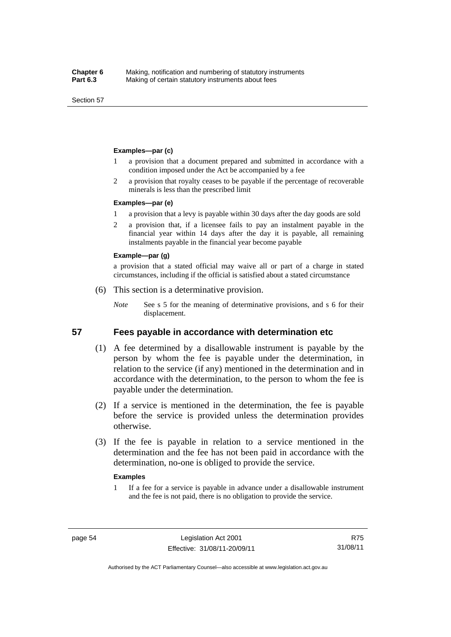Section 57

#### **Examples—par (c)**

- 1 a provision that a document prepared and submitted in accordance with a condition imposed under the Act be accompanied by a fee
- 2 a provision that royalty ceases to be payable if the percentage of recoverable minerals is less than the prescribed limit

#### **Examples—par (e)**

- 1 a provision that a levy is payable within 30 days after the day goods are sold
- 2 a provision that, if a licensee fails to pay an instalment payable in the financial year within 14 days after the day it is payable, all remaining instalments payable in the financial year become payable

#### **Example—par (g)**

a provision that a stated official may waive all or part of a charge in stated circumstances, including if the official is satisfied about a stated circumstance

- (6) This section is a determinative provision.
	- *Note* See s 5 for the meaning of determinative provisions, and s 6 for their displacement.

#### **57 Fees payable in accordance with determination etc**

- (1) A fee determined by a disallowable instrument is payable by the person by whom the fee is payable under the determination, in relation to the service (if any) mentioned in the determination and in accordance with the determination, to the person to whom the fee is payable under the determination.
- (2) If a service is mentioned in the determination, the fee is payable before the service is provided unless the determination provides otherwise.
- (3) If the fee is payable in relation to a service mentioned in the determination and the fee has not been paid in accordance with the determination, no-one is obliged to provide the service.

#### **Examples**

1 If a fee for a service is payable in advance under a disallowable instrument and the fee is not paid, there is no obligation to provide the service.

Authorised by the ACT Parliamentary Counsel—also accessible at www.legislation.act.gov.au

R75 31/08/11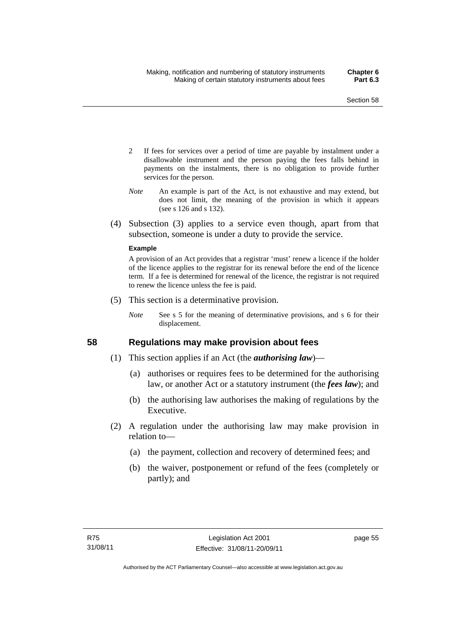- 2 If fees for services over a period of time are payable by instalment under a disallowable instrument and the person paying the fees falls behind in payments on the instalments, there is no obligation to provide further services for the person.
- *Note* An example is part of the Act, is not exhaustive and may extend, but does not limit, the meaning of the provision in which it appears (see s 126 and s 132).
- (4) Subsection (3) applies to a service even though, apart from that subsection, someone is under a duty to provide the service.

#### **Example**

A provision of an Act provides that a registrar 'must' renew a licence if the holder of the licence applies to the registrar for its renewal before the end of the licence term. If a fee is determined for renewal of the licence, the registrar is not required to renew the licence unless the fee is paid.

- (5) This section is a determinative provision.
	- *Note* See s 5 for the meaning of determinative provisions, and s 6 for their displacement.

# **58 Regulations may make provision about fees**

- (1) This section applies if an Act (the *authorising law*)—
	- (a) authorises or requires fees to be determined for the authorising law, or another Act or a statutory instrument (the *fees law*); and
	- (b) the authorising law authorises the making of regulations by the Executive.
- (2) A regulation under the authorising law may make provision in relation to—
	- (a) the payment, collection and recovery of determined fees; and
	- (b) the waiver, postponement or refund of the fees (completely or partly); and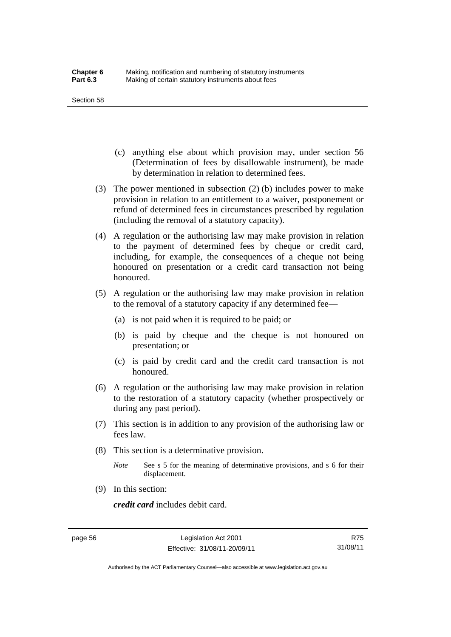#### Section 58

- (c) anything else about which provision may, under section 56 (Determination of fees by disallowable instrument), be made by determination in relation to determined fees.
- (3) The power mentioned in subsection (2) (b) includes power to make provision in relation to an entitlement to a waiver, postponement or refund of determined fees in circumstances prescribed by regulation (including the removal of a statutory capacity).
- (4) A regulation or the authorising law may make provision in relation to the payment of determined fees by cheque or credit card, including, for example, the consequences of a cheque not being honoured on presentation or a credit card transaction not being honoured.
- (5) A regulation or the authorising law may make provision in relation to the removal of a statutory capacity if any determined fee—
	- (a) is not paid when it is required to be paid; or
	- (b) is paid by cheque and the cheque is not honoured on presentation; or
	- (c) is paid by credit card and the credit card transaction is not honoured.
- (6) A regulation or the authorising law may make provision in relation to the restoration of a statutory capacity (whether prospectively or during any past period).
- (7) This section is in addition to any provision of the authorising law or fees law.
- (8) This section is a determinative provision.
	- *Note* See s 5 for the meaning of determinative provisions, and s 6 for their displacement.
- (9) In this section:

*credit card* includes debit card.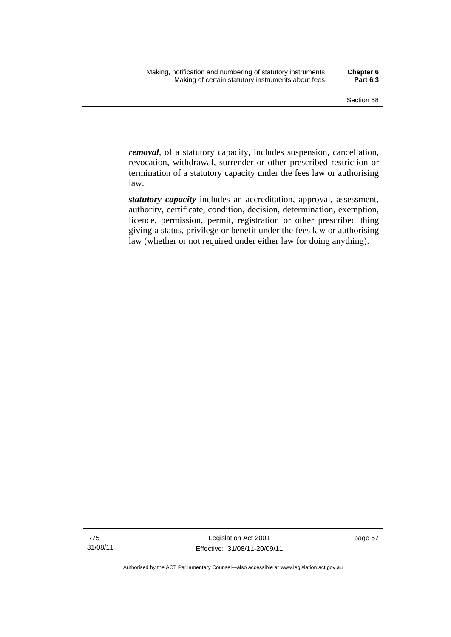*removal*, of a statutory capacity, includes suspension, cancellation, revocation, withdrawal, surrender or other prescribed restriction or termination of a statutory capacity under the fees law or authorising law.

*statutory capacity* includes an accreditation, approval, assessment, authority, certificate, condition, decision, determination, exemption, licence, permission, permit, registration or other prescribed thing giving a status, privilege or benefit under the fees law or authorising law (whether or not required under either law for doing anything).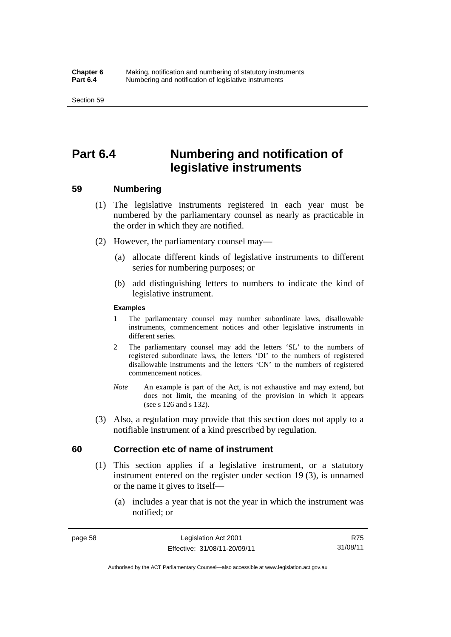# **Part 6.4 Numbering and notification of legislative instruments**

# **59 Numbering**

- (1) The legislative instruments registered in each year must be numbered by the parliamentary counsel as nearly as practicable in the order in which they are notified.
- (2) However, the parliamentary counsel may—
	- (a) allocate different kinds of legislative instruments to different series for numbering purposes; or
	- (b) add distinguishing letters to numbers to indicate the kind of legislative instrument.

#### **Examples**

- 1 The parliamentary counsel may number subordinate laws, disallowable instruments, commencement notices and other legislative instruments in different series.
- 2 The parliamentary counsel may add the letters 'SL' to the numbers of registered subordinate laws, the letters 'DI' to the numbers of registered disallowable instruments and the letters 'CN' to the numbers of registered commencement notices.
- *Note* An example is part of the Act, is not exhaustive and may extend, but does not limit, the meaning of the provision in which it appears (see s 126 and s 132).
- (3) Also, a regulation may provide that this section does not apply to a notifiable instrument of a kind prescribed by regulation.

# **60 Correction etc of name of instrument**

- (1) This section applies if a legislative instrument, or a statutory instrument entered on the register under section 19 (3), is unnamed or the name it gives to itself—
	- (a) includes a year that is not the year in which the instrument was notified; or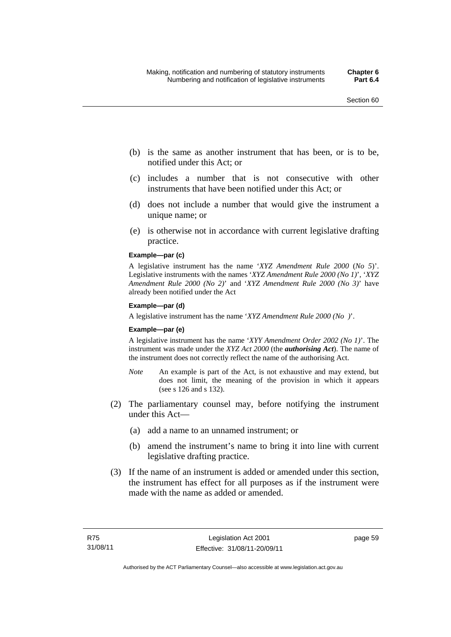- (b) is the same as another instrument that has been, or is to be, notified under this Act; or
- (c) includes a number that is not consecutive with other instruments that have been notified under this Act; or
- (d) does not include a number that would give the instrument a unique name; or
- (e) is otherwise not in accordance with current legislative drafting practice.

## **Example—par (c)**

A legislative instrument has the name '*XYZ Amendment Rule 2000* (*No 5*)'. Legislative instruments with the names '*XYZ Amendment Rule 2000 (No 1)*', '*XYZ Amendment Rule 2000 (No 2)*' and '*XYZ Amendment Rule 2000 (No 3)*' have already been notified under the Act

### **Example—par (d)**

A legislative instrument has the name '*XYZ Amendment Rule 2000 (No )*'.

### **Example—par (e)**

A legislative instrument has the name '*XYY Amendment Order 2002 (No 1)*'. The instrument was made under the *XYZ Act 2000* (the *authorising Act*). The name of the instrument does not correctly reflect the name of the authorising Act.

- *Note* An example is part of the Act, is not exhaustive and may extend, but does not limit, the meaning of the provision in which it appears (see s 126 and s 132).
- (2) The parliamentary counsel may, before notifying the instrument under this Act—
	- (a) add a name to an unnamed instrument; or
	- (b) amend the instrument's name to bring it into line with current legislative drafting practice.
- (3) If the name of an instrument is added or amended under this section, the instrument has effect for all purposes as if the instrument were made with the name as added or amended.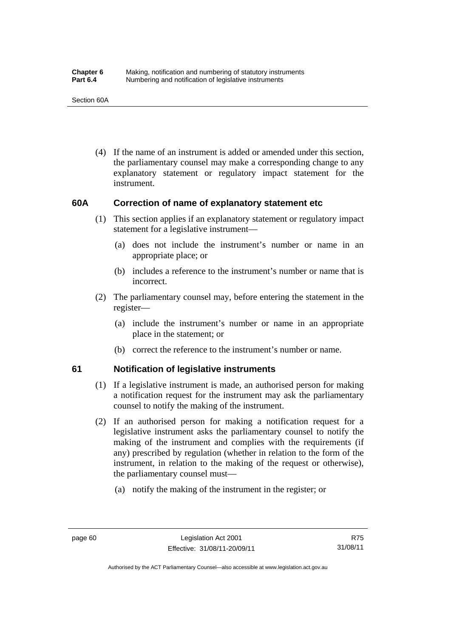(4) If the name of an instrument is added or amended under this section, the parliamentary counsel may make a corresponding change to any explanatory statement or regulatory impact statement for the instrument.

# **60A Correction of name of explanatory statement etc**

- (1) This section applies if an explanatory statement or regulatory impact statement for a legislative instrument—
	- (a) does not include the instrument's number or name in an appropriate place; or
	- (b) includes a reference to the instrument's number or name that is incorrect.
- (2) The parliamentary counsel may, before entering the statement in the register—
	- (a) include the instrument's number or name in an appropriate place in the statement; or
	- (b) correct the reference to the instrument's number or name.

# **61 Notification of legislative instruments**

- (1) If a legislative instrument is made, an authorised person for making a notification request for the instrument may ask the parliamentary counsel to notify the making of the instrument.
- (2) If an authorised person for making a notification request for a legislative instrument asks the parliamentary counsel to notify the making of the instrument and complies with the requirements (if any) prescribed by regulation (whether in relation to the form of the instrument, in relation to the making of the request or otherwise), the parliamentary counsel must—
	- (a) notify the making of the instrument in the register; or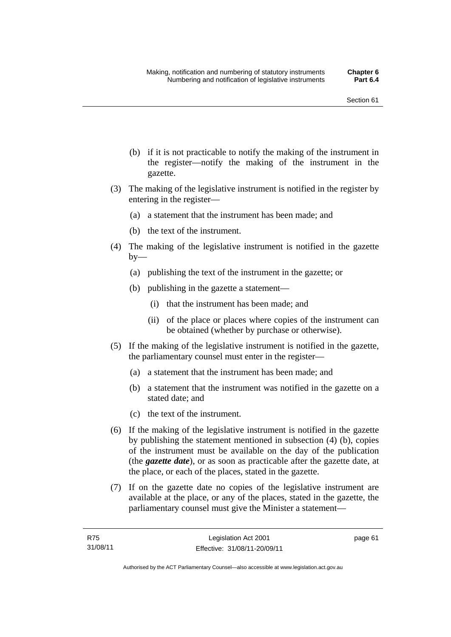- (b) if it is not practicable to notify the making of the instrument in the register—notify the making of the instrument in the gazette.
- (3) The making of the legislative instrument is notified in the register by entering in the register—
	- (a) a statement that the instrument has been made; and
	- (b) the text of the instrument.
- (4) The making of the legislative instrument is notified in the gazette  $by-$ 
	- (a) publishing the text of the instrument in the gazette; or
	- (b) publishing in the gazette a statement—
		- (i) that the instrument has been made; and
		- (ii) of the place or places where copies of the instrument can be obtained (whether by purchase or otherwise).
- (5) If the making of the legislative instrument is notified in the gazette, the parliamentary counsel must enter in the register—
	- (a) a statement that the instrument has been made; and
	- (b) a statement that the instrument was notified in the gazette on a stated date; and
	- (c) the text of the instrument.
- (6) If the making of the legislative instrument is notified in the gazette by publishing the statement mentioned in subsection (4) (b), copies of the instrument must be available on the day of the publication (the *gazette date*), or as soon as practicable after the gazette date, at the place, or each of the places, stated in the gazette.
- (7) If on the gazette date no copies of the legislative instrument are available at the place, or any of the places, stated in the gazette, the parliamentary counsel must give the Minister a statement—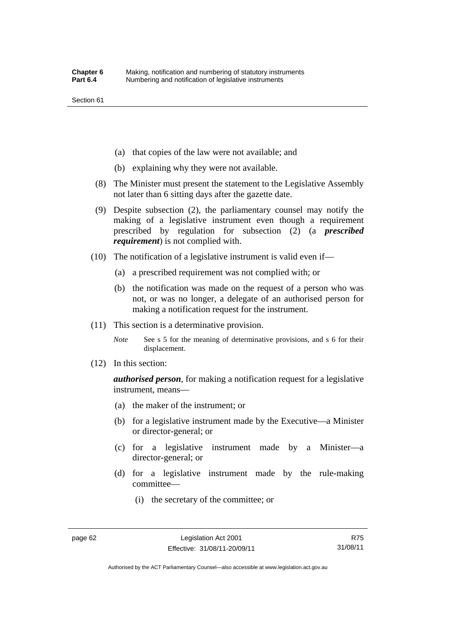- (a) that copies of the law were not available; and
- (b) explaining why they were not available.
- (8) The Minister must present the statement to the Legislative Assembly not later than 6 sitting days after the gazette date.
- (9) Despite subsection (2), the parliamentary counsel may notify the making of a legislative instrument even though a requirement prescribed by regulation for subsection (2) (a *prescribed requirement*) is not complied with.
- (10) The notification of a legislative instrument is valid even if—
	- (a) a prescribed requirement was not complied with; or
	- (b) the notification was made on the request of a person who was not, or was no longer, a delegate of an authorised person for making a notification request for the instrument.
- (11) This section is a determinative provision.
	- *Note* See s 5 for the meaning of determinative provisions, and s 6 for their displacement.
- (12) In this section:

*authorised person*, for making a notification request for a legislative instrument, means—

- (a) the maker of the instrument; or
- (b) for a legislative instrument made by the Executive—a Minister or director-general; or
- (c) for a legislative instrument made by a Minister—a director-general; or
- (d) for a legislative instrument made by the rule-making committee—
	- (i) the secretary of the committee; or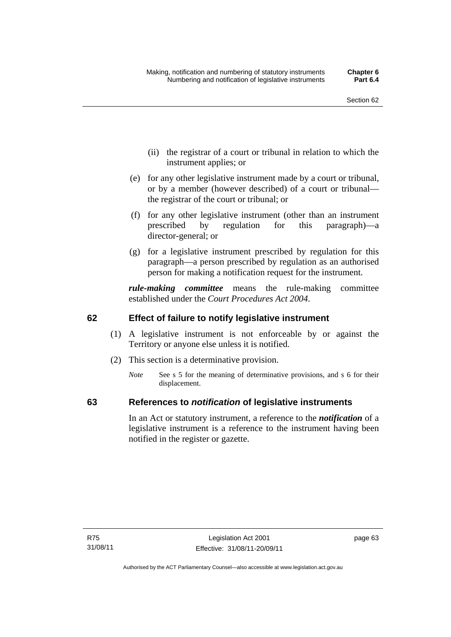- (ii) the registrar of a court or tribunal in relation to which the instrument applies; or
- (e) for any other legislative instrument made by a court or tribunal, or by a member (however described) of a court or tribunal the registrar of the court or tribunal; or
- (f) for any other legislative instrument (other than an instrument prescribed by regulation for this paragraph)—a director-general; or
- (g) for a legislative instrument prescribed by regulation for this paragraph—a person prescribed by regulation as an authorised person for making a notification request for the instrument.

*rule-making committee* means the rule-making committee established under the *Court Procedures Act 2004*.

# **62 Effect of failure to notify legislative instrument**

- (1) A legislative instrument is not enforceable by or against the Territory or anyone else unless it is notified.
- (2) This section is a determinative provision.
	- *Note* See s 5 for the meaning of determinative provisions, and s 6 for their displacement.

# **63 References to** *notification* **of legislative instruments**

In an Act or statutory instrument, a reference to the *notification* of a legislative instrument is a reference to the instrument having been notified in the register or gazette.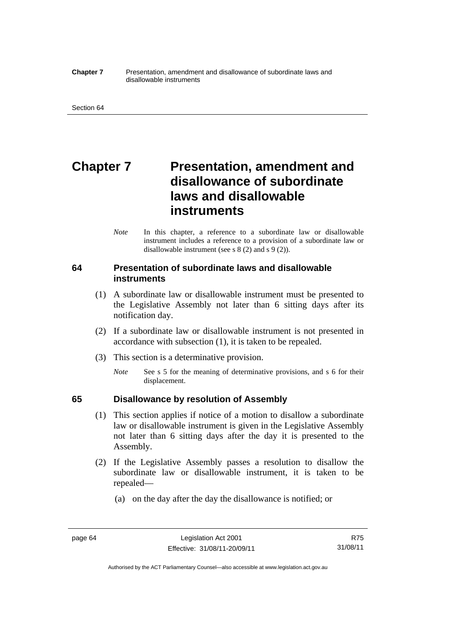#### **Chapter 7** Presentation, amendment and disallowance of subordinate laws and disallowable instruments

# **Chapter 7** Presentation, amendment and **disallowance of subordinate laws and disallowable instruments**

*Note* In this chapter, a reference to a subordinate law or disallowable instrument includes a reference to a provision of a subordinate law or disallowable instrument (see s 8 (2) and s 9 (2)).

# **64 Presentation of subordinate laws and disallowable instruments**

- (1) A subordinate law or disallowable instrument must be presented to the Legislative Assembly not later than 6 sitting days after its notification day.
- (2) If a subordinate law or disallowable instrument is not presented in accordance with subsection (1), it is taken to be repealed.
- (3) This section is a determinative provision.
	- *Note* See s 5 for the meaning of determinative provisions, and s 6 for their displacement.

# **65 Disallowance by resolution of Assembly**

- (1) This section applies if notice of a motion to disallow a subordinate law or disallowable instrument is given in the Legislative Assembly not later than 6 sitting days after the day it is presented to the Assembly.
- (2) If the Legislative Assembly passes a resolution to disallow the subordinate law or disallowable instrument, it is taken to be repealed—
	- (a) on the day after the day the disallowance is notified; or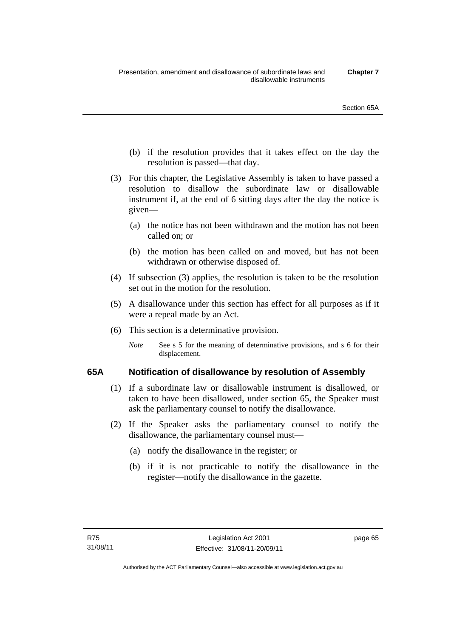- (b) if the resolution provides that it takes effect on the day the resolution is passed—that day.
- (3) For this chapter, the Legislative Assembly is taken to have passed a resolution to disallow the subordinate law or disallowable instrument if, at the end of 6 sitting days after the day the notice is given—
	- (a) the notice has not been withdrawn and the motion has not been called on; or
	- (b) the motion has been called on and moved, but has not been withdrawn or otherwise disposed of.
- (4) If subsection (3) applies, the resolution is taken to be the resolution set out in the motion for the resolution.
- (5) A disallowance under this section has effect for all purposes as if it were a repeal made by an Act.
- (6) This section is a determinative provision.
	- *Note* See s 5 for the meaning of determinative provisions, and s 6 for their displacement.

# **65A Notification of disallowance by resolution of Assembly**

- (1) If a subordinate law or disallowable instrument is disallowed, or taken to have been disallowed, under section 65, the Speaker must ask the parliamentary counsel to notify the disallowance.
- (2) If the Speaker asks the parliamentary counsel to notify the disallowance, the parliamentary counsel must—
	- (a) notify the disallowance in the register; or
	- (b) if it is not practicable to notify the disallowance in the register—notify the disallowance in the gazette.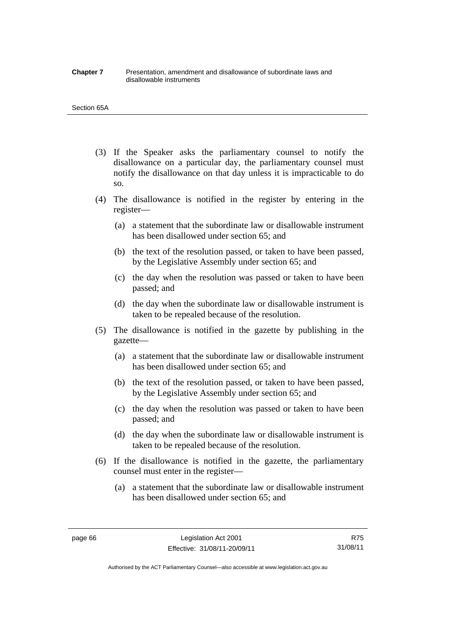#### **Chapter 7** Presentation, amendment and disallowance of subordinate laws and disallowable instruments

#### Section 65A

- (3) If the Speaker asks the parliamentary counsel to notify the disallowance on a particular day, the parliamentary counsel must notify the disallowance on that day unless it is impracticable to do so.
- (4) The disallowance is notified in the register by entering in the register—
	- (a) a statement that the subordinate law or disallowable instrument has been disallowed under section 65; and
	- (b) the text of the resolution passed, or taken to have been passed, by the Legislative Assembly under section 65; and
	- (c) the day when the resolution was passed or taken to have been passed; and
	- (d) the day when the subordinate law or disallowable instrument is taken to be repealed because of the resolution.
- (5) The disallowance is notified in the gazette by publishing in the gazette—
	- (a) a statement that the subordinate law or disallowable instrument has been disallowed under section 65; and
	- (b) the text of the resolution passed, or taken to have been passed, by the Legislative Assembly under section 65; and
	- (c) the day when the resolution was passed or taken to have been passed; and
	- (d) the day when the subordinate law or disallowable instrument is taken to be repealed because of the resolution.
- (6) If the disallowance is notified in the gazette, the parliamentary counsel must enter in the register—
	- (a) a statement that the subordinate law or disallowable instrument has been disallowed under section 65; and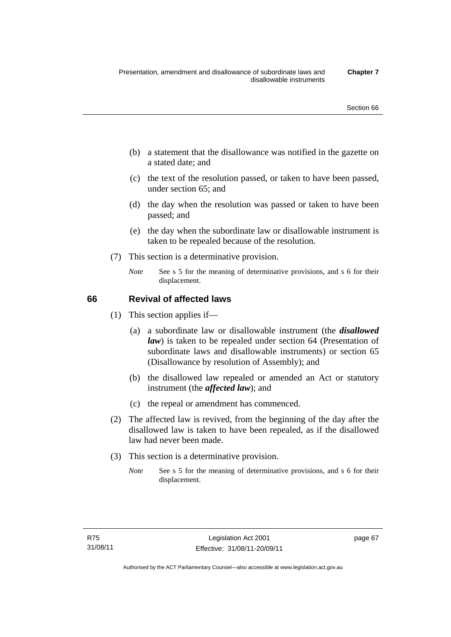- (b) a statement that the disallowance was notified in the gazette on a stated date; and
- (c) the text of the resolution passed, or taken to have been passed, under section 65; and
- (d) the day when the resolution was passed or taken to have been passed; and
- (e) the day when the subordinate law or disallowable instrument is taken to be repealed because of the resolution.
- (7) This section is a determinative provision.
	- *Note* See s 5 for the meaning of determinative provisions, and s 6 for their displacement.

# **66 Revival of affected laws**

- (1) This section applies if—
	- (a) a subordinate law or disallowable instrument (the *disallowed law*) is taken to be repealed under section 64 (Presentation of subordinate laws and disallowable instruments) or section 65 (Disallowance by resolution of Assembly); and
	- (b) the disallowed law repealed or amended an Act or statutory instrument (the *affected law*); and
	- (c) the repeal or amendment has commenced.
- (2) The affected law is revived, from the beginning of the day after the disallowed law is taken to have been repealed, as if the disallowed law had never been made.
- (3) This section is a determinative provision.
	- *Note* See s 5 for the meaning of determinative provisions, and s 6 for their displacement.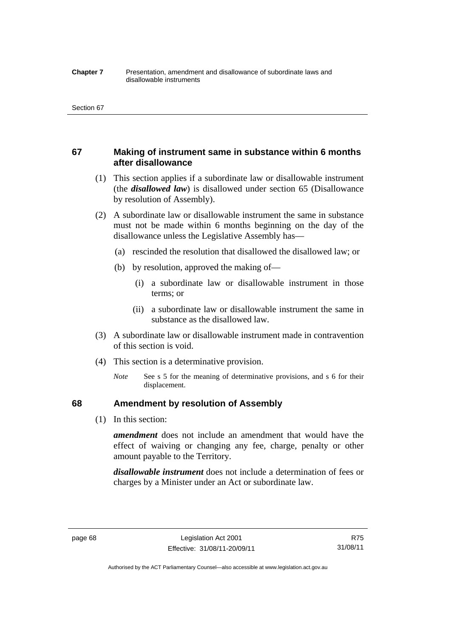#### **Chapter 7** Presentation, amendment and disallowance of subordinate laws and disallowable instruments

# **67 Making of instrument same in substance within 6 months after disallowance**

- (1) This section applies if a subordinate law or disallowable instrument (the *disallowed law*) is disallowed under section 65 (Disallowance by resolution of Assembly).
- (2) A subordinate law or disallowable instrument the same in substance must not be made within 6 months beginning on the day of the disallowance unless the Legislative Assembly has—
	- (a) rescinded the resolution that disallowed the disallowed law; or
	- (b) by resolution, approved the making of—
		- (i) a subordinate law or disallowable instrument in those terms; or
		- (ii) a subordinate law or disallowable instrument the same in substance as the disallowed law.
- (3) A subordinate law or disallowable instrument made in contravention of this section is void.
- (4) This section is a determinative provision.
	- *Note* See s 5 for the meaning of determinative provisions, and s 6 for their displacement.

## **68 Amendment by resolution of Assembly**

(1) In this section:

*amendment* does not include an amendment that would have the effect of waiving or changing any fee, charge, penalty or other amount payable to the Territory.

*disallowable instrument* does not include a determination of fees or charges by a Minister under an Act or subordinate law.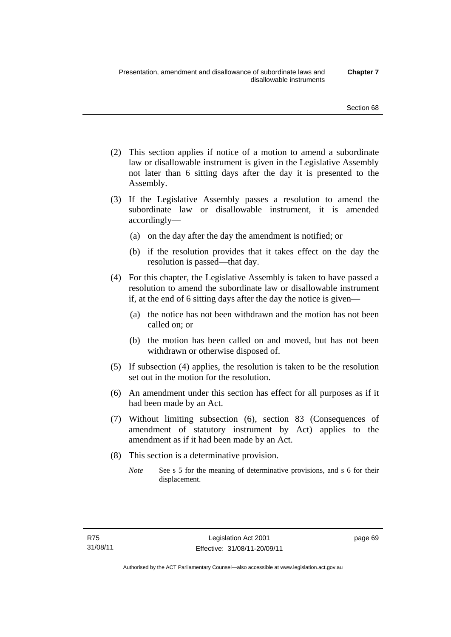- (2) This section applies if notice of a motion to amend a subordinate law or disallowable instrument is given in the Legislative Assembly not later than 6 sitting days after the day it is presented to the Assembly.
- (3) If the Legislative Assembly passes a resolution to amend the subordinate law or disallowable instrument, it is amended accordingly—
	- (a) on the day after the day the amendment is notified; or
	- (b) if the resolution provides that it takes effect on the day the resolution is passed—that day.
- (4) For this chapter, the Legislative Assembly is taken to have passed a resolution to amend the subordinate law or disallowable instrument if, at the end of 6 sitting days after the day the notice is given—
	- (a) the notice has not been withdrawn and the motion has not been called on; or
	- (b) the motion has been called on and moved, but has not been withdrawn or otherwise disposed of.
- (5) If subsection (4) applies, the resolution is taken to be the resolution set out in the motion for the resolution.
- (6) An amendment under this section has effect for all purposes as if it had been made by an Act.
- (7) Without limiting subsection (6), section 83 (Consequences of amendment of statutory instrument by Act) applies to the amendment as if it had been made by an Act.
- (8) This section is a determinative provision.
	- *Note* See s 5 for the meaning of determinative provisions, and s 6 for their displacement.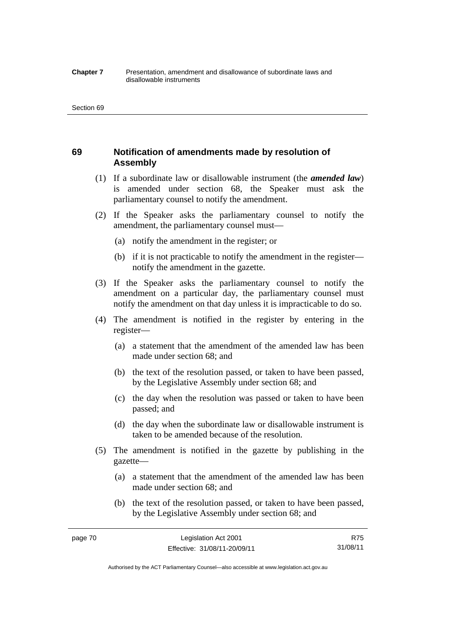#### **Chapter 7** Presentation, amendment and disallowance of subordinate laws and disallowable instruments

# **69 Notification of amendments made by resolution of Assembly**

- (1) If a subordinate law or disallowable instrument (the *amended law*) is amended under section 68, the Speaker must ask the parliamentary counsel to notify the amendment.
- (2) If the Speaker asks the parliamentary counsel to notify the amendment, the parliamentary counsel must—
	- (a) notify the amendment in the register; or
	- (b) if it is not practicable to notify the amendment in the register notify the amendment in the gazette.
- (3) If the Speaker asks the parliamentary counsel to notify the amendment on a particular day, the parliamentary counsel must notify the amendment on that day unless it is impracticable to do so.
- (4) The amendment is notified in the register by entering in the register—
	- (a) a statement that the amendment of the amended law has been made under section 68; and
	- (b) the text of the resolution passed, or taken to have been passed, by the Legislative Assembly under section 68; and
	- (c) the day when the resolution was passed or taken to have been passed; and
	- (d) the day when the subordinate law or disallowable instrument is taken to be amended because of the resolution.
- (5) The amendment is notified in the gazette by publishing in the gazette—
	- (a) a statement that the amendment of the amended law has been made under section 68; and
	- (b) the text of the resolution passed, or taken to have been passed, by the Legislative Assembly under section 68; and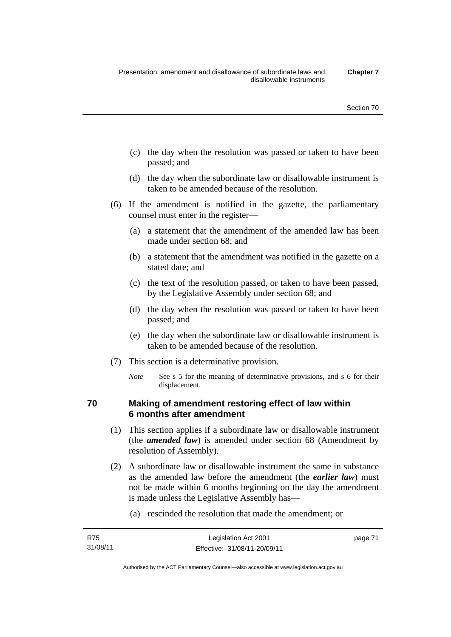- (c) the day when the resolution was passed or taken to have been passed; and
- (d) the day when the subordinate law or disallowable instrument is taken to be amended because of the resolution.
- (6) If the amendment is notified in the gazette, the parliamentary counsel must enter in the register—
	- (a) a statement that the amendment of the amended law has been made under section 68; and
	- (b) a statement that the amendment was notified in the gazette on a stated date; and
	- (c) the text of the resolution passed, or taken to have been passed, by the Legislative Assembly under section 68; and
	- (d) the day when the resolution was passed or taken to have been passed; and
	- (e) the day when the subordinate law or disallowable instrument is taken to be amended because of the resolution.
- (7) This section is a determinative provision.
	- *Note* See s 5 for the meaning of determinative provisions, and s 6 for their displacement.

# **70 Making of amendment restoring effect of law within 6 months after amendment**

- (1) This section applies if a subordinate law or disallowable instrument (the *amended law*) is amended under section 68 (Amendment by resolution of Assembly).
- (2) A subordinate law or disallowable instrument the same in substance as the amended law before the amendment (the *earlier law*) must not be made within 6 months beginning on the day the amendment is made unless the Legislative Assembly has—
	- (a) rescinded the resolution that made the amendment; or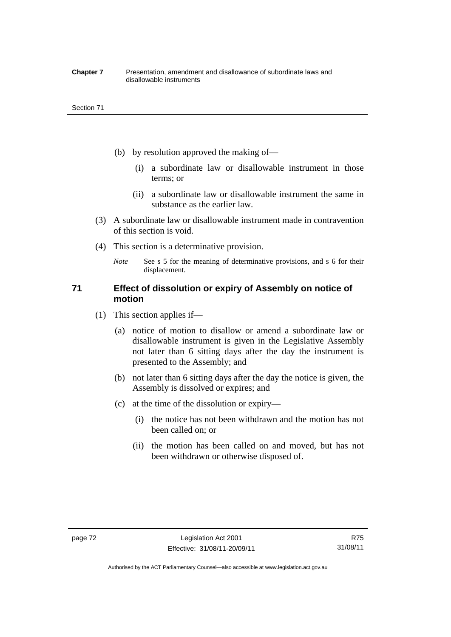#### **Chapter 7** Presentation, amendment and disallowance of subordinate laws and disallowable instruments

- (b) by resolution approved the making of—
	- (i) a subordinate law or disallowable instrument in those terms; or
	- (ii) a subordinate law or disallowable instrument the same in substance as the earlier law.
- (3) A subordinate law or disallowable instrument made in contravention of this section is void.
- (4) This section is a determinative provision.

*Note* See s 5 for the meaning of determinative provisions, and s 6 for their displacement.

# **71 Effect of dissolution or expiry of Assembly on notice of motion**

- (1) This section applies if—
	- (a) notice of motion to disallow or amend a subordinate law or disallowable instrument is given in the Legislative Assembly not later than 6 sitting days after the day the instrument is presented to the Assembly; and
	- (b) not later than 6 sitting days after the day the notice is given, the Assembly is dissolved or expires; and
	- (c) at the time of the dissolution or expiry—
		- (i) the notice has not been withdrawn and the motion has not been called on; or
		- (ii) the motion has been called on and moved, but has not been withdrawn or otherwise disposed of.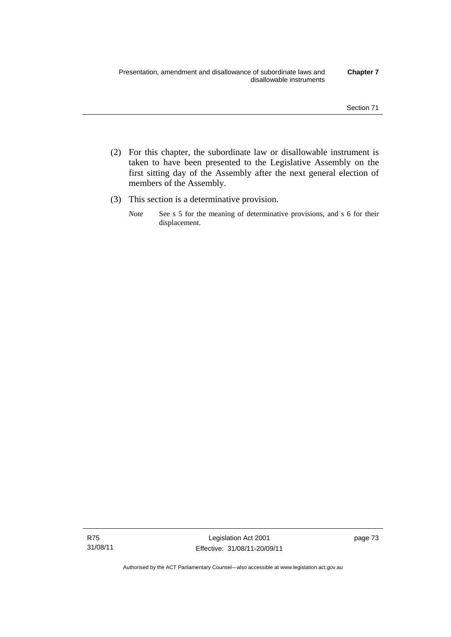- (2) For this chapter, the subordinate law or disallowable instrument is taken to have been presented to the Legislative Assembly on the first sitting day of the Assembly after the next general election of members of the Assembly.
- (3) This section is a determinative provision.
	- *Note* See s 5 for the meaning of determinative provisions, and s 6 for their displacement.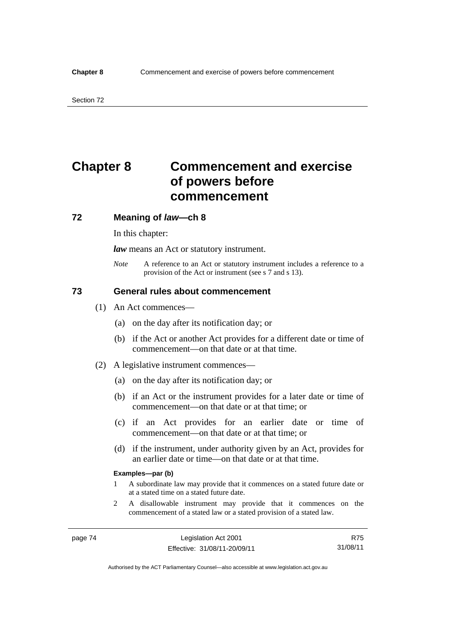# **Chapter 8 Commencement and exercise of powers before commencement**

### **72 Meaning of** *law***—ch 8**

In this chapter:

*law* means an Act or statutory instrument.

*Note* A reference to an Act or statutory instrument includes a reference to a provision of the Act or instrument (see s 7 and s 13).

## **73 General rules about commencement**

- (1) An Act commences—
	- (a) on the day after its notification day; or
	- (b) if the Act or another Act provides for a different date or time of commencement—on that date or at that time.
- (2) A legislative instrument commences—
	- (a) on the day after its notification day; or
	- (b) if an Act or the instrument provides for a later date or time of commencement—on that date or at that time; or
	- (c) if an Act provides for an earlier date or time of commencement—on that date or at that time; or
	- (d) if the instrument, under authority given by an Act, provides for an earlier date or time—on that date or at that time.

#### **Examples—par (b)**

- 1 A subordinate law may provide that it commences on a stated future date or at a stated time on a stated future date.
- 2 A disallowable instrument may provide that it commences on the commencement of a stated law or a stated provision of a stated law.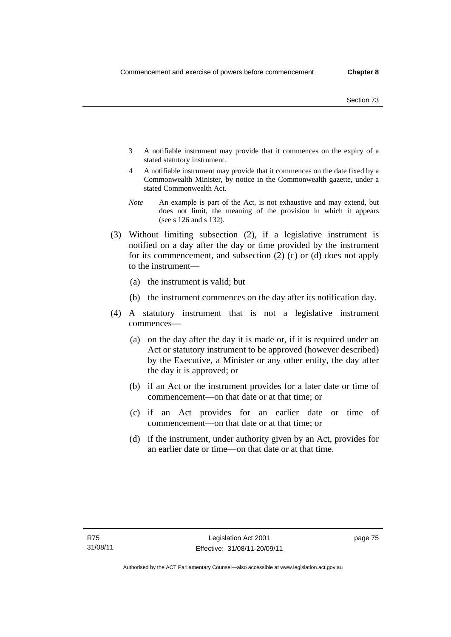- 3 A notifiable instrument may provide that it commences on the expiry of a stated statutory instrument.
- 4 A notifiable instrument may provide that it commences on the date fixed by a Commonwealth Minister, by notice in the Commonwealth gazette, under a stated Commonwealth Act.
- *Note* An example is part of the Act, is not exhaustive and may extend, but does not limit, the meaning of the provision in which it appears (see s 126 and s 132).
- (3) Without limiting subsection (2), if a legislative instrument is notified on a day after the day or time provided by the instrument for its commencement, and subsection (2) (c) or (d) does not apply to the instrument—
	- (a) the instrument is valid; but
	- (b) the instrument commences on the day after its notification day.
- (4) A statutory instrument that is not a legislative instrument commences—
	- (a) on the day after the day it is made or, if it is required under an Act or statutory instrument to be approved (however described) by the Executive, a Minister or any other entity, the day after the day it is approved; or
	- (b) if an Act or the instrument provides for a later date or time of commencement—on that date or at that time; or
	- (c) if an Act provides for an earlier date or time of commencement—on that date or at that time; or
	- (d) if the instrument, under authority given by an Act, provides for an earlier date or time—on that date or at that time.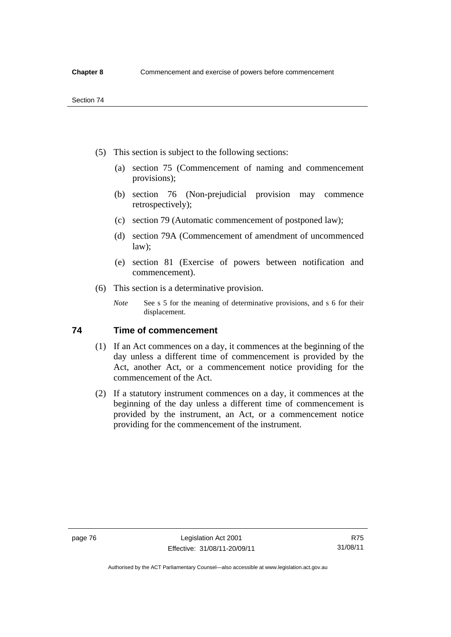- (5) This section is subject to the following sections:
	- (a) section 75 (Commencement of naming and commencement provisions);
	- (b) section 76 (Non-prejudicial provision may commence retrospectively);
	- (c) section 79 (Automatic commencement of postponed law);
	- (d) section 79A (Commencement of amendment of uncommenced law);
	- (e) section 81 (Exercise of powers between notification and commencement).
- (6) This section is a determinative provision.
	- *Note* See s 5 for the meaning of determinative provisions, and s 6 for their displacement.

# **74 Time of commencement**

- (1) If an Act commences on a day, it commences at the beginning of the day unless a different time of commencement is provided by the Act, another Act, or a commencement notice providing for the commencement of the Act.
- (2) If a statutory instrument commences on a day, it commences at the beginning of the day unless a different time of commencement is provided by the instrument, an Act, or a commencement notice providing for the commencement of the instrument.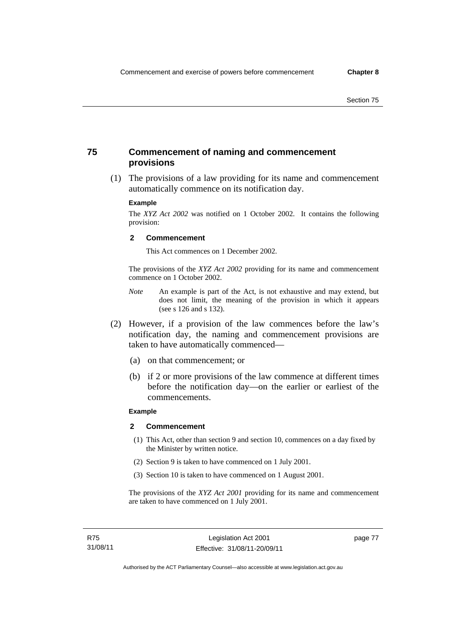# **75 Commencement of naming and commencement provisions**

 (1) The provisions of a law providing for its name and commencement automatically commence on its notification day.

#### **Example**

The *XYZ Act 2002* was notified on 1 October 2002. It contains the following provision:

#### **2 Commencement**

This Act commences on 1 December 2002.

The provisions of the *XYZ Act 2002* providing for its name and commencement commence on 1 October 2002.

- *Note* An example is part of the Act, is not exhaustive and may extend, but does not limit, the meaning of the provision in which it appears (see s 126 and s 132).
- (2) However, if a provision of the law commences before the law's notification day, the naming and commencement provisions are taken to have automatically commenced—
	- (a) on that commencement; or
	- (b) if 2 or more provisions of the law commence at different times before the notification day—on the earlier or earliest of the commencements.

#### **Example**

#### **2 Commencement**

- (1) This Act, other than section 9 and section 10, commences on a day fixed by the Minister by written notice.
- (2) Section 9 is taken to have commenced on 1 July 2001.
- (3) Section 10 is taken to have commenced on 1 August 2001.

The provisions of the *XYZ Act 2001* providing for its name and commencement are taken to have commenced on 1 July 2001.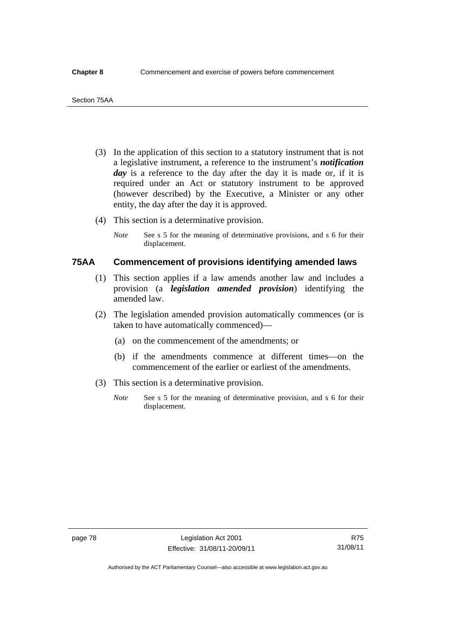- (3) In the application of this section to a statutory instrument that is not a legislative instrument, a reference to the instrument's *notification*  day is a reference to the day after the day it is made or, if it is required under an Act or statutory instrument to be approved (however described) by the Executive, a Minister or any other entity, the day after the day it is approved.
- (4) This section is a determinative provision.
	- *Note* See s 5 for the meaning of determinative provisions, and s 6 for their displacement.

# **75AA Commencement of provisions identifying amended laws**

- (1) This section applies if a law amends another law and includes a provision (a *legislation amended provision*) identifying the amended law.
- (2) The legislation amended provision automatically commences (or is taken to have automatically commenced)—
	- (a) on the commencement of the amendments; or
	- (b) if the amendments commence at different times—on the commencement of the earlier or earliest of the amendments.
- (3) This section is a determinative provision.
	- *Note* See s 5 for the meaning of determinative provision, and s 6 for their displacement.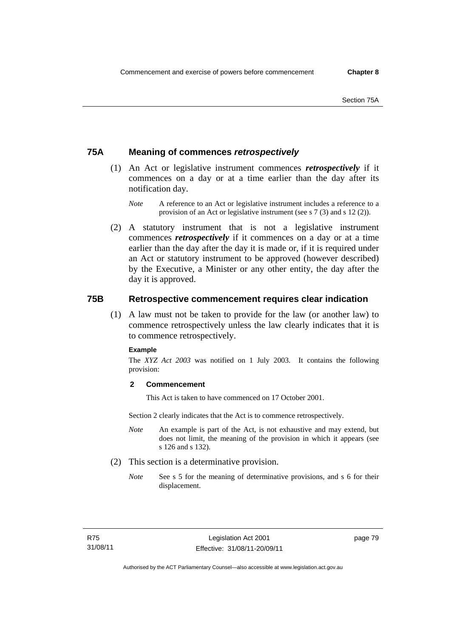# **75A Meaning of commences** *retrospectively*

- (1) An Act or legislative instrument commences *retrospectively* if it commences on a day or at a time earlier than the day after its notification day.
	- *Note* A reference to an Act or legislative instrument includes a reference to a provision of an Act or legislative instrument (see s 7 (3) and s 12 (2)).
- (2) A statutory instrument that is not a legislative instrument commences *retrospectively* if it commences on a day or at a time earlier than the day after the day it is made or, if it is required under an Act or statutory instrument to be approved (however described) by the Executive, a Minister or any other entity, the day after the day it is approved.

# **75B Retrospective commencement requires clear indication**

(1) A law must not be taken to provide for the law (or another law) to commence retrospectively unless the law clearly indicates that it is to commence retrospectively.

### **Example**

The *XYZ Act 2003* was notified on 1 July 2003. It contains the following provision:

### **2 Commencement**

This Act is taken to have commenced on 17 October 2001.

Section 2 clearly indicates that the Act is to commence retrospectively.

- *Note* An example is part of the Act, is not exhaustive and may extend, but does not limit, the meaning of the provision in which it appears (see s 126 and s 132).
- (2) This section is a determinative provision.
	- *Note* See s 5 for the meaning of determinative provisions, and s 6 for their displacement.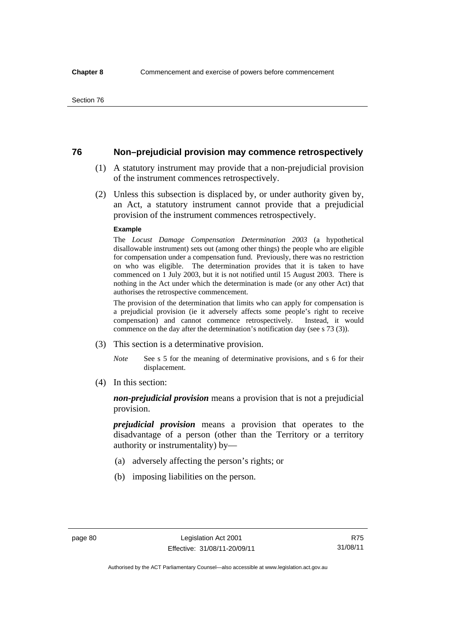# **76 Non–prejudicial provision may commence retrospectively**

- (1) A statutory instrument may provide that a non-prejudicial provision of the instrument commences retrospectively.
- (2) Unless this subsection is displaced by, or under authority given by, an Act, a statutory instrument cannot provide that a prejudicial provision of the instrument commences retrospectively.

#### **Example**

The *Locust Damage Compensation Determination 2003* (a hypothetical disallowable instrument) sets out (among other things) the people who are eligible for compensation under a compensation fund. Previously, there was no restriction on who was eligible. The determination provides that it is taken to have commenced on 1 July 2003, but it is not notified until 15 August 2003. There is nothing in the Act under which the determination is made (or any other Act) that authorises the retrospective commencement.

The provision of the determination that limits who can apply for compensation is a prejudicial provision (ie it adversely affects some people's right to receive compensation) and cannot commence retrospectively. Instead, it would commence on the day after the determination's notification day (see s 73 (3)).

- (3) This section is a determinative provision.
	- *Note* See s 5 for the meaning of determinative provisions, and s 6 for their displacement.
- (4) In this section:

*non-prejudicial provision* means a provision that is not a prejudicial provision.

*prejudicial provision* means a provision that operates to the disadvantage of a person (other than the Territory or a territory authority or instrumentality) by—

- (a) adversely affecting the person's rights; or
- (b) imposing liabilities on the person.

Authorised by the ACT Parliamentary Counsel—also accessible at www.legislation.act.gov.au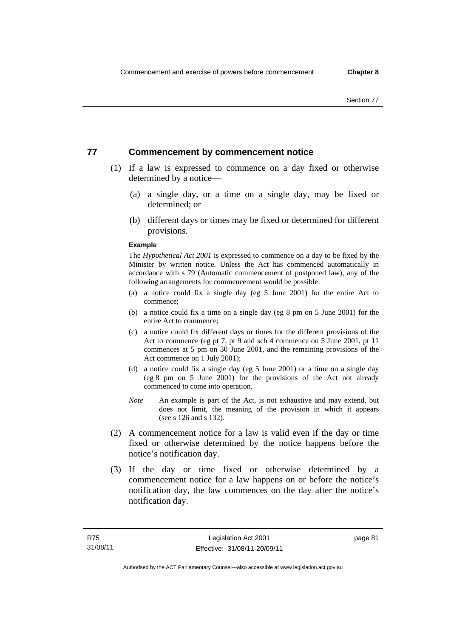# **77 Commencement by commencement notice**

- (1) If a law is expressed to commence on a day fixed or otherwise determined by a notice—
	- (a) a single day, or a time on a single day, may be fixed or determined; or
	- (b) different days or times may be fixed or determined for different provisions.

#### **Example**

The *Hypothetical Act 2001* is expressed to commence on a day to be fixed by the Minister by written notice. Unless the Act has commenced automatically in accordance with s 79 (Automatic commencement of postponed law), any of the following arrangements for commencement would be possible:

- (a) a notice could fix a single day (eg 5 June 2001) for the entire Act to commence;
- (b) a notice could fix a time on a single day (eg 8 pm on 5 June 2001) for the entire Act to commence;
- (c) a notice could fix different days or times for the different provisions of the Act to commence (eg pt 7, pt 9 and sch 4 commence on 5 June 2001, pt 11 commences at 5 pm on 30 June 2001, and the remaining provisions of the Act commence on 1 July 2001);
- (d) a notice could fix a single day (eg 5 June 2001) or a time on a single day (eg 8 pm on 5 June 2001) for the provisions of the Act not already commenced to come into operation.
- *Note* An example is part of the Act, is not exhaustive and may extend, but does not limit, the meaning of the provision in which it appears (see s 126 and s 132).
- (2) A commencement notice for a law is valid even if the day or time fixed or otherwise determined by the notice happens before the notice's notification day.
- (3) If the day or time fixed or otherwise determined by a commencement notice for a law happens on or before the notice's notification day, the law commences on the day after the notice's notification day.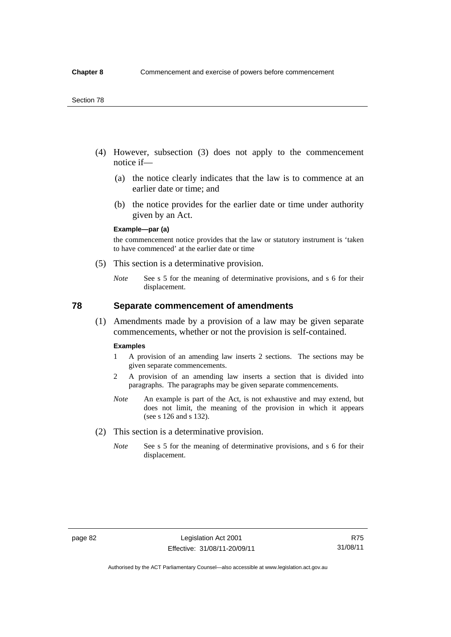- (4) However, subsection (3) does not apply to the commencement notice if—
	- (a) the notice clearly indicates that the law is to commence at an earlier date or time; and
	- (b) the notice provides for the earlier date or time under authority given by an Act.

### **Example—par (a)**

the commencement notice provides that the law or statutory instrument is 'taken to have commenced' at the earlier date or time

- (5) This section is a determinative provision.
	- *Note* See s 5 for the meaning of determinative provisions, and s 6 for their displacement.

## **78 Separate commencement of amendments**

 (1) Amendments made by a provision of a law may be given separate commencements, whether or not the provision is self-contained.

#### **Examples**

- 1 A provision of an amending law inserts 2 sections. The sections may be given separate commencements.
- 2 A provision of an amending law inserts a section that is divided into paragraphs. The paragraphs may be given separate commencements.
- *Note* An example is part of the Act, is not exhaustive and may extend, but does not limit, the meaning of the provision in which it appears (see s 126 and s 132).
- (2) This section is a determinative provision.
	- *Note* See s 5 for the meaning of determinative provisions, and s 6 for their displacement.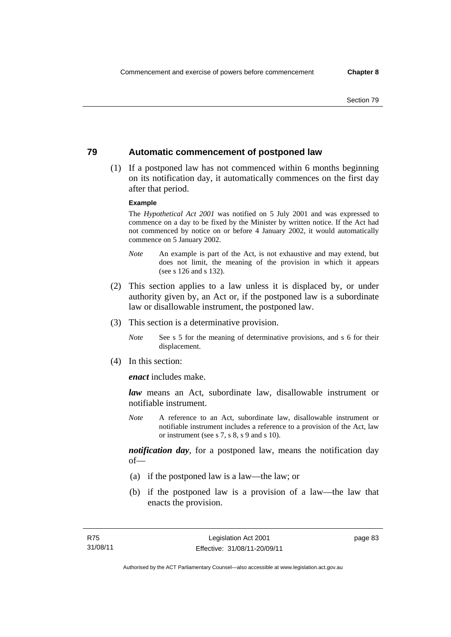# **79 Automatic commencement of postponed law**

 (1) If a postponed law has not commenced within 6 months beginning on its notification day, it automatically commences on the first day after that period.

#### **Example**

The *Hypothetical Act 2001* was notified on 5 July 2001 and was expressed to commence on a day to be fixed by the Minister by written notice. If the Act had not commenced by notice on or before 4 January 2002, it would automatically commence on 5 January 2002.

- *Note* An example is part of the Act, is not exhaustive and may extend, but does not limit, the meaning of the provision in which it appears (see s 126 and s 132).
- (2) This section applies to a law unless it is displaced by, or under authority given by, an Act or, if the postponed law is a subordinate law or disallowable instrument, the postponed law.
- (3) This section is a determinative provision.
	- *Note* See s 5 for the meaning of determinative provisions, and s 6 for their displacement.
- (4) In this section:

*enact* includes make.

*law* means an Act, subordinate law, disallowable instrument or notifiable instrument.

*Note* A reference to an Act, subordinate law, disallowable instrument or notifiable instrument includes a reference to a provision of the Act, law or instrument (see s 7, s 8, s 9 and s 10).

*notification day*, for a postponed law, means the notification day  $of$ 

- (a) if the postponed law is a law—the law; or
- (b) if the postponed law is a provision of a law—the law that enacts the provision.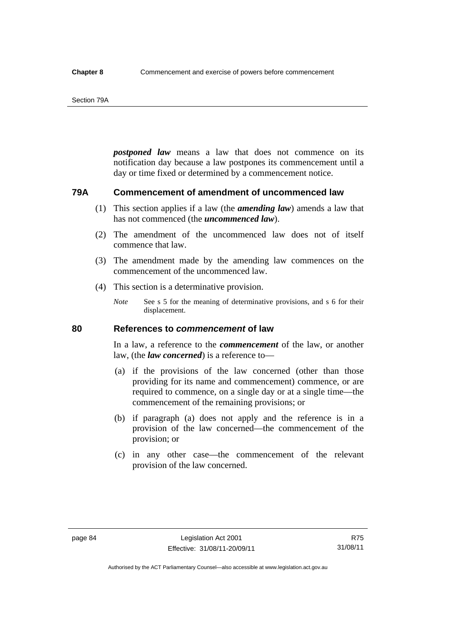#### Section 79A

*postponed law* means a law that does not commence on its notification day because a law postpones its commencement until a day or time fixed or determined by a commencement notice.

# **79A Commencement of amendment of uncommenced law**

- (1) This section applies if a law (the *amending law*) amends a law that has not commenced (the *uncommenced law*).
- (2) The amendment of the uncommenced law does not of itself commence that law.
- (3) The amendment made by the amending law commences on the commencement of the uncommenced law.
- (4) This section is a determinative provision.
	- *Note* See s 5 for the meaning of determinative provisions, and s 6 for their displacement.

# **80 References to** *commencement* **of law**

In a law, a reference to the *commencement* of the law, or another law, (the *law concerned*) is a reference to—

- (a) if the provisions of the law concerned (other than those providing for its name and commencement) commence, or are required to commence, on a single day or at a single time—the commencement of the remaining provisions; or
- (b) if paragraph (a) does not apply and the reference is in a provision of the law concerned—the commencement of the provision; or
- (c) in any other case—the commencement of the relevant provision of the law concerned.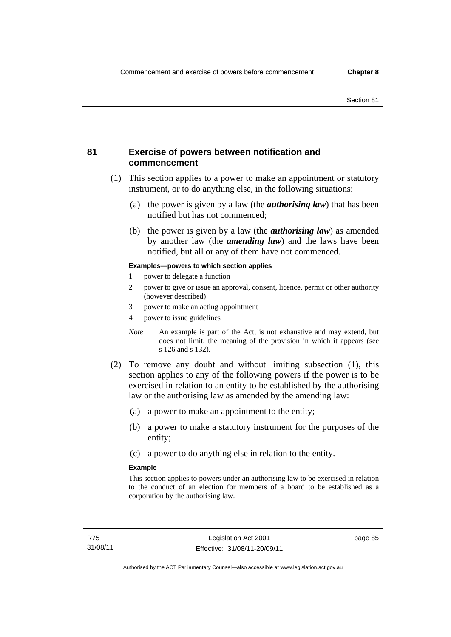# **81 Exercise of powers between notification and commencement**

- (1) This section applies to a power to make an appointment or statutory instrument, or to do anything else, in the following situations:
	- (a) the power is given by a law (the *authorising law*) that has been notified but has not commenced;
	- (b) the power is given by a law (the *authorising law*) as amended by another law (the *amending law*) and the laws have been notified, but all or any of them have not commenced.

### **Examples—powers to which section applies**

- 1 power to delegate a function
- 2 power to give or issue an approval, consent, licence, permit or other authority (however described)
- 3 power to make an acting appointment
- 4 power to issue guidelines
- *Note* An example is part of the Act, is not exhaustive and may extend, but does not limit, the meaning of the provision in which it appears (see s 126 and s 132).
- (2) To remove any doubt and without limiting subsection (1), this section applies to any of the following powers if the power is to be exercised in relation to an entity to be established by the authorising law or the authorising law as amended by the amending law:
	- (a) a power to make an appointment to the entity;
	- (b) a power to make a statutory instrument for the purposes of the entity;
	- (c) a power to do anything else in relation to the entity.

### **Example**

This section applies to powers under an authorising law to be exercised in relation to the conduct of an election for members of a board to be established as a corporation by the authorising law.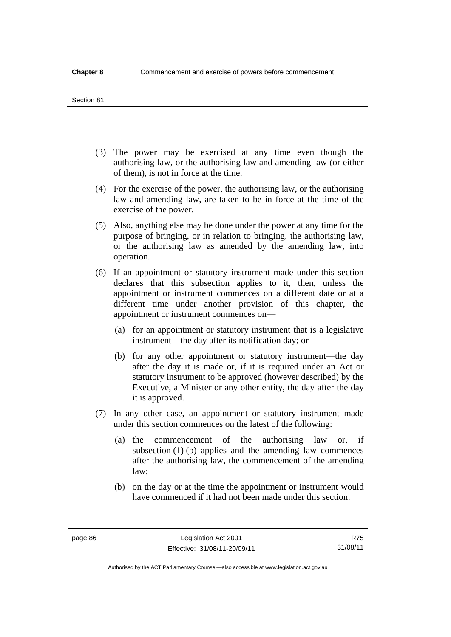#### Section 81

- (3) The power may be exercised at any time even though the authorising law, or the authorising law and amending law (or either of them), is not in force at the time.
- (4) For the exercise of the power, the authorising law, or the authorising law and amending law, are taken to be in force at the time of the exercise of the power.
- (5) Also, anything else may be done under the power at any time for the purpose of bringing, or in relation to bringing, the authorising law, or the authorising law as amended by the amending law, into operation.
- (6) If an appointment or statutory instrument made under this section declares that this subsection applies to it, then, unless the appointment or instrument commences on a different date or at a different time under another provision of this chapter, the appointment or instrument commences on—
	- (a) for an appointment or statutory instrument that is a legislative instrument—the day after its notification day; or
	- (b) for any other appointment or statutory instrument—the day after the day it is made or, if it is required under an Act or statutory instrument to be approved (however described) by the Executive, a Minister or any other entity, the day after the day it is approved.
- (7) In any other case, an appointment or statutory instrument made under this section commences on the latest of the following:
	- (a) the commencement of the authorising law or, if subsection (1) (b) applies and the amending law commences after the authorising law, the commencement of the amending law;
	- (b) on the day or at the time the appointment or instrument would have commenced if it had not been made under this section.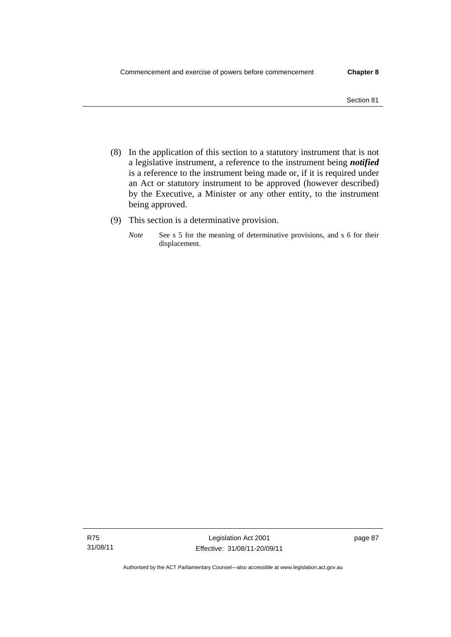- (8) In the application of this section to a statutory instrument that is not a legislative instrument, a reference to the instrument being *notified*  is a reference to the instrument being made or, if it is required under an Act or statutory instrument to be approved (however described) by the Executive, a Minister or any other entity, to the instrument being approved.
- (9) This section is a determinative provision.
	- *Note* See s 5 for the meaning of determinative provisions, and s 6 for their displacement.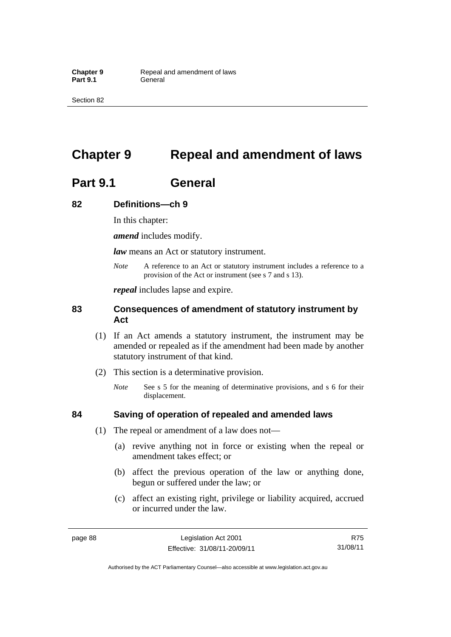# **Chapter 9 Repeal and amendment of laws**

# **Part 9.1 General**

# **82 Definitions—ch 9**

In this chapter:

*amend* includes modify.

*law* means an Act or statutory instrument.

*Note* A reference to an Act or statutory instrument includes a reference to a provision of the Act or instrument (see s 7 and s 13).

*repeal* includes lapse and expire.

# **83 Consequences of amendment of statutory instrument by Act**

- (1) If an Act amends a statutory instrument, the instrument may be amended or repealed as if the amendment had been made by another statutory instrument of that kind.
- (2) This section is a determinative provision.
	- *Note* See s 5 for the meaning of determinative provisions, and s 6 for their displacement.

## **84 Saving of operation of repealed and amended laws**

- (1) The repeal or amendment of a law does not—
	- (a) revive anything not in force or existing when the repeal or amendment takes effect; or
	- (b) affect the previous operation of the law or anything done, begun or suffered under the law; or
	- (c) affect an existing right, privilege or liability acquired, accrued or incurred under the law.

R75 31/08/11

Authorised by the ACT Parliamentary Counsel—also accessible at www.legislation.act.gov.au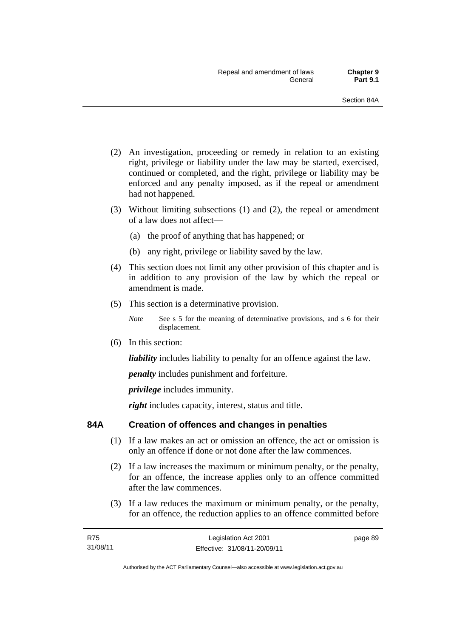- (2) An investigation, proceeding or remedy in relation to an existing right, privilege or liability under the law may be started, exercised, continued or completed, and the right, privilege or liability may be enforced and any penalty imposed, as if the repeal or amendment had not happened.
- (3) Without limiting subsections (1) and (2), the repeal or amendment of a law does not affect—
	- (a) the proof of anything that has happened; or
	- (b) any right, privilege or liability saved by the law.
- (4) This section does not limit any other provision of this chapter and is in addition to any provision of the law by which the repeal or amendment is made.
- (5) This section is a determinative provision.
	- *Note* See s 5 for the meaning of determinative provisions, and s 6 for their displacement.
- (6) In this section:

*liability* includes liability to penalty for an offence against the law.

*penalty* includes punishment and forfeiture.

*privilege* includes immunity.

*right* includes capacity, interest, status and title.

# **84A Creation of offences and changes in penalties**

- (1) If a law makes an act or omission an offence, the act or omission is only an offence if done or not done after the law commences.
- (2) If a law increases the maximum or minimum penalty, or the penalty, for an offence, the increase applies only to an offence committed after the law commences.
- (3) If a law reduces the maximum or minimum penalty, or the penalty, for an offence, the reduction applies to an offence committed before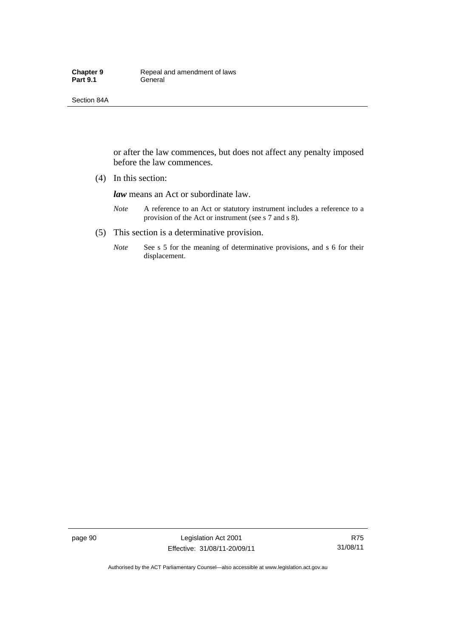Section 84A

or after the law commences, but does not affect any penalty imposed before the law commences.

(4) In this section:

*law* means an Act or subordinate law.

- *Note* A reference to an Act or statutory instrument includes a reference to a provision of the Act or instrument (see s 7 and s 8).
- (5) This section is a determinative provision.
	- *Note* See s 5 for the meaning of determinative provisions, and s 6 for their displacement.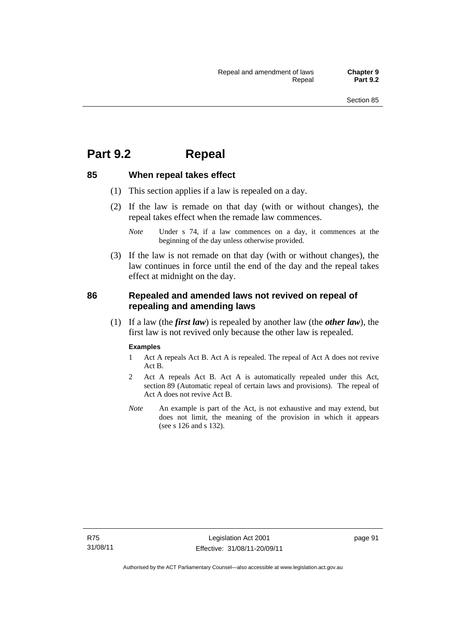# **Part 9.2 Repeal**

# **85 When repeal takes effect**

- (1) This section applies if a law is repealed on a day.
- (2) If the law is remade on that day (with or without changes), the repeal takes effect when the remade law commences.

 (3) If the law is not remade on that day (with or without changes), the law continues in force until the end of the day and the repeal takes effect at midnight on the day.

# **86 Repealed and amended laws not revived on repeal of repealing and amending laws**

 (1) If a law (the *first law*) is repealed by another law (the *other law*), the first law is not revived only because the other law is repealed.

## **Examples**

- 1 Act A repeals Act B. Act A is repealed. The repeal of Act A does not revive Act B.
- 2 Act A repeals Act B. Act A is automatically repealed under this Act, section 89 (Automatic repeal of certain laws and provisions). The repeal of Act A does not revive Act B.
- *Note* An example is part of the Act, is not exhaustive and may extend, but does not limit, the meaning of the provision in which it appears (see s 126 and s 132).

*Note* Under s 74, if a law commences on a day, it commences at the beginning of the day unless otherwise provided.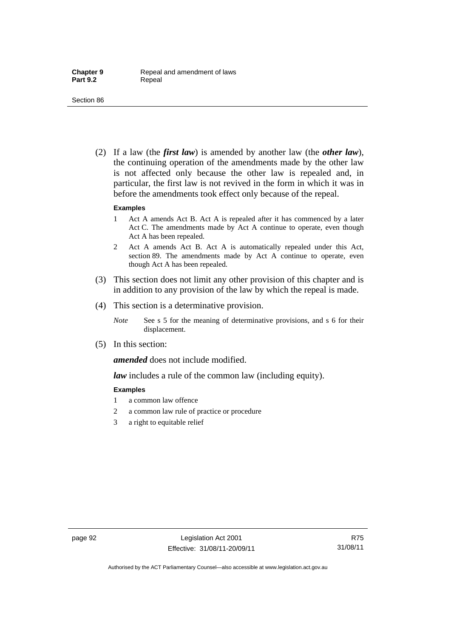#### Section 86

 (2) If a law (the *first law*) is amended by another law (the *other law*), the continuing operation of the amendments made by the other law is not affected only because the other law is repealed and, in particular, the first law is not revived in the form in which it was in before the amendments took effect only because of the repeal.

#### **Examples**

- 1 Act A amends Act B. Act A is repealed after it has commenced by a later Act C. The amendments made by Act A continue to operate, even though Act A has been repealed.
- 2 Act A amends Act B. Act A is automatically repealed under this Act, section 89. The amendments made by Act A continue to operate, even though Act A has been repealed.
- (3) This section does not limit any other provision of this chapter and is in addition to any provision of the law by which the repeal is made.
- (4) This section is a determinative provision.
	- *Note* See s 5 for the meaning of determinative provisions, and s 6 for their displacement.
- (5) In this section:

*amended* does not include modified.

*law* includes a rule of the common law (including equity).

#### **Examples**

- 1 a common law offence
- 2 a common law rule of practice or procedure
- 3 a right to equitable relief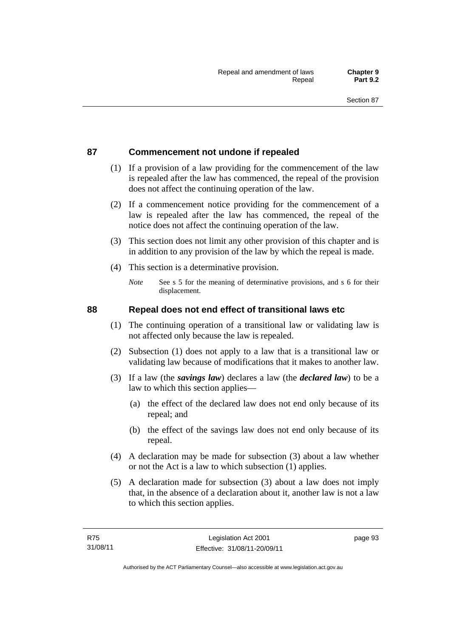## **87 Commencement not undone if repealed**

- (1) If a provision of a law providing for the commencement of the law is repealed after the law has commenced, the repeal of the provision does not affect the continuing operation of the law.
- (2) If a commencement notice providing for the commencement of a law is repealed after the law has commenced, the repeal of the notice does not affect the continuing operation of the law.
- (3) This section does not limit any other provision of this chapter and is in addition to any provision of the law by which the repeal is made.
- (4) This section is a determinative provision.
	- *Note* See s 5 for the meaning of determinative provisions, and s 6 for their displacement.

## **88 Repeal does not end effect of transitional laws etc**

- (1) The continuing operation of a transitional law or validating law is not affected only because the law is repealed.
- (2) Subsection (1) does not apply to a law that is a transitional law or validating law because of modifications that it makes to another law.
- (3) If a law (the *savings law*) declares a law (the *declared law*) to be a law to which this section applies—
	- (a) the effect of the declared law does not end only because of its repeal; and
	- (b) the effect of the savings law does not end only because of its repeal.
- (4) A declaration may be made for subsection (3) about a law whether or not the Act is a law to which subsection (1) applies.
- (5) A declaration made for subsection (3) about a law does not imply that, in the absence of a declaration about it, another law is not a law to which this section applies.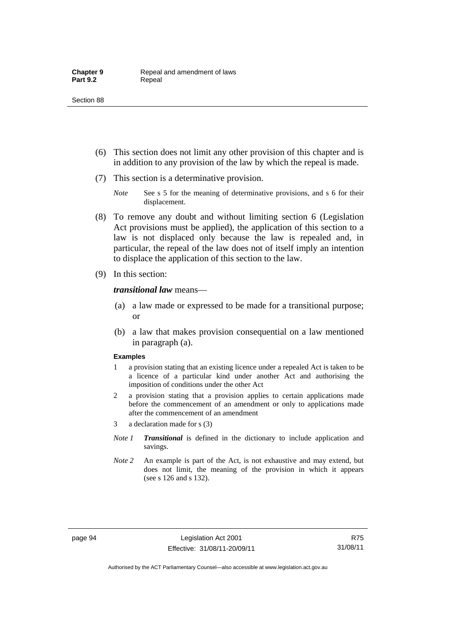- (6) This section does not limit any other provision of this chapter and is in addition to any provision of the law by which the repeal is made.
- (7) This section is a determinative provision.
	- *Note* See s 5 for the meaning of determinative provisions, and s 6 for their displacement.
- (8) To remove any doubt and without limiting section 6 (Legislation Act provisions must be applied), the application of this section to a law is not displaced only because the law is repealed and, in particular, the repeal of the law does not of itself imply an intention to displace the application of this section to the law.
- (9) In this section:

#### *transitional law* means—

- (a) a law made or expressed to be made for a transitional purpose; or
- (b) a law that makes provision consequential on a law mentioned in paragraph (a).

#### **Examples**

- 1 a provision stating that an existing licence under a repealed Act is taken to be a licence of a particular kind under another Act and authorising the imposition of conditions under the other Act
- 2 a provision stating that a provision applies to certain applications made before the commencement of an amendment or only to applications made after the commencement of an amendment
- 3 a declaration made for s (3)
- *Note 1 Transitional* is defined in the dictionary to include application and savings.
- *Note 2* An example is part of the Act, is not exhaustive and may extend, but does not limit, the meaning of the provision in which it appears (see s 126 and s 132).

R75 31/08/11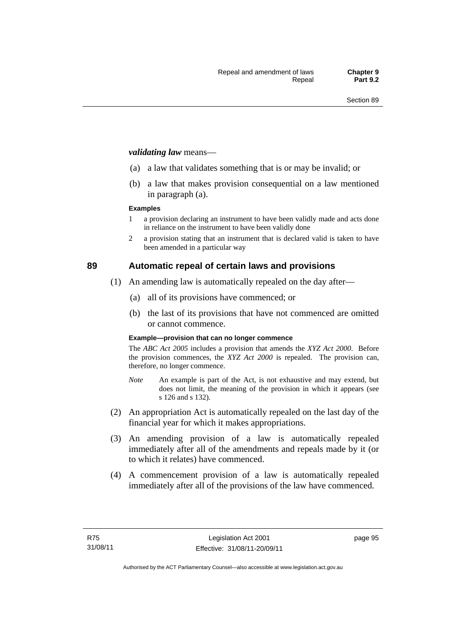#### *validating law* means—

- (a) a law that validates something that is or may be invalid; or
- (b) a law that makes provision consequential on a law mentioned in paragraph (a).

#### **Examples**

- 1 a provision declaring an instrument to have been validly made and acts done in reliance on the instrument to have been validly done
- 2 a provision stating that an instrument that is declared valid is taken to have been amended in a particular way

## **89 Automatic repeal of certain laws and provisions**

- (1) An amending law is automatically repealed on the day after—
	- (a) all of its provisions have commenced; or
	- (b) the last of its provisions that have not commenced are omitted or cannot commence.

#### **Example—provision that can no longer commence**

The *ABC Act 2005* includes a provision that amends the *XYZ Act 2000*. Before the provision commences, the *XYZ Act 2000* is repealed. The provision can, therefore, no longer commence.

- *Note* An example is part of the Act, is not exhaustive and may extend, but does not limit, the meaning of the provision in which it appears (see s 126 and s 132).
- (2) An appropriation Act is automatically repealed on the last day of the financial year for which it makes appropriations.
- (3) An amending provision of a law is automatically repealed immediately after all of the amendments and repeals made by it (or to which it relates) have commenced.
- (4) A commencement provision of a law is automatically repealed immediately after all of the provisions of the law have commenced.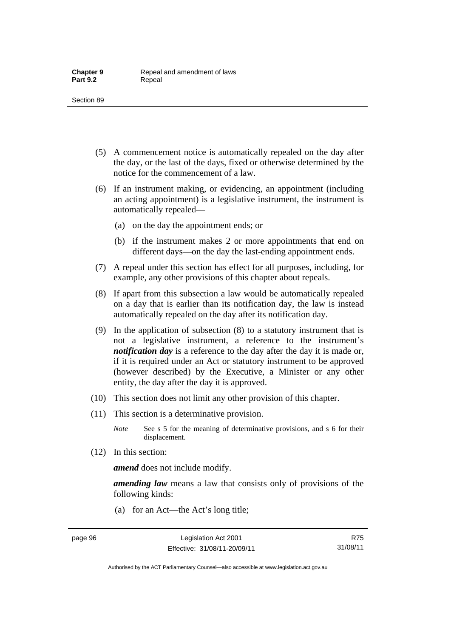- (5) A commencement notice is automatically repealed on the day after the day, or the last of the days, fixed or otherwise determined by the notice for the commencement of a law.
- (6) If an instrument making, or evidencing, an appointment (including an acting appointment) is a legislative instrument, the instrument is automatically repealed—
	- (a) on the day the appointment ends; or
	- (b) if the instrument makes 2 or more appointments that end on different days—on the day the last-ending appointment ends.
- (7) A repeal under this section has effect for all purposes, including, for example, any other provisions of this chapter about repeals.
- (8) If apart from this subsection a law would be automatically repealed on a day that is earlier than its notification day, the law is instead automatically repealed on the day after its notification day.
- (9) In the application of subsection (8) to a statutory instrument that is not a legislative instrument, a reference to the instrument's *notification day* is a reference to the day after the day it is made or, if it is required under an Act or statutory instrument to be approved (however described) by the Executive, a Minister or any other entity, the day after the day it is approved.
- (10) This section does not limit any other provision of this chapter.
- (11) This section is a determinative provision.
	- *Note* See s 5 for the meaning of determinative provisions, and s 6 for their displacement.
- (12) In this section:

*amend* does not include modify.

*amending law* means a law that consists only of provisions of the following kinds:

(a) for an Act—the Act's long title;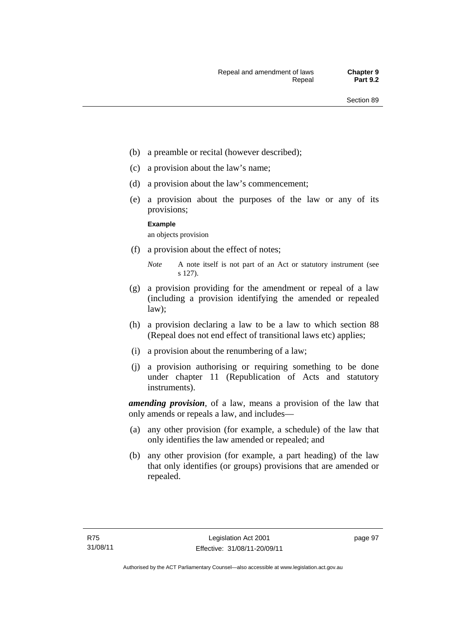- (b) a preamble or recital (however described);
- (c) a provision about the law's name;
- (d) a provision about the law's commencement;
- (e) a provision about the purposes of the law or any of its provisions;

#### **Example**

an objects provision

(f) a provision about the effect of notes;

- (g) a provision providing for the amendment or repeal of a law (including a provision identifying the amended or repealed law);
- (h) a provision declaring a law to be a law to which section 88 (Repeal does not end effect of transitional laws etc) applies;
- (i) a provision about the renumbering of a law;
- (j) a provision authorising or requiring something to be done under chapter 11 (Republication of Acts and statutory instruments).

*amending provision*, of a law, means a provision of the law that only amends or repeals a law, and includes—

- (a) any other provision (for example, a schedule) of the law that only identifies the law amended or repealed; and
- (b) any other provision (for example, a part heading) of the law that only identifies (or groups) provisions that are amended or repealed.

*Note* A note itself is not part of an Act or statutory instrument (see s 127).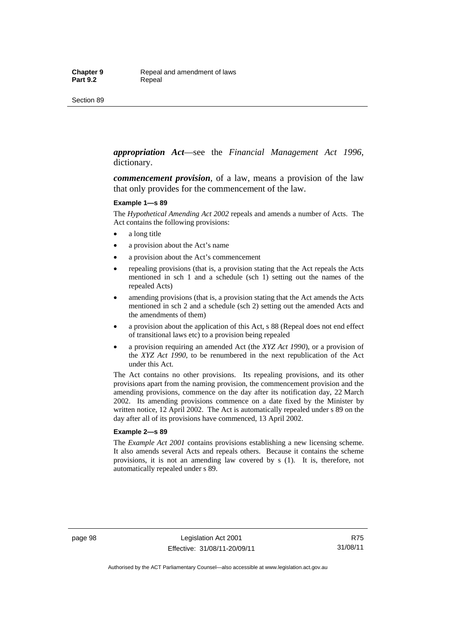#### *appropriation Act*—see the *Financial Management Act 1996*, dictionary.

*commencement provision*, of a law, means a provision of the law that only provides for the commencement of the law.

#### **Example 1—s 89**

The *Hypothetical Amending Act 2002* repeals and amends a number of Acts. The Act contains the following provisions:

- a long title
- a provision about the Act's name
- a provision about the Act's commencement
- repealing provisions (that is, a provision stating that the Act repeals the Acts mentioned in sch 1 and a schedule (sch 1) setting out the names of the repealed Acts)
- amending provisions (that is, a provision stating that the Act amends the Acts mentioned in sch 2 and a schedule (sch 2) setting out the amended Acts and the amendments of them)
- a provision about the application of this Act, s 88 (Repeal does not end effect of transitional laws etc) to a provision being repealed
- a provision requiring an amended Act (the *XYZ Act 1990*), or a provision of the *XYZ Act 1990*, to be renumbered in the next republication of the Act under this Act.

The Act contains no other provisions. Its repealing provisions, and its other provisions apart from the naming provision, the commencement provision and the amending provisions, commence on the day after its notification day, 22 March 2002. Its amending provisions commence on a date fixed by the Minister by written notice, 12 April 2002. The Act is automatically repealed under s 89 on the day after all of its provisions have commenced, 13 April 2002.

#### **Example 2—s 89**

The *Example Act 2001* contains provisions establishing a new licensing scheme. It also amends several Acts and repeals others. Because it contains the scheme provisions, it is not an amending law covered by s (1). It is, therefore, not automatically repealed under s 89.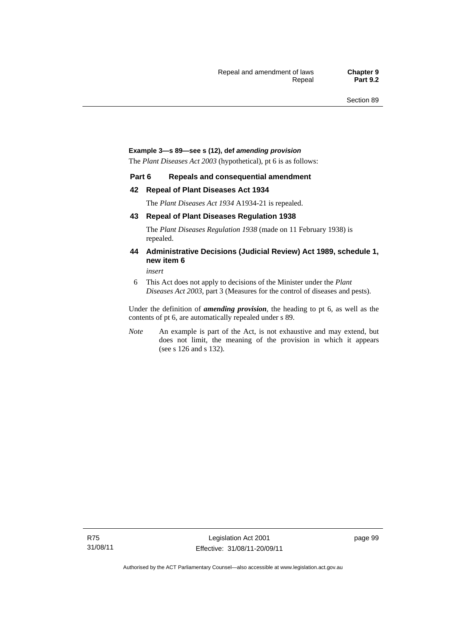#### **Example 3—s 89—see s (12), def** *amending provision*

The *Plant Diseases Act 2003* (hypothetical), pt 6 is as follows:

#### **Part 6 Repeals and consequential amendment**

#### **42 Repeal of Plant Diseases Act 1934**

The *Plant Diseases Act 1934* A1934-21 is repealed.

#### **43 Repeal of Plant Diseases Regulation 1938**

The *Plant Diseases Regulation 1938* (made on 11 February 1938) is repealed.

#### **44 Administrative Decisions (Judicial Review) Act 1989, schedule 1, new item 6**

*insert* 

6 This Act does not apply to decisions of the Minister under the *Plant Diseases Act 2003*, part 3 (Measures for the control of diseases and pests).

Under the definition of *amending provision*, the heading to pt 6, as well as the contents of pt 6, are automatically repealed under s 89.

*Note* An example is part of the Act, is not exhaustive and may extend, but does not limit, the meaning of the provision in which it appears (see s 126 and s 132).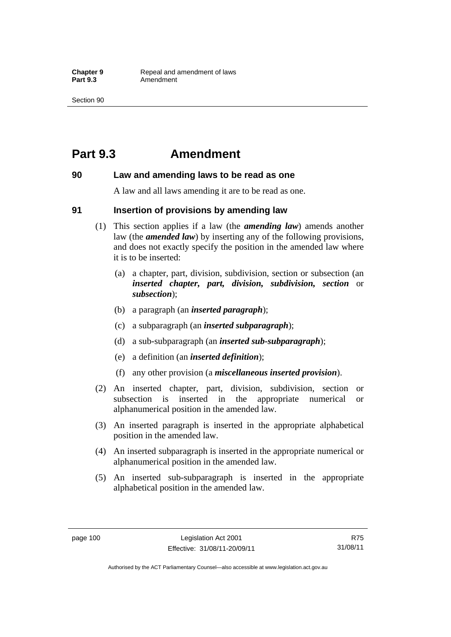## **Part 9.3 Amendment**

#### **90 Law and amending laws to be read as one**

A law and all laws amending it are to be read as one.

#### **91 Insertion of provisions by amending law**

- (1) This section applies if a law (the *amending law*) amends another law (the *amended law*) by inserting any of the following provisions, and does not exactly specify the position in the amended law where it is to be inserted:
	- (a) a chapter, part, division, subdivision, section or subsection (an *inserted chapter, part, division, subdivision, section* or *subsection*);
	- (b) a paragraph (an *inserted paragraph*);
	- (c) a subparagraph (an *inserted subparagraph*);
	- (d) a sub-subparagraph (an *inserted sub-subparagraph*);
	- (e) a definition (an *inserted definition*);
	- (f) any other provision (a *miscellaneous inserted provision*).
- (2) An inserted chapter, part, division, subdivision, section or subsection is inserted in the appropriate numerical or alphanumerical position in the amended law.
- (3) An inserted paragraph is inserted in the appropriate alphabetical position in the amended law.
- (4) An inserted subparagraph is inserted in the appropriate numerical or alphanumerical position in the amended law.
- (5) An inserted sub-subparagraph is inserted in the appropriate alphabetical position in the amended law.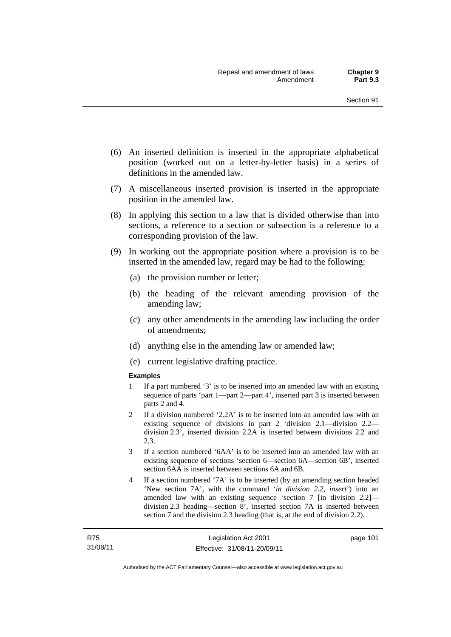- (6) An inserted definition is inserted in the appropriate alphabetical position (worked out on a letter-by-letter basis) in a series of definitions in the amended law.
- (7) A miscellaneous inserted provision is inserted in the appropriate position in the amended law.
- (8) In applying this section to a law that is divided otherwise than into sections, a reference to a section or subsection is a reference to a corresponding provision of the law.
- (9) In working out the appropriate position where a provision is to be inserted in the amended law, regard may be had to the following:
	- (a) the provision number or letter;
	- (b) the heading of the relevant amending provision of the amending law;
	- (c) any other amendments in the amending law including the order of amendments;
	- (d) anything else in the amending law or amended law;
	- (e) current legislative drafting practice.

#### **Examples**

- 1 If a part numbered '3' is to be inserted into an amended law with an existing sequence of parts 'part 1—part 2—part 4', inserted part 3 is inserted between parts 2 and 4.
- 2 If a division numbered '2.2A' is to be inserted into an amended law with an existing sequence of divisions in part 2 'division 2.1—division 2.2 division 2.3', inserted division 2.2A is inserted between divisions 2.2 and 2.3.
- 3 If a section numbered '6AA' is to be inserted into an amended law with an existing sequence of sections 'section 6—section 6A—section 6B', inserted section 6AA is inserted between sections 6A and 6B.
- 4 If a section numbered '7A' is to be inserted (by an amending section headed 'New section 7A', with the command '*in division 2.2, insert*') into an amended law with an existing sequence 'section 7 [in division 2.2] division 2.3 heading—section 8', inserted section 7A is inserted between section 7 and the division 2.3 heading (that is, at the end of division 2.2).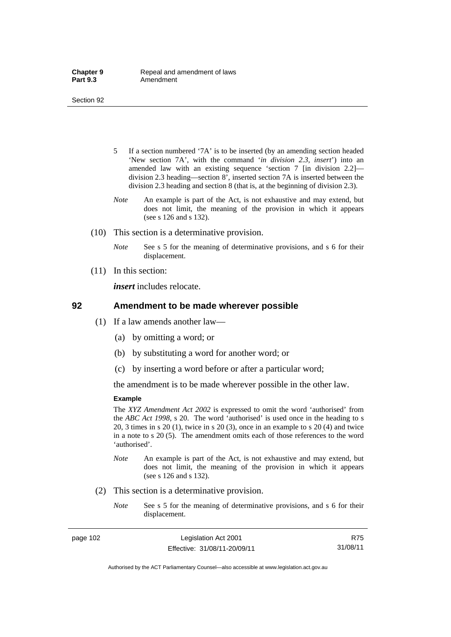- 5 If a section numbered '7A' is to be inserted (by an amending section headed 'New section 7A', with the command '*in division 2.3, insert*') into an amended law with an existing sequence 'section 7 [in division 2.2] division 2.3 heading—section 8', inserted section 7A is inserted between the division 2.3 heading and section 8 (that is, at the beginning of division 2.3).
- *Note* An example is part of the Act, is not exhaustive and may extend, but does not limit, the meaning of the provision in which it appears (see s 126 and s 132).
- (10) This section is a determinative provision.
	- *Note* See s 5 for the meaning of determinative provisions, and s 6 for their displacement.
- (11) In this section:

*insert* includes relocate.

#### **92 Amendment to be made wherever possible**

- (1) If a law amends another law—
	- (a) by omitting a word; or
	- (b) by substituting a word for another word; or
	- (c) by inserting a word before or after a particular word;

the amendment is to be made wherever possible in the other law.

#### **Example**

The *XYZ Amendment Act 2002* is expressed to omit the word 'authorised' from the *ABC Act 1998*, s 20. The word 'authorised' is used once in the heading to s 20, 3 times in s 20 (1), twice in s 20 (3), once in an example to s 20 (4) and twice in a note to s 20 (5). The amendment omits each of those references to the word 'authorised'.

- *Note* An example is part of the Act, is not exhaustive and may extend, but does not limit, the meaning of the provision in which it appears (see s 126 and s 132).
- (2) This section is a determinative provision.
	- *Note* See s 5 for the meaning of determinative provisions, and s 6 for their displacement.

page 102 Legislation Act 2001 Effective: 31/08/11-20/09/11

R75 31/08/11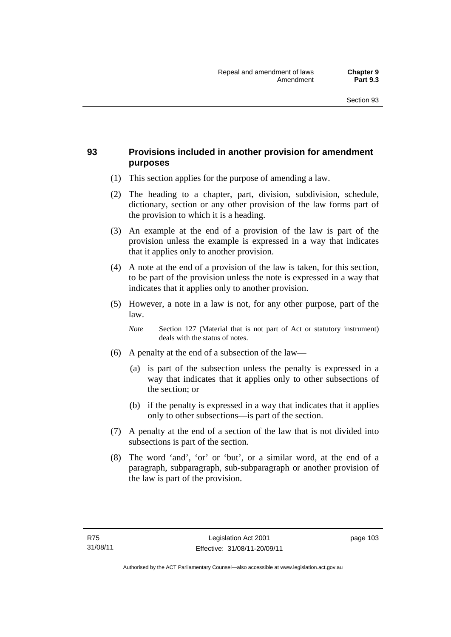## **93 Provisions included in another provision for amendment purposes**

- (1) This section applies for the purpose of amending a law.
- (2) The heading to a chapter, part, division, subdivision, schedule, dictionary, section or any other provision of the law forms part of the provision to which it is a heading.
- (3) An example at the end of a provision of the law is part of the provision unless the example is expressed in a way that indicates that it applies only to another provision.
- (4) A note at the end of a provision of the law is taken, for this section, to be part of the provision unless the note is expressed in a way that indicates that it applies only to another provision.
- (5) However, a note in a law is not, for any other purpose, part of the law.

*Note* Section 127 (Material that is not part of Act or statutory instrument) deals with the status of notes.

- (6) A penalty at the end of a subsection of the law—
	- (a) is part of the subsection unless the penalty is expressed in a way that indicates that it applies only to other subsections of the section; or
	- (b) if the penalty is expressed in a way that indicates that it applies only to other subsections—is part of the section.
- (7) A penalty at the end of a section of the law that is not divided into subsections is part of the section.
- (8) The word 'and', 'or' or 'but', or a similar word, at the end of a paragraph, subparagraph, sub-subparagraph or another provision of the law is part of the provision.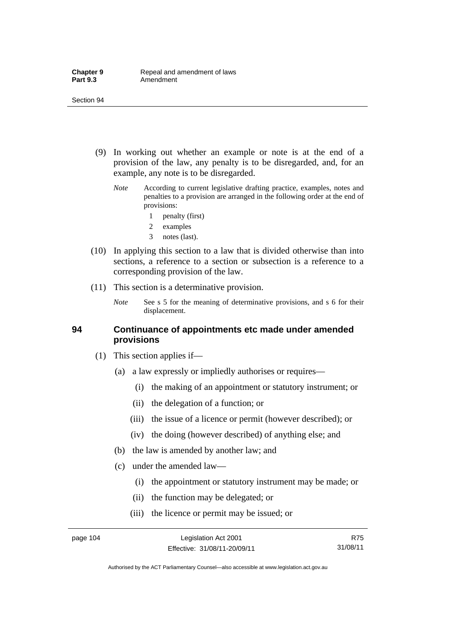- (9) In working out whether an example or note is at the end of a provision of the law, any penalty is to be disregarded, and, for an example, any note is to be disregarded.
	- *Note* According to current legislative drafting practice, examples, notes and penalties to a provision are arranged in the following order at the end of provisions:
		- 1 penalty (first)
		- 2 examples
		- 3 notes (last).
- (10) In applying this section to a law that is divided otherwise than into sections, a reference to a section or subsection is a reference to a corresponding provision of the law.
- (11) This section is a determinative provision.
	- *Note* See s 5 for the meaning of determinative provisions, and s 6 for their displacement.

#### **94 Continuance of appointments etc made under amended provisions**

- (1) This section applies if—
	- (a) a law expressly or impliedly authorises or requires—
		- (i) the making of an appointment or statutory instrument; or
		- (ii) the delegation of a function; or
		- (iii) the issue of a licence or permit (however described); or
		- (iv) the doing (however described) of anything else; and
	- (b) the law is amended by another law; and
	- (c) under the amended law—
		- (i) the appointment or statutory instrument may be made; or
		- (ii) the function may be delegated; or
		- (iii) the licence or permit may be issued; or

R75 31/08/11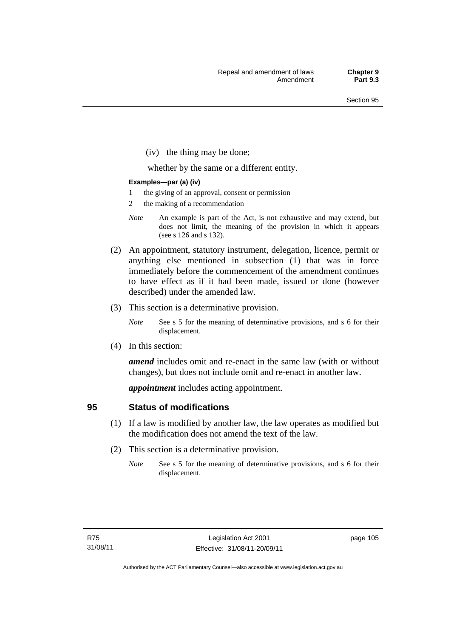(iv) the thing may be done;

whether by the same or a different entity.

#### **Examples—par (a) (iv)**

- 1 the giving of an approval, consent or permission
- 2 the making of a recommendation
- *Note* An example is part of the Act, is not exhaustive and may extend, but does not limit, the meaning of the provision in which it appears (see s 126 and s 132).
- (2) An appointment, statutory instrument, delegation, licence, permit or anything else mentioned in subsection (1) that was in force immediately before the commencement of the amendment continues to have effect as if it had been made, issued or done (however described) under the amended law.
- (3) This section is a determinative provision.
	- *Note* See s 5 for the meaning of determinative provisions, and s 6 for their displacement.
- (4) In this section:

*amend* includes omit and re-enact in the same law (with or without changes), but does not include omit and re-enact in another law.

*appointment* includes acting appointment.

### **95 Status of modifications**

- (1) If a law is modified by another law, the law operates as modified but the modification does not amend the text of the law.
- (2) This section is a determinative provision.
	- *Note* See s 5 for the meaning of determinative provisions, and s 6 for their displacement.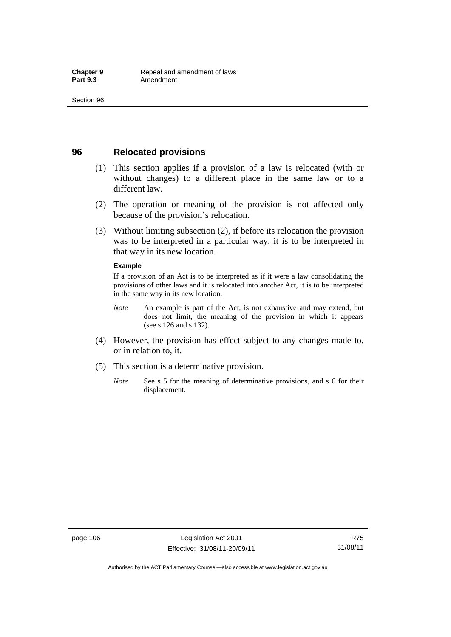### **96 Relocated provisions**

- (1) This section applies if a provision of a law is relocated (with or without changes) to a different place in the same law or to a different law.
- (2) The operation or meaning of the provision is not affected only because of the provision's relocation.
- (3) Without limiting subsection (2), if before its relocation the provision was to be interpreted in a particular way, it is to be interpreted in that way in its new location.

#### **Example**

If a provision of an Act is to be interpreted as if it were a law consolidating the provisions of other laws and it is relocated into another Act, it is to be interpreted in the same way in its new location.

- *Note* An example is part of the Act, is not exhaustive and may extend, but does not limit, the meaning of the provision in which it appears (see s 126 and s 132).
- (4) However, the provision has effect subject to any changes made to, or in relation to, it.
- (5) This section is a determinative provision.
	- *Note* See s 5 for the meaning of determinative provisions, and s 6 for their displacement.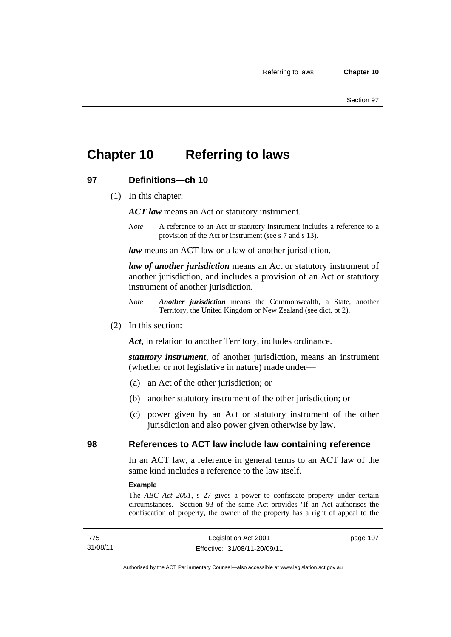## **Chapter 10 Referring to laws**

## **97 Definitions—ch 10**

(1) In this chapter:

*ACT law* means an Act or statutory instrument.

*Note* A reference to an Act or statutory instrument includes a reference to a provision of the Act or instrument (see s 7 and s 13).

*law* means an ACT law or a law of another jurisdiction.

*law of another jurisdiction* means an Act or statutory instrument of another jurisdiction, and includes a provision of an Act or statutory instrument of another jurisdiction.

- *Note Another jurisdiction* means the Commonwealth, a State, another Territory, the United Kingdom or New Zealand (see dict, pt 2).
- (2) In this section:

*Act*, in relation to another Territory, includes ordinance.

*statutory instrument*, of another jurisdiction, means an instrument (whether or not legislative in nature) made under—

- (a) an Act of the other jurisdiction; or
- (b) another statutory instrument of the other jurisdiction; or
- (c) power given by an Act or statutory instrument of the other jurisdiction and also power given otherwise by law.

### **98 References to ACT law include law containing reference**

In an ACT law, a reference in general terms to an ACT law of the same kind includes a reference to the law itself.

#### **Example**

The *ABC Act 2001*, s 27 gives a power to confiscate property under certain circumstances. Section 93 of the same Act provides 'If an Act authorises the confiscation of property, the owner of the property has a right of appeal to the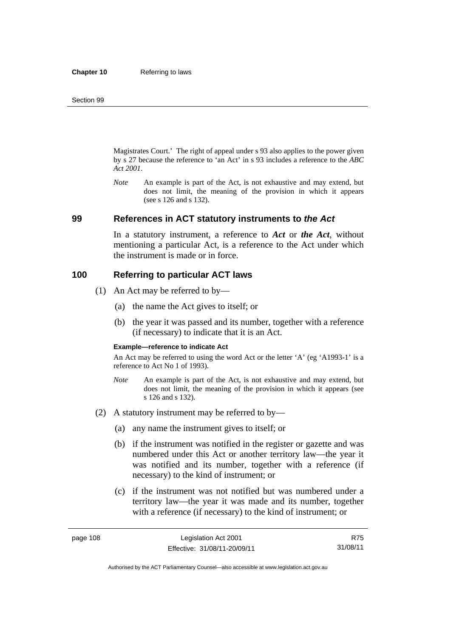Magistrates Court.' The right of appeal under s 93 also applies to the power given by s 27 because the reference to 'an Act' in s 93 includes a reference to the *ABC Act 2001*.

*Note* An example is part of the Act, is not exhaustive and may extend, but does not limit, the meaning of the provision in which it appears (see s 126 and s 132).

#### **99 References in ACT statutory instruments to** *the Act*

In a statutory instrument, a reference to *Act* or *the Act*, without mentioning a particular Act, is a reference to the Act under which the instrument is made or in force.

#### **100 Referring to particular ACT laws**

- (1) An Act may be referred to by—
	- (a) the name the Act gives to itself; or
	- (b) the year it was passed and its number, together with a reference (if necessary) to indicate that it is an Act.

#### **Example—reference to indicate Act**

An Act may be referred to using the word Act or the letter 'A' (eg 'A1993-1' is a reference to Act No 1 of 1993).

- *Note* An example is part of the Act, is not exhaustive and may extend, but does not limit, the meaning of the provision in which it appears (see s 126 and s 132).
- (2) A statutory instrument may be referred to by—
	- (a) any name the instrument gives to itself; or
	- (b) if the instrument was notified in the register or gazette and was numbered under this Act or another territory law—the year it was notified and its number, together with a reference (if necessary) to the kind of instrument; or
	- (c) if the instrument was not notified but was numbered under a territory law—the year it was made and its number, together with a reference (if necessary) to the kind of instrument; or

R75 31/08/11

Authorised by the ACT Parliamentary Counsel—also accessible at www.legislation.act.gov.au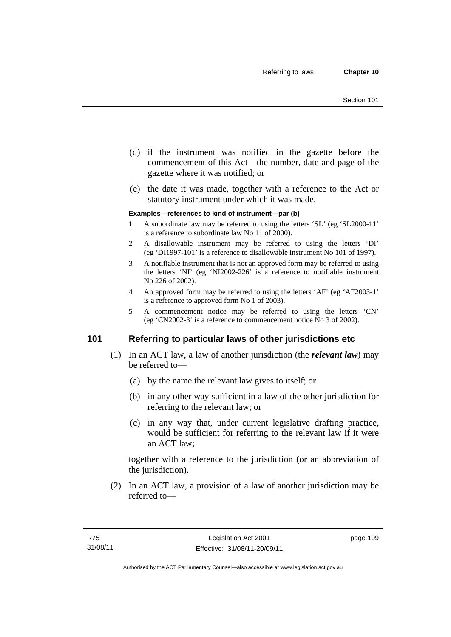- (d) if the instrument was notified in the gazette before the commencement of this Act—the number, date and page of the gazette where it was notified; or
- (e) the date it was made, together with a reference to the Act or statutory instrument under which it was made.

#### **Examples—references to kind of instrument—par (b)**

- 1 A subordinate law may be referred to using the letters 'SL' (eg 'SL2000-11' is a reference to subordinate law No 11 of 2000).
- 2 A disallowable instrument may be referred to using the letters 'DI' (eg 'DI1997-101' is a reference to disallowable instrument No 101 of 1997).
- 3 A notifiable instrument that is not an approved form may be referred to using the letters 'NI' (eg 'NI2002-226' is a reference to notifiable instrument No 226 of 2002).
- 4 An approved form may be referred to using the letters 'AF' (eg 'AF2003-1' is a reference to approved form No 1 of 2003).
- 5 A commencement notice may be referred to using the letters 'CN' (eg 'CN2002-3' is a reference to commencement notice No 3 of 2002).

### **101 Referring to particular laws of other jurisdictions etc**

- (1) In an ACT law, a law of another jurisdiction (the *relevant law*) may be referred to—
	- (a) by the name the relevant law gives to itself; or
	- (b) in any other way sufficient in a law of the other jurisdiction for referring to the relevant law; or
	- (c) in any way that, under current legislative drafting practice, would be sufficient for referring to the relevant law if it were an ACT law;

together with a reference to the jurisdiction (or an abbreviation of the jurisdiction).

 (2) In an ACT law, a provision of a law of another jurisdiction may be referred to—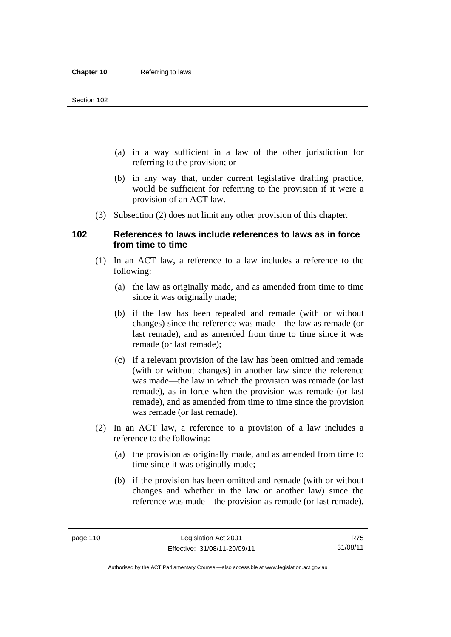- (a) in a way sufficient in a law of the other jurisdiction for referring to the provision; or
- (b) in any way that, under current legislative drafting practice, would be sufficient for referring to the provision if it were a provision of an ACT law.
- (3) Subsection (2) does not limit any other provision of this chapter.

### **102 References to laws include references to laws as in force from time to time**

- (1) In an ACT law, a reference to a law includes a reference to the following:
	- (a) the law as originally made, and as amended from time to time since it was originally made;
	- (b) if the law has been repealed and remade (with or without changes) since the reference was made—the law as remade (or last remade), and as amended from time to time since it was remade (or last remade);
	- (c) if a relevant provision of the law has been omitted and remade (with or without changes) in another law since the reference was made—the law in which the provision was remade (or last remade), as in force when the provision was remade (or last remade), and as amended from time to time since the provision was remade (or last remade).
- (2) In an ACT law, a reference to a provision of a law includes a reference to the following:
	- (a) the provision as originally made, and as amended from time to time since it was originally made;
	- (b) if the provision has been omitted and remade (with or without changes and whether in the law or another law) since the reference was made—the provision as remade (or last remade),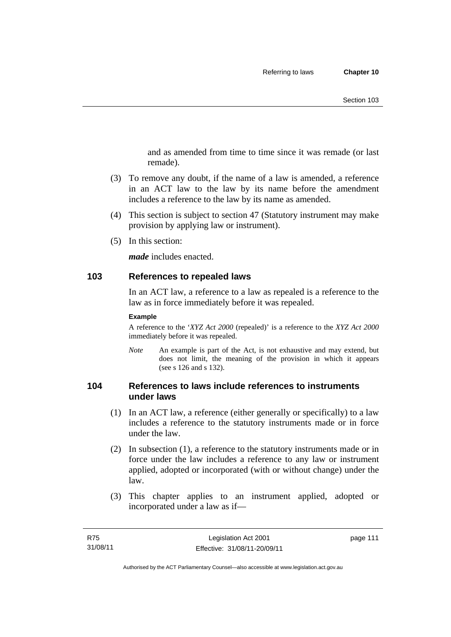and as amended from time to time since it was remade (or last remade).

- (3) To remove any doubt, if the name of a law is amended, a reference in an ACT law to the law by its name before the amendment includes a reference to the law by its name as amended.
- (4) This section is subject to section 47 (Statutory instrument may make provision by applying law or instrument).
- (5) In this section:

*made* includes enacted.

#### **103 References to repealed laws**

In an ACT law, a reference to a law as repealed is a reference to the law as in force immediately before it was repealed.

#### **Example**

A reference to the '*XYZ Act 2000* (repealed)' is a reference to the *XYZ Act 2000* immediately before it was repealed.

*Note* An example is part of the Act, is not exhaustive and may extend, but does not limit, the meaning of the provision in which it appears (see s 126 and s 132).

## **104 References to laws include references to instruments under laws**

- (1) In an ACT law, a reference (either generally or specifically) to a law includes a reference to the statutory instruments made or in force under the law.
- (2) In subsection (1), a reference to the statutory instruments made or in force under the law includes a reference to any law or instrument applied, adopted or incorporated (with or without change) under the law.
- (3) This chapter applies to an instrument applied, adopted or incorporated under a law as if—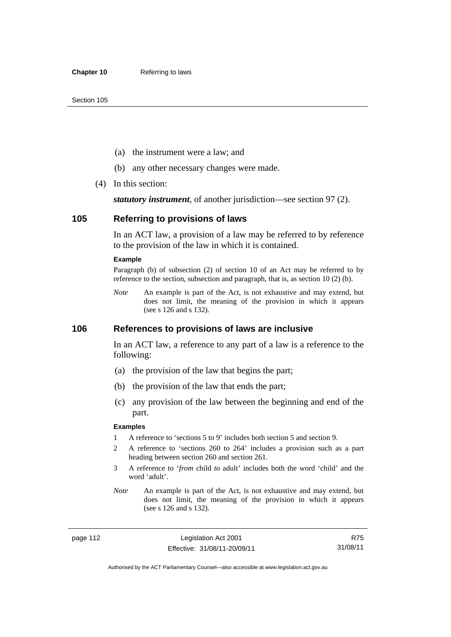- (a) the instrument were a law; and
- (b) any other necessary changes were made.
- (4) In this section:

*statutory instrument*, of another jurisdiction—see section 97 (2).

#### **105 Referring to provisions of laws**

In an ACT law, a provision of a law may be referred to by reference to the provision of the law in which it is contained.

#### **Example**

Paragraph (b) of subsection (2) of section 10 of an Act may be referred to by reference to the section, subsection and paragraph, that is, as section 10 (2) (b).

*Note* An example is part of the Act, is not exhaustive and may extend, but does not limit, the meaning of the provision in which it appears (see s 126 and s 132).

### **106 References to provisions of laws are inclusive**

In an ACT law, a reference to any part of a law is a reference to the following:

- (a) the provision of the law that begins the part;
- (b) the provision of the law that ends the part;
- (c) any provision of the law between the beginning and end of the part.

#### **Examples**

- 1 A reference to 'sections 5 to 9' includes both section 5 and section 9.
- 2 A reference to 'sections 260 to 264' includes a provision such as a part heading between section 260 and section 261.
- 3 A reference to '*from* child *to* adult' includes both the word 'child' and the word 'adult'.
- *Note* An example is part of the Act, is not exhaustive and may extend, but does not limit, the meaning of the provision in which it appears (see s 126 and s 132).

page 112 Legislation Act 2001 Effective: 31/08/11-20/09/11

R75 31/08/11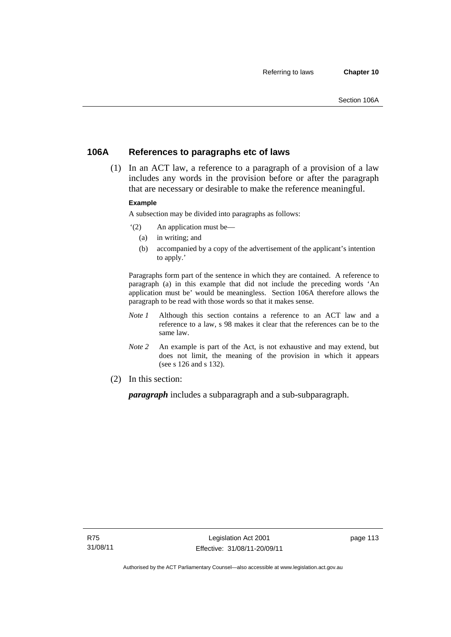## **106A References to paragraphs etc of laws**

 (1) In an ACT law, a reference to a paragraph of a provision of a law includes any words in the provision before or after the paragraph that are necessary or desirable to make the reference meaningful.

#### **Example**

A subsection may be divided into paragraphs as follows:

- '(2) An application must be—
	- (a) in writing; and
	- (b) accompanied by a copy of the advertisement of the applicant's intention to apply.'

Paragraphs form part of the sentence in which they are contained. A reference to paragraph (a) in this example that did not include the preceding words 'An application must be' would be meaningless. Section 106A therefore allows the paragraph to be read with those words so that it makes sense.

- *Note 1* Although this section contains a reference to an ACT law and a reference to a law, s 98 makes it clear that the references can be to the same law.
- *Note 2* An example is part of the Act, is not exhaustive and may extend, but does not limit, the meaning of the provision in which it appears (see s 126 and s 132).
- (2) In this section:

*paragraph* includes a subparagraph and a sub-subparagraph.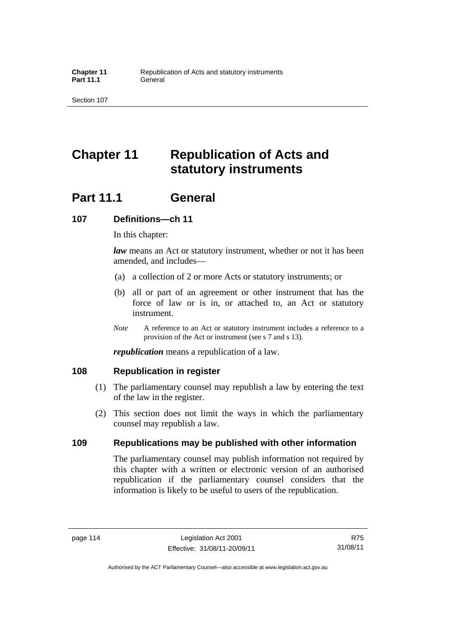# **Chapter 11 Republication of Acts and statutory instruments**

## **Part 11.1 General**

### **107 Definitions—ch 11**

In this chapter:

*law* means an Act or statutory instrument, whether or not it has been amended, and includes—

- (a) a collection of 2 or more Acts or statutory instruments; or
- (b) all or part of an agreement or other instrument that has the force of law or is in, or attached to, an Act or statutory instrument.
- *Note* A reference to an Act or statutory instrument includes a reference to a provision of the Act or instrument (see s 7 and s 13).

*republication* means a republication of a law.

## **108 Republication in register**

- (1) The parliamentary counsel may republish a law by entering the text of the law in the register.
- (2) This section does not limit the ways in which the parliamentary counsel may republish a law.

## **109 Republications may be published with other information**

The parliamentary counsel may publish information not required by this chapter with a written or electronic version of an authorised republication if the parliamentary counsel considers that the information is likely to be useful to users of the republication.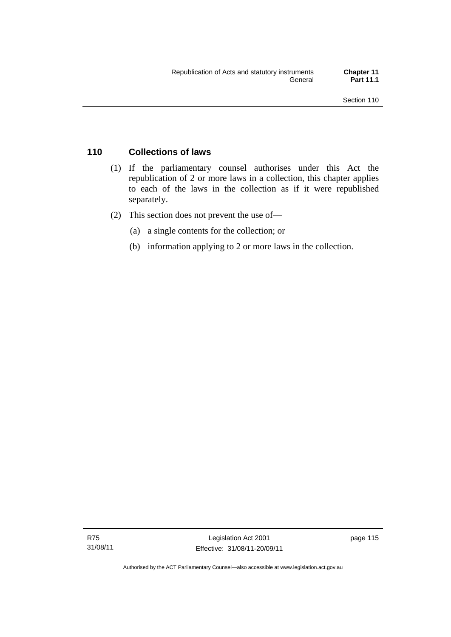## **110 Collections of laws**

- (1) If the parliamentary counsel authorises under this Act the republication of 2 or more laws in a collection, this chapter applies to each of the laws in the collection as if it were republished separately.
- (2) This section does not prevent the use of—
	- (a) a single contents for the collection; or
	- (b) information applying to 2 or more laws in the collection.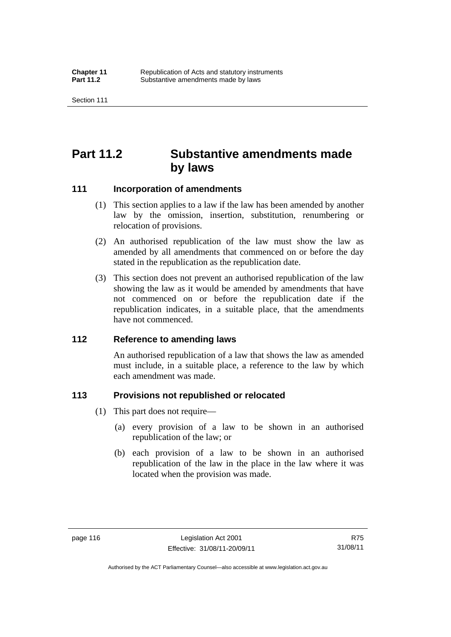## **Part 11.2 Substantive amendments made by laws**

#### **111 Incorporation of amendments**

- (1) This section applies to a law if the law has been amended by another law by the omission, insertion, substitution, renumbering or relocation of provisions.
- (2) An authorised republication of the law must show the law as amended by all amendments that commenced on or before the day stated in the republication as the republication date.
- (3) This section does not prevent an authorised republication of the law showing the law as it would be amended by amendments that have not commenced on or before the republication date if the republication indicates, in a suitable place, that the amendments have not commenced.

## **112 Reference to amending laws**

An authorised republication of a law that shows the law as amended must include, in a suitable place, a reference to the law by which each amendment was made.

#### **113 Provisions not republished or relocated**

- (1) This part does not require—
	- (a) every provision of a law to be shown in an authorised republication of the law; or
	- (b) each provision of a law to be shown in an authorised republication of the law in the place in the law where it was located when the provision was made.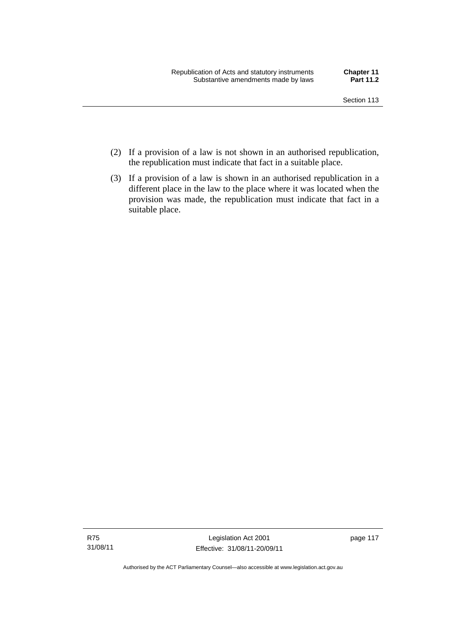- (2) If a provision of a law is not shown in an authorised republication, the republication must indicate that fact in a suitable place.
- (3) If a provision of a law is shown in an authorised republication in a different place in the law to the place where it was located when the provision was made, the republication must indicate that fact in a suitable place.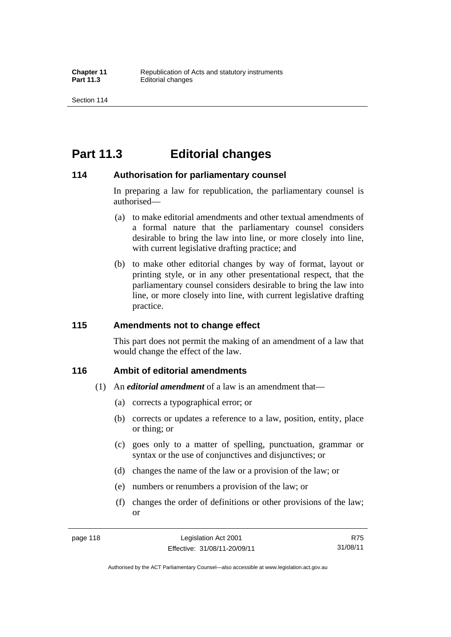## **Part 11.3 Editorial changes**

#### **114 Authorisation for parliamentary counsel**

In preparing a law for republication, the parliamentary counsel is authorised—

- (a) to make editorial amendments and other textual amendments of a formal nature that the parliamentary counsel considers desirable to bring the law into line, or more closely into line, with current legislative drafting practice; and
- (b) to make other editorial changes by way of format, layout or printing style, or in any other presentational respect, that the parliamentary counsel considers desirable to bring the law into line, or more closely into line, with current legislative drafting practice.

### **115 Amendments not to change effect**

This part does not permit the making of an amendment of a law that would change the effect of the law.

## **116 Ambit of editorial amendments**

- (1) An *editorial amendment* of a law is an amendment that—
	- (a) corrects a typographical error; or
	- (b) corrects or updates a reference to a law, position, entity, place or thing; or
	- (c) goes only to a matter of spelling, punctuation, grammar or syntax or the use of conjunctives and disjunctives; or
	- (d) changes the name of the law or a provision of the law; or
	- (e) numbers or renumbers a provision of the law; or
	- (f) changes the order of definitions or other provisions of the law; or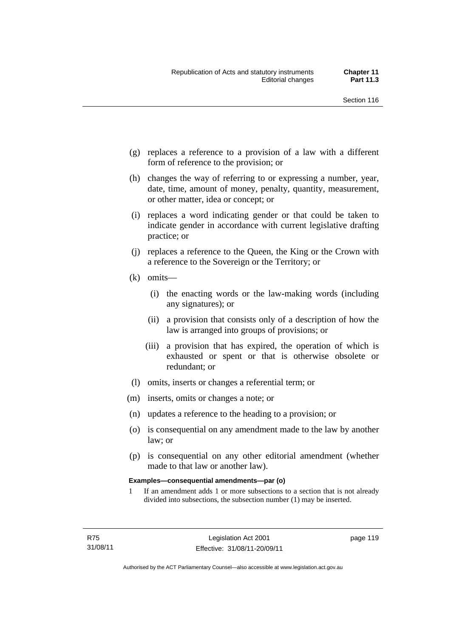- (g) replaces a reference to a provision of a law with a different form of reference to the provision; or
- (h) changes the way of referring to or expressing a number, year, date, time, amount of money, penalty, quantity, measurement, or other matter, idea or concept; or
- (i) replaces a word indicating gender or that could be taken to indicate gender in accordance with current legislative drafting practice; or
- (j) replaces a reference to the Queen, the King or the Crown with a reference to the Sovereign or the Territory; or
- (k) omits—
	- (i) the enacting words or the law-making words (including any signatures); or
	- (ii) a provision that consists only of a description of how the law is arranged into groups of provisions; or
	- (iii) a provision that has expired, the operation of which is exhausted or spent or that is otherwise obsolete or redundant; or
- (l) omits, inserts or changes a referential term; or
- (m) inserts, omits or changes a note; or
- (n) updates a reference to the heading to a provision; or
- (o) is consequential on any amendment made to the law by another law; or
- (p) is consequential on any other editorial amendment (whether made to that law or another law).

#### **Examples—consequential amendments—par (o)**

1 If an amendment adds 1 or more subsections to a section that is not already divided into subsections, the subsection number (1) may be inserted.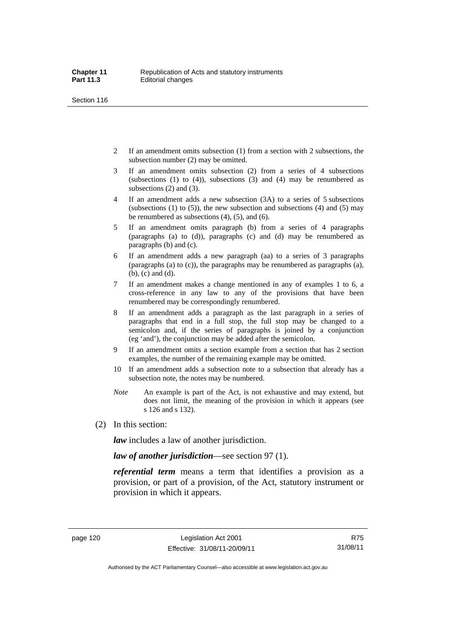- 2 If an amendment omits subsection (1) from a section with 2 subsections, the subsection number (2) may be omitted.
- 3 If an amendment omits subsection (2) from a series of 4 subsections (subsections  $(1)$  to  $(4)$ ), subsections  $(3)$  and  $(4)$  may be renumbered as subsections (2) and (3).
- 4 If an amendment adds a new subsection (3A) to a series of 5 subsections (subsections  $(1)$  to  $(5)$ ), the new subsection and subsections  $(4)$  and  $(5)$  may be renumbered as subsections (4), (5), and (6).
- 5 If an amendment omits paragraph (b) from a series of 4 paragraphs (paragraphs (a) to (d)), paragraphs (c) and (d) may be renumbered as paragraphs (b) and (c).
- 6 If an amendment adds a new paragraph (aa) to a series of 3 paragraphs (paragraphs (a) to (c)), the paragraphs may be renumbered as paragraphs (a), (b), (c) and (d).
- 7 If an amendment makes a change mentioned in any of examples 1 to 6, a cross-reference in any law to any of the provisions that have been renumbered may be correspondingly renumbered.
- 8 If an amendment adds a paragraph as the last paragraph in a series of paragraphs that end in a full stop, the full stop may be changed to a semicolon and, if the series of paragraphs is joined by a conjunction (eg 'and'), the conjunction may be added after the semicolon.
- 9 If an amendment omits a section example from a section that has 2 section examples, the number of the remaining example may be omitted.
- 10 If an amendment adds a subsection note to a subsection that already has a subsection note, the notes may be numbered.
- *Note* An example is part of the Act, is not exhaustive and may extend, but does not limit, the meaning of the provision in which it appears (see s 126 and s 132).
- (2) In this section:

*law* includes a law of another jurisdiction.

*law of another jurisdiction*—see section 97 (1).

*referential term* means a term that identifies a provision as a provision, or part of a provision, of the Act, statutory instrument or provision in which it appears.

R75 31/08/11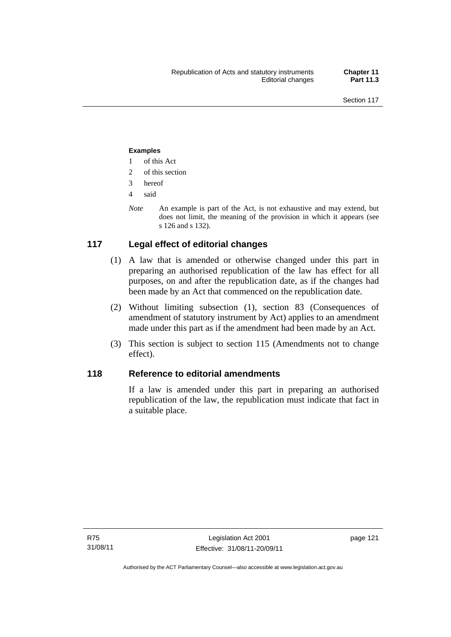#### **Examples**

- 1 of this Act
- 2 of this section
- 3 hereof
- 4 said
- *Note* An example is part of the Act, is not exhaustive and may extend, but does not limit, the meaning of the provision in which it appears (see s 126 and s 132).

## **117 Legal effect of editorial changes**

- (1) A law that is amended or otherwise changed under this part in preparing an authorised republication of the law has effect for all purposes, on and after the republication date, as if the changes had been made by an Act that commenced on the republication date.
- (2) Without limiting subsection (1), section 83 (Consequences of amendment of statutory instrument by Act) applies to an amendment made under this part as if the amendment had been made by an Act.
- (3) This section is subject to section 115 (Amendments not to change effect).

## **118 Reference to editorial amendments**

If a law is amended under this part in preparing an authorised republication of the law, the republication must indicate that fact in a suitable place.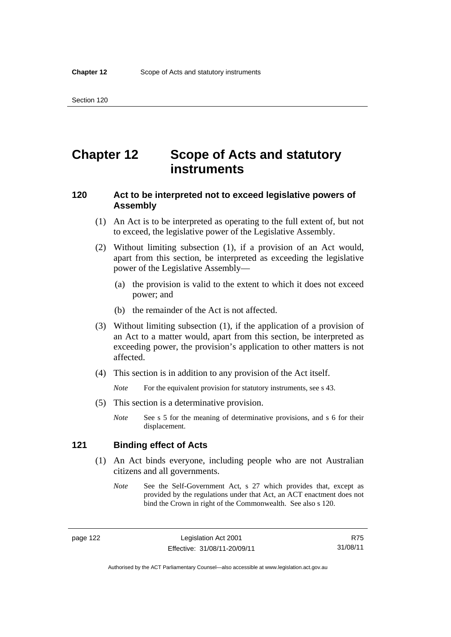## **Chapter 12 Scope of Acts and statutory instruments**

## **120 Act to be interpreted not to exceed legislative powers of Assembly**

- (1) An Act is to be interpreted as operating to the full extent of, but not to exceed, the legislative power of the Legislative Assembly.
- (2) Without limiting subsection (1), if a provision of an Act would, apart from this section, be interpreted as exceeding the legislative power of the Legislative Assembly—
	- (a) the provision is valid to the extent to which it does not exceed power; and
	- (b) the remainder of the Act is not affected.
- (3) Without limiting subsection (1), if the application of a provision of an Act to a matter would, apart from this section, be interpreted as exceeding power, the provision's application to other matters is not affected.
- (4) This section is in addition to any provision of the Act itself.

*Note* For the equivalent provision for statutory instruments, see s 43.

- (5) This section is a determinative provision.
	- *Note* See s 5 for the meaning of determinative provisions, and s 6 for their displacement.

### **121 Binding effect of Acts**

- (1) An Act binds everyone, including people who are not Australian citizens and all governments.
	- *Note* See the Self-Government Act, s 27 which provides that, except as provided by the regulations under that Act, an ACT enactment does not bind the Crown in right of the Commonwealth. See also s 120.

page 122 Legislation Act 2001 Effective: 31/08/11-20/09/11

R75 31/08/11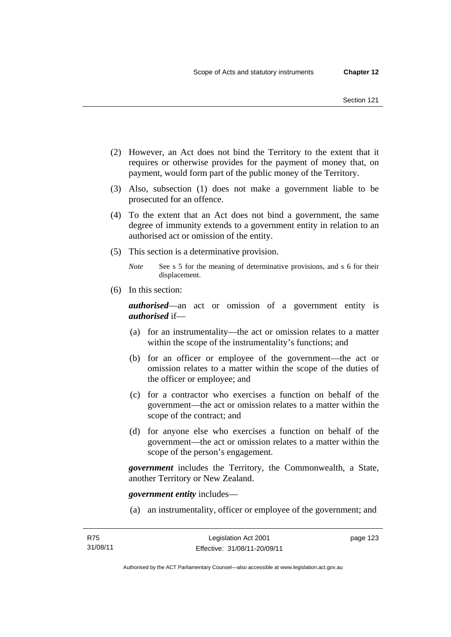- (2) However, an Act does not bind the Territory to the extent that it requires or otherwise provides for the payment of money that, on payment, would form part of the public money of the Territory.
- (3) Also, subsection (1) does not make a government liable to be prosecuted for an offence.
- (4) To the extent that an Act does not bind a government, the same degree of immunity extends to a government entity in relation to an authorised act or omission of the entity.
- (5) This section is a determinative provision.
	- *Note* See s 5 for the meaning of determinative provisions, and s 6 for their displacement.
- (6) In this section:

*authorised*—an act or omission of a government entity is *authorised* if—

- (a) for an instrumentality—the act or omission relates to a matter within the scope of the instrumentality's functions; and
- (b) for an officer or employee of the government—the act or omission relates to a matter within the scope of the duties of the officer or employee; and
- (c) for a contractor who exercises a function on behalf of the government—the act or omission relates to a matter within the scope of the contract; and
- (d) for anyone else who exercises a function on behalf of the government—the act or omission relates to a matter within the scope of the person's engagement.

*government* includes the Territory, the Commonwealth, a State, another Territory or New Zealand.

*government entity* includes—

(a) an instrumentality, officer or employee of the government; and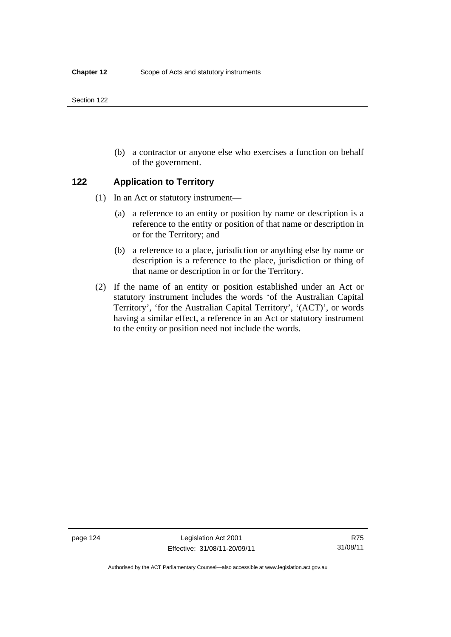(b) a contractor or anyone else who exercises a function on behalf of the government.

### **122 Application to Territory**

- (1) In an Act or statutory instrument—
	- (a) a reference to an entity or position by name or description is a reference to the entity or position of that name or description in or for the Territory; and
	- (b) a reference to a place, jurisdiction or anything else by name or description is a reference to the place, jurisdiction or thing of that name or description in or for the Territory.
- (2) If the name of an entity or position established under an Act or statutory instrument includes the words 'of the Australian Capital Territory', 'for the Australian Capital Territory', '(ACT)', or words having a similar effect, a reference in an Act or statutory instrument to the entity or position need not include the words.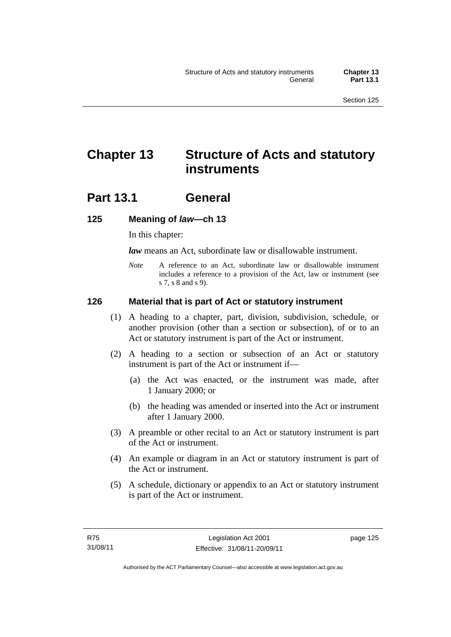# **Chapter 13 Structure of Acts and statutory instruments**

## **Part 13.1 General**

## **125 Meaning of** *law***—ch 13**

In this chapter:

*law* means an Act, subordinate law or disallowable instrument.

*Note* A reference to an Act, subordinate law or disallowable instrument includes a reference to a provision of the Act, law or instrument (see s 7, s 8 and s 9).

## **126 Material that is part of Act or statutory instrument**

- (1) A heading to a chapter, part, division, subdivision, schedule, or another provision (other than a section or subsection), of or to an Act or statutory instrument is part of the Act or instrument.
- (2) A heading to a section or subsection of an Act or statutory instrument is part of the Act or instrument if—
	- (a) the Act was enacted, or the instrument was made, after 1 January 2000; or
	- (b) the heading was amended or inserted into the Act or instrument after 1 January 2000.
- (3) A preamble or other recital to an Act or statutory instrument is part of the Act or instrument.
- (4) An example or diagram in an Act or statutory instrument is part of the Act or instrument.
- (5) A schedule, dictionary or appendix to an Act or statutory instrument is part of the Act or instrument.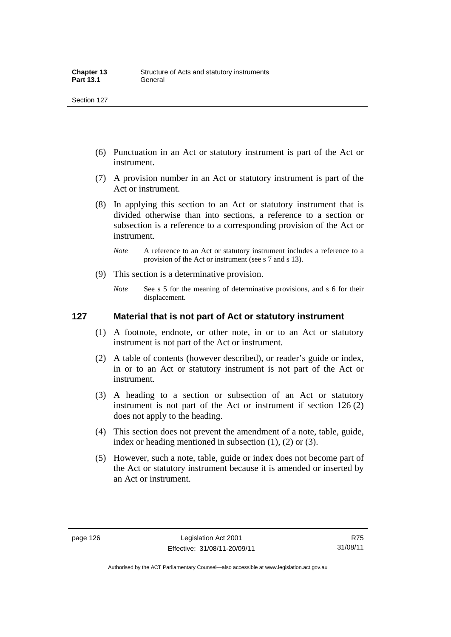- (6) Punctuation in an Act or statutory instrument is part of the Act or instrument.
- (7) A provision number in an Act or statutory instrument is part of the Act or instrument.
- (8) In applying this section to an Act or statutory instrument that is divided otherwise than into sections, a reference to a section or subsection is a reference to a corresponding provision of the Act or instrument.
	- *Note* A reference to an Act or statutory instrument includes a reference to a provision of the Act or instrument (see s 7 and s 13).
- (9) This section is a determinative provision.
	- *Note* See s 5 for the meaning of determinative provisions, and s 6 for their displacement.

#### **127 Material that is not part of Act or statutory instrument**

- (1) A footnote, endnote, or other note, in or to an Act or statutory instrument is not part of the Act or instrument.
- (2) A table of contents (however described), or reader's guide or index, in or to an Act or statutory instrument is not part of the Act or instrument.
- (3) A heading to a section or subsection of an Act or statutory instrument is not part of the Act or instrument if section 126 (2) does not apply to the heading.
- (4) This section does not prevent the amendment of a note, table, guide, index or heading mentioned in subsection (1), (2) or (3).
- (5) However, such a note, table, guide or index does not become part of the Act or statutory instrument because it is amended or inserted by an Act or instrument.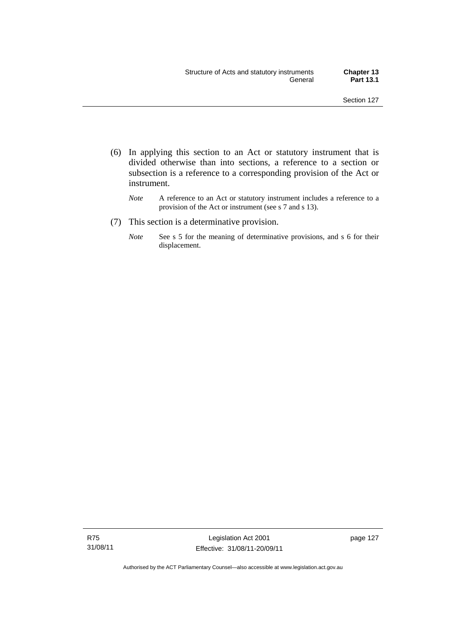- (6) In applying this section to an Act or statutory instrument that is divided otherwise than into sections, a reference to a section or subsection is a reference to a corresponding provision of the Act or instrument.
	- *Note* A reference to an Act or statutory instrument includes a reference to a provision of the Act or instrument (see s 7 and s 13).
- (7) This section is a determinative provision.
	- *Note* See s 5 for the meaning of determinative provisions, and s 6 for their displacement.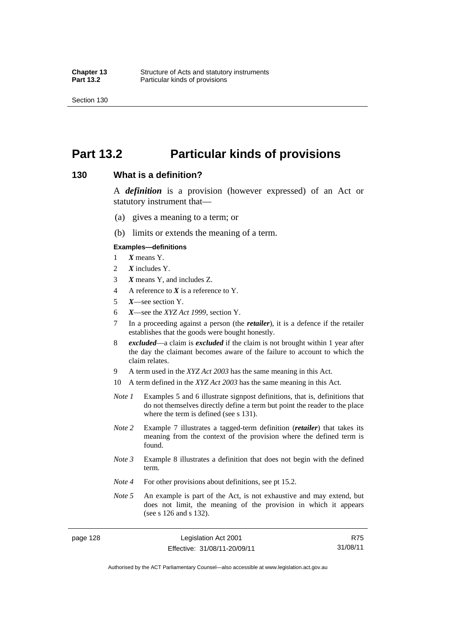## **Part 13.2 Particular kinds of provisions**

#### **130 What is a definition?**

A *definition* is a provision (however expressed) of an Act or statutory instrument that—

- (a) gives a meaning to a term; or
- (b) limits or extends the meaning of a term.

#### **Examples—definitions**

- 1 *X* means Y.
- 2 *X* includes Y.
- 3 *X* means Y, and includes Z.
- 4 A reference to *X* is a reference to Y.
- 5 *X*—see section Y.
- 6 *X*—see the *XYZ Act 1999*, section Y.
- 7 In a proceeding against a person (the *retailer*), it is a defence if the retailer establishes that the goods were bought honestly.
- 8 *excluded*—a claim is *excluded* if the claim is not brought within 1 year after the day the claimant becomes aware of the failure to account to which the claim relates.
- 9 A term used in the *XYZ Act 2003* has the same meaning in this Act.
- 10 A term defined in the *XYZ Act 2003* has the same meaning in this Act.
- *Note 1* Examples 5 and 6 illustrate signpost definitions, that is, definitions that do not themselves directly define a term but point the reader to the place where the term is defined (see s 131).
- *Note 2* Example 7 illustrates a tagged-term definition (*retailer*) that takes its meaning from the context of the provision where the defined term is found.
- *Note 3* Example 8 illustrates a definition that does not begin with the defined term.
- *Note 4* For other provisions about definitions, see pt 15.2.
- *Note* 5 An example is part of the Act, is not exhaustive and may extend, but does not limit, the meaning of the provision in which it appears (see s 126 and s 132).

page 128 Legislation Act 2001 Effective: 31/08/11-20/09/11

R75 31/08/11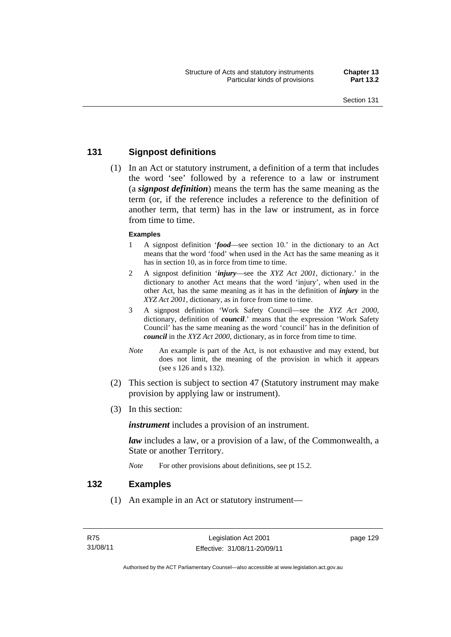# **131 Signpost definitions**

 (1) In an Act or statutory instrument, a definition of a term that includes the word 'see' followed by a reference to a law or instrument (a *signpost definition*) means the term has the same meaning as the term (or, if the reference includes a reference to the definition of another term, that term) has in the law or instrument, as in force from time to time.

### **Examples**

- 1 A signpost definition '*food*—see section 10.' in the dictionary to an Act means that the word 'food' when used in the Act has the same meaning as it has in section 10, as in force from time to time.
- 2 A signpost definition '*injury*—see the *XYZ Act 2001*, dictionary.' in the dictionary to another Act means that the word 'injury', when used in the other Act, has the same meaning as it has in the definition of *injury* in the *XYZ Act 2001*, dictionary, as in force from time to time.
- 3 A signpost definition 'Work Safety Council—see the *XYZ Act 2000*, dictionary, definition of *council*.' means that the expression 'Work Safety Council' has the same meaning as the word 'council' has in the definition of *council* in the *XYZ Act 2000*, dictionary, as in force from time to time.
- *Note* An example is part of the Act, is not exhaustive and may extend, but does not limit, the meaning of the provision in which it appears (see s 126 and s 132).
- (2) This section is subject to section 47 (Statutory instrument may make provision by applying law or instrument).
- (3) In this section:

*instrument* includes a provision of an instrument.

*law* includes a law, or a provision of a law, of the Commonwealth, a State or another Territory.

*Note* For other provisions about definitions, see pt 15.2.

# **132 Examples**

(1) An example in an Act or statutory instrument—

page 129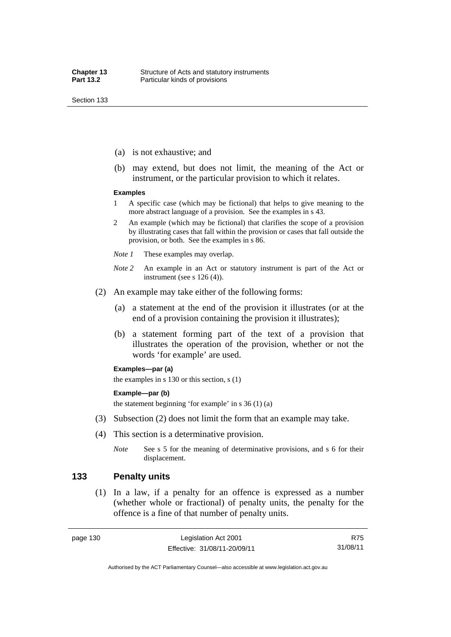- (a) is not exhaustive; and
- (b) may extend, but does not limit, the meaning of the Act or instrument, or the particular provision to which it relates.

#### **Examples**

- 1 A specific case (which may be fictional) that helps to give meaning to the more abstract language of a provision. See the examples in s 43.
- 2 An example (which may be fictional) that clarifies the scope of a provision by illustrating cases that fall within the provision or cases that fall outside the provision, or both. See the examples in s 86.
- *Note 1* These examples may overlap.
- *Note 2* An example in an Act or statutory instrument is part of the Act or instrument (see s 126 (4)).
- (2) An example may take either of the following forms:
	- (a) a statement at the end of the provision it illustrates (or at the end of a provision containing the provision it illustrates);
	- (b) a statement forming part of the text of a provision that illustrates the operation of the provision, whether or not the words 'for example' are used.

#### **Examples—par (a)**

the examples in s 130 or this section, s (1)

### **Example—par (b)**

the statement beginning 'for example' in s  $36(1)(a)$ 

- (3) Subsection (2) does not limit the form that an example may take.
- (4) This section is a determinative provision.
	- *Note* See s 5 for the meaning of determinative provisions, and s 6 for their displacement.

# **133 Penalty units**

 (1) In a law, if a penalty for an offence is expressed as a number (whether whole or fractional) of penalty units, the penalty for the offence is a fine of that number of penalty units.

Authorised by the ACT Parliamentary Counsel—also accessible at www.legislation.act.gov.au

R75 31/08/11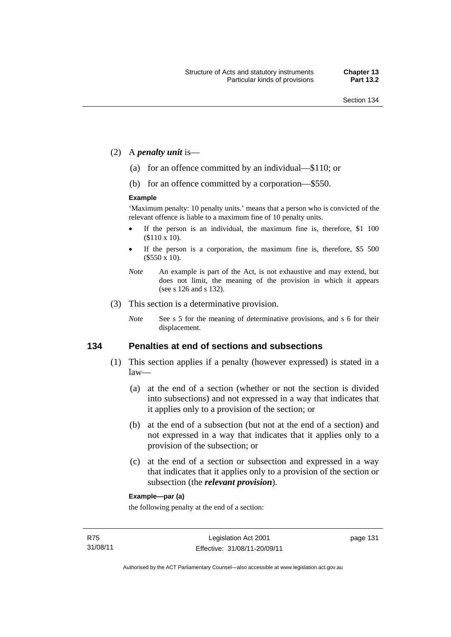- (2) A *penalty unit* is—
	- (a) for an offence committed by an individual—\$110; or
	- (b) for an offence committed by a corporation—\$550.

#### **Example**

'Maximum penalty: 10 penalty units.' means that a person who is convicted of the relevant offence is liable to a maximum fine of 10 penalty units.

- If the person is an individual, the maximum fine is, therefore, \$1 100 (\$110 x 10).
- If the person is a corporation, the maximum fine is, therefore, \$5 500 (\$550 x 10).
- *Note* An example is part of the Act, is not exhaustive and may extend, but does not limit, the meaning of the provision in which it appears (see s 126 and s 132).
- (3) This section is a determinative provision.
	- *Note* See s 5 for the meaning of determinative provisions, and s 6 for their displacement.

### **134 Penalties at end of sections and subsections**

- (1) This section applies if a penalty (however expressed) is stated in a law—
	- (a) at the end of a section (whether or not the section is divided into subsections) and not expressed in a way that indicates that it applies only to a provision of the section; or
	- (b) at the end of a subsection (but not at the end of a section) and not expressed in a way that indicates that it applies only to a provision of the subsection; or
	- (c) at the end of a section or subsection and expressed in a way that indicates that it applies only to a provision of the section or subsection (the *relevant provision*).

#### **Example—par (a)**

the following penalty at the end of a section: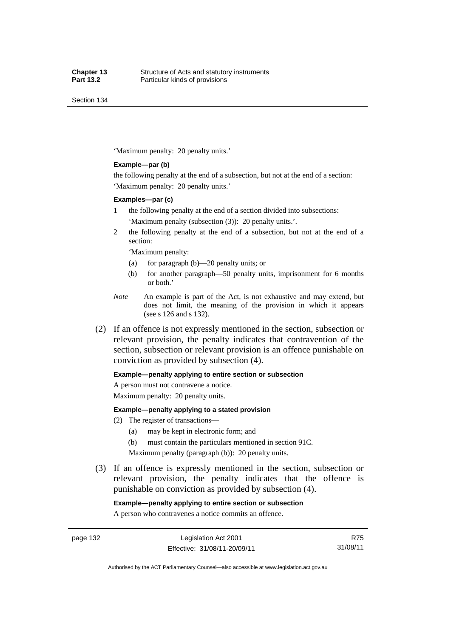Section 134

'Maximum penalty: 20 penalty units.'

#### **Example—par (b)**

the following penalty at the end of a subsection, but not at the end of a section: 'Maximum penalty: 20 penalty units.'

#### **Examples—par (c)**

- 1 the following penalty at the end of a section divided into subsections: 'Maximum penalty (subsection (3)): 20 penalty units.'.
- 2 the following penalty at the end of a subsection, but not at the end of a section:

'Maximum penalty:

- (a) for paragraph (b)—20 penalty units; or
- (b) for another paragraph—50 penalty units, imprisonment for 6 months or both.'
- *Note* An example is part of the Act, is not exhaustive and may extend, but does not limit, the meaning of the provision in which it appears (see s 126 and s 132).
- (2) If an offence is not expressly mentioned in the section, subsection or relevant provision, the penalty indicates that contravention of the section, subsection or relevant provision is an offence punishable on conviction as provided by subsection (4).

#### **Example—penalty applying to entire section or subsection**

A person must not contravene a notice.

Maximum penalty: 20 penalty units.

#### **Example—penalty applying to a stated provision**

- (2) The register of transactions—
	- (a) may be kept in electronic form; and
	- (b) must contain the particulars mentioned in section 91C.

Maximum penalty (paragraph (b)): 20 penalty units.

 (3) If an offence is expressly mentioned in the section, subsection or relevant provision, the penalty indicates that the offence is punishable on conviction as provided by subsection (4).

#### **Example—penalty applying to entire section or subsection**

A person who contravenes a notice commits an offence.

page 132 Legislation Act 2001 Effective: 31/08/11-20/09/11

R75 31/08/11

Authorised by the ACT Parliamentary Counsel—also accessible at www.legislation.act.gov.au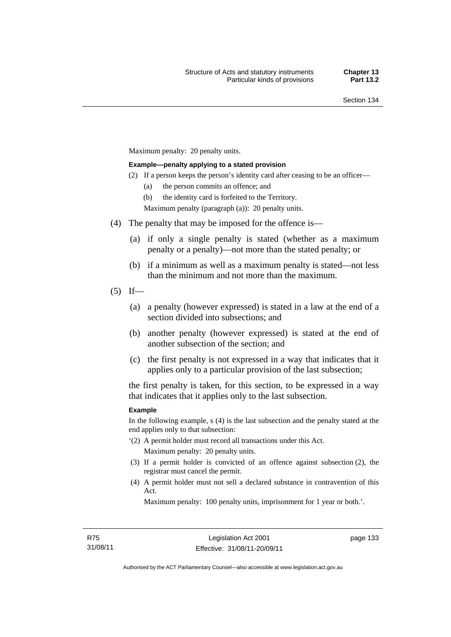Maximum penalty: 20 penalty units.

#### **Example—penalty applying to a stated provision**

- (2) If a person keeps the person's identity card after ceasing to be an officer—
	- (a) the person commits an offence; and

(b) the identity card is forfeited to the Territory.

Maximum penalty (paragraph (a)): 20 penalty units.

- (4) The penalty that may be imposed for the offence is—
	- (a) if only a single penalty is stated (whether as a maximum penalty or a penalty)—not more than the stated penalty; or
	- (b) if a minimum as well as a maximum penalty is stated—not less than the minimum and not more than the maximum.
- $(5)$  If—
	- (a) a penalty (however expressed) is stated in a law at the end of a section divided into subsections; and
	- (b) another penalty (however expressed) is stated at the end of another subsection of the section; and
	- (c) the first penalty is not expressed in a way that indicates that it applies only to a particular provision of the last subsection;

the first penalty is taken, for this section, to be expressed in a way that indicates that it applies only to the last subsection.

#### **Example**

In the following example, s (4) is the last subsection and the penalty stated at the end applies only to that subsection:

- '(2) A permit holder must record all transactions under this Act. Maximum penalty: 20 penalty units.
- (3) If a permit holder is convicted of an offence against subsection (2), the registrar must cancel the permit.
- (4) A permit holder must not sell a declared substance in contravention of this Act.

Maximum penalty: 100 penalty units, imprisonment for 1 year or both.'.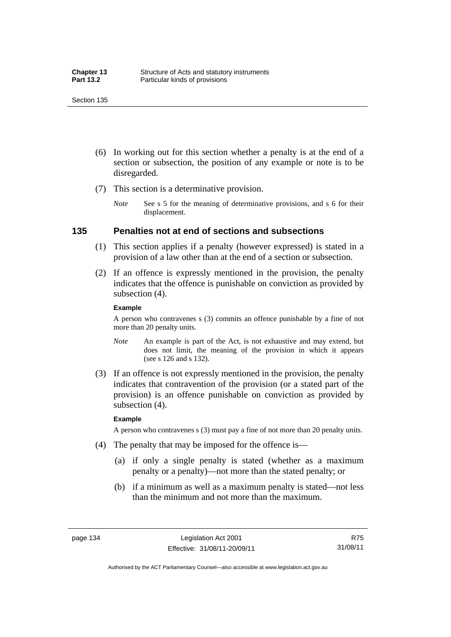- (6) In working out for this section whether a penalty is at the end of a section or subsection, the position of any example or note is to be disregarded.
- (7) This section is a determinative provision.
	- *Note* See s 5 for the meaning of determinative provisions, and s 6 for their displacement.

# **135 Penalties not at end of sections and subsections**

- (1) This section applies if a penalty (however expressed) is stated in a provision of a law other than at the end of a section or subsection.
- (2) If an offence is expressly mentioned in the provision, the penalty indicates that the offence is punishable on conviction as provided by subsection (4).

#### **Example**

A person who contravenes s (3) commits an offence punishable by a fine of not more than 20 penalty units.

- *Note* An example is part of the Act, is not exhaustive and may extend, but does not limit, the meaning of the provision in which it appears (see s 126 and s 132).
- (3) If an offence is not expressly mentioned in the provision, the penalty indicates that contravention of the provision (or a stated part of the provision) is an offence punishable on conviction as provided by subsection (4).

#### **Example**

A person who contravenes s (3) must pay a fine of not more than 20 penalty units.

- (4) The penalty that may be imposed for the offence is—
	- (a) if only a single penalty is stated (whether as a maximum penalty or a penalty)—not more than the stated penalty; or
	- (b) if a minimum as well as a maximum penalty is stated—not less than the minimum and not more than the maximum.

R75 31/08/11

Authorised by the ACT Parliamentary Counsel—also accessible at www.legislation.act.gov.au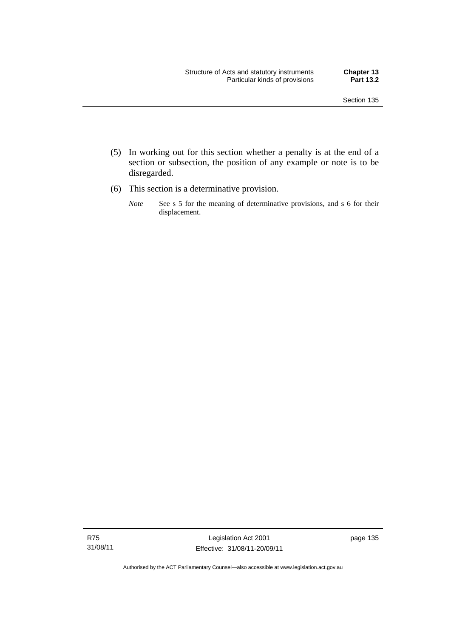- (5) In working out for this section whether a penalty is at the end of a section or subsection, the position of any example or note is to be disregarded.
- (6) This section is a determinative provision.
	- *Note* See s 5 for the meaning of determinative provisions, and s 6 for their displacement.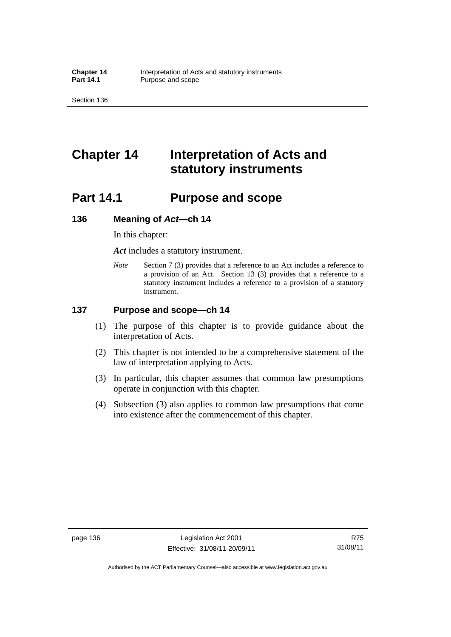Section 136

# **Chapter 14 Interpretation of Acts and statutory instruments**

# **Part 14.1 Purpose and scope**

### **136 Meaning of** *Act***—ch 14**

In this chapter:

*Act* includes a statutory instrument.

*Note* Section 7 (3) provides that a reference to an Act includes a reference to a provision of an Act. Section 13 (3) provides that a reference to a statutory instrument includes a reference to a provision of a statutory instrument.

# **137 Purpose and scope—ch 14**

- (1) The purpose of this chapter is to provide guidance about the interpretation of Acts.
- (2) This chapter is not intended to be a comprehensive statement of the law of interpretation applying to Acts.
- (3) In particular, this chapter assumes that common law presumptions operate in conjunction with this chapter.
- (4) Subsection (3) also applies to common law presumptions that come into existence after the commencement of this chapter.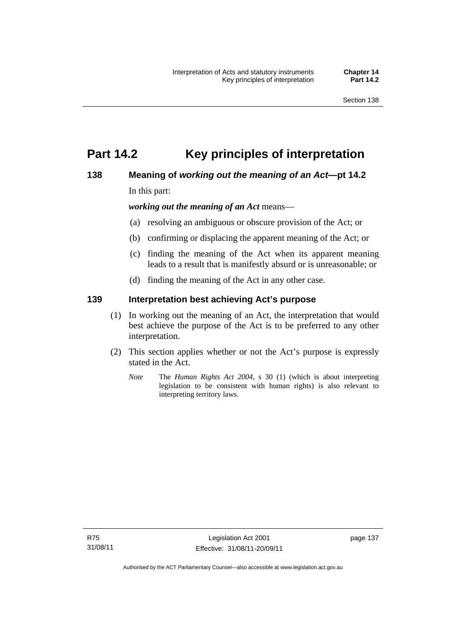# **Part 14.2 Key principles of interpretation**

# **138 Meaning of** *working out the meaning of an Act***—pt 14.2**

In this part:

*working out the meaning of an Act* means—

- (a) resolving an ambiguous or obscure provision of the Act; or
- (b) confirming or displacing the apparent meaning of the Act; or
- (c) finding the meaning of the Act when its apparent meaning leads to a result that is manifestly absurd or is unreasonable; or
- (d) finding the meaning of the Act in any other case.

# **139 Interpretation best achieving Act's purpose**

- (1) In working out the meaning of an Act, the interpretation that would best achieve the purpose of the Act is to be preferred to any other interpretation.
- (2) This section applies whether or not the Act's purpose is expressly stated in the Act.
	- *Note* The *Human Rights Act 2004*, s 30 (1) (which is about interpreting legislation to be consistent with human rights) is also relevant to interpreting territory laws.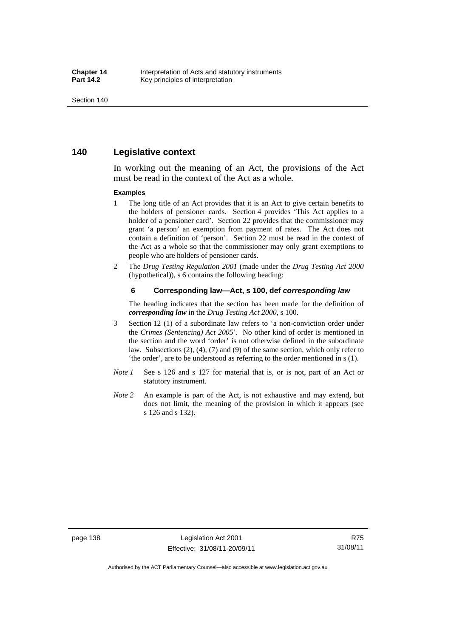# **140 Legislative context**

In working out the meaning of an Act, the provisions of the Act must be read in the context of the Act as a whole.

#### **Examples**

- 1 The long title of an Act provides that it is an Act to give certain benefits to the holders of pensioner cards. Section 4 provides 'This Act applies to a holder of a pensioner card'. Section 22 provides that the commissioner may grant 'a person' an exemption from payment of rates. The Act does not contain a definition of 'person'. Section 22 must be read in the context of the Act as a whole so that the commissioner may only grant exemptions to people who are holders of pensioner cards.
- 2 The *Drug Testing Regulation 2001* (made under the *Drug Testing Act 2000* (hypothetical)), s 6 contains the following heading:

#### **6 Corresponding law—Act, s 100, def** *corresponding law*

The heading indicates that the section has been made for the definition of *corresponding law* in the *Drug Testing Act 2000*, s 100.

- 3 Section 12 (1) of a subordinate law refers to 'a non-conviction order under the *Crimes (Sentencing) Act 2005*'. No other kind of order is mentioned in the section and the word 'order' is not otherwise defined in the subordinate law. Subsections (2), (4), (7) and (9) of the same section, which only refer to 'the order', are to be understood as referring to the order mentioned in s (1).
- *Note 1* See s 126 and s 127 for material that is, or is not, part of an Act or statutory instrument.
- *Note 2* An example is part of the Act, is not exhaustive and may extend, but does not limit, the meaning of the provision in which it appears (see s 126 and s 132).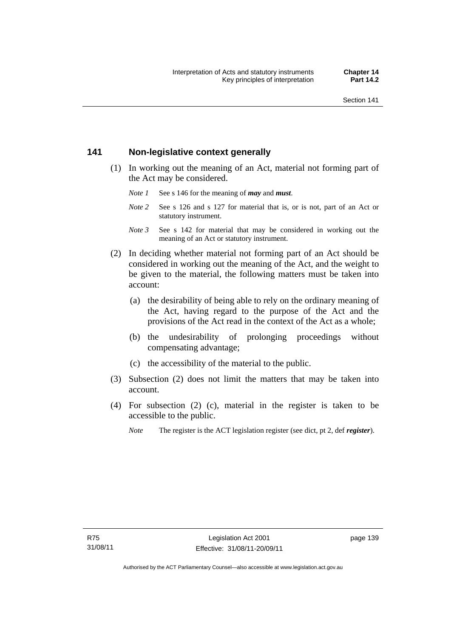# **141 Non-legislative context generally**

- (1) In working out the meaning of an Act, material not forming part of the Act may be considered.
	- *Note 1* See s 146 for the meaning of *may* and *must*.
	- *Note* 2 See s 126 and s 127 for material that is, or is not, part of an Act or statutory instrument.
	- *Note 3* See s 142 for material that may be considered in working out the meaning of an Act or statutory instrument.
- (2) In deciding whether material not forming part of an Act should be considered in working out the meaning of the Act, and the weight to be given to the material, the following matters must be taken into account:
	- (a) the desirability of being able to rely on the ordinary meaning of the Act, having regard to the purpose of the Act and the provisions of the Act read in the context of the Act as a whole;
	- (b) the undesirability of prolonging proceedings without compensating advantage;
	- (c) the accessibility of the material to the public.
- (3) Subsection (2) does not limit the matters that may be taken into account.
- (4) For subsection (2) (c), material in the register is taken to be accessible to the public.
	- *Note* The register is the ACT legislation register (see dict, pt 2, def *register*).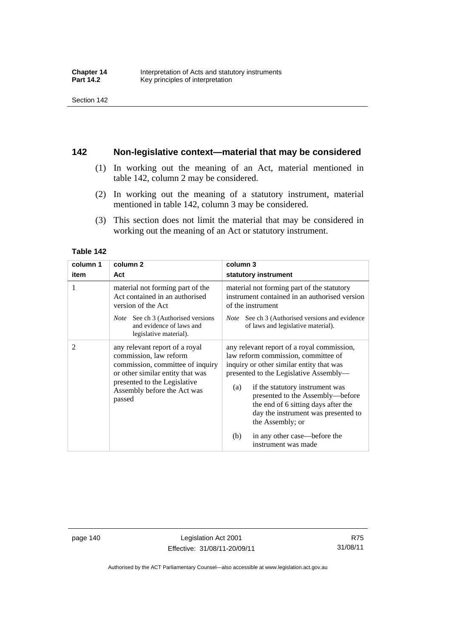# **142 Non-legislative context—material that may be considered**

- (1) In working out the meaning of an Act, material mentioned in table 142, column 2 may be considered.
- (2) In working out the meaning of a statutory instrument, material mentioned in table 142, column 3 may be considered.
- (3) This section does not limit the material that may be considered in working out the meaning of an Act or statutory instrument.

#### **Table 142**

| column 1 | column <sub>2</sub>                                                                                                                                                                                       | column 3                                                                                                                                                                                                                                                                                                                                                                                                              |
|----------|-----------------------------------------------------------------------------------------------------------------------------------------------------------------------------------------------------------|-----------------------------------------------------------------------------------------------------------------------------------------------------------------------------------------------------------------------------------------------------------------------------------------------------------------------------------------------------------------------------------------------------------------------|
| item     | Act                                                                                                                                                                                                       | statutory instrument                                                                                                                                                                                                                                                                                                                                                                                                  |
| 1        | material not forming part of the<br>Act contained in an authorised<br>version of the Act<br><i>Note</i> See ch 3 (Authorised versions<br>and evidence of laws and<br>legislative material).               | material not forming part of the statutory<br>instrument contained in an authorised version<br>of the instrument<br>See ch 3 (Authorised versions and evidence)<br><i>Note</i><br>of laws and legislative material).                                                                                                                                                                                                  |
| 2        | any relevant report of a royal<br>commission, law reform<br>commission, committee of inquiry<br>or other similar entity that was<br>presented to the Legislative<br>Assembly before the Act was<br>passed | any relevant report of a royal commission,<br>law reform commission, committee of<br>inquiry or other similar entity that was<br>presented to the Legislative Assembly—<br>if the statutory instrument was<br>(a)<br>presented to the Assembly—before<br>the end of 6 sitting days after the<br>day the instrument was presented to<br>the Assembly; or<br>(b)<br>in any other case—before the<br>instrument was made |

page 140 Legislation Act 2001 Effective: 31/08/11-20/09/11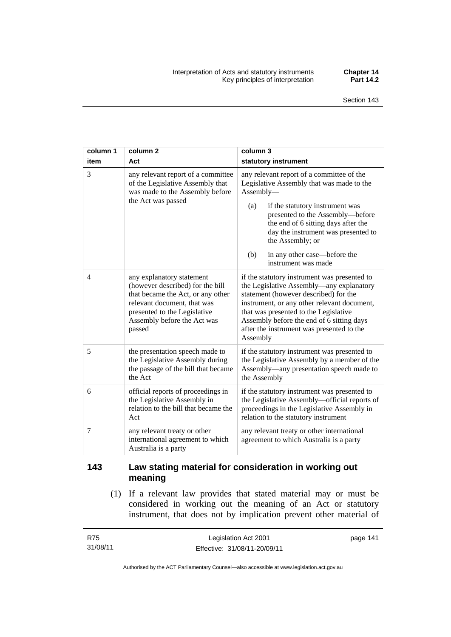| column 1<br>item | column <sub>2</sub><br>Act                                                                                                                                                                                 | column 3<br>statutory instrument                                                                                                                                                                                                                                                                                                                  |
|------------------|------------------------------------------------------------------------------------------------------------------------------------------------------------------------------------------------------------|---------------------------------------------------------------------------------------------------------------------------------------------------------------------------------------------------------------------------------------------------------------------------------------------------------------------------------------------------|
| 3                | any relevant report of a committee<br>of the Legislative Assembly that<br>was made to the Assembly before<br>the Act was passed                                                                            | any relevant report of a committee of the<br>Legislative Assembly that was made to the<br>Assembly-<br>if the statutory instrument was<br>(a)<br>presented to the Assembly-before<br>the end of 6 sitting days after the<br>day the instrument was presented to<br>the Assembly; or<br>(b)<br>in any other case—before the<br>instrument was made |
| $\overline{4}$   | any explanatory statement<br>(however described) for the bill<br>that became the Act, or any other<br>relevant document, that was<br>presented to the Legislative<br>Assembly before the Act was<br>passed | if the statutory instrument was presented to<br>the Legislative Assembly-any explanatory<br>statement (however described) for the<br>instrument, or any other relevant document,<br>that was presented to the Legislative<br>Assembly before the end of 6 sitting days<br>after the instrument was presented to the<br>Assembly                   |
| 5                | the presentation speech made to<br>the Legislative Assembly during<br>the passage of the bill that became<br>the Act                                                                                       | if the statutory instrument was presented to<br>the Legislative Assembly by a member of the<br>Assembly—any presentation speech made to<br>the Assembly                                                                                                                                                                                           |
| 6                | official reports of proceedings in<br>the Legislative Assembly in<br>relation to the bill that became the<br>Act                                                                                           | if the statutory instrument was presented to<br>the Legislative Assembly-official reports of<br>proceedings in the Legislative Assembly in<br>relation to the statutory instrument                                                                                                                                                                |
| 7                | any relevant treaty or other<br>international agreement to which<br>Australia is a party                                                                                                                   | any relevant treaty or other international<br>agreement to which Australia is a party                                                                                                                                                                                                                                                             |

# **143 Law stating material for consideration in working out meaning**

 (1) If a relevant law provides that stated material may or must be considered in working out the meaning of an Act or statutory instrument, that does not by implication prevent other material of

| R75      | Legislation Act 2001         | page 141 |
|----------|------------------------------|----------|
| 31/08/11 | Effective: 31/08/11-20/09/11 |          |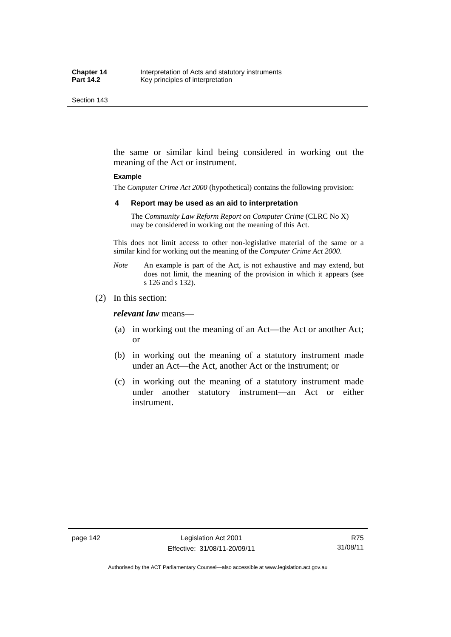the same or similar kind being considered in working out the meaning of the Act or instrument.

#### **Example**

The *Computer Crime Act 2000* (hypothetical) contains the following provision:

#### **4 Report may be used as an aid to interpretation**

The *Community Law Reform Report on Computer Crime* (CLRC No X) may be considered in working out the meaning of this Act.

This does not limit access to other non-legislative material of the same or a similar kind for working out the meaning of the *Computer Crime Act 2000*.

- *Note* An example is part of the Act, is not exhaustive and may extend, but does not limit, the meaning of the provision in which it appears (see s 126 and s 132).
- (2) In this section:

*relevant law* means—

- (a) in working out the meaning of an Act—the Act or another Act; or
- (b) in working out the meaning of a statutory instrument made under an Act—the Act, another Act or the instrument; or
- (c) in working out the meaning of a statutory instrument made under another statutory instrument—an Act or either instrument.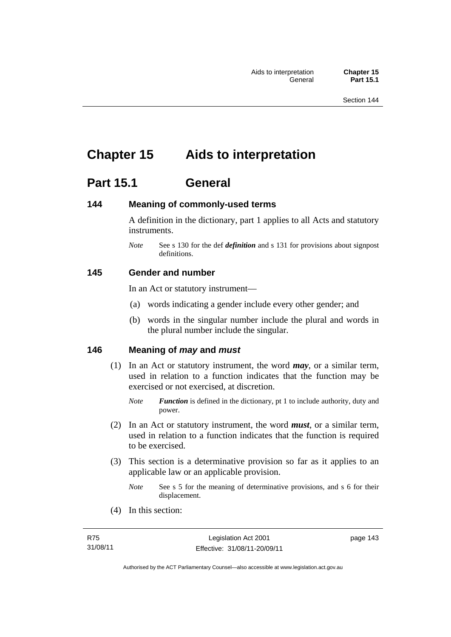# **Chapter 15 Aids to interpretation**

# **Part 15.1 General**

# **144 Meaning of commonly-used terms**

A definition in the dictionary, part 1 applies to all Acts and statutory instruments.

*Note* See s 130 for the def *definition* and s 131 for provisions about signpost definitions.

# **145 Gender and number**

In an Act or statutory instrument—

- (a) words indicating a gender include every other gender; and
- (b) words in the singular number include the plural and words in the plural number include the singular.

# **146 Meaning of** *may* **and** *must*

(1) In an Act or statutory instrument, the word *may*, or a similar term, used in relation to a function indicates that the function may be exercised or not exercised, at discretion.

- (2) In an Act or statutory instrument, the word *must*, or a similar term, used in relation to a function indicates that the function is required to be exercised.
- (3) This section is a determinative provision so far as it applies to an applicable law or an applicable provision.
	- *Note* See s 5 for the meaning of determinative provisions, and s 6 for their displacement.
- (4) In this section:

*Note Function* is defined in the dictionary, pt 1 to include authority, duty and power.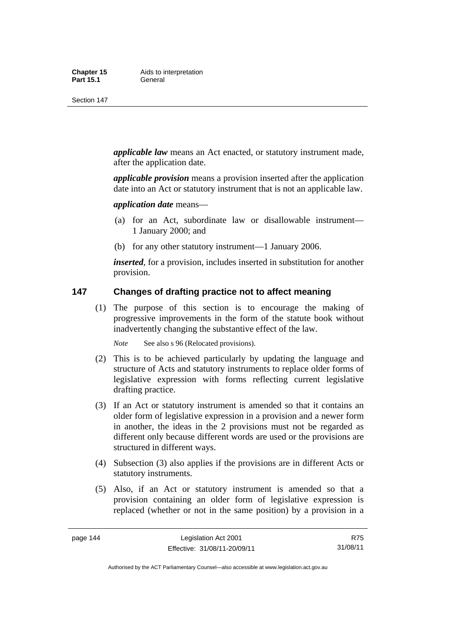Section 147

*applicable law* means an Act enacted, or statutory instrument made, after the application date.

*applicable provision* means a provision inserted after the application date into an Act or statutory instrument that is not an applicable law.

*application date* means—

- (a) for an Act, subordinate law or disallowable instrument— 1 January 2000; and
- (b) for any other statutory instrument—1 January 2006.

*inserted*, for a provision, includes inserted in substitution for another provision.

# **147 Changes of drafting practice not to affect meaning**

 (1) The purpose of this section is to encourage the making of progressive improvements in the form of the statute book without inadvertently changing the substantive effect of the law.

*Note* See also s 96 (Relocated provisions).

- (2) This is to be achieved particularly by updating the language and structure of Acts and statutory instruments to replace older forms of legislative expression with forms reflecting current legislative drafting practice.
- (3) If an Act or statutory instrument is amended so that it contains an older form of legislative expression in a provision and a newer form in another, the ideas in the 2 provisions must not be regarded as different only because different words are used or the provisions are structured in different ways.
- (4) Subsection (3) also applies if the provisions are in different Acts or statutory instruments.
- (5) Also, if an Act or statutory instrument is amended so that a provision containing an older form of legislative expression is replaced (whether or not in the same position) by a provision in a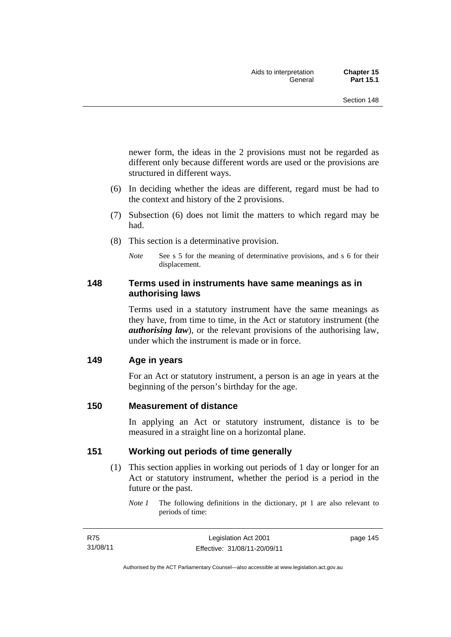newer form, the ideas in the 2 provisions must not be regarded as different only because different words are used or the provisions are structured in different ways.

- (6) In deciding whether the ideas are different, regard must be had to the context and history of the 2 provisions.
- (7) Subsection (6) does not limit the matters to which regard may be had.
- (8) This section is a determinative provision.
	- *Note* See s 5 for the meaning of determinative provisions, and s 6 for their displacement.

# **148 Terms used in instruments have same meanings as in authorising laws**

Terms used in a statutory instrument have the same meanings as they have, from time to time, in the Act or statutory instrument (the *authorising law*), or the relevant provisions of the authorising law, under which the instrument is made or in force.

# **149 Age in years**

For an Act or statutory instrument, a person is an age in years at the beginning of the person's birthday for the age.

# **150 Measurement of distance**

In applying an Act or statutory instrument, distance is to be measured in a straight line on a horizontal plane.

# **151 Working out periods of time generally**

- (1) This section applies in working out periods of 1 day or longer for an Act or statutory instrument, whether the period is a period in the future or the past.
	- *Note 1* The following definitions in the dictionary, pt 1 are also relevant to periods of time: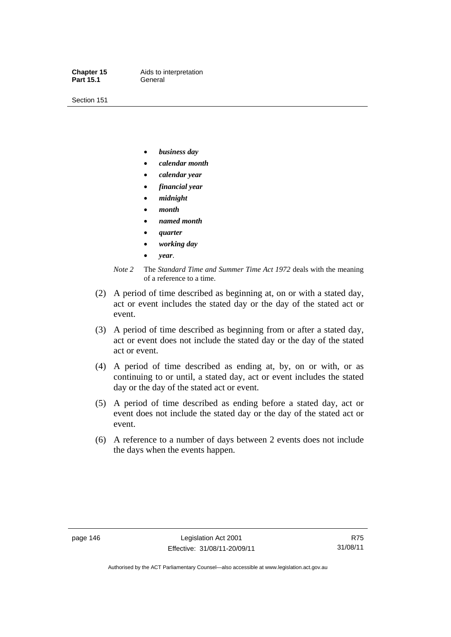Part 15.1 **General** 

**Chapter 15** Aids to interpretation

Section 151

- *business day*
- *calendar month*
- *calendar year*
- *financial year*
- *midnight*
- *month*
- *named month*
- *quarter*
- *working day*
- *year*.



- (2) A period of time described as beginning at, on or with a stated day, act or event includes the stated day or the day of the stated act or event.
- (3) A period of time described as beginning from or after a stated day, act or event does not include the stated day or the day of the stated act or event.
- (4) A period of time described as ending at, by, on or with, or as continuing to or until, a stated day, act or event includes the stated day or the day of the stated act or event.
- (5) A period of time described as ending before a stated day, act or event does not include the stated day or the day of the stated act or event.
- (6) A reference to a number of days between 2 events does not include the days when the events happen.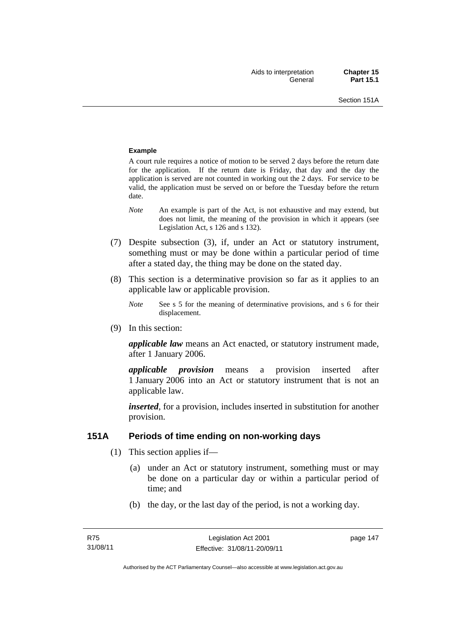#### **Example**

A court rule requires a notice of motion to be served 2 days before the return date for the application. If the return date is Friday, that day and the day the application is served are not counted in working out the 2 days. For service to be valid, the application must be served on or before the Tuesday before the return date.

- *Note* An example is part of the Act, is not exhaustive and may extend, but does not limit, the meaning of the provision in which it appears (see Legislation Act, s 126 and s 132).
- (7) Despite subsection (3), if, under an Act or statutory instrument, something must or may be done within a particular period of time after a stated day, the thing may be done on the stated day.
- (8) This section is a determinative provision so far as it applies to an applicable law or applicable provision.
	- *Note* See s 5 for the meaning of determinative provisions, and s 6 for their displacement.
- (9) In this section:

*applicable law* means an Act enacted, or statutory instrument made, after 1 January 2006.

*applicable provision* means a provision inserted after 1 January 2006 into an Act or statutory instrument that is not an applicable law.

*inserted*, for a provision, includes inserted in substitution for another provision.

# **151A Periods of time ending on non-working days**

- (1) This section applies if—
	- (a) under an Act or statutory instrument, something must or may be done on a particular day or within a particular period of time; and
	- (b) the day, or the last day of the period, is not a working day.

page 147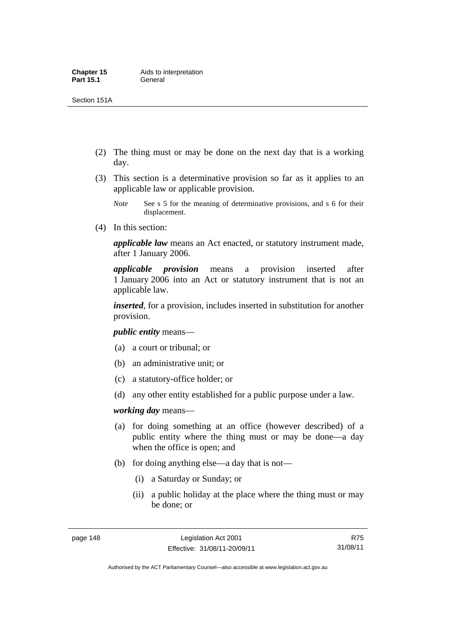Section 151A

- (2) The thing must or may be done on the next day that is a working day.
- (3) This section is a determinative provision so far as it applies to an applicable law or applicable provision.
	- *Note* See s 5 for the meaning of determinative provisions, and s 6 for their displacement.
- (4) In this section:

*applicable law* means an Act enacted, or statutory instrument made, after 1 January 2006.

*applicable provision* means a provision inserted after 1 January 2006 into an Act or statutory instrument that is not an applicable law.

*inserted*, for a provision, includes inserted in substitution for another provision.

*public entity* means—

- (a) a court or tribunal; or
- (b) an administrative unit; or
- (c) a statutory-office holder; or
- (d) any other entity established for a public purpose under a law.

*working day* means—

- (a) for doing something at an office (however described) of a public entity where the thing must or may be done—a day when the office is open; and
- (b) for doing anything else—a day that is not—
	- (i) a Saturday or Sunday; or
	- (ii) a public holiday at the place where the thing must or may be done; or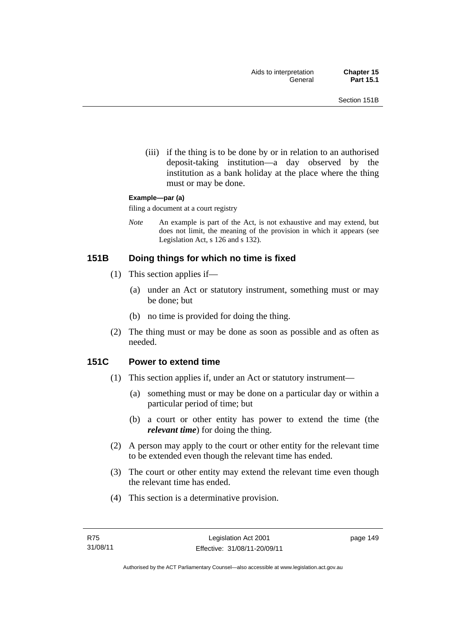(iii) if the thing is to be done by or in relation to an authorised deposit-taking institution—a day observed by the institution as a bank holiday at the place where the thing must or may be done.

#### **Example—par (a)**

filing a document at a court registry

*Note* An example is part of the Act, is not exhaustive and may extend, but does not limit, the meaning of the provision in which it appears (see Legislation Act, s 126 and s 132).

# **151B Doing things for which no time is fixed**

- (1) This section applies if—
	- (a) under an Act or statutory instrument, something must or may be done; but
	- (b) no time is provided for doing the thing.
- (2) The thing must or may be done as soon as possible and as often as needed.

# **151C Power to extend time**

- (1) This section applies if, under an Act or statutory instrument—
	- (a) something must or may be done on a particular day or within a particular period of time; but
	- (b) a court or other entity has power to extend the time (the *relevant time*) for doing the thing.
- (2) A person may apply to the court or other entity for the relevant time to be extended even though the relevant time has ended.
- (3) The court or other entity may extend the relevant time even though the relevant time has ended.
- (4) This section is a determinative provision.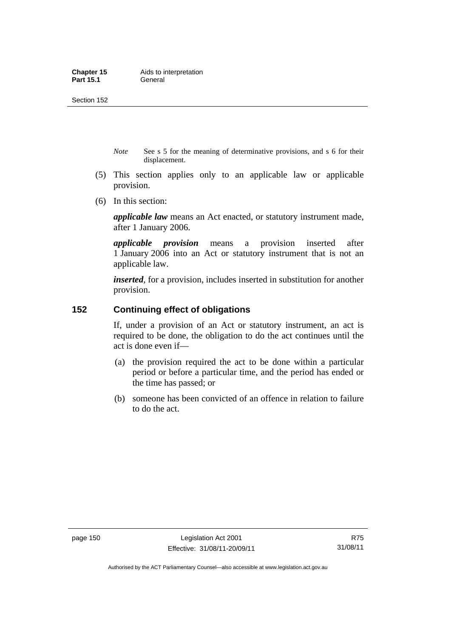- *Note* See s 5 for the meaning of determinative provisions, and s 6 for their displacement.
- (5) This section applies only to an applicable law or applicable provision.
- (6) In this section:

*applicable law* means an Act enacted, or statutory instrument made, after 1 January 2006.

*applicable provision* means a provision inserted after 1 January 2006 into an Act or statutory instrument that is not an applicable law.

*inserted*, for a provision, includes inserted in substitution for another provision.

# **152 Continuing effect of obligations**

If, under a provision of an Act or statutory instrument, an act is required to be done, the obligation to do the act continues until the act is done even if—

- (a) the provision required the act to be done within a particular period or before a particular time, and the period has ended or the time has passed; or
- (b) someone has been convicted of an offence in relation to failure to do the act.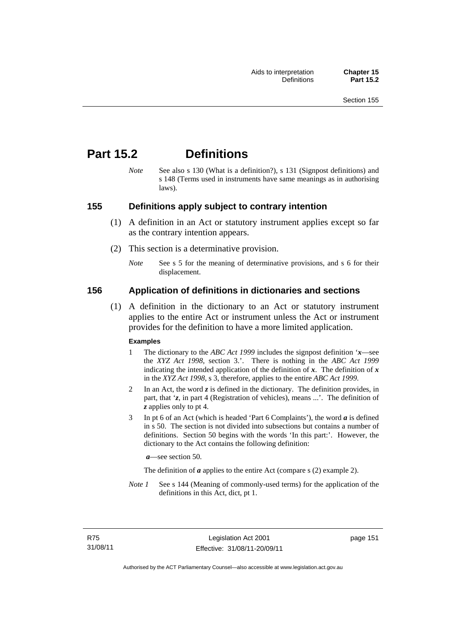# **Part 15.2 Definitions**

*Note* See also s 130 (What is a definition?), s 131 (Signpost definitions) and s 148 (Terms used in instruments have same meanings as in authorising laws).

# **155 Definitions apply subject to contrary intention**

- (1) A definition in an Act or statutory instrument applies except so far as the contrary intention appears.
- (2) This section is a determinative provision.
	- *Note* See s 5 for the meaning of determinative provisions, and s 6 for their displacement.

# **156 Application of definitions in dictionaries and sections**

 (1) A definition in the dictionary to an Act or statutory instrument applies to the entire Act or instrument unless the Act or instrument provides for the definition to have a more limited application.

### **Examples**

- 1 The dictionary to the *ABC Act 1999* includes the signpost definition '*x*—see the *XYZ Act 1998*, section 3.'. There is nothing in the *ABC Act 1999* indicating the intended application of the definition of  $x$ . The definition of  $x$ in the *XYZ Act 1998*, s 3, therefore, applies to the entire *ABC Act 1999*.
- 2 In an Act, the word *z* is defined in the dictionary. The definition provides, in part, that '*z*, in part 4 (Registration of vehicles), means ...'. The definition of *z* applies only to pt 4.
- 3 In pt 6 of an Act (which is headed 'Part 6 Complaints'), the word *a* is defined in s 50. The section is not divided into subsections but contains a number of definitions. Section 50 begins with the words 'In this part:'. However, the dictionary to the Act contains the following definition:

*a*—see section 50.

The definition of *a* applies to the entire Act (compare s (2) example 2).

*Note 1* See s 144 (Meaning of commonly-used terms) for the application of the definitions in this Act, dict, pt 1.

page 151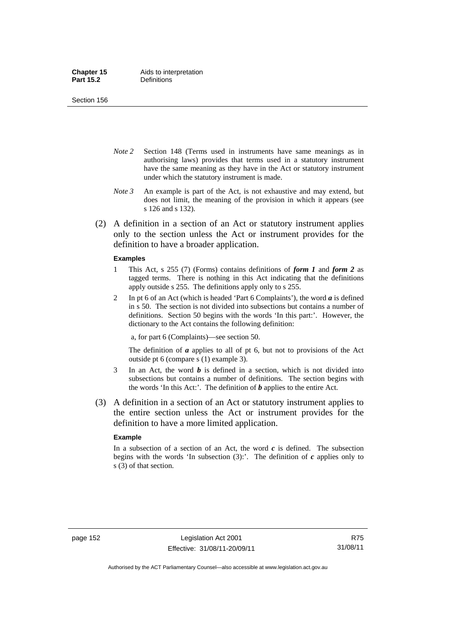Section 156

- *Note 2* Section 148 (Terms used in instruments have same meanings as in authorising laws) provides that terms used in a statutory instrument have the same meaning as they have in the Act or statutory instrument under which the statutory instrument is made.
- *Note 3* An example is part of the Act, is not exhaustive and may extend, but does not limit, the meaning of the provision in which it appears (see s 126 and s 132).
- (2) A definition in a section of an Act or statutory instrument applies only to the section unless the Act or instrument provides for the definition to have a broader application.

#### **Examples**

- 1 This Act, s 255 (7) (Forms) contains definitions of *form 1* and *form 2* as tagged terms. There is nothing in this Act indicating that the definitions apply outside s 255. The definitions apply only to s 255.
- 2 In pt 6 of an Act (which is headed 'Part 6 Complaints'), the word *a* is defined in s 50. The section is not divided into subsections but contains a number of definitions. Section 50 begins with the words 'In this part:'. However, the dictionary to the Act contains the following definition:

a, for part 6 (Complaints)—see section 50.

The definition of *a* applies to all of pt 6, but not to provisions of the Act outside pt 6 (compare s (1) example 3).

- 3 In an Act, the word *b* is defined in a section, which is not divided into subsections but contains a number of definitions. The section begins with the words 'In this Act:'. The definition of *b* applies to the entire Act.
- (3) A definition in a section of an Act or statutory instrument applies to the entire section unless the Act or instrument provides for the definition to have a more limited application.

#### **Example**

In a subsection of a section of an Act, the word *c* is defined. The subsection begins with the words 'In subsection  $(3)$ :'. The definition of  $c$  applies only to s (3) of that section.

R75 31/08/11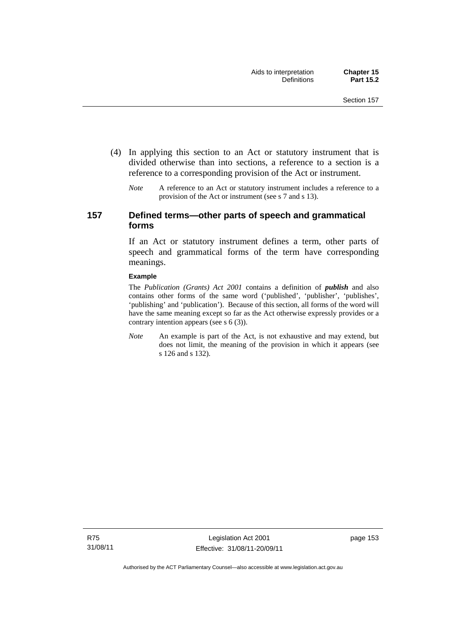- (4) In applying this section to an Act or statutory instrument that is divided otherwise than into sections, a reference to a section is a reference to a corresponding provision of the Act or instrument.
	- *Note* A reference to an Act or statutory instrument includes a reference to a provision of the Act or instrument (see s 7 and s 13).

# **157 Defined terms—other parts of speech and grammatical forms**

If an Act or statutory instrument defines a term, other parts of speech and grammatical forms of the term have corresponding meanings.

#### **Example**

The *Publication (Grants) Act 2001* contains a definition of *publish* and also contains other forms of the same word ('published', 'publisher', 'publishes', 'publishing' and 'publication'). Because of this section, all forms of the word will have the same meaning except so far as the Act otherwise expressly provides or a contrary intention appears (see s 6 (3)).

*Note* An example is part of the Act, is not exhaustive and may extend, but does not limit, the meaning of the provision in which it appears (see s 126 and s 132).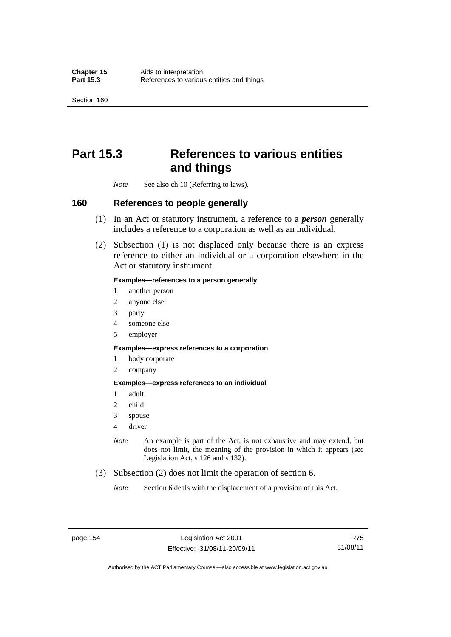Section 160

# **Part 15.3 References to various entities and things**

*Note* See also ch 10 (Referring to laws).

# **160 References to people generally**

- (1) In an Act or statutory instrument, a reference to a *person* generally includes a reference to a corporation as well as an individual.
- (2) Subsection (1) is not displaced only because there is an express reference to either an individual or a corporation elsewhere in the Act or statutory instrument.

### **Examples—references to a person generally**

- 1 another person
- 2 anyone else
- 3 party
- 4 someone else
- 5 employer

#### **Examples—express references to a corporation**

- 1 body corporate
- 2 company

#### **Examples—express references to an individual**

- 1 adult
- 2 child
- 3 spouse
- 4 driver
- *Note* An example is part of the Act, is not exhaustive and may extend, but does not limit, the meaning of the provision in which it appears (see Legislation Act, s 126 and s 132).
- (3) Subsection (2) does not limit the operation of section 6.
	- *Note* Section 6 deals with the displacement of a provision of this Act.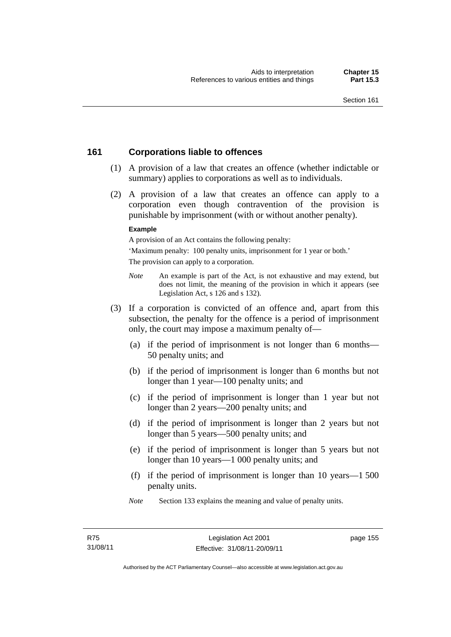# **161 Corporations liable to offences**

- (1) A provision of a law that creates an offence (whether indictable or summary) applies to corporations as well as to individuals.
- (2) A provision of a law that creates an offence can apply to a corporation even though contravention of the provision is punishable by imprisonment (with or without another penalty).

#### **Example**

A provision of an Act contains the following penalty:

'Maximum penalty: 100 penalty units, imprisonment for 1 year or both.' The provision can apply to a corporation.

- *Note* An example is part of the Act, is not exhaustive and may extend, but does not limit, the meaning of the provision in which it appears (see Legislation Act, s 126 and s 132).
- (3) If a corporation is convicted of an offence and, apart from this subsection, the penalty for the offence is a period of imprisonment only, the court may impose a maximum penalty of—
	- (a) if the period of imprisonment is not longer than 6 months— 50 penalty units; and
	- (b) if the period of imprisonment is longer than 6 months but not longer than 1 year—100 penalty units; and
	- (c) if the period of imprisonment is longer than 1 year but not longer than 2 years—200 penalty units; and
	- (d) if the period of imprisonment is longer than 2 years but not longer than 5 years—500 penalty units; and
	- (e) if the period of imprisonment is longer than 5 years but not longer than 10 years—1 000 penalty units; and
	- (f) if the period of imprisonment is longer than 10 years—1 500 penalty units.
	- *Note* Section 133 explains the meaning and value of penalty units.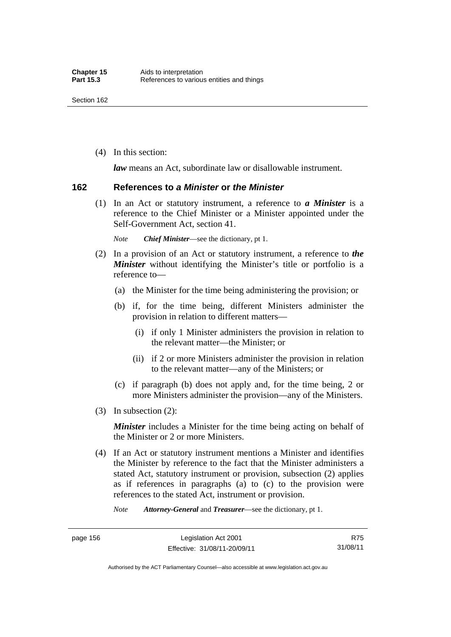(4) In this section:

*law* means an Act, subordinate law or disallowable instrument.

### **162 References to** *a Minister* **or** *the Minister*

 (1) In an Act or statutory instrument, a reference to *a Minister* is a reference to the Chief Minister or a Minister appointed under the Self-Government Act, section 41.

*Note Chief Minister*—see the dictionary, pt 1.

- (2) In a provision of an Act or statutory instrument, a reference to *the Minister* without identifying the Minister's title or portfolio is a reference to—
	- (a) the Minister for the time being administering the provision; or
	- (b) if, for the time being, different Ministers administer the provision in relation to different matters—
		- (i) if only 1 Minister administers the provision in relation to the relevant matter—the Minister; or
		- (ii) if 2 or more Ministers administer the provision in relation to the relevant matter—any of the Ministers; or
	- (c) if paragraph (b) does not apply and, for the time being, 2 or more Ministers administer the provision—any of the Ministers.
- (3) In subsection (2):

*Minister* includes a Minister for the time being acting on behalf of the Minister or 2 or more Ministers.

 (4) If an Act or statutory instrument mentions a Minister and identifies the Minister by reference to the fact that the Minister administers a stated Act, statutory instrument or provision, subsection (2) applies as if references in paragraphs (a) to (c) to the provision were references to the stated Act, instrument or provision.

*Note Attorney-General* and *Treasurer*—see the dictionary, pt 1.

Authorised by the ACT Parliamentary Counsel—also accessible at www.legislation.act.gov.au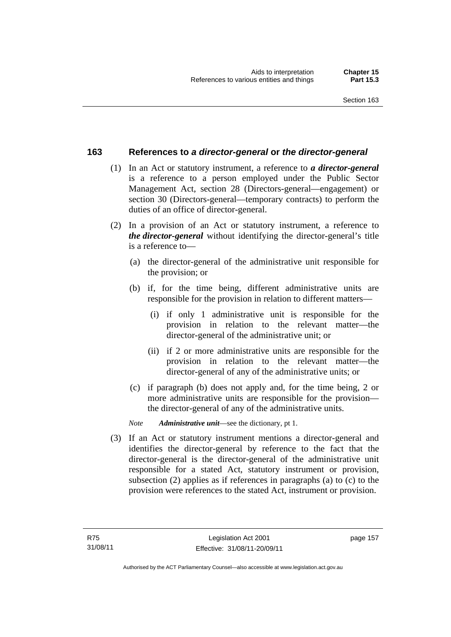# **163 References to** *a director-general* **or** *the director-general*

- (1) In an Act or statutory instrument, a reference to *a director-general* is a reference to a person employed under the Public Sector Management Act, section 28 (Directors-general—engagement) or section 30 (Directors-general—temporary contracts) to perform the duties of an office of director-general.
- (2) In a provision of an Act or statutory instrument, a reference to *the director-general* without identifying the director-general's title is a reference to—
	- (a) the director-general of the administrative unit responsible for the provision; or
	- (b) if, for the time being, different administrative units are responsible for the provision in relation to different matters—
		- (i) if only 1 administrative unit is responsible for the provision in relation to the relevant matter—the director-general of the administrative unit; or
		- (ii) if 2 or more administrative units are responsible for the provision in relation to the relevant matter—the director-general of any of the administrative units; or
	- (c) if paragraph (b) does not apply and, for the time being, 2 or more administrative units are responsible for the provision the director-general of any of the administrative units.
	- *Note Administrative unit*—see the dictionary, pt 1.
- (3) If an Act or statutory instrument mentions a director-general and identifies the director-general by reference to the fact that the director-general is the director-general of the administrative unit responsible for a stated Act, statutory instrument or provision, subsection (2) applies as if references in paragraphs (a) to (c) to the provision were references to the stated Act, instrument or provision.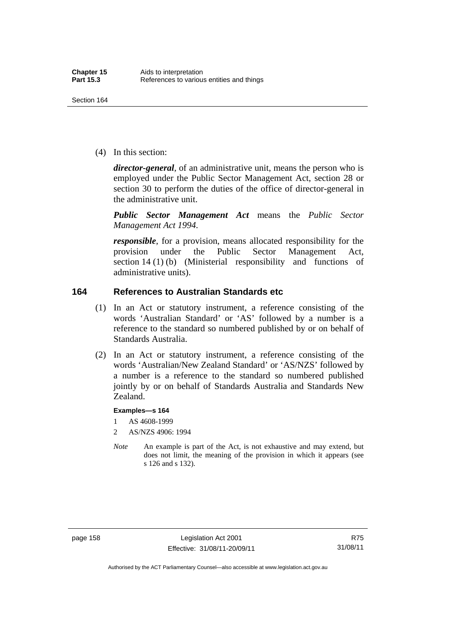(4) In this section:

*director-general*, of an administrative unit, means the person who is employed under the Public Sector Management Act, section 28 or section 30 to perform the duties of the office of director-general in the administrative unit.

*Public Sector Management Act* means the *Public Sector Management Act 1994*.

*responsible*, for a provision, means allocated responsibility for the provision under the Public Sector Management Act, section 14 (1) (b) (Ministerial responsibility and functions of administrative units).

# **164 References to Australian Standards etc**

- (1) In an Act or statutory instrument, a reference consisting of the words 'Australian Standard' or 'AS' followed by a number is a reference to the standard so numbered published by or on behalf of Standards Australia.
- (2) In an Act or statutory instrument, a reference consisting of the words 'Australian/New Zealand Standard' or 'AS/NZS' followed by a number is a reference to the standard so numbered published jointly by or on behalf of Standards Australia and Standards New Zealand.

#### **Examples—s 164**

- 1 AS 4608-1999
- 2 AS/NZS 4906: 1994
- *Note* An example is part of the Act, is not exhaustive and may extend, but does not limit, the meaning of the provision in which it appears (see s 126 and s 132).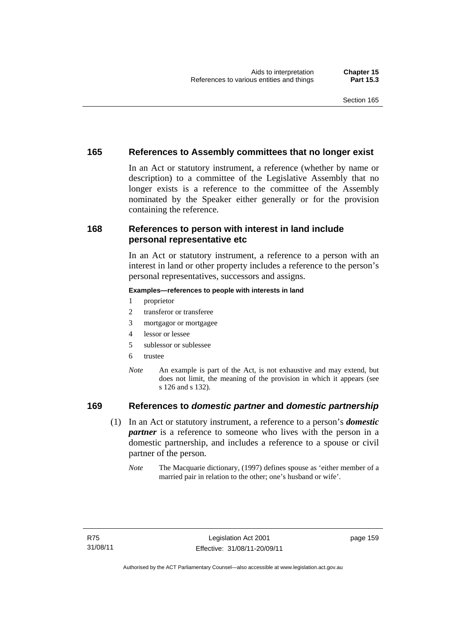# **165 References to Assembly committees that no longer exist**

In an Act or statutory instrument, a reference (whether by name or description) to a committee of the Legislative Assembly that no longer exists is a reference to the committee of the Assembly nominated by the Speaker either generally or for the provision containing the reference.

# **168 References to person with interest in land include personal representative etc**

In an Act or statutory instrument, a reference to a person with an interest in land or other property includes a reference to the person's personal representatives, successors and assigns.

#### **Examples—references to people with interests in land**

- 1 proprietor
- 2 transferor or transferee
- 3 mortgagor or mortgagee
- 4 lessor or lessee
- 5 sublessor or sublessee
- 6 trustee
- *Note* An example is part of the Act, is not exhaustive and may extend, but does not limit, the meaning of the provision in which it appears (see s 126 and s 132).

# **169 References to** *domestic partner* **and** *domestic partnership*

- (1) In an Act or statutory instrument, a reference to a person's *domestic partner* is a reference to someone who lives with the person in a domestic partnership, and includes a reference to a spouse or civil partner of the person.
	- *Note* The Macquarie dictionary, (1997) defines spouse as 'either member of a married pair in relation to the other; one's husband or wife'.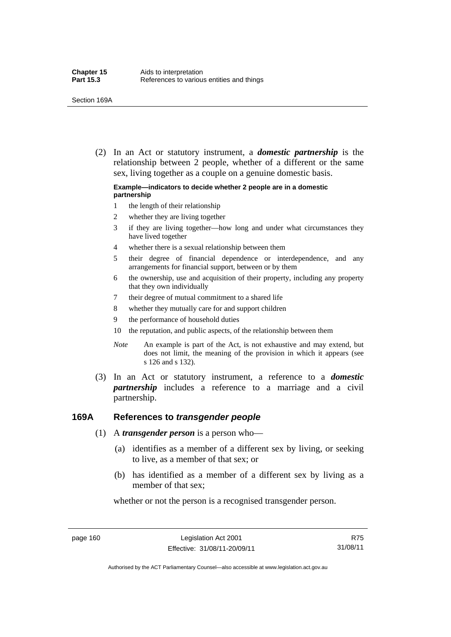(2) In an Act or statutory instrument, a *domestic partnership* is the relationship between 2 people, whether of a different or the same sex, living together as a couple on a genuine domestic basis.

#### **Example—indicators to decide whether 2 people are in a domestic partnership**

- 1 the length of their relationship
- 2 whether they are living together
- 3 if they are living together—how long and under what circumstances they have lived together
- 4 whether there is a sexual relationship between them
- 5 their degree of financial dependence or interdependence, and any arrangements for financial support, between or by them
- 6 the ownership, use and acquisition of their property, including any property that they own individually
- 7 their degree of mutual commitment to a shared life
- 8 whether they mutually care for and support children
- 9 the performance of household duties
- 10 the reputation, and public aspects, of the relationship between them
- *Note* An example is part of the Act, is not exhaustive and may extend, but does not limit, the meaning of the provision in which it appears (see s 126 and s 132).
- (3) In an Act or statutory instrument, a reference to a *domestic partnership* includes a reference to a marriage and a civil partnership.

# **169A References to** *transgender people*

- (1) A *transgender person* is a person who—
	- (a) identifies as a member of a different sex by living, or seeking to live, as a member of that sex; or
	- (b) has identified as a member of a different sex by living as a member of that sex;

whether or not the person is a recognised transgender person.

page 160 Legislation Act 2001 Effective: 31/08/11-20/09/11

Authorised by the ACT Parliamentary Counsel—also accessible at www.legislation.act.gov.au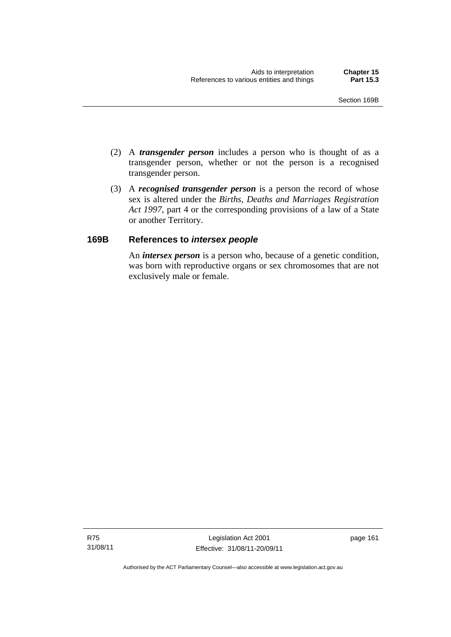- (2) A *transgender person* includes a person who is thought of as a transgender person, whether or not the person is a recognised transgender person.
- (3) A *recognised transgender person* is a person the record of whose sex is altered under the *Births, Deaths and Marriages Registration Act 1997*, part 4 or the corresponding provisions of a law of a State or another Territory.

# **169B References to** *intersex people*

An *intersex person* is a person who, because of a genetic condition, was born with reproductive organs or sex chromosomes that are not exclusively male or female.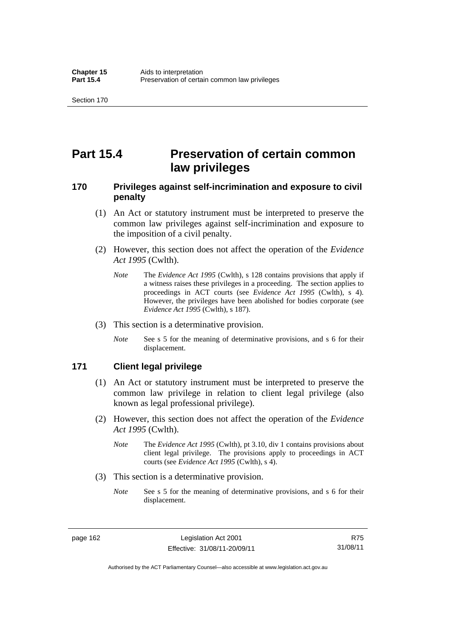# **Part 15.4 Preservation of certain common law privileges**

# **170 Privileges against self-incrimination and exposure to civil penalty**

- (1) An Act or statutory instrument must be interpreted to preserve the common law privileges against self-incrimination and exposure to the imposition of a civil penalty.
- (2) However, this section does not affect the operation of the *Evidence Act 1995* (Cwlth).
	- *Note* The *Evidence Act 1995* (Cwlth), s 128 contains provisions that apply if a witness raises these privileges in a proceeding. The section applies to proceedings in ACT courts (see *Evidence Act 1995* (Cwlth), s 4). However, the privileges have been abolished for bodies corporate (see *Evidence Act 1995* (Cwlth), s 187).
- (3) This section is a determinative provision.
	- *Note* See s 5 for the meaning of determinative provisions, and s 6 for their displacement.

# **171 Client legal privilege**

- (1) An Act or statutory instrument must be interpreted to preserve the common law privilege in relation to client legal privilege (also known as legal professional privilege).
- (2) However, this section does not affect the operation of the *Evidence Act 1995* (Cwlth).
	- *Note* The *Evidence Act 1995* (Cwlth), pt 3.10, div 1 contains provisions about client legal privilege. The provisions apply to proceedings in ACT courts (see *Evidence Act 1995* (Cwlth), s 4).
- (3) This section is a determinative provision.
	- *Note* See s 5 for the meaning of determinative provisions, and s 6 for their displacement.

page 162 Legislation Act 2001 Effective: 31/08/11-20/09/11

R75 31/08/11

Authorised by the ACT Parliamentary Counsel—also accessible at www.legislation.act.gov.au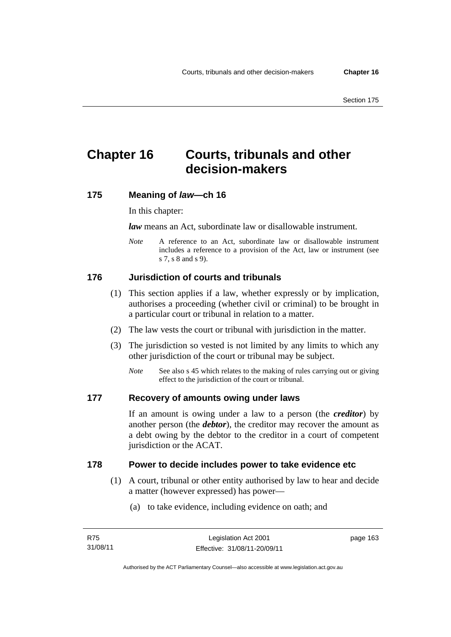# **Chapter 16 Courts, tribunals and other decision-makers**

# **175 Meaning of** *law***—ch 16**

In this chapter:

*law* means an Act, subordinate law or disallowable instrument.

*Note* A reference to an Act, subordinate law or disallowable instrument includes a reference to a provision of the Act, law or instrument (see s 7, s 8 and s 9).

# **176 Jurisdiction of courts and tribunals**

- (1) This section applies if a law, whether expressly or by implication, authorises a proceeding (whether civil or criminal) to be brought in a particular court or tribunal in relation to a matter.
- (2) The law vests the court or tribunal with jurisdiction in the matter.
- (3) The jurisdiction so vested is not limited by any limits to which any other jurisdiction of the court or tribunal may be subject.
	- *Note* See also s 45 which relates to the making of rules carrying out or giving effect to the jurisdiction of the court or tribunal.

# **177 Recovery of amounts owing under laws**

If an amount is owing under a law to a person (the *creditor*) by another person (the *debtor*), the creditor may recover the amount as a debt owing by the debtor to the creditor in a court of competent jurisdiction or the ACAT.

# **178 Power to decide includes power to take evidence etc**

- (1) A court, tribunal or other entity authorised by law to hear and decide a matter (however expressed) has power—
	- (a) to take evidence, including evidence on oath; and

page 163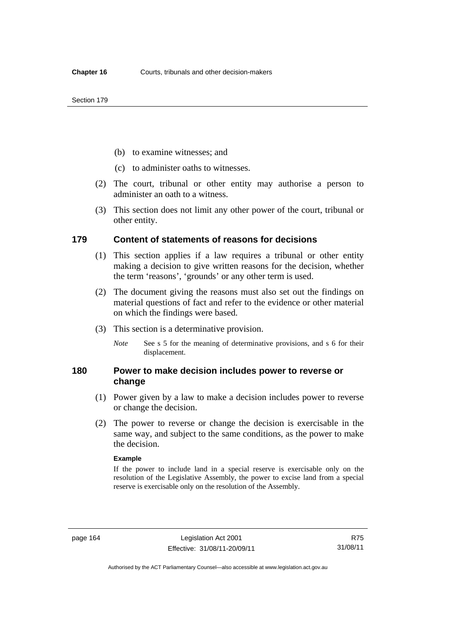- (b) to examine witnesses; and
- (c) to administer oaths to witnesses.
- (2) The court, tribunal or other entity may authorise a person to administer an oath to a witness.
- (3) This section does not limit any other power of the court, tribunal or other entity.

# **179 Content of statements of reasons for decisions**

- (1) This section applies if a law requires a tribunal or other entity making a decision to give written reasons for the decision, whether the term 'reasons', 'grounds' or any other term is used.
- (2) The document giving the reasons must also set out the findings on material questions of fact and refer to the evidence or other material on which the findings were based.
- (3) This section is a determinative provision.
	- *Note* See s 5 for the meaning of determinative provisions, and s 6 for their displacement.

# **180 Power to make decision includes power to reverse or change**

- (1) Power given by a law to make a decision includes power to reverse or change the decision.
- (2) The power to reverse or change the decision is exercisable in the same way, and subject to the same conditions, as the power to make the decision.

#### **Example**

If the power to include land in a special reserve is exercisable only on the resolution of the Legislative Assembly, the power to excise land from a special reserve is exercisable only on the resolution of the Assembly.

R75 31/08/11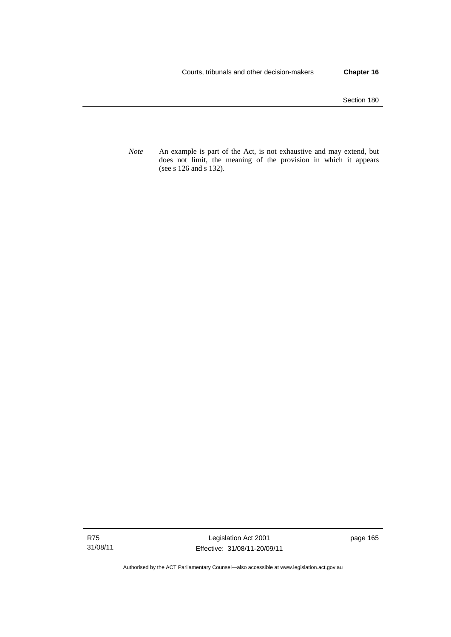Section 180

*Note* An example is part of the Act, is not exhaustive and may extend, but does not limit, the meaning of the provision in which it appears (see s 126 and s 132).

R75 31/08/11

Legislation Act 2001 Effective: 31/08/11-20/09/11 page 165

Authorised by the ACT Parliamentary Counsel—also accessible at www.legislation.act.gov.au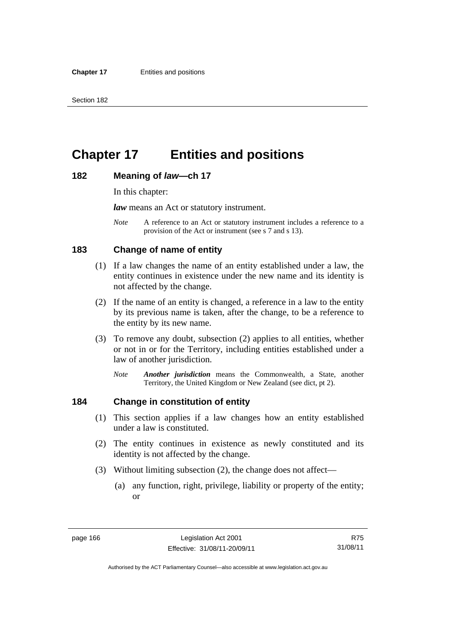# **Chapter 17 Entities and positions**

#### **182 Meaning of** *law***—ch 17**

In this chapter:

*law* means an Act or statutory instrument.

*Note* A reference to an Act or statutory instrument includes a reference to a provision of the Act or instrument (see s 7 and s 13).

#### **183 Change of name of entity**

- (1) If a law changes the name of an entity established under a law, the entity continues in existence under the new name and its identity is not affected by the change.
- (2) If the name of an entity is changed, a reference in a law to the entity by its previous name is taken, after the change, to be a reference to the entity by its new name.
- (3) To remove any doubt, subsection (2) applies to all entities, whether or not in or for the Territory, including entities established under a law of another jurisdiction.
	- *Note Another jurisdiction* means the Commonwealth, a State, another Territory, the United Kingdom or New Zealand (see dict, pt 2).

#### **184 Change in constitution of entity**

- (1) This section applies if a law changes how an entity established under a law is constituted.
- (2) The entity continues in existence as newly constituted and its identity is not affected by the change.
- (3) Without limiting subsection (2), the change does not affect—
	- (a) any function, right, privilege, liability or property of the entity; or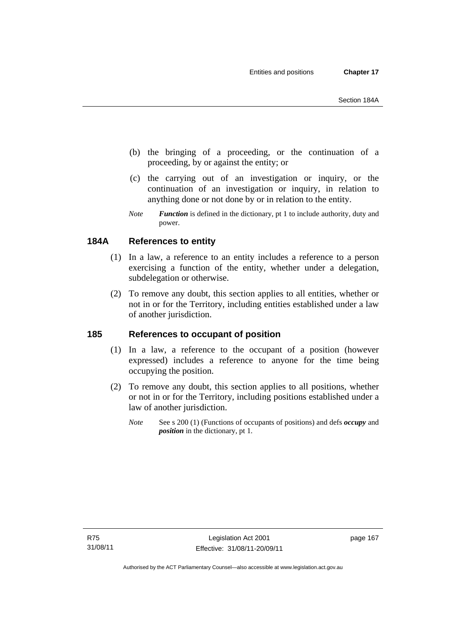- (b) the bringing of a proceeding, or the continuation of a proceeding, by or against the entity; or
- (c) the carrying out of an investigation or inquiry, or the continuation of an investigation or inquiry, in relation to anything done or not done by or in relation to the entity.
- *Note Function* is defined in the dictionary, pt 1 to include authority, duty and power.

## **184A References to entity**

- (1) In a law, a reference to an entity includes a reference to a person exercising a function of the entity, whether under a delegation, subdelegation or otherwise.
- (2) To remove any doubt, this section applies to all entities, whether or not in or for the Territory, including entities established under a law of another jurisdiction.

## **185 References to occupant of position**

- (1) In a law, a reference to the occupant of a position (however expressed) includes a reference to anyone for the time being occupying the position.
- (2) To remove any doubt, this section applies to all positions, whether or not in or for the Territory, including positions established under a law of another jurisdiction.
	- *Note* See s 200 (1) (Functions of occupants of positions) and defs *occupy* and *position* in the dictionary, pt 1.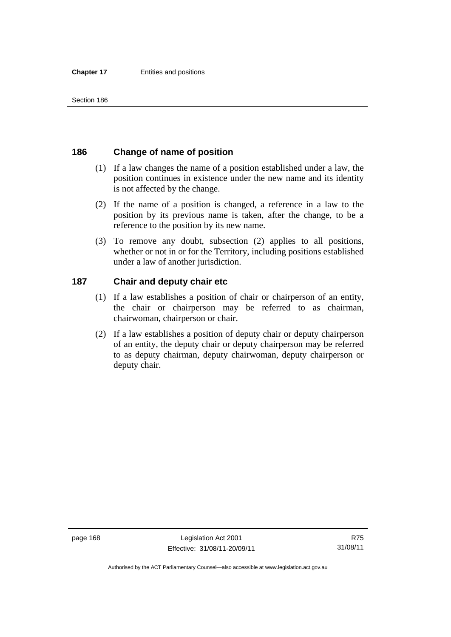## **186 Change of name of position**

- (1) If a law changes the name of a position established under a law, the position continues in existence under the new name and its identity is not affected by the change.
- (2) If the name of a position is changed, a reference in a law to the position by its previous name is taken, after the change, to be a reference to the position by its new name.
- (3) To remove any doubt, subsection (2) applies to all positions, whether or not in or for the Territory, including positions established under a law of another jurisdiction.

### **187 Chair and deputy chair etc**

- (1) If a law establishes a position of chair or chairperson of an entity, the chair or chairperson may be referred to as chairman, chairwoman, chairperson or chair.
- (2) If a law establishes a position of deputy chair or deputy chairperson of an entity, the deputy chair or deputy chairperson may be referred to as deputy chairman, deputy chairwoman, deputy chairperson or deputy chair.

Authorised by the ACT Parliamentary Counsel—also accessible at www.legislation.act.gov.au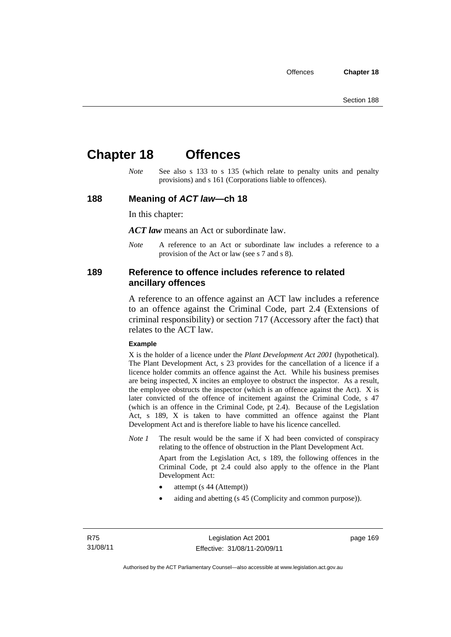# **Chapter 18 Offences**

*Note* See also s 133 to s 135 (which relate to penalty units and penalty provisions) and s 161 (Corporations liable to offences).

#### **188 Meaning of** *ACT law***—ch 18**

In this chapter:

*ACT law* means an Act or subordinate law.

*Note* A reference to an Act or subordinate law includes a reference to a provision of the Act or law (see s 7 and s 8).

#### **189 Reference to offence includes reference to related ancillary offences**

A reference to an offence against an ACT law includes a reference to an offence against the Criminal Code, part 2.4 (Extensions of criminal responsibility) or section 717 (Accessory after the fact) that relates to the ACT law.

#### **Example**

X is the holder of a licence under the *Plant Development Act 2001* (hypothetical). The Plant Development Act, s 23 provides for the cancellation of a licence if a licence holder commits an offence against the Act. While his business premises are being inspected, X incites an employee to obstruct the inspector. As a result, the employee obstructs the inspector (which is an offence against the Act). X is later convicted of the offence of incitement against the Criminal Code, s 47 (which is an offence in the Criminal Code, pt 2.4). Because of the Legislation Act, s 189, X is taken to have committed an offence against the Plant Development Act and is therefore liable to have his licence cancelled.

*Note 1* The result would be the same if X had been convicted of conspiracy relating to the offence of obstruction in the Plant Development Act.

> Apart from the Legislation Act, s 189, the following offences in the Criminal Code, pt 2.4 could also apply to the offence in the Plant Development Act:

- attempt (s 44 (Attempt))
- aiding and abetting (s 45 (Complicity and common purpose)).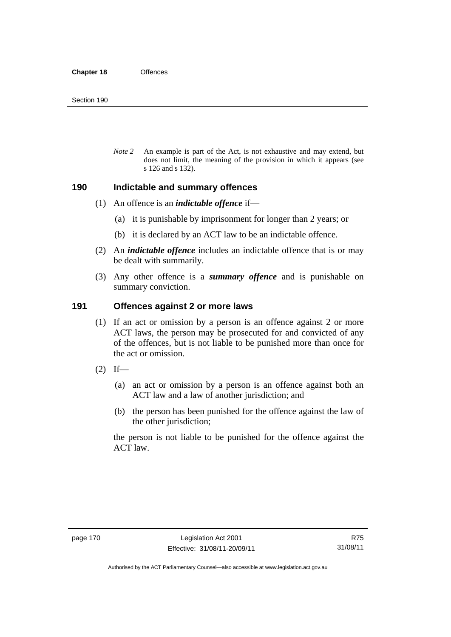*Note 2* An example is part of the Act, is not exhaustive and may extend, but does not limit, the meaning of the provision in which it appears (see s 126 and s 132).

#### **190 Indictable and summary offences**

- (1) An offence is an *indictable offence* if—
	- (a) it is punishable by imprisonment for longer than 2 years; or
	- (b) it is declared by an ACT law to be an indictable offence.
- (2) An *indictable offence* includes an indictable offence that is or may be dealt with summarily.
- (3) Any other offence is a *summary offence* and is punishable on summary conviction.

#### **191 Offences against 2 or more laws**

- (1) If an act or omission by a person is an offence against 2 or more ACT laws, the person may be prosecuted for and convicted of any of the offences, but is not liable to be punished more than once for the act or omission.
- $(2)$  If—
	- (a) an act or omission by a person is an offence against both an ACT law and a law of another jurisdiction; and
	- (b) the person has been punished for the offence against the law of the other jurisdiction;

the person is not liable to be punished for the offence against the ACT law.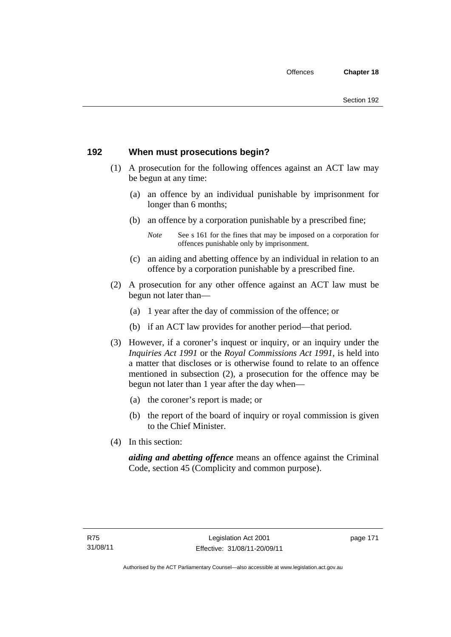## **192 When must prosecutions begin?**

- (1) A prosecution for the following offences against an ACT law may be begun at any time:
	- (a) an offence by an individual punishable by imprisonment for longer than 6 months;
	- (b) an offence by a corporation punishable by a prescribed fine;
		- *Note* See s 161 for the fines that may be imposed on a corporation for offences punishable only by imprisonment.
	- (c) an aiding and abetting offence by an individual in relation to an offence by a corporation punishable by a prescribed fine.
- (2) A prosecution for any other offence against an ACT law must be begun not later than—
	- (a) 1 year after the day of commission of the offence; or
	- (b) if an ACT law provides for another period—that period.
- (3) However, if a coroner's inquest or inquiry, or an inquiry under the *Inquiries Act 1991* or the *Royal Commissions Act 1991*, is held into a matter that discloses or is otherwise found to relate to an offence mentioned in subsection (2), a prosecution for the offence may be begun not later than 1 year after the day when—
	- (a) the coroner's report is made; or
	- (b) the report of the board of inquiry or royal commission is given to the Chief Minister.
- (4) In this section:

*aiding and abetting offence* means an offence against the Criminal Code, section 45 (Complicity and common purpose).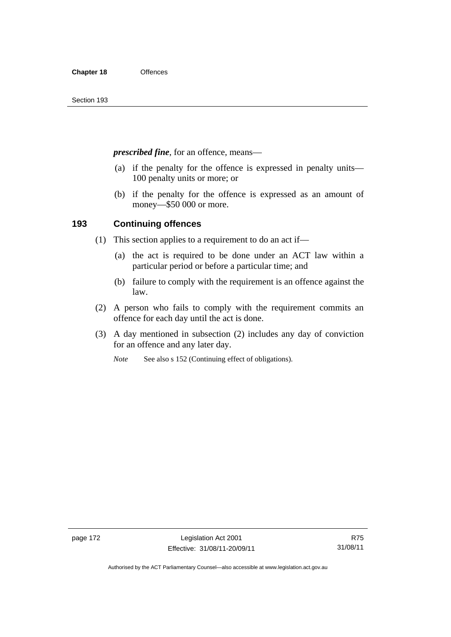*prescribed fine*, for an offence, means—

- (a) if the penalty for the offence is expressed in penalty units— 100 penalty units or more; or
- (b) if the penalty for the offence is expressed as an amount of money—\$50 000 or more.

### **193 Continuing offences**

- (1) This section applies to a requirement to do an act if—
	- (a) the act is required to be done under an ACT law within a particular period or before a particular time; and
	- (b) failure to comply with the requirement is an offence against the law.
- (2) A person who fails to comply with the requirement commits an offence for each day until the act is done.
- (3) A day mentioned in subsection (2) includes any day of conviction for an offence and any later day.

*Note* See also s 152 (Continuing effect of obligations).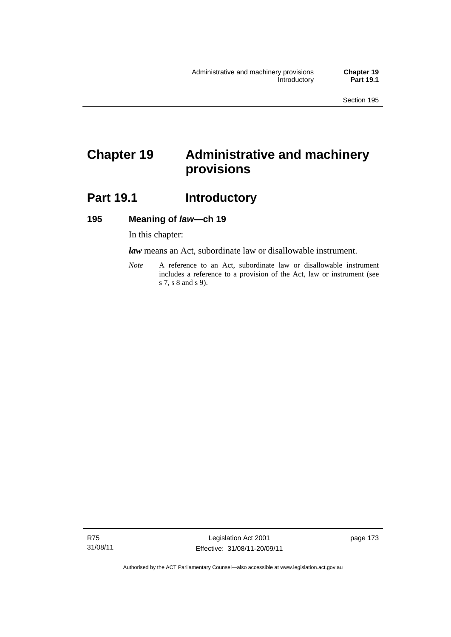# **Chapter 19 Administrative and machinery provisions**

# **Part 19.1 Introductory**

#### **195 Meaning of** *law***—ch 19**

In this chapter:

*law* means an Act, subordinate law or disallowable instrument.

*Note* A reference to an Act, subordinate law or disallowable instrument includes a reference to a provision of the Act, law or instrument (see s 7, s 8 and s 9).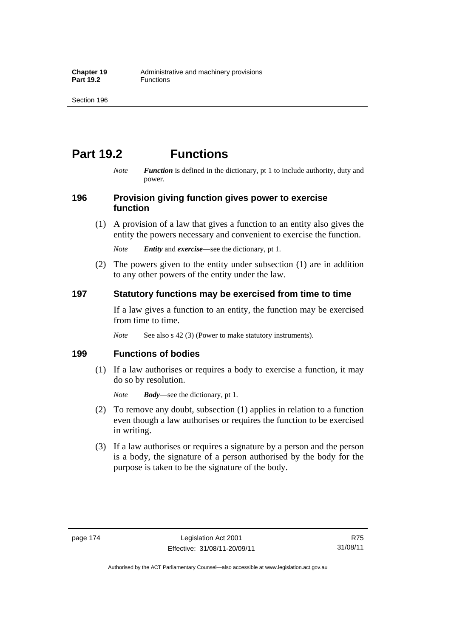# **Part 19.2 Functions**

*Note Function* is defined in the dictionary, pt 1 to include authority, duty and power.

#### **196 Provision giving function gives power to exercise function**

 (1) A provision of a law that gives a function to an entity also gives the entity the powers necessary and convenient to exercise the function.

*Note Entity* and *exercise*—see the dictionary, pt 1.

 (2) The powers given to the entity under subsection (1) are in addition to any other powers of the entity under the law.

### **197 Statutory functions may be exercised from time to time**

If a law gives a function to an entity, the function may be exercised from time to time.

*Note* See also s 42 (3) (Power to make statutory instruments).

#### **199 Functions of bodies**

 (1) If a law authorises or requires a body to exercise a function, it may do so by resolution.

*Note Body*—see the dictionary, pt 1.

- (2) To remove any doubt, subsection (1) applies in relation to a function even though a law authorises or requires the function to be exercised in writing.
- (3) If a law authorises or requires a signature by a person and the person is a body, the signature of a person authorised by the body for the purpose is taken to be the signature of the body.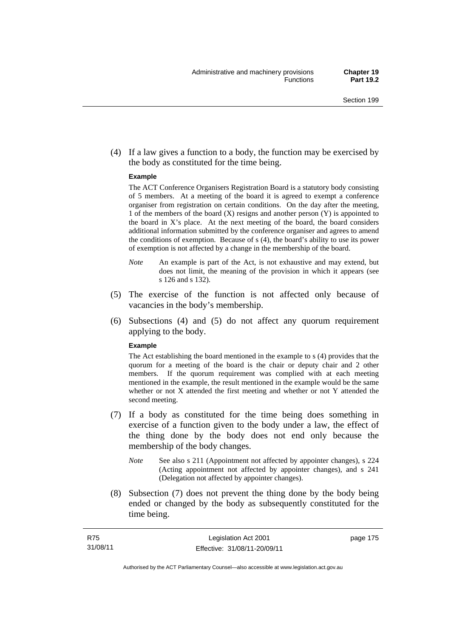(4) If a law gives a function to a body, the function may be exercised by the body as constituted for the time being.

#### **Example**

The ACT Conference Organisers Registration Board is a statutory body consisting of 5 members. At a meeting of the board it is agreed to exempt a conference organiser from registration on certain conditions. On the day after the meeting, 1 of the members of the board (X) resigns and another person (Y) is appointed to the board in  $X$ 's place. At the next meeting of the board, the board considers additional information submitted by the conference organiser and agrees to amend the conditions of exemption. Because of s (4), the board's ability to use its power of exemption is not affected by a change in the membership of the board.

- *Note* An example is part of the Act, is not exhaustive and may extend, but does not limit, the meaning of the provision in which it appears (see s 126 and s 132).
- (5) The exercise of the function is not affected only because of vacancies in the body's membership.
- (6) Subsections (4) and (5) do not affect any quorum requirement applying to the body.

#### **Example**

The Act establishing the board mentioned in the example to s (4) provides that the quorum for a meeting of the board is the chair or deputy chair and 2 other members. If the quorum requirement was complied with at each meeting mentioned in the example, the result mentioned in the example would be the same whether or not X attended the first meeting and whether or not Y attended the second meeting.

- (7) If a body as constituted for the time being does something in exercise of a function given to the body under a law, the effect of the thing done by the body does not end only because the membership of the body changes.
	- *Note* See also s 211 (Appointment not affected by appointer changes), s 224 (Acting appointment not affected by appointer changes), and s 241 (Delegation not affected by appointer changes).
- (8) Subsection (7) does not prevent the thing done by the body being ended or changed by the body as subsequently constituted for the time being.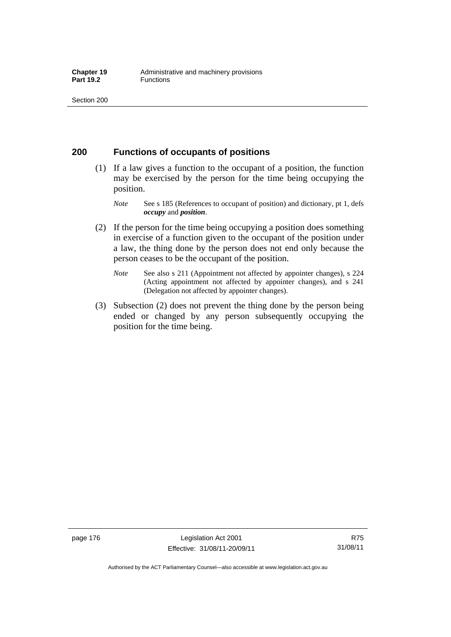### **200 Functions of occupants of positions**

- (1) If a law gives a function to the occupant of a position, the function may be exercised by the person for the time being occupying the position.
	- *Note* See s 185 (References to occupant of position) and dictionary, pt 1, defs *occupy* and *position*.
- (2) If the person for the time being occupying a position does something in exercise of a function given to the occupant of the position under a law, the thing done by the person does not end only because the person ceases to be the occupant of the position.
	- *Note* See also s 211 (Appointment not affected by appointer changes), s 224 (Acting appointment not affected by appointer changes), and s 241 (Delegation not affected by appointer changes).
- (3) Subsection (2) does not prevent the thing done by the person being ended or changed by any person subsequently occupying the position for the time being.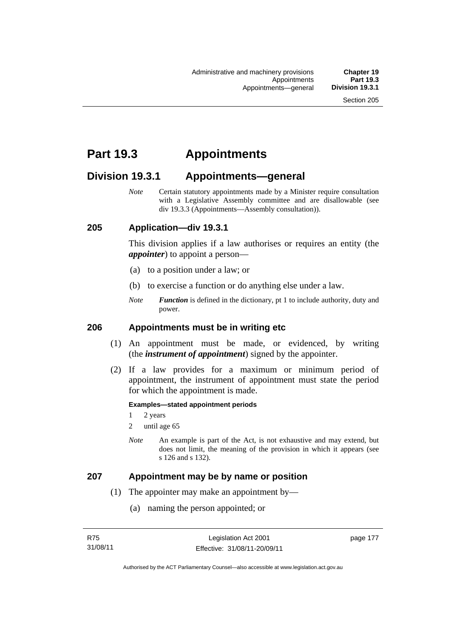# **Part 19.3 Appointments**

## **Division 19.3.1 Appointments—general**

*Note* Certain statutory appointments made by a Minister require consultation with a Legislative Assembly committee and are disallowable (see div 19.3.3 (Appointments—Assembly consultation)).

#### **205 Application—div 19.3.1**

This division applies if a law authorises or requires an entity (the *appointer*) to appoint a person—

- (a) to a position under a law; or
- (b) to exercise a function or do anything else under a law.
- *Note Function* is defined in the dictionary, pt 1 to include authority, duty and power.

#### **206 Appointments must be in writing etc**

- (1) An appointment must be made, or evidenced, by writing (the *instrument of appointment*) signed by the appointer.
- (2) If a law provides for a maximum or minimum period of appointment, the instrument of appointment must state the period for which the appointment is made.

#### **Examples—stated appointment periods**

- 1 2 years
- 2 until age 65
- *Note* An example is part of the Act, is not exhaustive and may extend, but does not limit, the meaning of the provision in which it appears (see s 126 and s 132).

#### **207 Appointment may be by name or position**

- (1) The appointer may make an appointment by—
	- (a) naming the person appointed; or

page 177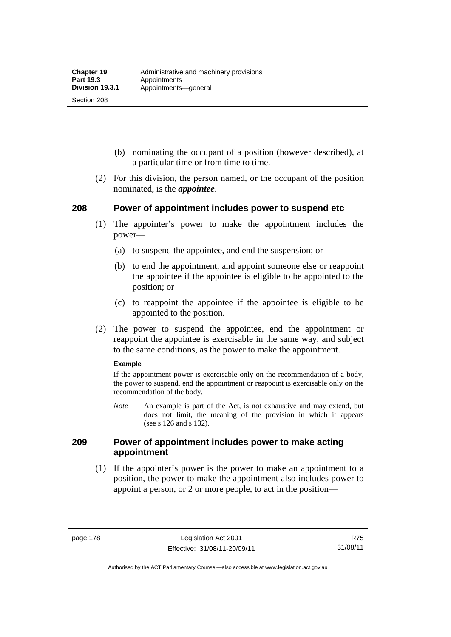Section 208

- (b) nominating the occupant of a position (however described), at a particular time or from time to time.
- (2) For this division, the person named, or the occupant of the position nominated, is the *appointee*.

### **208 Power of appointment includes power to suspend etc**

- (1) The appointer's power to make the appointment includes the power—
	- (a) to suspend the appointee, and end the suspension; or
	- (b) to end the appointment, and appoint someone else or reappoint the appointee if the appointee is eligible to be appointed to the position; or
	- (c) to reappoint the appointee if the appointee is eligible to be appointed to the position.
- (2) The power to suspend the appointee, end the appointment or reappoint the appointee is exercisable in the same way, and subject to the same conditions, as the power to make the appointment.

#### **Example**

If the appointment power is exercisable only on the recommendation of a body, the power to suspend, end the appointment or reappoint is exercisable only on the recommendation of the body.

*Note* An example is part of the Act, is not exhaustive and may extend, but does not limit, the meaning of the provision in which it appears (see s 126 and s 132).

#### **209 Power of appointment includes power to make acting appointment**

 (1) If the appointer's power is the power to make an appointment to a position, the power to make the appointment also includes power to appoint a person, or 2 or more people, to act in the position—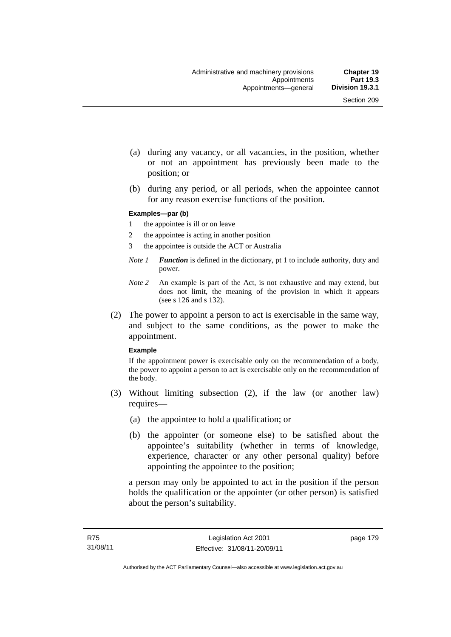- (a) during any vacancy, or all vacancies, in the position, whether or not an appointment has previously been made to the position; or
- (b) during any period, or all periods, when the appointee cannot for any reason exercise functions of the position.

#### **Examples—par (b)**

- 1 the appointee is ill or on leave
- 2 the appointee is acting in another position
- 3 the appointee is outside the ACT or Australia
- *Note 1 Function* is defined in the dictionary, pt 1 to include authority, duty and power.
- *Note 2* An example is part of the Act, is not exhaustive and may extend, but does not limit, the meaning of the provision in which it appears (see s 126 and s 132).
- (2) The power to appoint a person to act is exercisable in the same way, and subject to the same conditions, as the power to make the appointment.

#### **Example**

If the appointment power is exercisable only on the recommendation of a body, the power to appoint a person to act is exercisable only on the recommendation of the body.

- (3) Without limiting subsection (2), if the law (or another law) requires—
	- (a) the appointee to hold a qualification; or
	- (b) the appointer (or someone else) to be satisfied about the appointee's suitability (whether in terms of knowledge, experience, character or any other personal quality) before appointing the appointee to the position;

a person may only be appointed to act in the position if the person holds the qualification or the appointer (or other person) is satisfied about the person's suitability.

page 179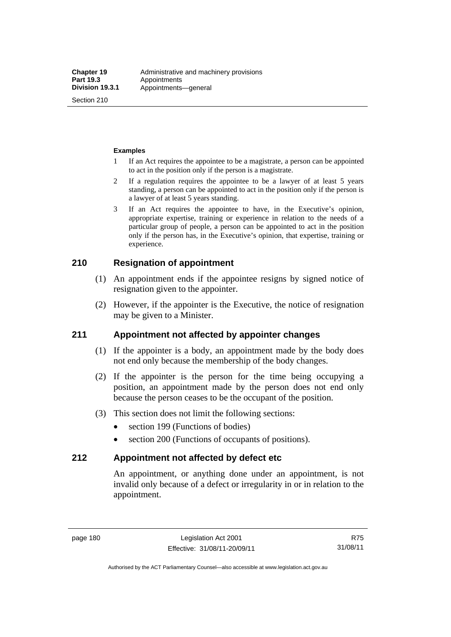Section 210

#### **Examples**

- 1 If an Act requires the appointee to be a magistrate, a person can be appointed to act in the position only if the person is a magistrate.
- 2 If a regulation requires the appointee to be a lawyer of at least 5 years standing, a person can be appointed to act in the position only if the person is a lawyer of at least 5 years standing.
- 3 If an Act requires the appointee to have, in the Executive's opinion, appropriate expertise, training or experience in relation to the needs of a particular group of people, a person can be appointed to act in the position only if the person has, in the Executive's opinion, that expertise, training or experience.

## **210 Resignation of appointment**

- (1) An appointment ends if the appointee resigns by signed notice of resignation given to the appointer.
- (2) However, if the appointer is the Executive, the notice of resignation may be given to a Minister.

#### **211 Appointment not affected by appointer changes**

- (1) If the appointer is a body, an appointment made by the body does not end only because the membership of the body changes.
- (2) If the appointer is the person for the time being occupying a position, an appointment made by the person does not end only because the person ceases to be the occupant of the position.
- (3) This section does not limit the following sections:
	- section 199 (Functions of bodies)
	- section 200 (Functions of occupants of positions).

#### **212 Appointment not affected by defect etc**

An appointment, or anything done under an appointment, is not invalid only because of a defect or irregularity in or in relation to the appointment.

R75 31/08/11

Authorised by the ACT Parliamentary Counsel—also accessible at www.legislation.act.gov.au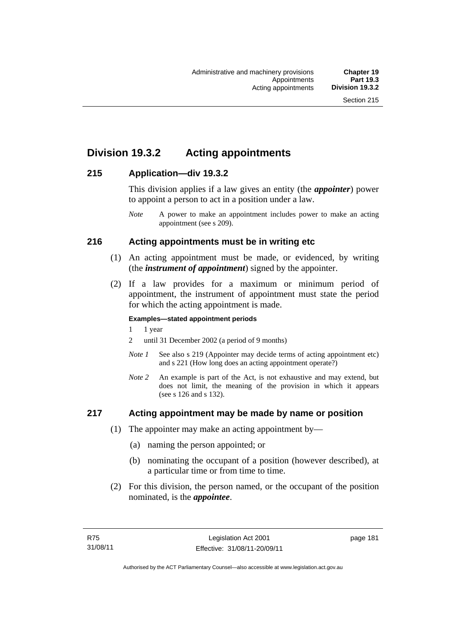## **Division 19.3.2 Acting appointments**

### **215 Application—div 19.3.2**

This division applies if a law gives an entity (the *appointer*) power to appoint a person to act in a position under a law.

## **216 Acting appointments must be in writing etc**

- (1) An acting appointment must be made, or evidenced, by writing (the *instrument of appointment*) signed by the appointer.
- (2) If a law provides for a maximum or minimum period of appointment, the instrument of appointment must state the period for which the acting appointment is made.

#### **Examples—stated appointment periods**

- 1 1 year
- 2 until 31 December 2002 (a period of 9 months)
- *Note 1* See also s 219 (Appointer may decide terms of acting appointment etc) and s 221 (How long does an acting appointment operate?)
- *Note 2* An example is part of the Act, is not exhaustive and may extend, but does not limit, the meaning of the provision in which it appears (see s 126 and s 132).

#### **217 Acting appointment may be made by name or position**

- (1) The appointer may make an acting appointment by—
	- (a) naming the person appointed; or
	- (b) nominating the occupant of a position (however described), at a particular time or from time to time.
- (2) For this division, the person named, or the occupant of the position nominated, is the *appointee*.

*Note* A power to make an appointment includes power to make an acting appointment (see s 209).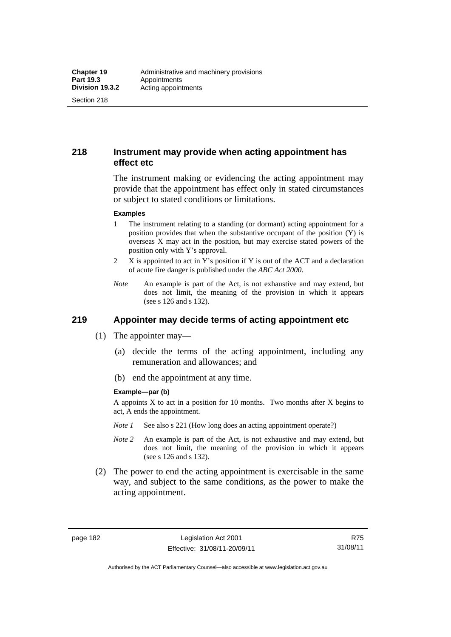Section 218

## **218 Instrument may provide when acting appointment has effect etc**

The instrument making or evidencing the acting appointment may provide that the appointment has effect only in stated circumstances or subject to stated conditions or limitations.

#### **Examples**

- 1 The instrument relating to a standing (or dormant) acting appointment for a position provides that when the substantive occupant of the position (Y) is overseas X may act in the position, but may exercise stated powers of the position only with Y's approval.
- 2 X is appointed to act in Y's position if Y is out of the ACT and a declaration of acute fire danger is published under the *ABC Act 2000*.
- *Note* An example is part of the Act, is not exhaustive and may extend, but does not limit, the meaning of the provision in which it appears (see s 126 and s 132).

## **219 Appointer may decide terms of acting appointment etc**

- (1) The appointer may—
	- (a) decide the terms of the acting appointment, including any remuneration and allowances; and
	- (b) end the appointment at any time.

#### **Example—par (b)**

A appoints X to act in a position for 10 months. Two months after X begins to act, A ends the appointment.

- *Note 1* See also s 221 (How long does an acting appointment operate?)
- *Note 2* An example is part of the Act, is not exhaustive and may extend, but does not limit, the meaning of the provision in which it appears (see s 126 and s 132).
- (2) The power to end the acting appointment is exercisable in the same way, and subject to the same conditions, as the power to make the acting appointment.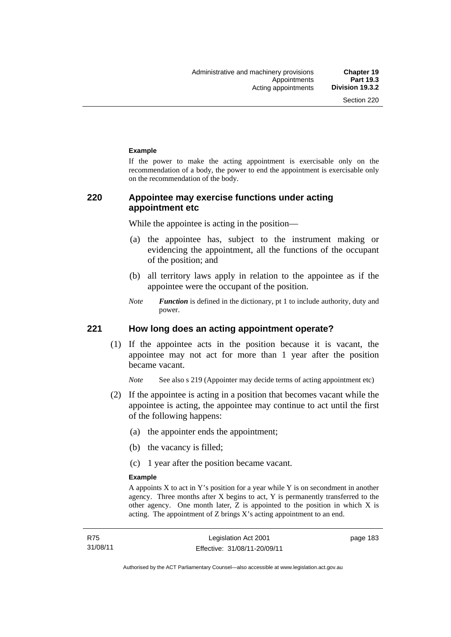#### **Example**

If the power to make the acting appointment is exercisable only on the recommendation of a body, the power to end the appointment is exercisable only on the recommendation of the body.

## **220 Appointee may exercise functions under acting appointment etc**

While the appointee is acting in the position—

- (a) the appointee has, subject to the instrument making or evidencing the appointment, all the functions of the occupant of the position; and
- (b) all territory laws apply in relation to the appointee as if the appointee were the occupant of the position.
- *Note Function* is defined in the dictionary, pt 1 to include authority, duty and power.

#### **221 How long does an acting appointment operate?**

 (1) If the appointee acts in the position because it is vacant, the appointee may not act for more than 1 year after the position became vacant.

*Note* See also s 219 (Appointer may decide terms of acting appointment etc)

- (2) If the appointee is acting in a position that becomes vacant while the appointee is acting, the appointee may continue to act until the first of the following happens:
	- (a) the appointer ends the appointment;
	- (b) the vacancy is filled;
	- (c) 1 year after the position became vacant.

#### **Example**

A appoints  $X$  to act in  $Y$ 's position for a year while  $Y$  is on secondment in another agency. Three months after X begins to act, Y is permanently transferred to the other agency. One month later, Z is appointed to the position in which X is acting. The appointment of Z brings X's acting appointment to an end.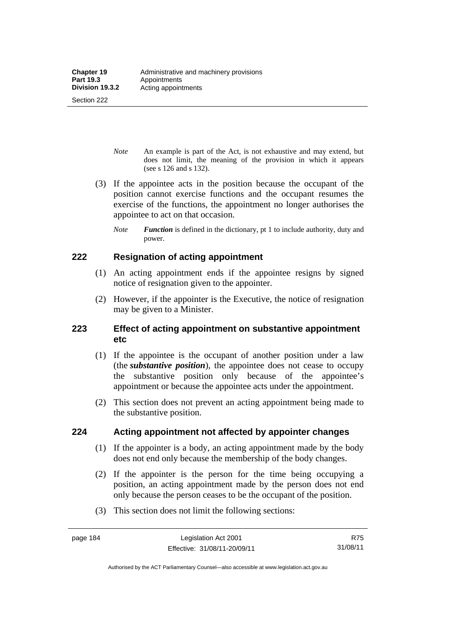*Note* An example is part of the Act, is not exhaustive and may extend, but does not limit, the meaning of the provision in which it appears (see s 126 and s 132).

- (3) If the appointee acts in the position because the occupant of the position cannot exercise functions and the occupant resumes the exercise of the functions, the appointment no longer authorises the appointee to act on that occasion.
	- *Note Function* is defined in the dictionary, pt 1 to include authority, duty and power.

### **222 Resignation of acting appointment**

- (1) An acting appointment ends if the appointee resigns by signed notice of resignation given to the appointer.
- (2) However, if the appointer is the Executive, the notice of resignation may be given to a Minister.

## **223 Effect of acting appointment on substantive appointment etc**

- (1) If the appointee is the occupant of another position under a law (the *substantive position*), the appointee does not cease to occupy the substantive position only because of the appointee's appointment or because the appointee acts under the appointment.
- (2) This section does not prevent an acting appointment being made to the substantive position.

#### **224 Acting appointment not affected by appointer changes**

- (1) If the appointer is a body, an acting appointment made by the body does not end only because the membership of the body changes.
- (2) If the appointer is the person for the time being occupying a position, an acting appointment made by the person does not end only because the person ceases to be the occupant of the position.
- (3) This section does not limit the following sections:

Authorised by the ACT Parliamentary Counsel—also accessible at www.legislation.act.gov.au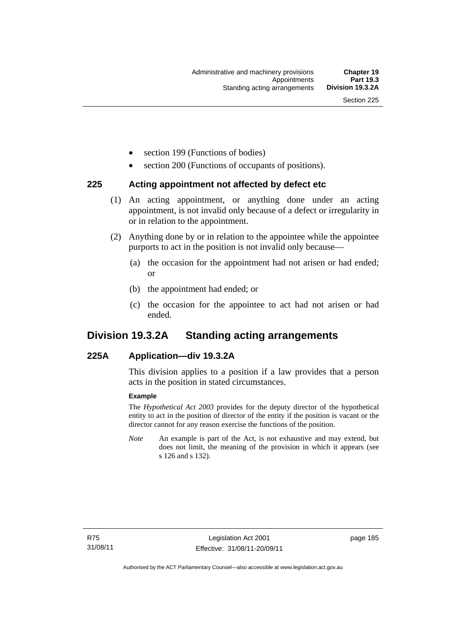- section 199 (Functions of bodies)
- section 200 (Functions of occupants of positions).

#### **225 Acting appointment not affected by defect etc**

- (1) An acting appointment, or anything done under an acting appointment, is not invalid only because of a defect or irregularity in or in relation to the appointment.
- (2) Anything done by or in relation to the appointee while the appointee purports to act in the position is not invalid only because—
	- (a) the occasion for the appointment had not arisen or had ended; or
	- (b) the appointment had ended; or
	- (c) the occasion for the appointee to act had not arisen or had ended.

## **Division 19.3.2A Standing acting arrangements**

#### **225A Application—div 19.3.2A**

This division applies to a position if a law provides that a person acts in the position in stated circumstances.

#### **Example**

The *Hypothetical Act 2003* provides for the deputy director of the hypothetical entity to act in the position of director of the entity if the position is vacant or the director cannot for any reason exercise the functions of the position.

*Note* An example is part of the Act, is not exhaustive and may extend, but does not limit, the meaning of the provision in which it appears (see s 126 and s 132).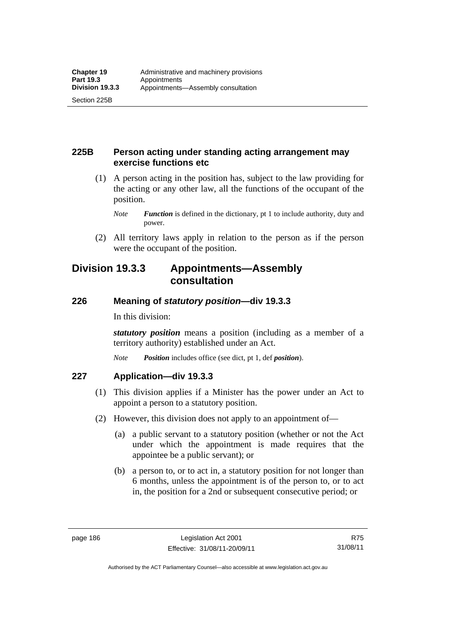## **225B Person acting under standing acting arrangement may exercise functions etc**

- (1) A person acting in the position has, subject to the law providing for the acting or any other law, all the functions of the occupant of the position.
	- *Note Function* is defined in the dictionary, pt 1 to include authority, duty and power.
- (2) All territory laws apply in relation to the person as if the person were the occupant of the position.

## **Division 19.3.3 Appointments—Assembly consultation**

## **226 Meaning of** *statutory position***—div 19.3.3**

In this division:

*statutory position* means a position (including as a member of a territory authority) established under an Act.

*Note Position* includes office (see dict, pt 1, def *position*).

## **227 Application—div 19.3.3**

- (1) This division applies if a Minister has the power under an Act to appoint a person to a statutory position.
- (2) However, this division does not apply to an appointment of—
	- (a) a public servant to a statutory position (whether or not the Act under which the appointment is made requires that the appointee be a public servant); or
	- (b) a person to, or to act in, a statutory position for not longer than 6 months, unless the appointment is of the person to, or to act in, the position for a 2nd or subsequent consecutive period; or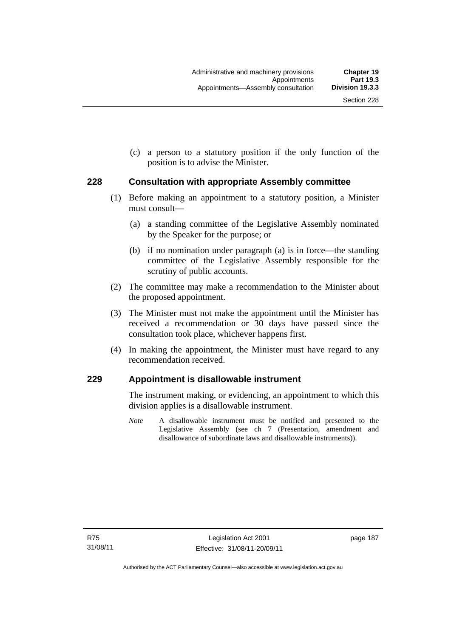(c) a person to a statutory position if the only function of the position is to advise the Minister.

#### **228 Consultation with appropriate Assembly committee**

- (1) Before making an appointment to a statutory position, a Minister must consult—
	- (a) a standing committee of the Legislative Assembly nominated by the Speaker for the purpose; or
	- (b) if no nomination under paragraph (a) is in force—the standing committee of the Legislative Assembly responsible for the scrutiny of public accounts.
- (2) The committee may make a recommendation to the Minister about the proposed appointment.
- (3) The Minister must not make the appointment until the Minister has received a recommendation or 30 days have passed since the consultation took place, whichever happens first.
- (4) In making the appointment, the Minister must have regard to any recommendation received.

#### **229 Appointment is disallowable instrument**

The instrument making, or evidencing, an appointment to which this division applies is a disallowable instrument.

*Note* A disallowable instrument must be notified and presented to the Legislative Assembly (see ch 7 (Presentation, amendment and disallowance of subordinate laws and disallowable instruments)).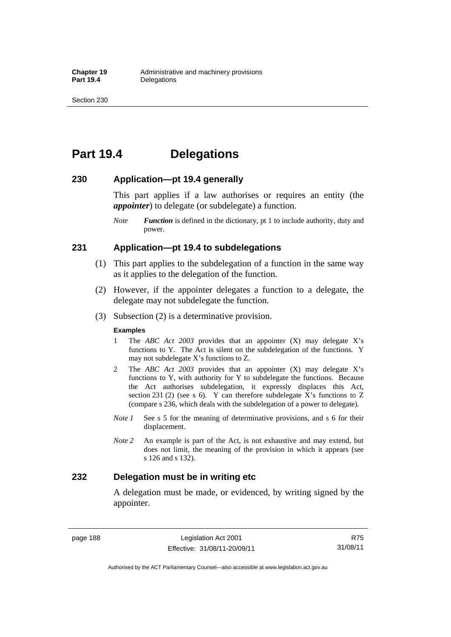## **Part 19.4 Delegations**

#### **230 Application—pt 19.4 generally**

This part applies if a law authorises or requires an entity (the *appointer*) to delegate (or subdelegate) a function.

*Note Function* is defined in the dictionary, pt 1 to include authority, duty and power.

#### **231 Application—pt 19.4 to subdelegations**

- (1) This part applies to the subdelegation of a function in the same way as it applies to the delegation of the function.
- (2) However, if the appointer delegates a function to a delegate, the delegate may not subdelegate the function.
- (3) Subsection (2) is a determinative provision.

#### **Examples**

- 1 The *ABC Act 2003* provides that an appointer (X) may delegate X's functions to Y. The Act is silent on the subdelegation of the functions. Y may not subdelegate X's functions to Z.
- 2 The *ABC Act 2003* provides that an appointer (X) may delegate X's functions to Y, with authority for Y to subdelegate the functions. Because the Act authorises subdelegation, it expressly displaces this Act, section 231 (2) (see s 6). Y can therefore subdelegate  $\overline{X}$ 's functions to Z (compare s 236, which deals with the subdelegation of a power to delegate)*.*
- *Note 1* See s 5 for the meaning of determinative provisions, and s 6 for their displacement.
- *Note 2* An example is part of the Act, is not exhaustive and may extend, but does not limit, the meaning of the provision in which it appears (see s 126 and s 132).

#### **232 Delegation must be in writing etc**

A delegation must be made, or evidenced, by writing signed by the appointer.

page 188 Legislation Act 2001 Effective: 31/08/11-20/09/11

R75 31/08/11

Authorised by the ACT Parliamentary Counsel—also accessible at www.legislation.act.gov.au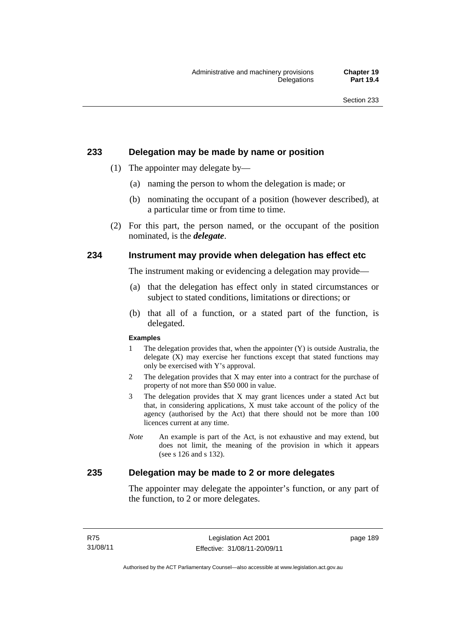#### **233 Delegation may be made by name or position**

- (1) The appointer may delegate by—
	- (a) naming the person to whom the delegation is made; or
	- (b) nominating the occupant of a position (however described), at a particular time or from time to time.
- (2) For this part, the person named, or the occupant of the position nominated, is the *delegate*.

### **234 Instrument may provide when delegation has effect etc**

The instrument making or evidencing a delegation may provide—

- (a) that the delegation has effect only in stated circumstances or subject to stated conditions, limitations or directions; or
- (b) that all of a function, or a stated part of the function, is delegated.

#### **Examples**

- 1 The delegation provides that, when the appointer (Y) is outside Australia, the delegate (X) may exercise her functions except that stated functions may only be exercised with Y's approval.
- 2 The delegation provides that X may enter into a contract for the purchase of property of not more than \$50 000 in value.
- 3 The delegation provides that X may grant licences under a stated Act but that, in considering applications, X must take account of the policy of the agency (authorised by the Act) that there should not be more than 100 licences current at any time.
- *Note* An example is part of the Act, is not exhaustive and may extend, but does not limit, the meaning of the provision in which it appears (see s 126 and s 132).

#### **235 Delegation may be made to 2 or more delegates**

The appointer may delegate the appointer's function, or any part of the function, to 2 or more delegates.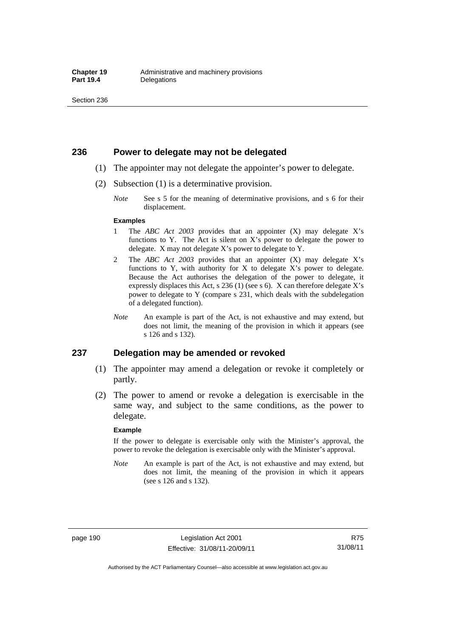#### **236 Power to delegate may not be delegated**

- (1) The appointer may not delegate the appointer's power to delegate.
- (2) Subsection (1) is a determinative provision.
	- *Note* See s 5 for the meaning of determinative provisions, and s 6 for their displacement.

#### **Examples**

- 1 The *ABC Act 2003* provides that an appointer (X) may delegate X's functions to Y. The Act is silent on X's power to delegate the power to delegate. X may not delegate X's power to delegate to Y.
- 2 The *ABC Act 2003* provides that an appointer (X) may delegate X's functions to Y, with authority for X to delegate X's power to delegate. Because the Act authorises the delegation of the power to delegate, it expressly displaces this Act, s 236 (1) (see s 6). X can therefore delegate X's power to delegate to Y (compare s 231, which deals with the subdelegation of a delegated function).
- *Note* An example is part of the Act, is not exhaustive and may extend, but does not limit, the meaning of the provision in which it appears (see s 126 and s 132).

#### **237 Delegation may be amended or revoked**

- (1) The appointer may amend a delegation or revoke it completely or partly.
- (2) The power to amend or revoke a delegation is exercisable in the same way, and subject to the same conditions, as the power to delegate.

#### **Example**

If the power to delegate is exercisable only with the Minister's approval, the power to revoke the delegation is exercisable only with the Minister's approval.

*Note* An example is part of the Act, is not exhaustive and may extend, but does not limit, the meaning of the provision in which it appears (see s 126 and s 132).

page 190 Legislation Act 2001 Effective: 31/08/11-20/09/11

R75 31/08/11

Authorised by the ACT Parliamentary Counsel—also accessible at www.legislation.act.gov.au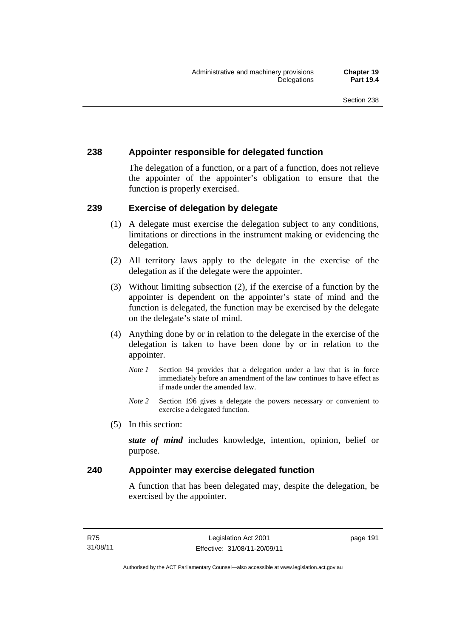## **238 Appointer responsible for delegated function**

The delegation of a function, or a part of a function, does not relieve the appointer of the appointer's obligation to ensure that the function is properly exercised.

## **239 Exercise of delegation by delegate**

- (1) A delegate must exercise the delegation subject to any conditions, limitations or directions in the instrument making or evidencing the delegation.
- (2) All territory laws apply to the delegate in the exercise of the delegation as if the delegate were the appointer.
- (3) Without limiting subsection (2), if the exercise of a function by the appointer is dependent on the appointer's state of mind and the function is delegated, the function may be exercised by the delegate on the delegate's state of mind.
- (4) Anything done by or in relation to the delegate in the exercise of the delegation is taken to have been done by or in relation to the appointer.
	- *Note 1* Section 94 provides that a delegation under a law that is in force immediately before an amendment of the law continues to have effect as if made under the amended law.
	- *Note* 2 Section 196 gives a delegate the powers necessary or convenient to exercise a delegated function.
- (5) In this section:

*state of mind* includes knowledge, intention, opinion, belief or purpose.

## **240 Appointer may exercise delegated function**

A function that has been delegated may, despite the delegation, be exercised by the appointer.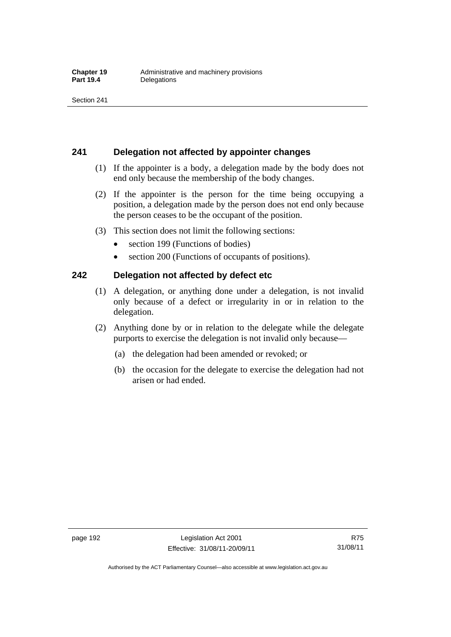### **241 Delegation not affected by appointer changes**

- (1) If the appointer is a body, a delegation made by the body does not end only because the membership of the body changes.
- (2) If the appointer is the person for the time being occupying a position, a delegation made by the person does not end only because the person ceases to be the occupant of the position.
- (3) This section does not limit the following sections:
	- section 199 (Functions of bodies)
	- section 200 (Functions of occupants of positions).

#### **242 Delegation not affected by defect etc**

- (1) A delegation, or anything done under a delegation, is not invalid only because of a defect or irregularity in or in relation to the delegation.
- (2) Anything done by or in relation to the delegate while the delegate purports to exercise the delegation is not invalid only because—
	- (a) the delegation had been amended or revoked; or
	- (b) the occasion for the delegate to exercise the delegation had not arisen or had ended.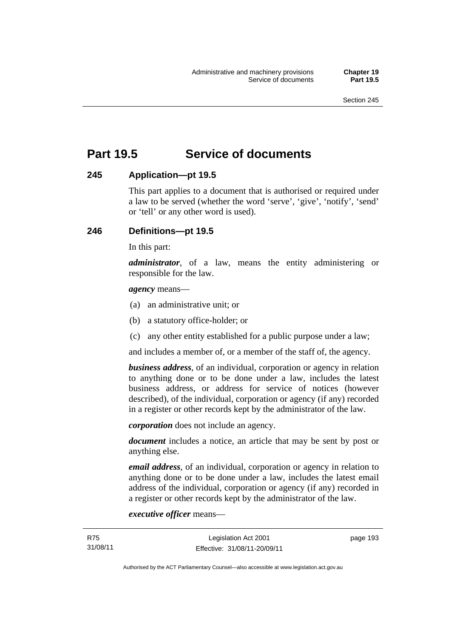# **Part 19.5 Service of documents**

#### **245 Application—pt 19.5**

This part applies to a document that is authorised or required under a law to be served (whether the word 'serve', 'give', 'notify', 'send' or 'tell' or any other word is used).

#### **246 Definitions—pt 19.5**

In this part:

*administrator*, of a law, means the entity administering or responsible for the law.

#### *agency* means—

- (a) an administrative unit; or
- (b) a statutory office-holder; or
- (c) any other entity established for a public purpose under a law;

and includes a member of, or a member of the staff of, the agency.

*business address*, of an individual, corporation or agency in relation to anything done or to be done under a law, includes the latest business address, or address for service of notices (however described), of the individual, corporation or agency (if any) recorded in a register or other records kept by the administrator of the law.

*corporation* does not include an agency.

*document* includes a notice, an article that may be sent by post or anything else.

*email address*, of an individual, corporation or agency in relation to anything done or to be done under a law, includes the latest email address of the individual, corporation or agency (if any) recorded in a register or other records kept by the administrator of the law.

*executive officer* means—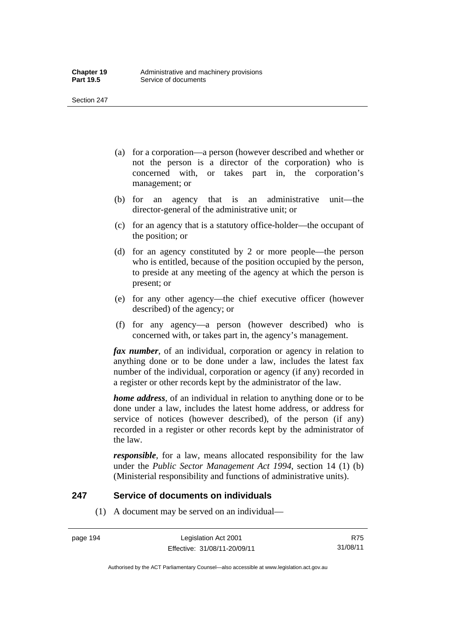- (a) for a corporation—a person (however described and whether or not the person is a director of the corporation) who is concerned with, or takes part in, the corporation's management; or
- (b) for an agency that is an administrative unit—the director-general of the administrative unit; or
- (c) for an agency that is a statutory office-holder—the occupant of the position; or
- (d) for an agency constituted by 2 or more people—the person who is entitled, because of the position occupied by the person, to preside at any meeting of the agency at which the person is present; or
- (e) for any other agency—the chief executive officer (however described) of the agency; or
- (f) for any agency—a person (however described) who is concerned with, or takes part in, the agency's management.

*fax number*, of an individual, corporation or agency in relation to anything done or to be done under a law, includes the latest fax number of the individual, corporation or agency (if any) recorded in a register or other records kept by the administrator of the law.

*home address*, of an individual in relation to anything done or to be done under a law, includes the latest home address, or address for service of notices (however described), of the person (if any) recorded in a register or other records kept by the administrator of the law.

*responsible*, for a law, means allocated responsibility for the law under the *Public Sector Management Act 1994*, section 14 (1) (b) (Ministerial responsibility and functions of administrative units).

#### **247 Service of documents on individuals**

(1) A document may be served on an individual—

page 194 Legislation Act 2001 Effective: 31/08/11-20/09/11

R75 31/08/11

Authorised by the ACT Parliamentary Counsel—also accessible at www.legislation.act.gov.au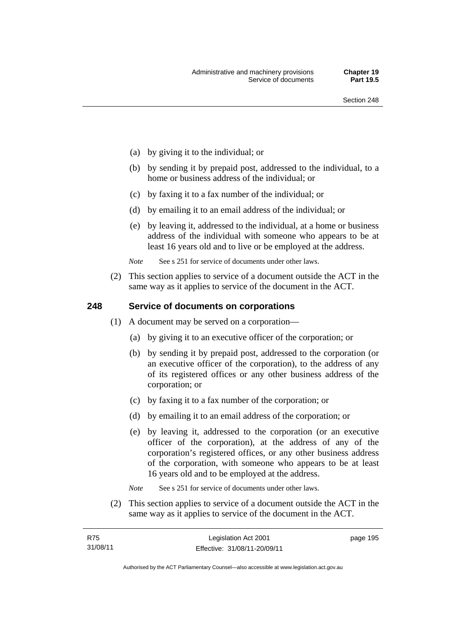- (a) by giving it to the individual; or
- (b) by sending it by prepaid post, addressed to the individual, to a home or business address of the individual; or
- (c) by faxing it to a fax number of the individual; or
- (d) by emailing it to an email address of the individual; or
- (e) by leaving it, addressed to the individual, at a home or business address of the individual with someone who appears to be at least 16 years old and to live or be employed at the address.

*Note* See s 251 for service of documents under other laws.

 (2) This section applies to service of a document outside the ACT in the same way as it applies to service of the document in the ACT.

#### **248 Service of documents on corporations**

- (1) A document may be served on a corporation—
	- (a) by giving it to an executive officer of the corporation; or
	- (b) by sending it by prepaid post, addressed to the corporation (or an executive officer of the corporation), to the address of any of its registered offices or any other business address of the corporation; or
	- (c) by faxing it to a fax number of the corporation; or
	- (d) by emailing it to an email address of the corporation; or
	- (e) by leaving it, addressed to the corporation (or an executive officer of the corporation), at the address of any of the corporation's registered offices, or any other business address of the corporation, with someone who appears to be at least 16 years old and to be employed at the address.
	- *Note* See s 251 for service of documents under other laws.
- (2) This section applies to service of a document outside the ACT in the same way as it applies to service of the document in the ACT.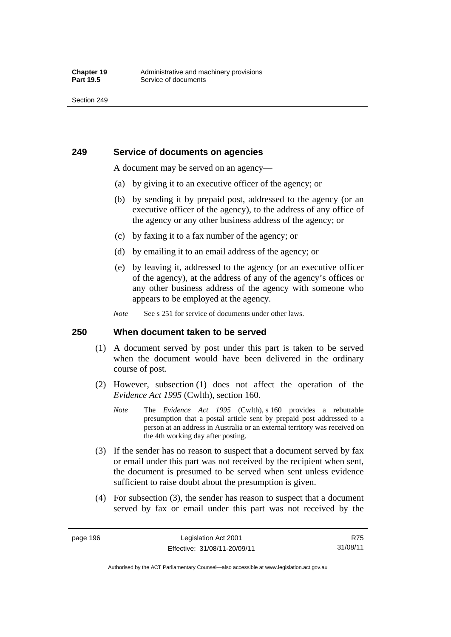## **249 Service of documents on agencies**

A document may be served on an agency—

- (a) by giving it to an executive officer of the agency; or
- (b) by sending it by prepaid post, addressed to the agency (or an executive officer of the agency), to the address of any office of the agency or any other business address of the agency; or
- (c) by faxing it to a fax number of the agency; or
- (d) by emailing it to an email address of the agency; or
- (e) by leaving it, addressed to the agency (or an executive officer of the agency), at the address of any of the agency's offices or any other business address of the agency with someone who appears to be employed at the agency.
- *Note* See s 251 for service of documents under other laws.

#### **250 When document taken to be served**

- (1) A document served by post under this part is taken to be served when the document would have been delivered in the ordinary course of post.
- (2) However, subsection (1) does not affect the operation of the *Evidence Act 1995* (Cwlth), section 160.
	- *Note* The *Evidence Act 1995* (Cwlth), s 160 provides a rebuttable presumption that a postal article sent by prepaid post addressed to a person at an address in Australia or an external territory was received on the 4th working day after posting.
- (3) If the sender has no reason to suspect that a document served by fax or email under this part was not received by the recipient when sent, the document is presumed to be served when sent unless evidence sufficient to raise doubt about the presumption is given.
- (4) For subsection (3), the sender has reason to suspect that a document served by fax or email under this part was not received by the

R75 31/08/11

Authorised by the ACT Parliamentary Counsel—also accessible at www.legislation.act.gov.au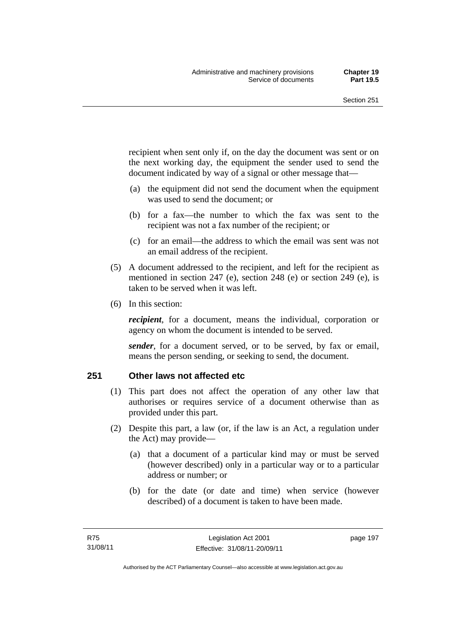recipient when sent only if, on the day the document was sent or on the next working day, the equipment the sender used to send the document indicated by way of a signal or other message that—

- (a) the equipment did not send the document when the equipment was used to send the document; or
- (b) for a fax—the number to which the fax was sent to the recipient was not a fax number of the recipient; or
- (c) for an email—the address to which the email was sent was not an email address of the recipient.
- (5) A document addressed to the recipient, and left for the recipient as mentioned in section 247 (e), section 248 (e) or section 249 (e), is taken to be served when it was left.
- (6) In this section:

*recipient*, for a document, means the individual, corporation or agency on whom the document is intended to be served.

*sender*, for a document served, or to be served, by fax or email, means the person sending, or seeking to send, the document.

#### **251 Other laws not affected etc**

- (1) This part does not affect the operation of any other law that authorises or requires service of a document otherwise than as provided under this part.
- (2) Despite this part, a law (or, if the law is an Act, a regulation under the Act) may provide—
	- (a) that a document of a particular kind may or must be served (however described) only in a particular way or to a particular address or number; or
	- (b) for the date (or date and time) when service (however described) of a document is taken to have been made.

page 197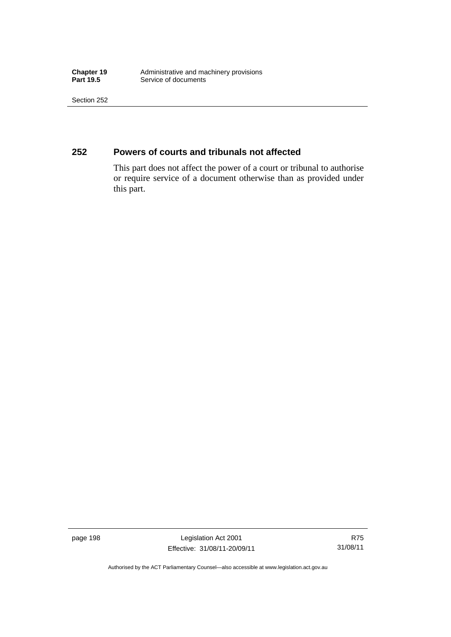**Chapter 19** Administrative and machinery provisions<br> **Part 19.5** Service of documents **Service of documents** 

Section 252

## **252 Powers of courts and tribunals not affected**

This part does not affect the power of a court or tribunal to authorise or require service of a document otherwise than as provided under this part.

page 198 Legislation Act 2001 Effective: 31/08/11-20/09/11

R75 31/08/11

Authorised by the ACT Parliamentary Counsel—also accessible at www.legislation.act.gov.au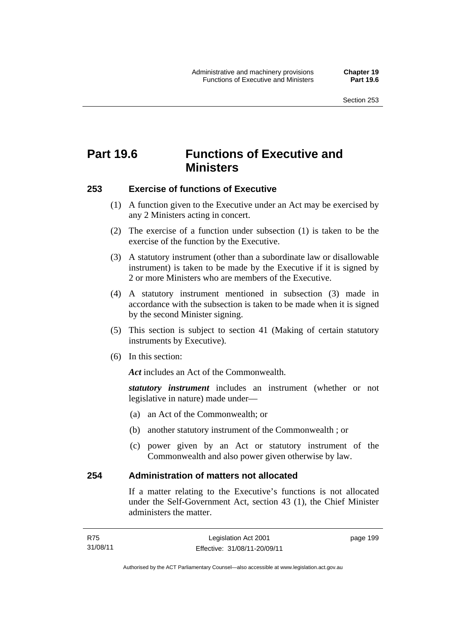# **Part 19.6 Functions of Executive and Ministers**

#### **253 Exercise of functions of Executive**

- (1) A function given to the Executive under an Act may be exercised by any 2 Ministers acting in concert.
- (2) The exercise of a function under subsection (1) is taken to be the exercise of the function by the Executive.
- (3) A statutory instrument (other than a subordinate law or disallowable instrument) is taken to be made by the Executive if it is signed by 2 or more Ministers who are members of the Executive.
- (4) A statutory instrument mentioned in subsection (3) made in accordance with the subsection is taken to be made when it is signed by the second Minister signing.
- (5) This section is subject to section 41 (Making of certain statutory instruments by Executive).
- (6) In this section:

Act includes an Act of the Commonwealth.

*statutory instrument* includes an instrument (whether or not legislative in nature) made under—

- (a) an Act of the Commonwealth; or
- (b) another statutory instrument of the Commonwealth ; or
- (c) power given by an Act or statutory instrument of the Commonwealth and also power given otherwise by law.

#### **254 Administration of matters not allocated**

If a matter relating to the Executive's functions is not allocated under the Self-Government Act, section 43 (1), the Chief Minister administers the matter.

page 199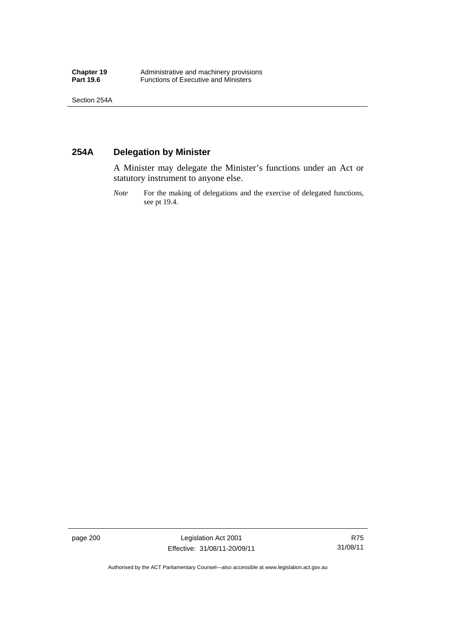## **254A Delegation by Minister**

A Minister may delegate the Minister's functions under an Act or statutory instrument to anyone else.

*Note* For the making of delegations and the exercise of delegated functions, see pt 19.4.

page 200 Legislation Act 2001 Effective: 31/08/11-20/09/11

Authorised by the ACT Parliamentary Counsel—also accessible at www.legislation.act.gov.au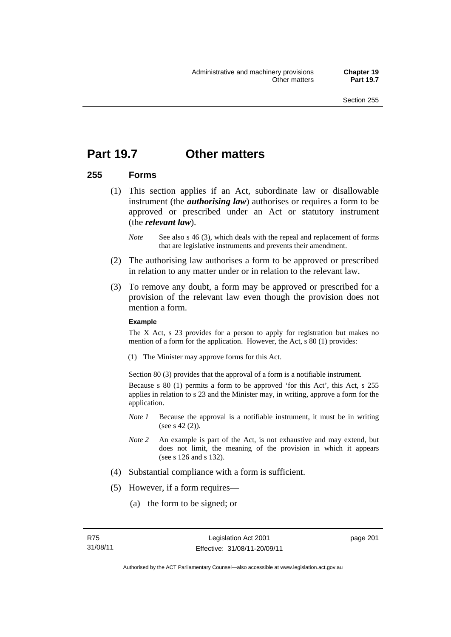# **Part 19.7 Other matters**

### **255 Forms**

- (1) This section applies if an Act, subordinate law or disallowable instrument (the *authorising law*) authorises or requires a form to be approved or prescribed under an Act or statutory instrument (the *relevant law*).
	- *Note* See also s 46 (3), which deals with the repeal and replacement of forms that are legislative instruments and prevents their amendment.
- (2) The authorising law authorises a form to be approved or prescribed in relation to any matter under or in relation to the relevant law.
- (3) To remove any doubt, a form may be approved or prescribed for a provision of the relevant law even though the provision does not mention a form.

#### **Example**

The X Act, s 23 provides for a person to apply for registration but makes no mention of a form for the application. However, the Act, s 80 (1) provides:

(1) The Minister may approve forms for this Act.

Section 80 (3) provides that the approval of a form is a notifiable instrument. Because s 80 (1) permits a form to be approved 'for this Act', this Act, s 255 applies in relation to s 23 and the Minister may, in writing, approve a form for the application.

- *Note 1* Because the approval is a notifiable instrument, it must be in writing (see s 42 (2)).
- *Note 2* An example is part of the Act, is not exhaustive and may extend, but does not limit, the meaning of the provision in which it appears (see s 126 and s 132).
- (4) Substantial compliance with a form is sufficient.
- (5) However, if a form requires—
	- (a) the form to be signed; or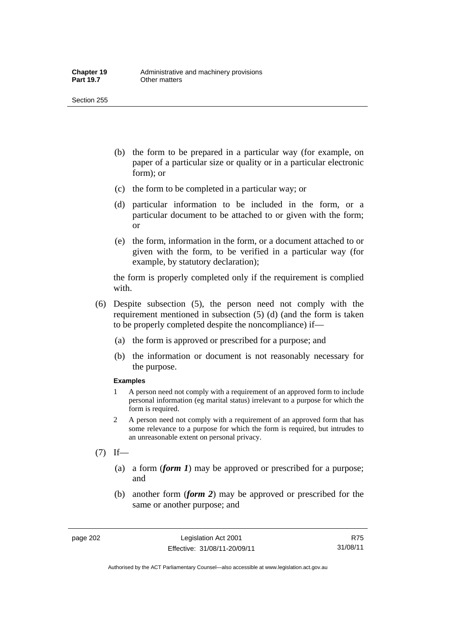- (b) the form to be prepared in a particular way (for example, on paper of a particular size or quality or in a particular electronic form); or
- (c) the form to be completed in a particular way; or
- (d) particular information to be included in the form, or a particular document to be attached to or given with the form; or
- (e) the form, information in the form, or a document attached to or given with the form, to be verified in a particular way (for example, by statutory declaration);

the form is properly completed only if the requirement is complied with.

- (6) Despite subsection (5), the person need not comply with the requirement mentioned in subsection (5) (d) (and the form is taken to be properly completed despite the noncompliance) if—
	- (a) the form is approved or prescribed for a purpose; and
	- (b) the information or document is not reasonably necessary for the purpose.

#### **Examples**

- 1 A person need not comply with a requirement of an approved form to include personal information (eg marital status) irrelevant to a purpose for which the form is required.
- 2 A person need not comply with a requirement of an approved form that has some relevance to a purpose for which the form is required, but intrudes to an unreasonable extent on personal privacy.
- $(7)$  If—
	- (a) a form (*form 1*) may be approved or prescribed for a purpose; and
	- (b) another form (*form 2*) may be approved or prescribed for the same or another purpose; and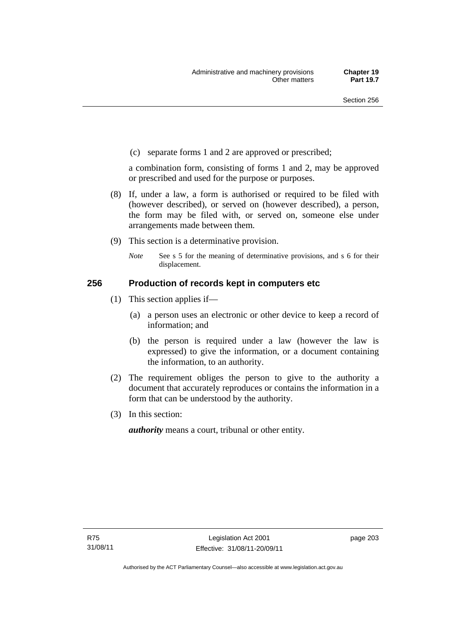(c) separate forms 1 and 2 are approved or prescribed;

a combination form, consisting of forms 1 and 2, may be approved or prescribed and used for the purpose or purposes.

- (8) If, under a law, a form is authorised or required to be filed with (however described), or served on (however described), a person, the form may be filed with, or served on, someone else under arrangements made between them.
- (9) This section is a determinative provision.
	- *Note* See s 5 for the meaning of determinative provisions, and s 6 for their displacement.

# **256 Production of records kept in computers etc**

- (1) This section applies if—
	- (a) a person uses an electronic or other device to keep a record of information; and
	- (b) the person is required under a law (however the law is expressed) to give the information, or a document containing the information, to an authority.
- (2) The requirement obliges the person to give to the authority a document that accurately reproduces or contains the information in a form that can be understood by the authority.
- (3) In this section:

*authority* means a court, tribunal or other entity.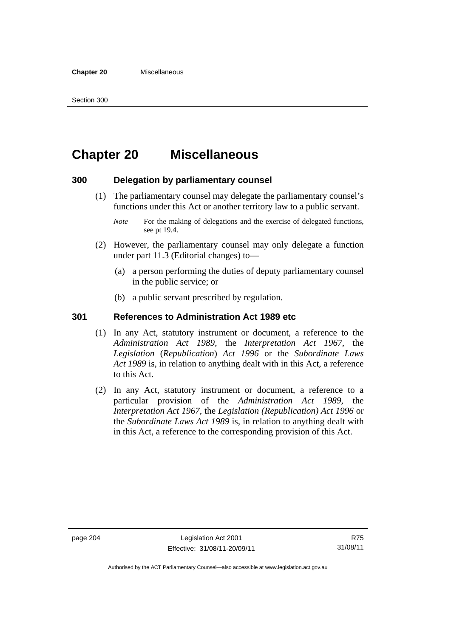# **Chapter 20 Miscellaneous**

# **300 Delegation by parliamentary counsel**

- (1) The parliamentary counsel may delegate the parliamentary counsel's functions under this Act or another territory law to a public servant.
	- *Note* For the making of delegations and the exercise of delegated functions, see pt 19.4.
- (2) However, the parliamentary counsel may only delegate a function under part 11.3 (Editorial changes) to—
	- (a) a person performing the duties of deputy parliamentary counsel in the public service; or
	- (b) a public servant prescribed by regulation.

## **301 References to Administration Act 1989 etc**

- (1) In any Act, statutory instrument or document, a reference to the *Administration Act 1989*, the *Interpretation Act 1967*, the *Legislation* (*Republication*) *Act 1996* or the *Subordinate Laws Act 1989* is, in relation to anything dealt with in this Act, a reference to this Act.
- (2) In any Act, statutory instrument or document, a reference to a particular provision of the *Administration Act 1989*, the *Interpretation Act 1967*, the *Legislation (Republication) Act 1996* or the *Subordinate Laws Act 1989* is, in relation to anything dealt with in this Act, a reference to the corresponding provision of this Act.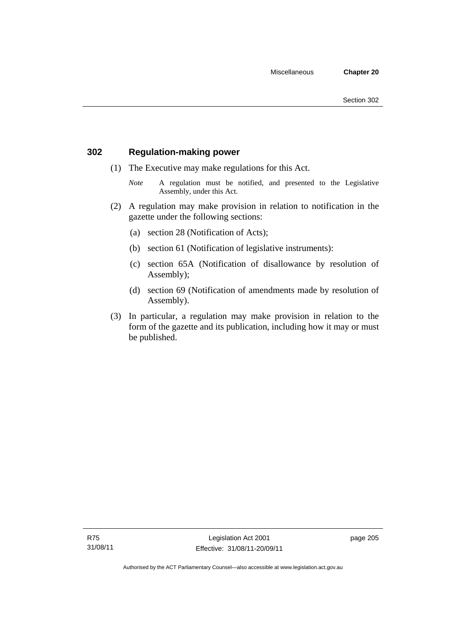# **302 Regulation-making power**

- (1) The Executive may make regulations for this Act.
	- *Note* A regulation must be notified, and presented to the Legislative Assembly, under this Act.
- (2) A regulation may make provision in relation to notification in the gazette under the following sections:
	- (a) section 28 (Notification of Acts);
	- (b) section 61 (Notification of legislative instruments):
	- (c) section 65A (Notification of disallowance by resolution of Assembly);
	- (d) section 69 (Notification of amendments made by resolution of Assembly).
- (3) In particular, a regulation may make provision in relation to the form of the gazette and its publication, including how it may or must be published.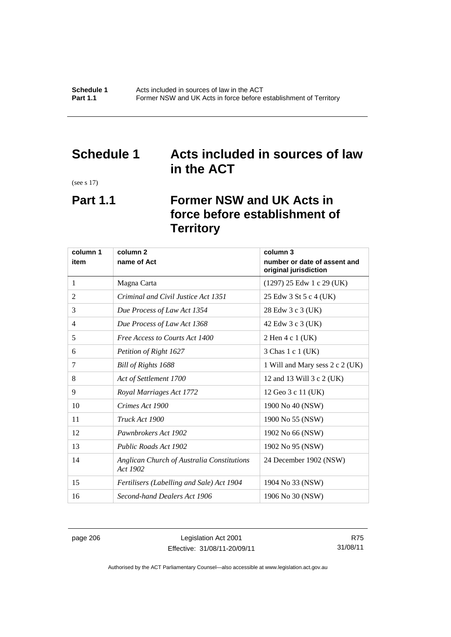# **Schedule 1 Acts included in sources of law in the ACT**

(see s 17)

# **Part 1.1 Former NSW and UK Acts in force before establishment of Territory**

| column 1 | column <sub>2</sub>                                    | column 3                                              |
|----------|--------------------------------------------------------|-------------------------------------------------------|
| item     | name of Act                                            | number or date of assent and<br>original jurisdiction |
| 1        | Magna Carta                                            | $(1297)$ 25 Edw 1 c 29 (UK)                           |
| 2        | Criminal and Civil Justice Act 1351                    | 25 Edw 3 St 5 c 4 (UK)                                |
| 3        | Due Process of Law Act 1354                            | 28 Edw 3 c 3 (UK)                                     |
| 4        | Due Process of Law Act 1368                            | 42 Edw 3 c 3 (UK)                                     |
| 5        | Free Access to Courts Act 1400                         | 2 Hen 4 c 1 (UK)                                      |
| 6        | Petition of Right 1627                                 | 3 Chas 1 c 1 (UK)                                     |
| 7        | Bill of Rights 1688                                    | 1 Will and Mary sess 2 c 2 (UK)                       |
| 8        | Act of Settlement 1700                                 | 12 and 13 Will 3 c 2 (UK)                             |
| 9        | Royal Marriages Act 1772                               | 12 Geo 3 c 11 (UK)                                    |
| 10       | Crimes Act 1900                                        | 1900 No 40 (NSW)                                      |
| 11       | Truck Act 1900                                         | 1900 No 55 (NSW)                                      |
| 12       | Pawnbrokers Act 1902                                   | 1902 No 66 (NSW)                                      |
| 13       | Public Roads Act 1902                                  | 1902 No 95 (NSW)                                      |
| 14       | Anglican Church of Australia Constitutions<br>Act 1902 | 24 December 1902 (NSW)                                |
| 15       | Fertilisers (Labelling and Sale) Act 1904              | 1904 No 33 (NSW)                                      |
| 16       | Second-hand Dealers Act 1906                           | 1906 No 30 (NSW)                                      |

page 206 Legislation Act 2001 Effective: 31/08/11-20/09/11

R75 31/08/11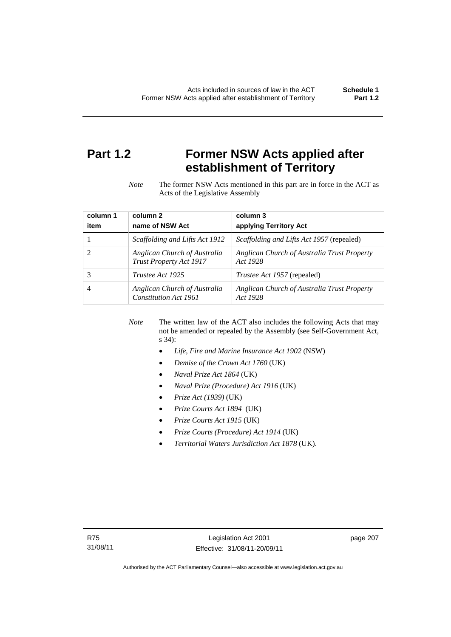# **Part 1.2 Former NSW Acts applied after establishment of Territory**

*Note* The former NSW Acts mentioned in this part are in force in the ACT as Acts of the Legislative Assembly

| column 1 | column 2                                                | column 3                                                |
|----------|---------------------------------------------------------|---------------------------------------------------------|
| item     | name of NSW Act                                         | applying Territory Act                                  |
|          | <i>Scaffolding and Lifts Act 1912</i>                   | <i>Scaffolding and Lifts Act 1957</i> (repealed)        |
|          | Anglican Church of Australia<br>Trust Property Act 1917 | Anglican Church of Australia Trust Property<br>Act 1928 |
| 3        | Trustee Act 1925                                        | <i>Trustee Act 1957</i> (repealed)                      |
|          | Anglican Church of Australia<br>Constitution Act 1961   | Anglican Church of Australia Trust Property<br>Act 1928 |

*Note* The written law of the ACT also includes the following Acts that may not be amended or repealed by the Assembly (see Self-Government Act, s 34):

- *Life, Fire and Marine Insurance Act 1902* (NSW)
- *Demise of the Crown Act 1760* (UK)
- *Naval Prize Act 1864* (UK)
- *Naval Prize (Procedure) Act 1916* (UK)
- *Prize Act (1939)* (UK)
- *Prize Courts Act 1894* (UK)
- *Prize Courts Act 1915* (UK)
- *Prize Courts (Procedure) Act 1914* (UK)
- *Territorial Waters Jurisdiction Act 1878* (UK).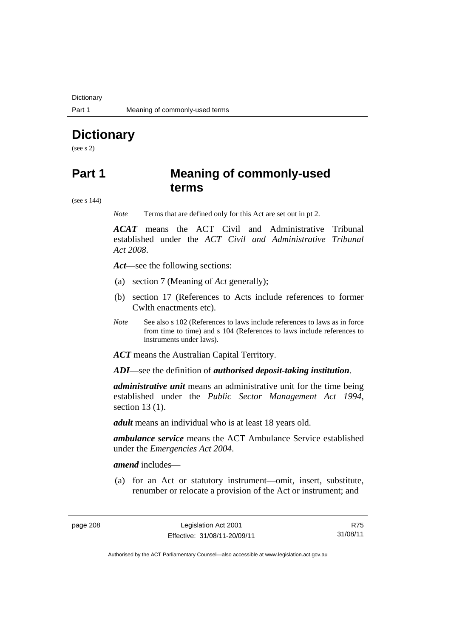**Dictionary** 

# **Dictionary**

(see s 2)

# **Part 1 Meaning of commonly-used terms**

(see s 144)

*Note* Terms that are defined only for this Act are set out in pt 2.

*ACAT* means the ACT Civil and Administrative Tribunal established under the *ACT Civil and Administrative Tribunal Act 2008*.

*Act*—see the following sections:

- (a) section 7 (Meaning of *Act* generally);
- (b) section 17 (References to Acts include references to former Cwlth enactments etc).
- *Note* See also s 102 (References to laws include references to laws as in force from time to time) and s 104 (References to laws include references to instruments under laws).

*ACT* means the Australian Capital Territory.

*ADI*—see the definition of *authorised deposit-taking institution*.

*administrative unit* means an administrative unit for the time being established under the *Public Sector Management Act 1994*, section 13 (1).

*adult* means an individual who is at least 18 years old.

*ambulance service* means the ACT Ambulance Service established under the *Emergencies Act 2004*.

*amend* includes—

 (a) for an Act or statutory instrument—omit, insert, substitute, renumber or relocate a provision of the Act or instrument; and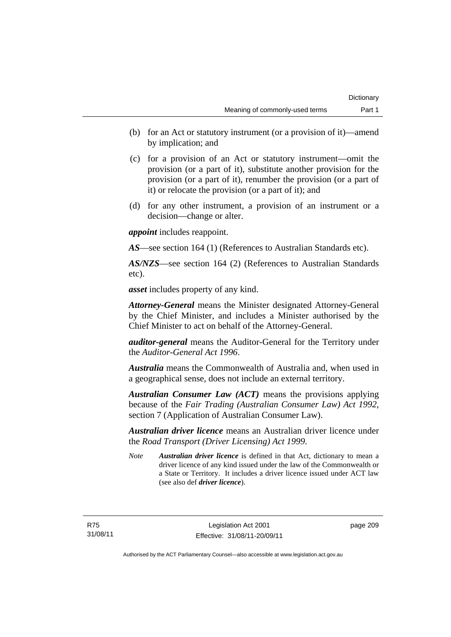- (b) for an Act or statutory instrument (or a provision of it)—amend by implication; and
- (c) for a provision of an Act or statutory instrument—omit the provision (or a part of it), substitute another provision for the provision (or a part of it), renumber the provision (or a part of it) or relocate the provision (or a part of it); and
- (d) for any other instrument, a provision of an instrument or a decision—change or alter.

*appoint* includes reappoint.

*AS*—see section 164 (1) (References to Australian Standards etc).

*AS/NZS*—see section 164 (2) (References to Australian Standards etc).

*asset* includes property of any kind.

*Attorney-General* means the Minister designated Attorney-General by the Chief Minister, and includes a Minister authorised by the Chief Minister to act on behalf of the Attorney-General.

*auditor-general* means the Auditor-General for the Territory under the *Auditor-General Act 1996*.

*Australia* means the Commonwealth of Australia and, when used in a geographical sense, does not include an external territory.

*Australian Consumer Law (ACT)* means the provisions applying because of the *Fair Trading (Australian Consumer Law) Act 1992*, section 7 (Application of Australian Consumer Law).

*Australian driver licence* means an Australian driver licence under the *Road Transport (Driver Licensing) Act 1999*.

*Note Australian driver licence* is defined in that Act, dictionary to mean a driver licence of any kind issued under the law of the Commonwealth or a State or Territory. It includes a driver licence issued under ACT law (see also def *driver licence*).

page 209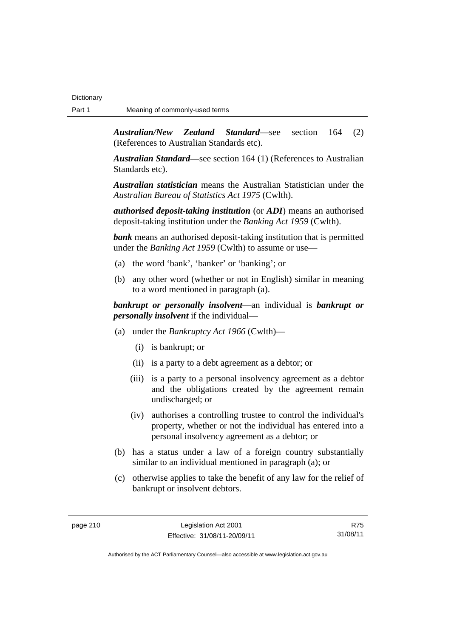*Australian/New Zealand Standard*—see section 164 (2) (References to Australian Standards etc).

*Australian Standard*—see section 164 (1) (References to Australian Standards etc).

*Australian statistician* means the Australian Statistician under the *Australian Bureau of Statistics Act 1975* (Cwlth).

*authorised deposit-taking institution* (or *ADI*) means an authorised deposit-taking institution under the *Banking Act 1959* (Cwlth).

*bank* means an authorised deposit-taking institution that is permitted under the *Banking Act 1959* (Cwlth) to assume or use—

- (a) the word 'bank', 'banker' or 'banking'; or
- (b) any other word (whether or not in English) similar in meaning to a word mentioned in paragraph (a).

*bankrupt or personally insolvent*—an individual is *bankrupt or personally insolvent* if the individual—

- (a) under the *Bankruptcy Act 1966* (Cwlth)—
	- (i) is bankrupt; or
	- (ii) is a party to a debt agreement as a debtor; or
	- (iii) is a party to a personal insolvency agreement as a debtor and the obligations created by the agreement remain undischarged; or
	- (iv) authorises a controlling trustee to control the individual's property, whether or not the individual has entered into a personal insolvency agreement as a debtor; or
- (b) has a status under a law of a foreign country substantially similar to an individual mentioned in paragraph (a); or
- (c) otherwise applies to take the benefit of any law for the relief of bankrupt or insolvent debtors.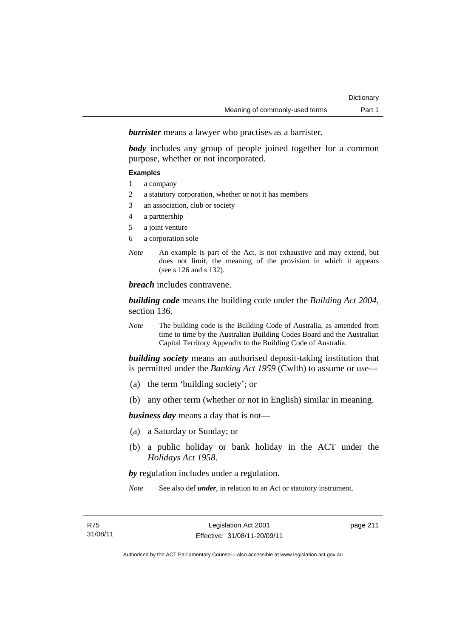*barrister* means a lawyer who practises as a barrister.

*body* includes any group of people joined together for a common purpose, whether or not incorporated.

#### **Examples**

- 1 a company
- 2 a statutory corporation, whether or not it has members
- 3 an association, club or society
- 4 a partnership
- 5 a joint venture
- 6 a corporation sole
- *Note* An example is part of the Act, is not exhaustive and may extend, but does not limit, the meaning of the provision in which it appears (see s 126 and s 132).

*breach* includes contravene.

*building code* means the building code under the *Building Act 2004*, section 136.

*Note* The building code is the Building Code of Australia, as amended from time to time by the Australian Building Codes Board and the Australian Capital Territory Appendix to the Building Code of Australia.

*building society* means an authorised deposit-taking institution that is permitted under the *Banking Act 1959* (Cwlth) to assume or use—

- (a) the term 'building society'; or
- (b) any other term (whether or not in English) similar in meaning.

*business day* means a day that is not—

- (a) a Saturday or Sunday; or
- (b) a public holiday or bank holiday in the ACT under the *Holidays Act 1958*.

*by* regulation includes under a regulation.

*Note* See also def *under*, in relation to an Act or statutory instrument.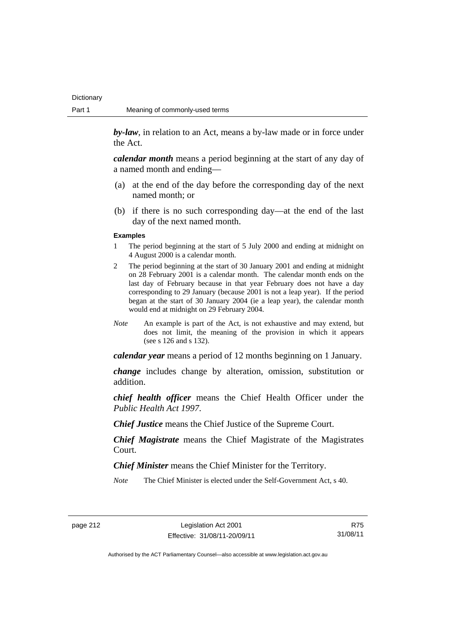**Dictionary** 

*by-law*, in relation to an Act, means a by-law made or in force under the Act.

*calendar month* means a period beginning at the start of any day of a named month and ending—

- (a) at the end of the day before the corresponding day of the next named month; or
- (b) if there is no such corresponding day—at the end of the last day of the next named month.

#### **Examples**

- 1 The period beginning at the start of 5 July 2000 and ending at midnight on 4 August 2000 is a calendar month.
- 2 The period beginning at the start of 30 January 2001 and ending at midnight on 28 February 2001 is a calendar month. The calendar month ends on the last day of February because in that year February does not have a day corresponding to 29 January (because 2001 is not a leap year). If the period began at the start of 30 January 2004 (ie a leap year), the calendar month would end at midnight on 29 February 2004.
- *Note* An example is part of the Act, is not exhaustive and may extend, but does not limit, the meaning of the provision in which it appears (see s 126 and s 132).

*calendar year* means a period of 12 months beginning on 1 January.

*change* includes change by alteration, omission, substitution or addition.

*chief health officer* means the Chief Health Officer under the *Public Health Act 1997*.

*Chief Justice* means the Chief Justice of the Supreme Court.

*Chief Magistrate* means the Chief Magistrate of the Magistrates Court.

*Chief Minister* means the Chief Minister for the Territory.

*Note* The Chief Minister is elected under the Self-Government Act, s 40.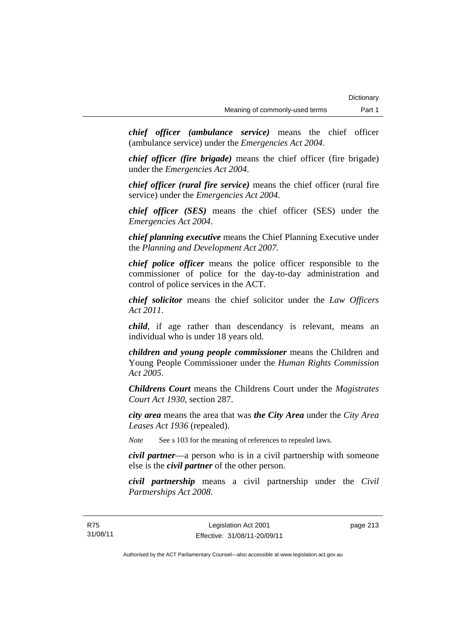*chief officer (ambulance service)* means the chief officer (ambulance service) under the *Emergencies Act 2004*.

*chief officer (fire brigade)* means the chief officer (fire brigade) under the *Emergencies Act 2004*.

*chief officer (rural fire service)* means the chief officer (rural fire service) under the *Emergencies Act 2004*.

*chief officer (SES)* means the chief officer (SES) under the *Emergencies Act 2004*.

*chief planning executive* means the Chief Planning Executive under the *Planning and Development Act 2007*.

*chief police officer* means the police officer responsible to the commissioner of police for the day-to-day administration and control of police services in the ACT.

*chief solicitor* means the chief solicitor under the *Law Officers Act 2011*.

*child*, if age rather than descendancy is relevant, means an individual who is under 18 years old.

*children and young people commissioner* means the Children and Young People Commissioner under the *Human Rights Commission Act 2005*.

*Childrens Court* means the Childrens Court under the *Magistrates Court Act 1930*, section 287.

*city area* means the area that was *the City Area* under the *City Area Leases Act 1936* (repealed).

*Note* See s 103 for the meaning of references to repealed laws.

*civil partner*—a person who is in a civil partnership with someone else is the *civil partner* of the other person.

*civil partnership* means a civil partnership under the *Civil Partnerships Act 2008*.

page 213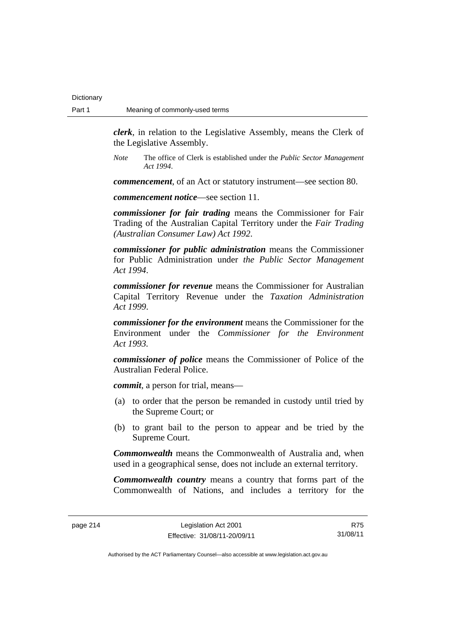**Dictionary** 

*clerk*, in relation to the Legislative Assembly, means the Clerk of the Legislative Assembly.

*Note* The office of Clerk is established under the *Public Sector Management Act 1994*.

*commencement*, of an Act or statutory instrument—see section 80.

*commencement notice*—see section 11.

*commissioner for fair trading* means the Commissioner for Fair Trading of the Australian Capital Territory under the *Fair Trading (Australian Consumer Law) Act 1992*.

*commissioner for public administration* means the Commissioner for Public Administration under *the Public Sector Management Act 1994*.

*commissioner for revenue* means the Commissioner for Australian Capital Territory Revenue under the *Taxation Administration Act 1999*.

*commissioner for the environment* means the Commissioner for the Environment under the *Commissioner for the Environment Act 1993.* 

*commissioner of police* means the Commissioner of Police of the Australian Federal Police.

*commit*, a person for trial, means—

- (a) to order that the person be remanded in custody until tried by the Supreme Court; or
- (b) to grant bail to the person to appear and be tried by the Supreme Court.

*Commonwealth* means the Commonwealth of Australia and, when used in a geographical sense, does not include an external territory.

*Commonwealth country* means a country that forms part of the Commonwealth of Nations, and includes a territory for the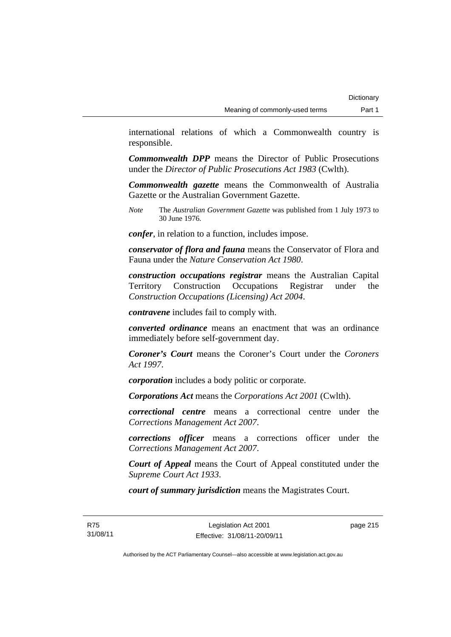international relations of which a Commonwealth country is responsible.

*Commonwealth DPP* means the Director of Public Prosecutions under the *Director of Public Prosecutions Act 1983* (Cwlth).

*Commonwealth gazette* means the Commonwealth of Australia Gazette or the Australian Government Gazette.

*Note* The *Australian Government Gazette* was published from 1 July 1973 to 30 June 1976.

*confer*, in relation to a function, includes impose.

*conservator of flora and fauna* means the Conservator of Flora and Fauna under the *Nature Conservation Act 1980*.

*construction occupations registrar* means the Australian Capital Territory Construction Occupations Registrar under the *Construction Occupations (Licensing) Act 2004*.

*contravene* includes fail to comply with.

*converted ordinance* means an enactment that was an ordinance immediately before self-government day.

*Coroner's Court* means the Coroner's Court under the *Coroners Act 1997*.

*corporation* includes a body politic or corporate.

*Corporations Act* means the *Corporations Act 2001* (Cwlth).

*correctional centre* means a correctional centre under the *Corrections Management Act 2007*.

*corrections officer* means a corrections officer under the *Corrections Management Act 2007*.

*Court of Appeal* means the Court of Appeal constituted under the *Supreme Court Act 1933*.

*court of summary jurisdiction* means the Magistrates Court.

page 215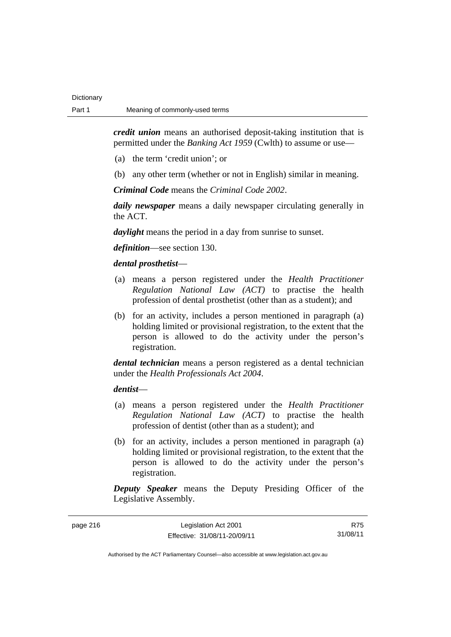*credit union* means an authorised deposit-taking institution that is permitted under the *Banking Act 1959* (Cwlth) to assume or use—

- (a) the term 'credit union'; or
- (b) any other term (whether or not in English) similar in meaning.

*Criminal Code* means the *Criminal Code 2002*.

*daily newspaper* means a daily newspaper circulating generally in the ACT.

*daylight* means the period in a day from sunrise to sunset.

*definition*—see section 130.

### *dental prosthetist*—

- (a) means a person registered under the *Health Practitioner Regulation National Law (ACT)* to practise the health profession of dental prosthetist (other than as a student); and
- (b) for an activity, includes a person mentioned in paragraph (a) holding limited or provisional registration, to the extent that the person is allowed to do the activity under the person's registration.

*dental technician* means a person registered as a dental technician under the *Health Professionals Act 2004*.

### *dentist*—

- (a) means a person registered under the *Health Practitioner Regulation National Law (ACT)* to practise the health profession of dentist (other than as a student); and
- (b) for an activity, includes a person mentioned in paragraph (a) holding limited or provisional registration, to the extent that the person is allowed to do the activity under the person's registration.

*Deputy Speaker* means the Deputy Presiding Officer of the Legislative Assembly.

| page 216 | Legislation Act 2001         | R75      |
|----------|------------------------------|----------|
|          | Effective: 31/08/11-20/09/11 | 31/08/11 |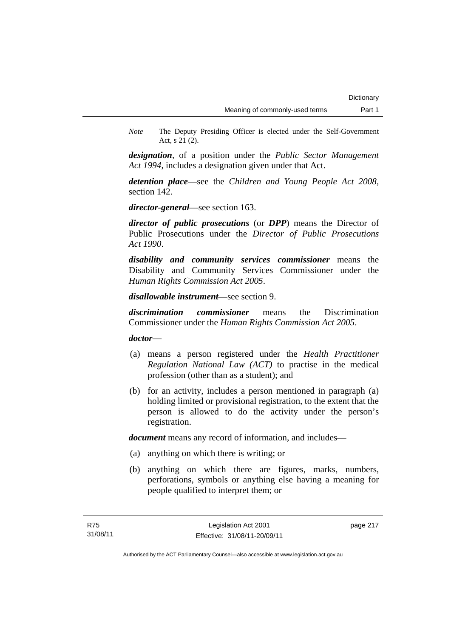*Note* The Deputy Presiding Officer is elected under the Self-Government Act, s 21 (2).

*designation*, of a position under the *Public Sector Management Act 1994*, includes a designation given under that Act.

*detention place*—see the *Children and Young People Act 2008*, section 142.

*director-general*—see section 163.

*director of public prosecutions* (or *DPP*) means the Director of Public Prosecutions under the *Director of Public Prosecutions Act 1990*.

*disability and community services commissioner* means the Disability and Community Services Commissioner under the *Human Rights Commission Act 2005*.

*disallowable instrument*—see section 9.

*discrimination commissioner* means the Discrimination Commissioner under the *Human Rights Commission Act 2005*.

*doctor*—

- (a) means a person registered under the *Health Practitioner Regulation National Law (ACT)* to practise in the medical profession (other than as a student); and
- (b) for an activity, includes a person mentioned in paragraph (a) holding limited or provisional registration, to the extent that the person is allowed to do the activity under the person's registration.

*document* means any record of information, and includes—

- (a) anything on which there is writing; or
- (b) anything on which there are figures, marks, numbers, perforations, symbols or anything else having a meaning for people qualified to interpret them; or

page 217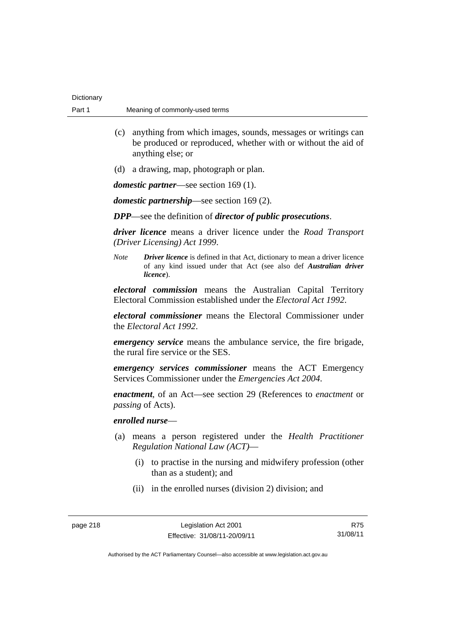| Dictionary |                                |
|------------|--------------------------------|
| Part 1     | Meaning of commonly-used terms |

- (c) anything from which images, sounds, messages or writings can be produced or reproduced, whether with or without the aid of anything else; or
- (d) a drawing, map, photograph or plan.

*domestic partner*—see section 169 (1).

*domestic partnership*—see section 169 (2).

*DPP*—see the definition of *director of public prosecutions*.

*driver licence* means a driver licence under the *Road Transport (Driver Licensing) Act 1999*.

*Note Driver licence* is defined in that Act, dictionary to mean a driver licence of any kind issued under that Act (see also def *Australian driver licence*).

*electoral commission* means the Australian Capital Territory Electoral Commission established under the *Electoral Act 1992*.

*electoral commissioner* means the Electoral Commissioner under the *Electoral Act 1992*.

*emergency service* means the ambulance service, the fire brigade, the rural fire service or the SES.

*emergency services commissioner* means the ACT Emergency Services Commissioner under the *Emergencies Act 2004*.

*enactment*, of an Act—see section 29 (References to *enactment* or *passing* of Acts).

## *enrolled nurse*—

- (a) means a person registered under the *Health Practitioner Regulation National Law (ACT)*—
	- (i) to practise in the nursing and midwifery profession (other than as a student); and
	- (ii) in the enrolled nurses (division 2) division; and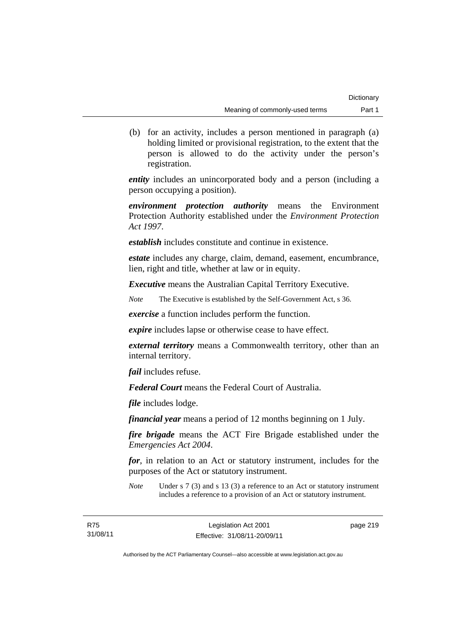(b) for an activity, includes a person mentioned in paragraph (a) holding limited or provisional registration, to the extent that the person is allowed to do the activity under the person's registration.

*entity* includes an unincorporated body and a person (including a person occupying a position).

*environment protection authority* means the Environment Protection Authority established under the *Environment Protection Act 1997*.

*establish* includes constitute and continue in existence.

*estate* includes any charge, claim, demand, easement, encumbrance, lien, right and title, whether at law or in equity.

*Executive* means the Australian Capital Territory Executive.

*Note* The Executive is established by the Self-Government Act, s 36.

*exercise* a function includes perform the function.

*expire* includes lapse or otherwise cease to have effect.

*external territory* means a Commonwealth territory, other than an internal territory.

*fail* includes refuse.

*Federal Court* means the Federal Court of Australia.

*file* includes lodge.

*financial year* means a period of 12 months beginning on 1 July.

*fire brigade* means the ACT Fire Brigade established under the *Emergencies Act 2004*.

*for*, in relation to an Act or statutory instrument, includes for the purposes of the Act or statutory instrument.

*Note* Under s 7 (3) and s 13 (3) a reference to an Act or statutory instrument includes a reference to a provision of an Act or statutory instrument.

page 219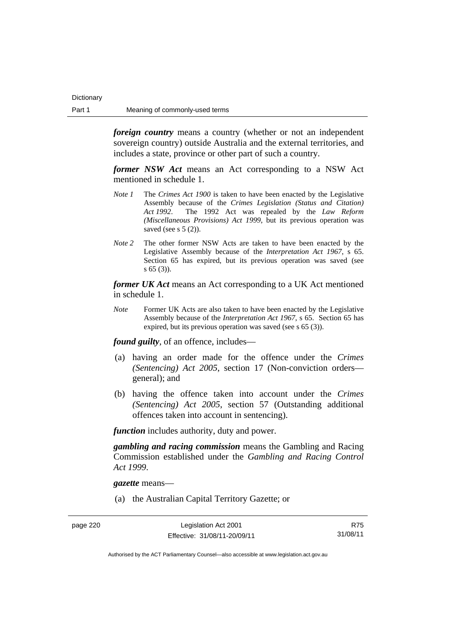*foreign country* means a country (whether or not an independent sovereign country) outside Australia and the external territories, and includes a state, province or other part of such a country.

*former NSW Act* means an Act corresponding to a NSW Act mentioned in schedule 1.

- *Note 1* The *Crimes Act 1900* is taken to have been enacted by the Legislative Assembly because of the *Crimes Legislation (Status and Citation) Act 1992*. The 1992 Act was repealed by the *Law Reform (Miscellaneous Provisions) Act 1999*, but its previous operation was saved (see s  $5(2)$ ).
- *Note 2* The other former NSW Acts are taken to have been enacted by the Legislative Assembly because of the *Interpretation Act 1967*, s 65. Section 65 has expired, but its previous operation was saved (see s 65 (3)).

*former UK Act* means an Act corresponding to a UK Act mentioned in schedule 1.

*Note* Former UK Acts are also taken to have been enacted by the Legislative Assembly because of the *Interpretation Act 1967*, s 65. Section 65 has expired, but its previous operation was saved (see s 65 (3)).

*found guilty*, of an offence, includes—

- (a) having an order made for the offence under the *Crimes (Sentencing) Act 2005*, section 17 (Non-conviction orders general); and
- (b) having the offence taken into account under the *Crimes (Sentencing) Act 2005*, section 57 (Outstanding additional offences taken into account in sentencing).

*function* includes authority, duty and power.

*gambling and racing commission* means the Gambling and Racing Commission established under the *Gambling and Racing Control Act 1999*.

*gazette* means—

(a) the Australian Capital Territory Gazette; or

page 220 Legislation Act 2001 Effective: 31/08/11-20/09/11

R75 31/08/11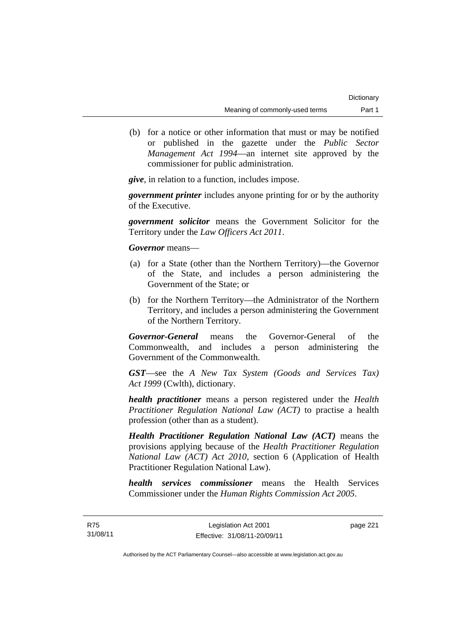(b) for a notice or other information that must or may be notified or published in the gazette under the *Public Sector Management Act 1994*—an internet site approved by the commissioner for public administration.

*give*, in relation to a function, includes impose.

*government printer* includes anyone printing for or by the authority of the Executive.

*government solicitor* means the Government Solicitor for the Territory under the *Law Officers Act 2011*.

*Governor* means—

- (a) for a State (other than the Northern Territory)—the Governor of the State, and includes a person administering the Government of the State; or
- (b) for the Northern Territory—the Administrator of the Northern Territory, and includes a person administering the Government of the Northern Territory.

*Governor-General* means the Governor-General of the Commonwealth, and includes a person administering the Government of the Commonwealth.

*GST*—see the *A New Tax System (Goods and Services Tax) Act 1999* (Cwlth), dictionary.

*health practitioner* means a person registered under the *Health Practitioner Regulation National Law (ACT)* to practise a health profession (other than as a student).

*Health Practitioner Regulation National Law (ACT)* means the provisions applying because of the *Health Practitioner Regulation National Law (ACT) Act 2010*, section 6 (Application of Health Practitioner Regulation National Law).

*health services commissioner* means the Health Services Commissioner under the *Human Rights Commission Act 2005*.

page 221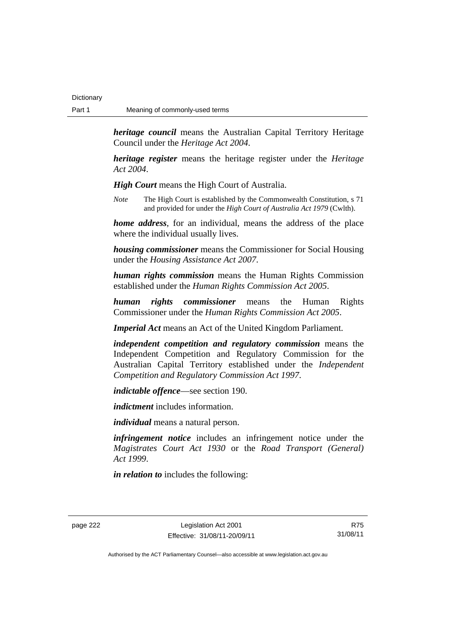**Dictionary** 

*heritage council* means the Australian Capital Territory Heritage Council under the *Heritage Act 2004*.

*heritage register* means the heritage register under the *Heritage Act 2004*.

*High Court* means the High Court of Australia.

*Note* The High Court is established by the Commonwealth Constitution, s 71 and provided for under the *High Court of Australia Act 1979* (Cwlth).

*home address*, for an individual, means the address of the place where the individual usually lives.

*housing commissioner* means the Commissioner for Social Housing under the *Housing Assistance Act 2007*.

*human rights commission* means the Human Rights Commission established under the *Human Rights Commission Act 2005*.

*human rights commissioner* means the Human Rights Commissioner under the *Human Rights Commission Act 2005*.

*Imperial Act* means an Act of the United Kingdom Parliament.

*independent competition and regulatory commission* means the Independent Competition and Regulatory Commission for the Australian Capital Territory established under the *Independent Competition and Regulatory Commission Act 1997*.

*indictable offence*—see section 190.

*indictment* includes information.

*individual* means a natural person.

*infringement notice* includes an infringement notice under the *Magistrates Court Act 1930* or the *Road Transport (General) Act 1999*.

*in relation to* includes the following:

page 222 Legislation Act 2001 Effective: 31/08/11-20/09/11

R75 31/08/11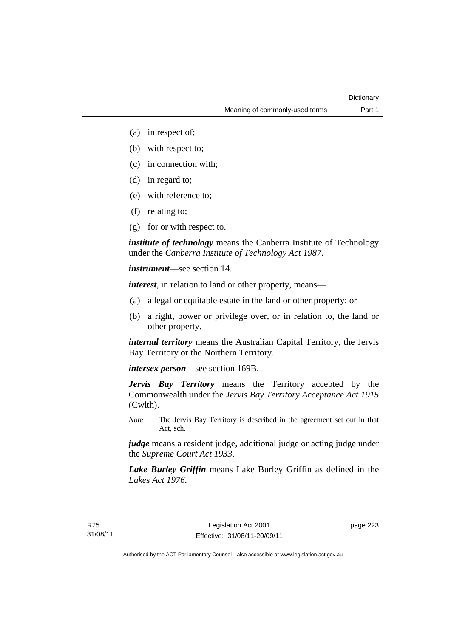- (a) in respect of;
- (b) with respect to;
- (c) in connection with;
- (d) in regard to;
- (e) with reference to;
- (f) relating to;
- (g) for or with respect to.

*institute of technology* means the Canberra Institute of Technology under the *Canberra Institute of Technology Act 1987*.

*instrument*—see section 14.

*interest*, in relation to land or other property, means—

- (a) a legal or equitable estate in the land or other property; or
- (b) a right, power or privilege over, or in relation to, the land or other property.

*internal territory* means the Australian Capital Territory, the Jervis Bay Territory or the Northern Territory.

*intersex person*—see section 169B.

*Jervis Bay Territory* means the Territory accepted by the Commonwealth under the *Jervis Bay Territory Acceptance Act 1915* (Cwlth).

*Note* The Jervis Bay Territory is described in the agreement set out in that Act, sch.

*judge* means a resident judge, additional judge or acting judge under the *Supreme Court Act 1933*.

*Lake Burley Griffin* means Lake Burley Griffin as defined in the *Lakes Act 1976*.

page 223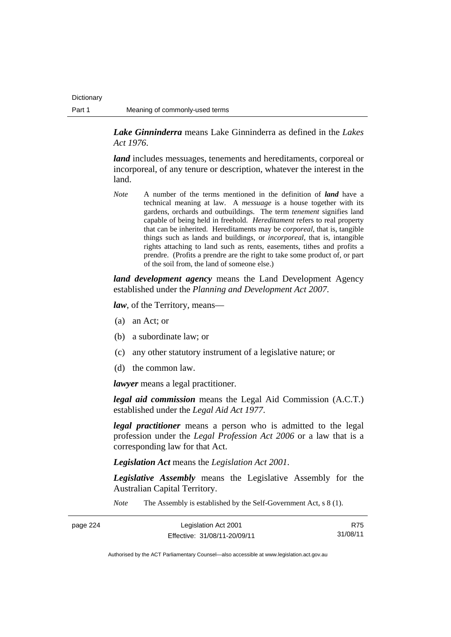*Lake Ginninderra* means Lake Ginninderra as defined in the *Lakes Act 1976*.

*land* includes messuages, tenements and hereditaments, corporeal or incorporeal, of any tenure or description, whatever the interest in the land.

*Note* A number of the terms mentioned in the definition of *land* have a technical meaning at law. A *messuage* is a house together with its gardens, orchards and outbuildings. The term *tenement* signifies land capable of being held in freehold. *Hereditament* refers to real property that can be inherited. Hereditaments may be *corporeal*, that is, tangible things such as lands and buildings, or *incorporeal*, that is, intangible rights attaching to land such as rents, easements, tithes and profits a prendre. (Profits a prendre are the right to take some product of, or part of the soil from, the land of someone else.)

*land development agency* means the Land Development Agency established under the *Planning and Development Act 2007*.

*law*, of the Territory, means—

- (a) an Act; or
- (b) a subordinate law; or
- (c) any other statutory instrument of a legislative nature; or
- (d) the common law.

*lawyer* means a legal practitioner.

*legal aid commission* means the Legal Aid Commission (A.C.T.) established under the *Legal Aid Act 1977*.

*legal practitioner* means a person who is admitted to the legal profession under the *Legal Profession Act 2006* or a law that is a corresponding law for that Act.

*Legislation Act* means the *Legislation Act 2001*.

*Legislative Assembly* means the Legislative Assembly for the Australian Capital Territory.

*Note* The Assembly is established by the Self-Government Act, s 8 (1).

| page 224 | Legislation Act 2001         | R75      |
|----------|------------------------------|----------|
|          | Effective: 31/08/11-20/09/11 | 31/08/11 |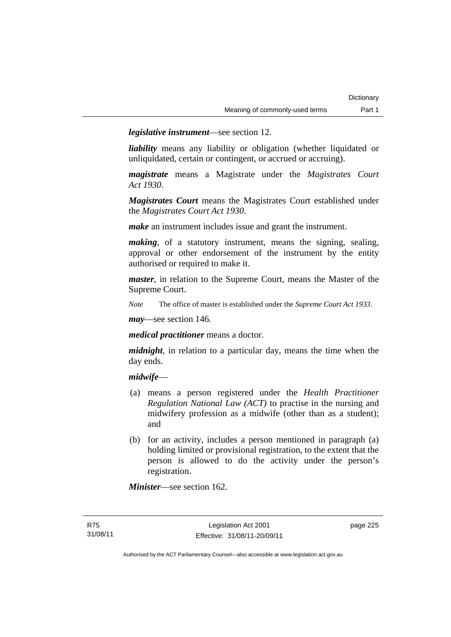*legislative instrument*—see section 12.

*liability* means any liability or obligation (whether liquidated or unliquidated, certain or contingent, or accrued or accruing).

*magistrate* means a Magistrate under the *Magistrates Court Act 1930*.

*Magistrates Court* means the Magistrates Court established under the *Magistrates Court Act 1930*.

*make* an instrument includes issue and grant the instrument.

*making*, of a statutory instrument, means the signing, sealing, approval or other endorsement of the instrument by the entity authorised or required to make it.

*master*, in relation to the Supreme Court, means the Master of the Supreme Court.

*Note* The office of master is established under the *Supreme Court Act 1933*.

*may*—see section 146.

*medical practitioner* means a doctor.

*midnight*, in relation to a particular day, means the time when the day ends.

#### *midwife*—

- (a) means a person registered under the *Health Practitioner Regulation National Law (ACT)* to practise in the nursing and midwifery profession as a midwife (other than as a student); and
- (b) for an activity, includes a person mentioned in paragraph (a) holding limited or provisional registration, to the extent that the person is allowed to do the activity under the person's registration.

*Minister*—see section 162.

page 225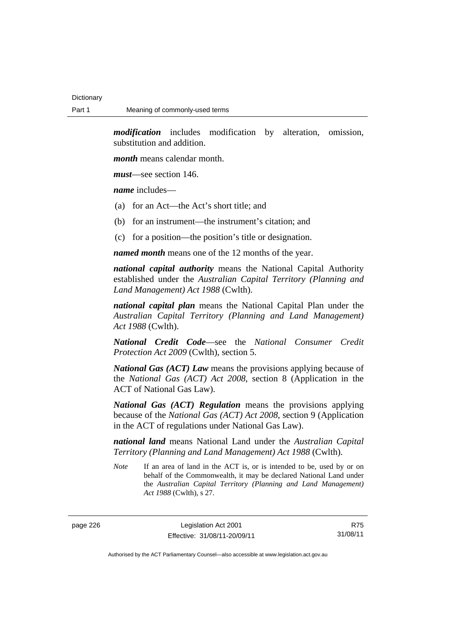*modification* includes modification by alteration, omission, substitution and addition.

*month* means calendar month.

*must*—see section 146.

*name* includes—

- (a) for an Act—the Act's short title; and
- (b) for an instrument—the instrument's citation; and
- (c) for a position—the position's title or designation.

*named month* means one of the 12 months of the year.

*national capital authority* means the National Capital Authority established under the *Australian Capital Territory (Planning and Land Management) Act 1988* (Cwlth).

*national capital plan* means the National Capital Plan under the *Australian Capital Territory (Planning and Land Management) Act 1988* (Cwlth).

*National Credit Code*—see the *National Consumer Credit Protection Act 2009* (Cwlth), section 5.

*National Gas (ACT) Law* means the provisions applying because of the *National Gas (ACT) Act 2008*, section 8 (Application in the ACT of National Gas Law).

*National Gas (ACT) Regulation* means the provisions applying because of the *National Gas (ACT) Act 2008*, section 9 (Application in the ACT of regulations under National Gas Law).

*national land* means National Land under the *Australian Capital Territory (Planning and Land Management) Act 1988* (Cwlth).

*Note* If an area of land in the ACT is, or is intended to be, used by or on behalf of the Commonwealth, it may be declared National Land under the *Australian Capital Territory (Planning and Land Management) Act 1988* (Cwlth), s 27.

page 226 Legislation Act 2001 Effective: 31/08/11-20/09/11

R75 31/08/11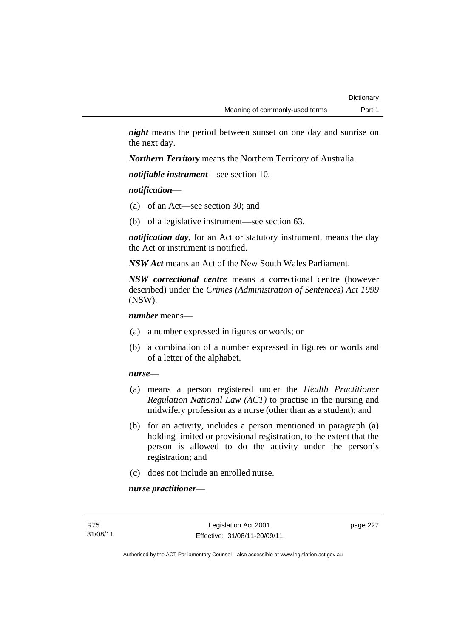*night* means the period between sunset on one day and sunrise on the next day.

*Northern Territory* means the Northern Territory of Australia.

*notifiable instrument*—see section 10.

*notification*—

- (a) of an Act—see section 30; and
- (b) of a legislative instrument—see section 63.

*notification day*, for an Act or statutory instrument, means the day the Act or instrument is notified.

*NSW Act* means an Act of the New South Wales Parliament.

*NSW correctional centre* means a correctional centre (however described) under the *Crimes (Administration of Sentences) Act 1999* (NSW).

*number* means—

- (a) a number expressed in figures or words; or
- (b) a combination of a number expressed in figures or words and of a letter of the alphabet.

### *nurse*—

- (a) means a person registered under the *Health Practitioner Regulation National Law (ACT)* to practise in the nursing and midwifery profession as a nurse (other than as a student); and
- (b) for an activity, includes a person mentioned in paragraph (a) holding limited or provisional registration, to the extent that the person is allowed to do the activity under the person's registration; and
- (c) does not include an enrolled nurse.

*nurse practitioner*—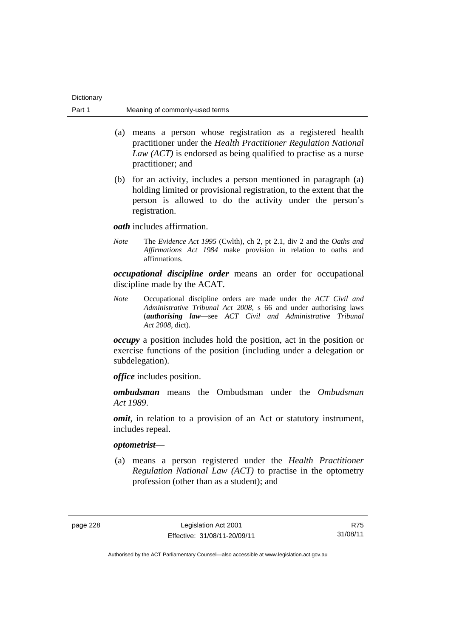| Dictionary |                                |
|------------|--------------------------------|
| Part 1     | Meaning of commonly-used terms |

- (a) means a person whose registration as a registered health practitioner under the *Health Practitioner Regulation National Law (ACT)* is endorsed as being qualified to practise as a nurse practitioner; and
- (b) for an activity, includes a person mentioned in paragraph (a) holding limited or provisional registration, to the extent that the person is allowed to do the activity under the person's registration.

*oath* includes affirmation.

*Note* The *Evidence Act 1995* (Cwlth), ch 2, pt 2.1, div 2 and the *Oaths and Affirmations Act 1984* make provision in relation to oaths and affirmations.

*occupational discipline order* means an order for occupational discipline made by the ACAT.

*Note* Occupational discipline orders are made under the *ACT Civil and Administrative Tribunal Act 2008*, s 66 and under authorising laws (*authorising law*—see *ACT Civil and Administrative Tribunal Act 2008*, dict).

*occupy* a position includes hold the position, act in the position or exercise functions of the position (including under a delegation or subdelegation).

*office* includes position.

*ombudsman* means the Ombudsman under the *Ombudsman Act 1989*.

*omit*, in relation to a provision of an Act or statutory instrument, includes repeal.

#### *optometrist*—

 (a) means a person registered under the *Health Practitioner Regulation National Law (ACT)* to practise in the optometry profession (other than as a student); and

page 228 Legislation Act 2001 Effective: 31/08/11-20/09/11

R75 31/08/11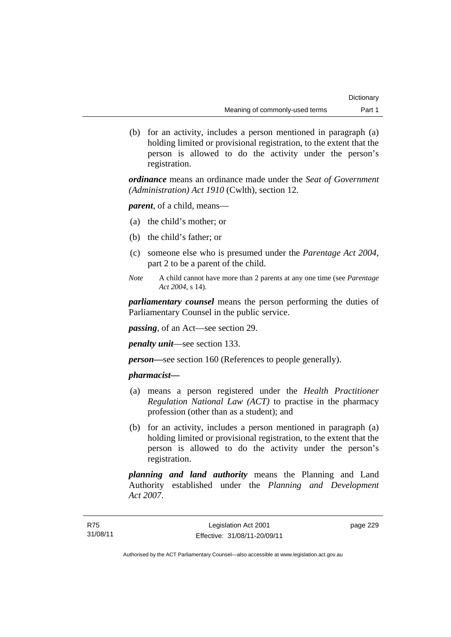(b) for an activity, includes a person mentioned in paragraph (a) holding limited or provisional registration, to the extent that the person is allowed to do the activity under the person's registration.

*ordinance* means an ordinance made under the *Seat of Government (Administration) Act 1910* (Cwlth), section 12.

*parent*, of a child, means—

- (a) the child's mother; or
- (b) the child's father; or
- (c) someone else who is presumed under the *Parentage Act 2004*, part 2 to be a parent of the child.
- *Note* A child cannot have more than 2 parents at any one time (see *Parentage Act 2004*, s 14).

*parliamentary counsel* means the person performing the duties of Parliamentary Counsel in the public service.

*passing*, of an Act—see section 29.

*penalty unit*—see section 133.

*person—*see section 160 (References to people generally).

# *pharmacist***—**

- (a) means a person registered under the *Health Practitioner Regulation National Law (ACT)* to practise in the pharmacy profession (other than as a student); and
- (b) for an activity, includes a person mentioned in paragraph (a) holding limited or provisional registration, to the extent that the person is allowed to do the activity under the person's registration.

*planning and land authority* means the Planning and Land Authority established under the *Planning and Development Act 2007*.

page 229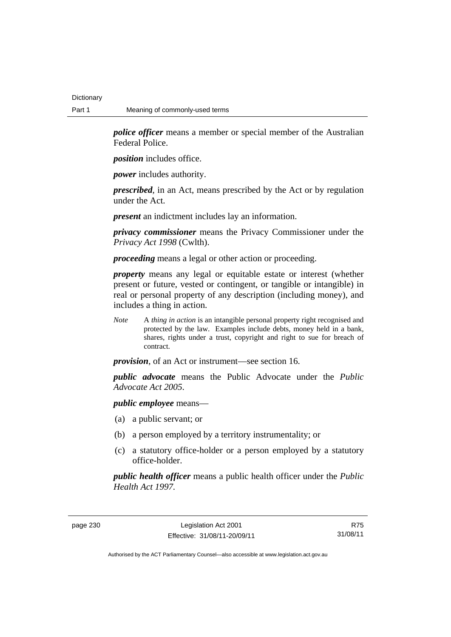**Dictionary** 

*police officer* means a member or special member of the Australian Federal Police.

*position* includes office.

*power* includes authority.

*prescribed*, in an Act, means prescribed by the Act or by regulation under the Act.

*present* an indictment includes lay an information.

*privacy commissioner* means the Privacy Commissioner under the *Privacy Act 1998* (Cwlth).

*proceeding* means a legal or other action or proceeding.

*property* means any legal or equitable estate or interest (whether present or future, vested or contingent, or tangible or intangible) in real or personal property of any description (including money), and includes a thing in action.

*Note* A *thing in action* is an intangible personal property right recognised and protected by the law. Examples include debts, money held in a bank, shares, rights under a trust, copyright and right to sue for breach of contract.

*provision*, of an Act or instrument—see section 16.

*public advocate* means the Public Advocate under the *Public Advocate Act 2005*.

*public employee* means—

- (a) a public servant; or
- (b) a person employed by a territory instrumentality; or
- (c) a statutory office-holder or a person employed by a statutory office-holder.

*public health officer* means a public health officer under the *Public Health Act 1997.*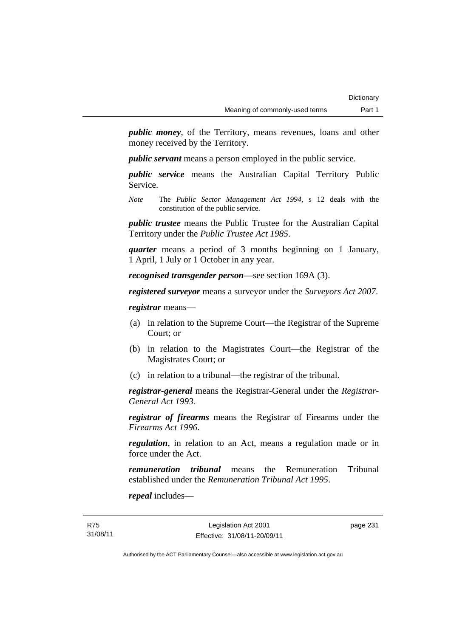*public money*, of the Territory, means revenues, loans and other money received by the Territory.

*public servant* means a person employed in the public service.

*public service* means the Australian Capital Territory Public Service.

*Note* The *Public Sector Management Act 1994*, s 12 deals with the constitution of the public service.

*public trustee* means the Public Trustee for the Australian Capital Territory under the *Public Trustee Act 1985*.

*quarter* means a period of 3 months beginning on 1 January, 1 April, 1 July or 1 October in any year.

*recognised transgender person*—see section 169A (3).

*registered surveyor* means a surveyor under the *Surveyors Act 2007*.

*registrar* means—

- (a) in relation to the Supreme Court—the Registrar of the Supreme Court; or
- (b) in relation to the Magistrates Court—the Registrar of the Magistrates Court; or
- (c) in relation to a tribunal—the registrar of the tribunal.

*registrar-general* means the Registrar-General under the *Registrar-General Act 1993*.

*registrar of firearms* means the Registrar of Firearms under the *Firearms Act 1996*.

*regulation*, in relation to an Act, means a regulation made or in force under the Act.

*remuneration tribunal* means the Remuneration Tribunal established under the *Remuneration Tribunal Act 1995*.

*repeal* includes—

page 231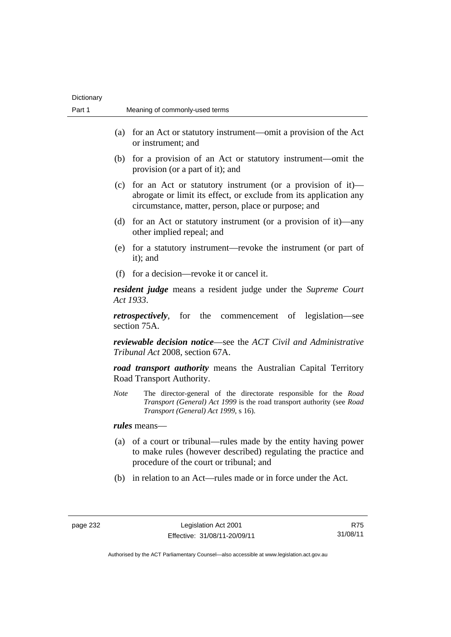| Dictionary |                                                                                                                                                                                                   |
|------------|---------------------------------------------------------------------------------------------------------------------------------------------------------------------------------------------------|
| Part 1     | Meaning of commonly-used terms                                                                                                                                                                    |
|            | for an Act or statutory instrument—omit a provision of the Act<br>(a)<br>or instrument; and                                                                                                       |
|            | for a provision of an Act or statutory instrument—omit the<br>(b)<br>provision (or a part of it); and                                                                                             |
|            | for an Act or statutory instrument (or a provision of it)—<br>(c)<br>abrogate or limit its effect, or exclude from its application any<br>circumstance, matter, person, place or purpose; and     |
|            | for an Act or statutory instrument (or a provision of it)—any<br>(d)<br>other implied repeal; and                                                                                                 |
|            | (e) for a statutory instrument—revoke the instrument (or part of<br>it); and                                                                                                                      |
|            | (f) for a decision—revoke it or cancel it.                                                                                                                                                        |
|            | <b>resident judge</b> means a resident judge under the Supreme Court<br>Act 1933.                                                                                                                 |
|            | <i>retrospectively</i> , for the commencement of legislation—see<br>section 75A.                                                                                                                  |
|            | <b>reviewable decision notice—see the ACT Civil and Administrative</b><br>Tribunal Act 2008, section 67A.                                                                                         |
|            | <b>road transport authority</b> means the Australian Capital Territory<br>Road Transport Authority.                                                                                               |
|            | The director-general of the directorate responsible for the Road<br><b>Note</b><br>Transport (General) Act 1999 is the road transport authority (see Road<br>Transport (General) Act 1999, s 16). |
|            | <i>rules</i> means—                                                                                                                                                                               |
|            | of a court or tribunal—rules made by the entity having power<br>(a)<br>to make rules (however described) regulating the practice and<br>procedure of the court or tribunal; and                   |
|            | in relation to an Act—rules made or in force under the Act.<br>(b)                                                                                                                                |

R75 31/08/11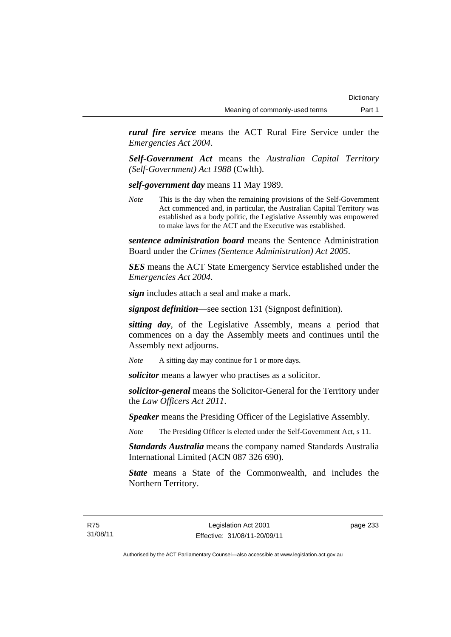*rural fire service* means the ACT Rural Fire Service under the *Emergencies Act 2004*.

*Self-Government Act* means the *Australian Capital Territory (Self-Government) Act 1988* (Cwlth).

*self-government day* means 11 May 1989.

*Note* This is the day when the remaining provisions of the Self-Government Act commenced and, in particular, the Australian Capital Territory was established as a body politic, the Legislative Assembly was empowered to make laws for the ACT and the Executive was established.

*sentence administration board* means the Sentence Administration Board under the *Crimes (Sentence Administration) Act 2005*.

*SES* means the ACT State Emergency Service established under the *Emergencies Act 2004*.

*sign* includes attach a seal and make a mark.

*signpost definition*—see section 131 (Signpost definition).

*sitting day*, of the Legislative Assembly, means a period that commences on a day the Assembly meets and continues until the Assembly next adjourns.

*Note* A sitting day may continue for 1 or more days.

*solicitor* means a lawyer who practises as a solicitor.

*solicitor-general* means the Solicitor-General for the Territory under the *Law Officers Act 2011*.

*Speaker* means the Presiding Officer of the Legislative Assembly.

*Note* The Presiding Officer is elected under the Self-Government Act, s 11.

*Standards Australia* means the company named Standards Australia International Limited (ACN 087 326 690).

*State* means a State of the Commonwealth, and includes the Northern Territory.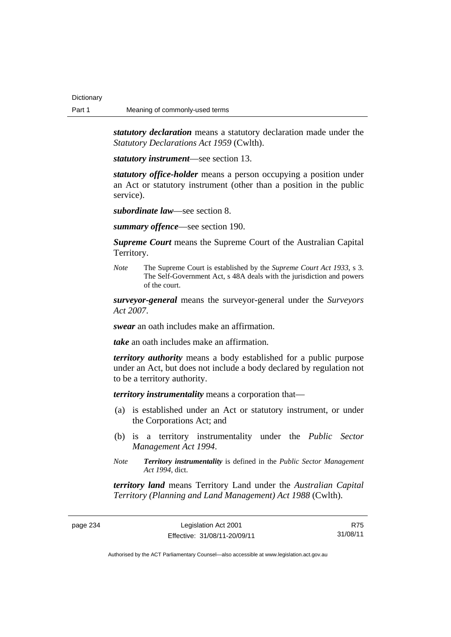*statutory declaration* means a statutory declaration made under the *Statutory Declarations Act 1959* (Cwlth).

*statutory instrument*—see section 13.

*statutory office-holder* means a person occupying a position under an Act or statutory instrument (other than a position in the public service).

*subordinate law*—see section 8.

*summary offence*—see section 190.

*Supreme Court* means the Supreme Court of the Australian Capital Territory.

*Note* The Supreme Court is established by the *Supreme Court Act 1933*, s 3. The Self-Government Act, s 48A deals with the jurisdiction and powers of the court.

*surveyor-general* means the surveyor-general under the *Surveyors Act 2007*.

*swear* an oath includes make an affirmation.

*take* an oath includes make an affirmation.

*territory authority* means a body established for a public purpose under an Act, but does not include a body declared by regulation not to be a territory authority.

*territory instrumentality* means a corporation that—

- (a) is established under an Act or statutory instrument, or under the Corporations Act; and
- (b) is a territory instrumentality under the *Public Sector Management Act 1994*.
- *Note Territory instrumentality* is defined in the *Public Sector Management Act 1994*, dict.

*territory land* means Territory Land under the *Australian Capital Territory (Planning and Land Management) Act 1988* (Cwlth).

page 234 Legislation Act 2001 Effective: 31/08/11-20/09/11

R75 31/08/11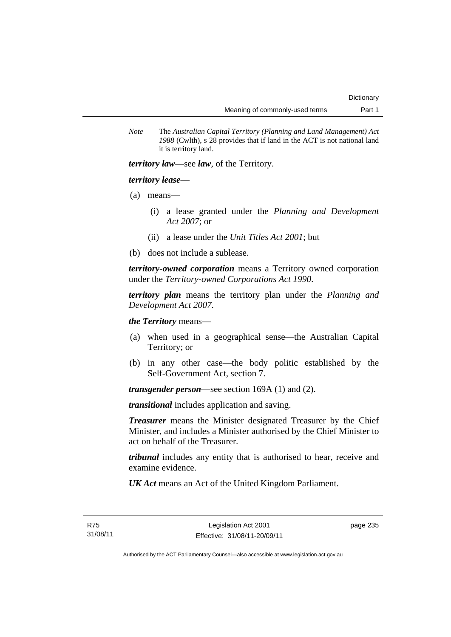*Note* The *Australian Capital Territory (Planning and Land Management) Act 1988* (Cwlth), s 28 provides that if land in the ACT is not national land it is territory land.

*territory law*—see *law*, of the Territory.

# *territory lease*—

- (a) means—
	- (i) a lease granted under the *Planning and Development Act 2007*; or
	- (ii) a lease under the *Unit Titles Act 2001*; but
- (b) does not include a sublease.

*territory-owned corporation* means a Territory owned corporation under the *Territory-owned Corporations Act 1990*.

*territory plan* means the territory plan under the *Planning and Development Act 2007*.

*the Territory* means—

- (a) when used in a geographical sense—the Australian Capital Territory; or
- (b) in any other case—the body politic established by the Self-Government Act, section 7.

*transgender person*—see section 169A (1) and (2).

*transitional* includes application and saving.

*Treasurer* means the Minister designated Treasurer by the Chief Minister, and includes a Minister authorised by the Chief Minister to act on behalf of the Treasurer.

*tribunal* includes any entity that is authorised to hear, receive and examine evidence.

*UK Act* means an Act of the United Kingdom Parliament.

page 235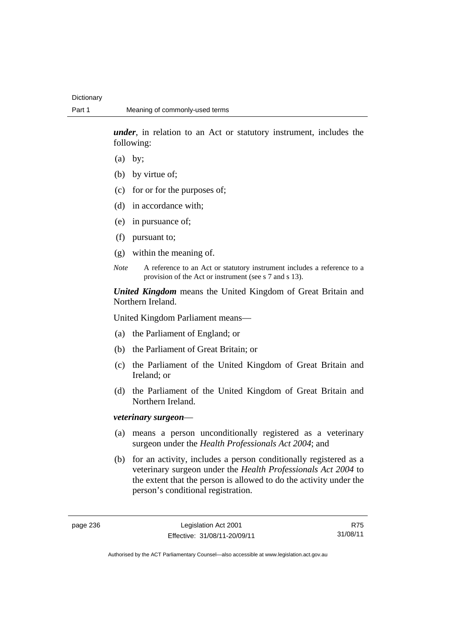*under*, in relation to an Act or statutory instrument, includes the following:

- (a) by;
- (b) by virtue of;
- (c) for or for the purposes of;
- (d) in accordance with;
- (e) in pursuance of;
- (f) pursuant to;
- (g) within the meaning of.
- *Note* A reference to an Act or statutory instrument includes a reference to a provision of the Act or instrument (see s 7 and s 13).

*United Kingdom* means the United Kingdom of Great Britain and Northern Ireland.

United Kingdom Parliament means—

- (a) the Parliament of England; or
- (b) the Parliament of Great Britain; or
- (c) the Parliament of the United Kingdom of Great Britain and Ireland; or
- (d) the Parliament of the United Kingdom of Great Britain and Northern Ireland.

## *veterinary surgeon*—

- (a) means a person unconditionally registered as a veterinary surgeon under the *Health Professionals Act 2004*; and
- (b) for an activity, includes a person conditionally registered as a veterinary surgeon under the *Health Professionals Act 2004* to the extent that the person is allowed to do the activity under the person's conditional registration.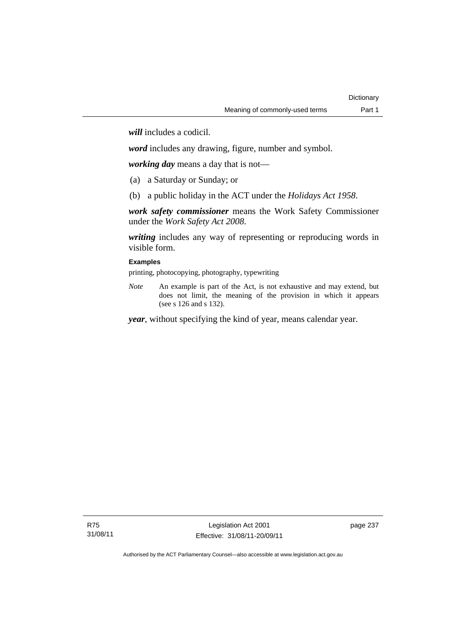*will* includes a codicil.

*word* includes any drawing, figure, number and symbol.

*working day* means a day that is not—

- (a) a Saturday or Sunday; or
- (b) a public holiday in the ACT under the *Holidays Act 1958*.

*work safety commissioner* means the Work Safety Commissioner under the *Work Safety Act 2008*.

*writing* includes any way of representing or reproducing words in visible form.

## **Examples**

printing, photocopying, photography, typewriting

*Note* An example is part of the Act, is not exhaustive and may extend, but does not limit, the meaning of the provision in which it appears (see s 126 and s 132).

*year*, without specifying the kind of year, means calendar year.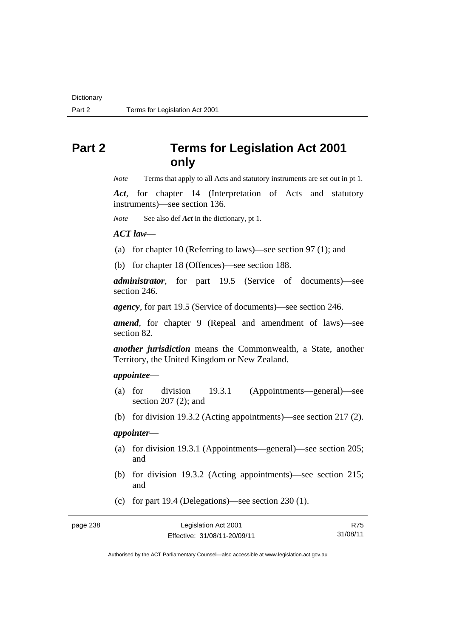# **Part 2 Terms for Legislation Act 2001 only**

*Note* Terms that apply to all Acts and statutory instruments are set out in pt 1.

*Act*, for chapter 14 (Interpretation of Acts and statutory instruments)—see section 136.

*Note* See also def *Act* in the dictionary, pt 1.

#### *ACT law*—

- (a) for chapter 10 (Referring to laws)—see section 97 (1); and
- (b) for chapter 18 (Offences)—see section 188.

*administrator*, for part 19.5 (Service of documents)—see section 246.

*agency*, for part 19.5 (Service of documents)—see section 246.

*amend*, for chapter 9 (Repeal and amendment of laws)—see section 82.

*another jurisdiction* means the Commonwealth, a State, another Territory, the United Kingdom or New Zealand.

## *appointee*—

- (a) for division 19.3.1 (Appointments—general)—see section 207 (2); and
- (b) for division 19.3.2 (Acting appointments)—see section 217 (2).

## *appointer*—

- (a) for division 19.3.1 (Appointments—general)—see section 205; and
- (b) for division 19.3.2 (Acting appointments)—see section 215; and
- (c) for part 19.4 (Delegations)—see section 230 (1).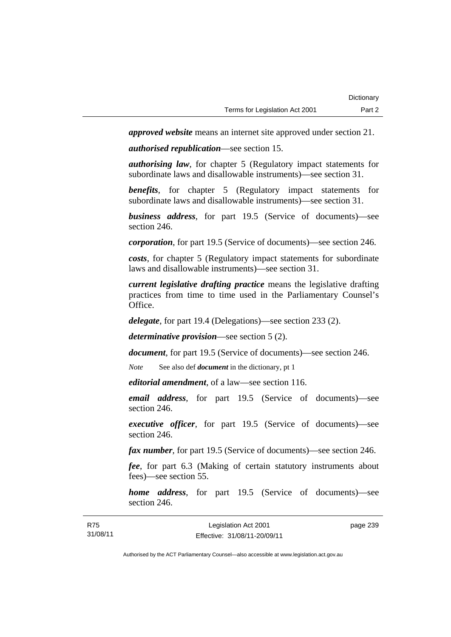*approved website* means an internet site approved under section 21.

*authorised republication*—see section 15.

*authorising law*, for chapter 5 (Regulatory impact statements for subordinate laws and disallowable instruments)—see section 31.

*benefits*, for chapter 5 (Regulatory impact statements for subordinate laws and disallowable instruments)—see section 31.

*business address*, for part 19.5 (Service of documents)—see section 246.

*corporation*, for part 19.5 (Service of documents)—see section 246.

*costs*, for chapter 5 (Regulatory impact statements for subordinate laws and disallowable instruments)—see section 31.

*current legislative drafting practice* means the legislative drafting practices from time to time used in the Parliamentary Counsel's Office.

*delegate*, for part 19.4 (Delegations)—see section 233 (2).

*determinative provision*—see section 5 (2).

*document*, for part 19.5 (Service of documents)—see section 246.

*Note* See also def *document* in the dictionary, pt 1

*editorial amendment*, of a law—see section 116.

*email address*, for part 19.5 (Service of documents)—see section 246.

*executive officer*, for part 19.5 (Service of documents)—see section 246.

*fax number*, for part 19.5 (Service of documents)—see section 246.

*fee*, for part 6.3 (Making of certain statutory instruments about fees)—see section 55.

*home address*, for part 19.5 (Service of documents)—see section 246.

| R75      | Legislation Act 2001         | page 239 |
|----------|------------------------------|----------|
| 31/08/11 | Effective: 31/08/11-20/09/11 |          |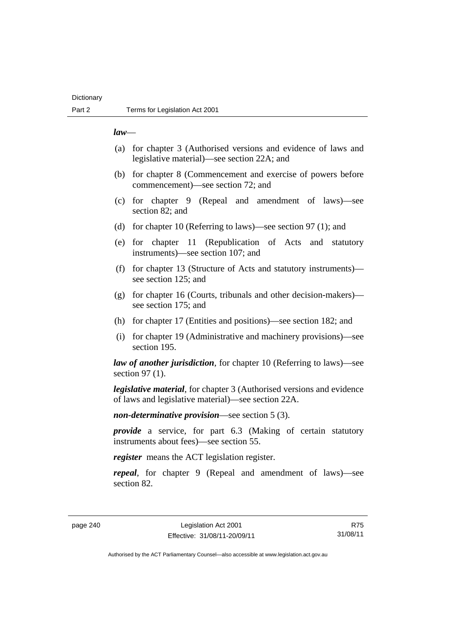## **Dictionary**

## *law*—

- (a) for chapter 3 (Authorised versions and evidence of laws and legislative material)—see section 22A; and
- (b) for chapter 8 (Commencement and exercise of powers before commencement)—see section 72; and
- (c) for chapter 9 (Repeal and amendment of laws)—see section 82; and
- (d) for chapter 10 (Referring to laws)—see section 97 (1); and
- (e) for chapter 11 (Republication of Acts and statutory instruments)—see section 107; and
- (f) for chapter 13 (Structure of Acts and statutory instruments) see section 125; and
- (g) for chapter 16 (Courts, tribunals and other decision-makers) see section 175; and
- (h) for chapter 17 (Entities and positions)—see section 182; and
- (i) for chapter 19 (Administrative and machinery provisions)—see section 195.

*law of another jurisdiction*, for chapter 10 (Referring to laws)—see section 97 (1).

*legislative material*, for chapter 3 (Authorised versions and evidence of laws and legislative material)—see section 22A.

*non-determinative provision*—see section 5 (3).

*provide* a service, for part 6.3 (Making of certain statutory instruments about fees)—see section 55.

*register* means the ACT legislation register.

*repeal*, for chapter 9 (Repeal and amendment of laws)—see section 82.

page 240 Legislation Act 2001 Effective: 31/08/11-20/09/11

R75 31/08/11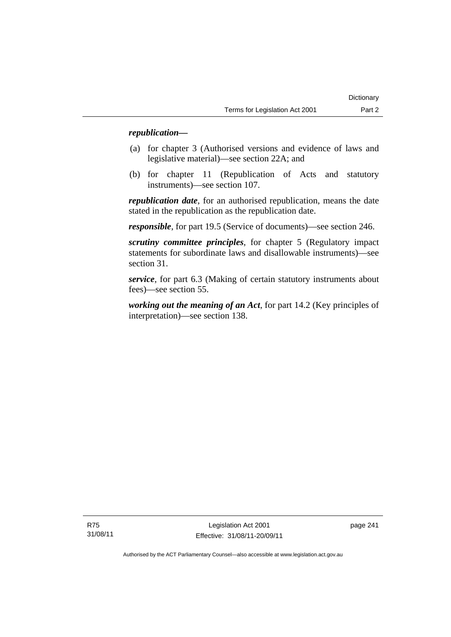## *republication—*

- (a) for chapter 3 (Authorised versions and evidence of laws and legislative material)—see section 22A; and
- (b) for chapter 11 (Republication of Acts and statutory instruments)—see section 107.

*republication date*, for an authorised republication, means the date stated in the republication as the republication date.

*responsible*, for part 19.5 (Service of documents)—see section 246.

*scrutiny committee principles*, for chapter 5 (Regulatory impact statements for subordinate laws and disallowable instruments)—see section 31.

*service*, for part 6.3 (Making of certain statutory instruments about fees)—see section 55.

*working out the meaning of an Act*, for part 14.2 (Key principles of interpretation)—see section 138.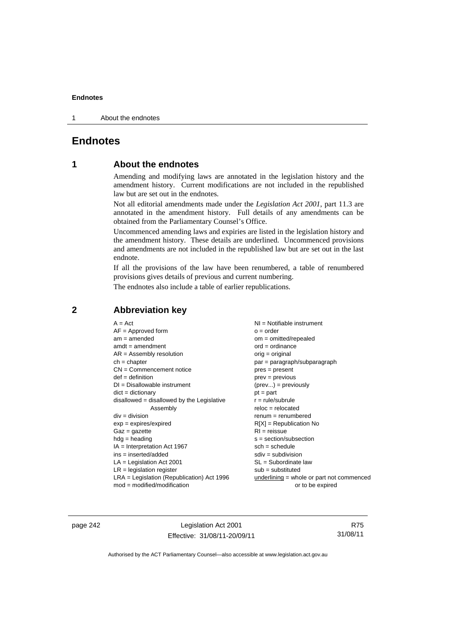1 About the endnotes

# **Endnotes**

# **1 About the endnotes**

Amending and modifying laws are annotated in the legislation history and the amendment history. Current modifications are not included in the republished law but are set out in the endnotes.

Not all editorial amendments made under the *Legislation Act 2001*, part 11.3 are annotated in the amendment history. Full details of any amendments can be obtained from the Parliamentary Counsel's Office.

Uncommenced amending laws and expiries are listed in the legislation history and the amendment history. These details are underlined. Uncommenced provisions and amendments are not included in the republished law but are set out in the last endnote.

If all the provisions of the law have been renumbered, a table of renumbered provisions gives details of previous and current numbering.

The endnotes also include a table of earlier republications.

| $A = Act$                                    | $NI = Notifiable$ instrument              |
|----------------------------------------------|-------------------------------------------|
| $AF =$ Approved form                         | $o = order$                               |
| $am = amended$                               | $om = omitted/repealed$                   |
| $amdt = amendment$                           | $ord = ordinance$                         |
| $AR = Assembly resolution$                   | orig = original                           |
| $ch = chapter$                               | par = paragraph/subparagraph              |
| $CN =$ Commencement notice                   | $pres = present$                          |
| $def = definition$                           | $prev = previous$                         |
| $DI = Disallowable instrument$               | $(\text{prev}) = \text{previously}$       |
| $dict = dictionary$                          | $pt = part$                               |
| $disallowed = disallowed by the Legislative$ | $r = rule/subrule$                        |
| Assembly                                     | $reloc = relocated$                       |
| $div = division$                             | $renum = renumbered$                      |
| $exp = expires/expired$                      | $R[X]$ = Republication No                 |
| $Gaz = gazette$                              | $RI = reissue$                            |
| $hdg =$ heading                              | $s = section/subsection$                  |
| $IA = Interpretation Act 1967$               | $sch = schedule$                          |
| $ins = inserted/added$                       | $sdiv = subdivision$                      |
| $LA =$ Legislation Act 2001                  | $SL = Subordinate$ law                    |
| $LR =$ legislation register                  | $sub =$ substituted                       |
| $LRA =$ Legislation (Republication) Act 1996 | underlining = whole or part not commenced |
| $mod = modified/modification$                | or to be expired                          |

# **2 Abbreviation key**

page 242 Legislation Act 2001 Effective: 31/08/11-20/09/11

R75 31/08/11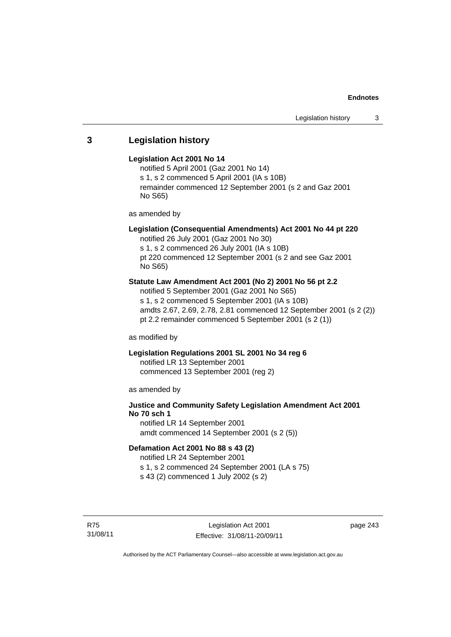# **3 Legislation history**

## **Legislation Act 2001 No 14**

notified 5 April 2001 (Gaz 2001 No 14) s 1, s 2 commenced 5 April 2001 (IA s 10B) remainder commenced 12 September 2001 (s 2 and Gaz 2001 No S65)

as amended by

## **Legislation (Consequential Amendments) Act 2001 No 44 pt 220**

notified 26 July 2001 (Gaz 2001 No 30) s 1, s 2 commenced 26 July 2001 (IA s 10B) pt 220 commenced 12 September 2001 (s 2 and see Gaz 2001 No S65)

# **Statute Law Amendment Act 2001 (No 2) 2001 No 56 pt 2.2**

notified 5 September 2001 (Gaz 2001 No S65) s 1, s 2 commenced 5 September 2001 (IA s 10B) amdts 2.67, 2.69, 2.78, 2.81 commenced 12 September 2001 (s 2 (2)) pt 2.2 remainder commenced 5 September 2001 (s 2 (1))

as modified by

## **Legislation Regulations 2001 SL 2001 No 34 reg 6**

notified LR 13 September 2001 commenced 13 September 2001 (reg 2)

as amended by

# **Justice and Community Safety Legislation Amendment Act 2001 No 70 sch 1**

notified LR 14 September 2001 amdt commenced 14 September 2001 (s 2 (5))

## **Defamation Act 2001 No 88 s 43 (2)**

notified LR 24 September 2001 s 1, s 2 commenced 24 September 2001 (LA s 75) s 43 (2) commenced 1 July 2002 (s 2)

R75 31/08/11 page 243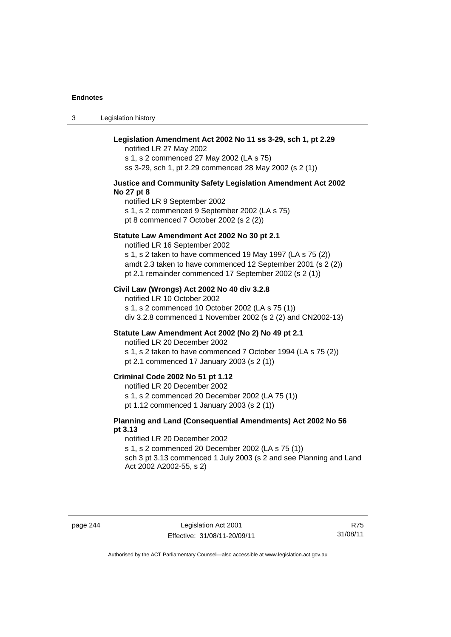3 Legislation history

| Legislation Amendment Act 2002 No 11 ss 3-29, sch 1, pt 2.29<br>notified LR 27 May 2002<br>s 1, s 2 commenced 27 May 2002 (LA s 75)<br>ss 3-29, sch 1, pt 2.29 commenced 28 May 2002 (s 2 (1))                                                                       |
|----------------------------------------------------------------------------------------------------------------------------------------------------------------------------------------------------------------------------------------------------------------------|
| Justice and Community Safety Legislation Amendment Act 2002<br>No 27 pt 8<br>notified LR 9 September 2002<br>s 1, s 2 commenced 9 September 2002 (LA s 75)<br>pt 8 commenced 7 October 2002 (s 2 (2))                                                                |
| Statute Law Amendment Act 2002 No 30 pt 2.1<br>notified LR 16 September 2002<br>s 1, s 2 taken to have commenced 19 May 1997 (LA s 75 (2))<br>amdt 2.3 taken to have commenced 12 September 2001 (s 2 (2))<br>pt 2.1 remainder commenced 17 September 2002 (s 2 (1)) |
| Civil Law (Wrongs) Act 2002 No 40 div 3.2.8<br>notified LR 10 October 2002<br>s 1, s 2 commenced 10 October 2002 (LA s 75 (1))<br>div 3.2.8 commenced 1 November 2002 (s 2 (2) and CN2002-13)                                                                        |
| Statute Law Amendment Act 2002 (No 2) No 49 pt 2.1<br>notified LR 20 December 2002<br>s 1, s 2 taken to have commenced 7 October 1994 (LA s 75 (2))<br>pt 2.1 commenced 17 January 2003 (s 2 (1))                                                                    |
| Criminal Code 2002 No 51 pt 1.12<br>notified LR 20 December 2002<br>s 1, s 2 commenced 20 December 2002 (LA 75 (1))<br>pt 1.12 commenced 1 January 2003 (s 2 (1))                                                                                                    |
| Planning and Land (Consequential Amendments) Act 2002 No 56<br>pt 3.13<br>notified LR 20 December 2002<br>s 1, s 2 commenced 20 December 2002 (LA s 75 (1))<br>sch 3 pt 3.13 commenced 1 July 2003 (s 2 and see Planning and Land<br>Act 2002 A2002-55, s 2)         |

page 244 Legislation Act 2001 Effective: 31/08/11-20/09/11

R75 31/08/11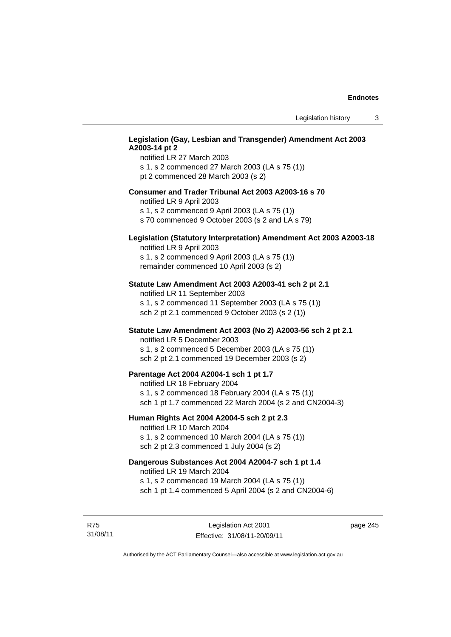## **Legislation (Gay, Lesbian and Transgender) Amendment Act 2003 A2003-14 pt 2**

notified LR 27 March 2003 s 1, s 2 commenced 27 March 2003 (LA s 75 (1)) pt 2 commenced 28 March 2003 (s 2)

#### **Consumer and Trader Tribunal Act 2003 A2003-16 s 70**

notified LR 9 April 2003

s 1, s 2 commenced 9 April 2003 (LA s 75 (1))

s 70 commenced 9 October 2003 (s 2 and LA s 79)

# **Legislation (Statutory Interpretation) Amendment Act 2003 A2003-18**

notified LR 9 April 2003 s 1, s 2 commenced 9 April 2003 (LA s 75 (1)) remainder commenced 10 April 2003 (s 2)

#### **Statute Law Amendment Act 2003 A2003-41 sch 2 pt 2.1**

notified LR 11 September 2003 s 1, s 2 commenced 11 September 2003 (LA s 75 (1)) sch 2 pt 2.1 commenced 9 October 2003 (s 2 (1))

## **Statute Law Amendment Act 2003 (No 2) A2003-56 sch 2 pt 2.1**

notified LR 5 December 2003 s 1, s 2 commenced 5 December 2003 (LA s 75 (1)) sch 2 pt 2.1 commenced 19 December 2003 (s 2)

#### **Parentage Act 2004 A2004-1 sch 1 pt 1.7**

notified LR 18 February 2004 s 1, s 2 commenced 18 February 2004 (LA s 75 (1)) sch 1 pt 1.7 commenced 22 March 2004 (s 2 and CN2004-3)

## **Human Rights Act 2004 A2004-5 sch 2 pt 2.3**

notified LR 10 March 2004 s 1, s 2 commenced 10 March 2004 (LA s 75 (1)) sch 2 pt 2.3 commenced 1 July 2004 (s 2)

# **Dangerous Substances Act 2004 A2004-7 sch 1 pt 1.4**

notified LR 19 March 2004 s 1, s 2 commenced 19 March 2004 (LA s 75 (1)) sch 1 pt 1.4 commenced 5 April 2004 (s 2 and CN2004-6)

R75 31/08/11 page 245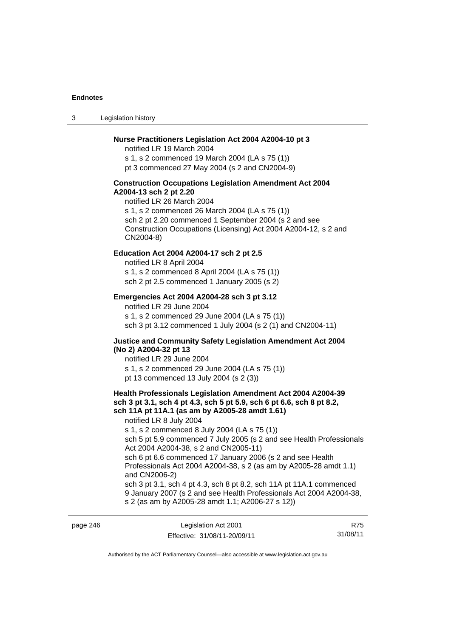3 Legislation history

#### **Nurse Practitioners Legislation Act 2004 A2004-10 pt 3**

notified LR 19 March 2004 s 1, s 2 commenced 19 March 2004 (LA s 75 (1)) pt 3 commenced 27 May 2004 (s 2 and CN2004-9)

#### **Construction Occupations Legislation Amendment Act 2004 A2004-13 sch 2 pt 2.20**

notified LR 26 March 2004 s 1, s 2 commenced 26 March 2004 (LA s 75 (1)) sch 2 pt 2.20 commenced 1 September 2004 (s 2 and see Construction Occupations (Licensing) Act 2004 A2004-12, s 2 and CN2004-8)

## **Education Act 2004 A2004-17 sch 2 pt 2.5**

notified LR 8 April 2004 s 1, s 2 commenced 8 April 2004 (LA s 75 (1)) sch 2 pt 2.5 commenced 1 January 2005 (s 2)

## **Emergencies Act 2004 A2004-28 sch 3 pt 3.12**

notified LR 29 June 2004 s 1, s 2 commenced 29 June 2004 (LA s 75 (1)) sch 3 pt 3.12 commenced 1 July 2004 (s 2 (1) and CN2004-11)

#### **Justice and Community Safety Legislation Amendment Act 2004 (No 2) A2004-32 pt 13**

notified LR 29 June 2004 s 1, s 2 commenced 29 June 2004 (LA s 75 (1)) pt 13 commenced 13 July 2004 (s 2 (3))

# **Health Professionals Legislation Amendment Act 2004 A2004-39 sch 3 pt 3.1, sch 4 pt 4.3, sch 5 pt 5.9, sch 6 pt 6.6, sch 8 pt 8.2, sch 11A pt 11A.1 (as am by A2005-28 amdt 1.61)**

notified LR 8 July 2004

s 1, s 2 commenced 8 July 2004 (LA s 75 (1))

sch 5 pt 5.9 commenced 7 July 2005 (s 2 and see Health Professionals Act 2004 A2004-38, s 2 and CN2005-11)

sch 6 pt 6.6 commenced 17 January 2006 (s 2 and see Health Professionals Act 2004 A2004-38, s 2 (as am by A2005-28 amdt 1.1) and CN2006-2)

sch 3 pt 3.1, sch 4 pt 4.3, sch 8 pt 8.2, sch 11A pt 11A.1 commenced 9 January 2007 (s 2 and see Health Professionals Act 2004 A2004-38, s 2 (as am by A2005-28 amdt 1.1; A2006-27 s 12))

| page 246 | Legislation Act 2001         | R75      |
|----------|------------------------------|----------|
|          | Effective: 31/08/11-20/09/11 | 31/08/11 |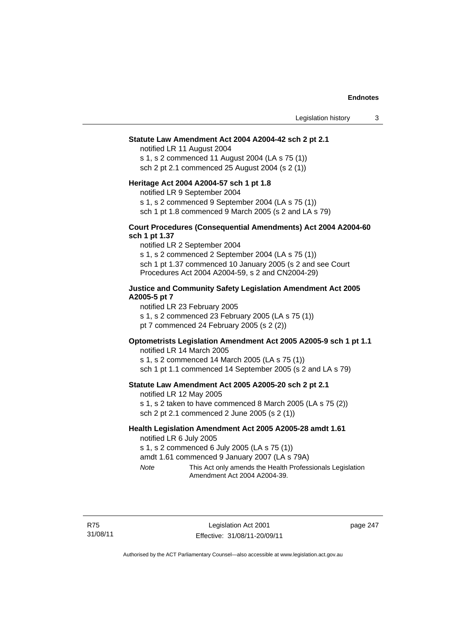#### **Statute Law Amendment Act 2004 A2004-42 sch 2 pt 2.1**

notified LR 11 August 2004 s 1, s 2 commenced 11 August 2004 (LA s 75 (1)) sch 2 pt 2.1 commenced 25 August 2004 (s 2 (1))

#### **Heritage Act 2004 A2004-57 sch 1 pt 1.8**

notified LR 9 September 2004

s 1, s 2 commenced 9 September 2004 (LA s 75 (1))

sch 1 pt 1.8 commenced 9 March 2005 (s 2 and LA s 79)

#### **Court Procedures (Consequential Amendments) Act 2004 A2004-60 sch 1 pt 1.37**

notified LR 2 September 2004 s 1, s 2 commenced 2 September 2004 (LA s 75 (1)) sch 1 pt 1.37 commenced 10 January 2005 (s 2 and see Court Procedures Act 2004 A2004-59, s 2 and CN2004-29)

#### **Justice and Community Safety Legislation Amendment Act 2005 A2005-5 pt 7**

notified LR 23 February 2005 s 1, s 2 commenced 23 February 2005 (LA s 75 (1)) pt 7 commenced 24 February 2005 (s 2 (2))

### **Optometrists Legislation Amendment Act 2005 A2005-9 sch 1 pt 1.1**

notified LR 14 March 2005 s 1, s 2 commenced 14 March 2005 (LA s 75 (1)) sch 1 pt 1.1 commenced 14 September 2005 (s 2 and LA s 79)

## **Statute Law Amendment Act 2005 A2005-20 sch 2 pt 2.1**

notified LR 12 May 2005

s 1, s 2 taken to have commenced 8 March 2005 (LA s 75 (2)) sch 2 pt 2.1 commenced 2 June 2005 (s 2 (1))

## **Health Legislation Amendment Act 2005 A2005-28 amdt 1.61**

notified LR 6 July 2005

s 1, s 2 commenced 6 July 2005 (LA s 75 (1))

amdt 1.61 commenced 9 January 2007 (LA s 79A)

*Note* This Act only amends the Health Professionals Legislation Amendment Act 2004 A2004-39.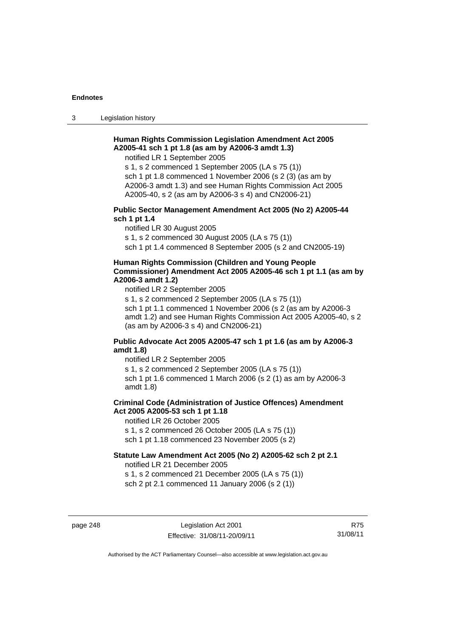3 Legislation history

## **Human Rights Commission Legislation Amendment Act 2005 A2005-41 sch 1 pt 1.8 (as am by A2006-3 amdt 1.3)**

notified LR 1 September 2005

s 1, s 2 commenced 1 September 2005 (LA s 75 (1)) sch 1 pt 1.8 commenced 1 November 2006 (s 2 (3) (as am by A2006-3 amdt 1.3) and see Human Rights Commission Act 2005 A2005-40, s 2 (as am by A2006-3 s 4) and CN2006-21)

## **Public Sector Management Amendment Act 2005 (No 2) A2005-44 sch 1 pt 1.4**

notified LR 30 August 2005

s 1, s 2 commenced 30 August 2005 (LA s 75 (1))

sch 1 pt 1.4 commenced 8 September 2005 (s 2 and CN2005-19)

#### **Human Rights Commission (Children and Young People Commissioner) Amendment Act 2005 A2005-46 sch 1 pt 1.1 (as am by A2006-3 amdt 1.2)**

notified LR 2 September 2005

s 1, s 2 commenced 2 September 2005 (LA s 75 (1)) sch 1 pt 1.1 commenced 1 November 2006 (s 2 (as am by A2006-3 amdt 1.2) and see Human Rights Commission Act 2005 A2005-40, s 2 (as am by A2006-3 s 4) and CN2006-21)

## **Public Advocate Act 2005 A2005-47 sch 1 pt 1.6 (as am by A2006-3 amdt 1.8)**

notified LR 2 September 2005

s 1, s 2 commenced 2 September 2005 (LA s 75 (1)) sch 1 pt 1.6 commenced 1 March 2006 (s 2 (1) as am by A2006-3

amdt 1.8)

## **Criminal Code (Administration of Justice Offences) Amendment Act 2005 A2005-53 sch 1 pt 1.18**

notified LR 26 October 2005

s 1, s 2 commenced 26 October 2005 (LA s 75 (1))

sch 1 pt 1.18 commenced 23 November 2005 (s 2)

## **Statute Law Amendment Act 2005 (No 2) A2005-62 sch 2 pt 2.1**

notified LR 21 December 2005

s 1, s 2 commenced 21 December 2005 (LA s 75 (1)) sch 2 pt 2.1 commenced 11 January 2006 (s 2 (1))

page 248 Legislation Act 2001 Effective: 31/08/11-20/09/11

R75 31/08/11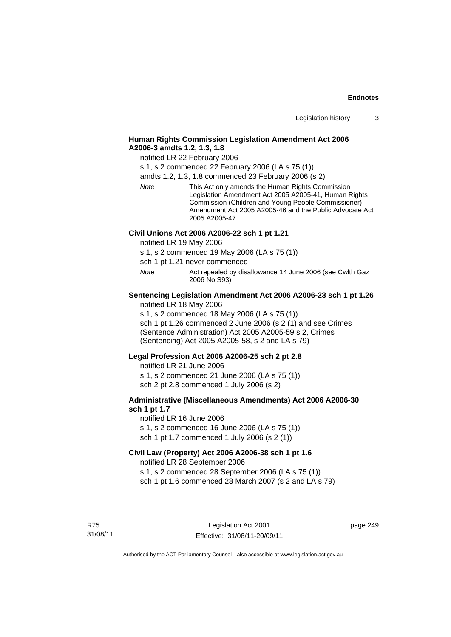## **Human Rights Commission Legislation Amendment Act 2006 A2006-3 amdts 1.2, 1.3, 1.8**

notified LR 22 February 2006

s 1, s 2 commenced 22 February 2006 (LA s 75 (1))

amdts 1.2, 1.3, 1.8 commenced 23 February 2006 (s 2)

*Note* This Act only amends the Human Rights Commission Legislation Amendment Act 2005 A2005-41, Human Rights Commission (Children and Young People Commissioner) Amendment Act 2005 A2005-46 and the Public Advocate Act 2005 A2005-47

#### **Civil Unions Act 2006 A2006-22 sch 1 pt 1.21**

notified LR 19 May 2006

s 1, s 2 commenced 19 May 2006 (LA s 75 (1))

sch 1 pt 1.21 never commenced

*Note* **Act repealed by disallowance 14 June 2006 (see Cwlth Gaz** 2006 No S93)

# **Sentencing Legislation Amendment Act 2006 A2006-23 sch 1 pt 1.26**

notified LR 18 May 2006

s 1, s 2 commenced 18 May 2006 (LA s 75 (1)) sch 1 pt 1.26 commenced 2 June 2006 (s 2 (1) and see Crimes (Sentence Administration) Act 2005 A2005-59 s 2, Crimes (Sentencing) Act 2005 A2005-58, s 2 and LA s 79)

#### **Legal Profession Act 2006 A2006-25 sch 2 pt 2.8**

notified LR 21 June 2006 s 1, s 2 commenced 21 June 2006 (LA s 75 (1)) sch 2 pt 2.8 commenced 1 July 2006 (s 2)

#### **Administrative (Miscellaneous Amendments) Act 2006 A2006-30 sch 1 pt 1.7**

notified LR 16 June 2006 s 1, s 2 commenced 16 June 2006 (LA s 75 (1)) sch 1 pt 1.7 commenced 1 July 2006 (s 2 (1))

## **Civil Law (Property) Act 2006 A2006-38 sch 1 pt 1.6**

notified LR 28 September 2006

s 1, s 2 commenced 28 September 2006 (LA s 75 (1))

sch 1 pt 1.6 commenced 28 March 2007 (s 2 and LA s 79)

R75 31/08/11 page 249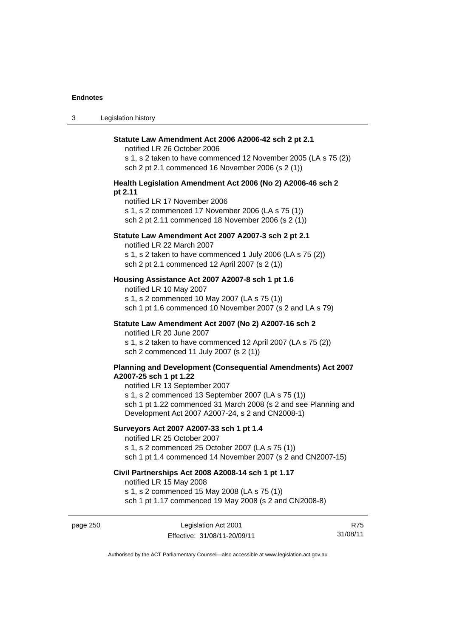| $\sqrt{2}$<br>ు | Legislation history |
|-----------------|---------------------|
|-----------------|---------------------|

| Statute Law Amendment Act 2006 A2006-42 sch 2 pt 2.1<br>notified LR 26 October 2006<br>s 1, s 2 taken to have commenced 12 November 2005 (LA s 75 (2))<br>sch 2 pt 2.1 commenced 16 November 2006 (s 2 (1)) |
|-------------------------------------------------------------------------------------------------------------------------------------------------------------------------------------------------------------|
| Health Legislation Amendment Act 2006 (No 2) A2006-46 sch 2                                                                                                                                                 |
| pt 2.11<br>notified LR 17 November 2006<br>s 1, s 2 commenced 17 November 2006 (LA s 75 (1))<br>sch 2 pt 2.11 commenced 18 November 2006 (s 2 (1))                                                          |
| Statute Law Amendment Act 2007 A2007-3 sch 2 pt 2.1<br>notified LR 22 March 2007                                                                                                                            |
| s 1, s 2 taken to have commenced 1 July 2006 (LA s 75 (2))<br>sch 2 pt 2.1 commenced 12 April 2007 (s 2 (1))                                                                                                |
| Housing Assistance Act 2007 A2007-8 sch 1 pt 1.6<br>notified LR 10 May 2007                                                                                                                                 |
| s 1, s 2 commenced 10 May 2007 (LA s 75 (1))<br>sch 1 pt 1.6 commenced 10 November 2007 (s 2 and LA s 79)                                                                                                   |
| Statute Law Amendment Act 2007 (No 2) A2007-16 sch 2<br>notified LR 20 June 2007                                                                                                                            |
| s 1, s 2 taken to have commenced 12 April 2007 (LA s 75 (2))<br>sch 2 commenced 11 July 2007 (s 2 (1))                                                                                                      |
| Planning and Development (Consequential Amendments) Act 2007<br>A2007-25 sch 1 pt 1.22<br>notified LR 13 September 2007<br>s 1, s 2 commenced 13 September 2007 (LA s 75 (1))                               |
| sch 1 pt 1.22 commenced 31 March 2008 (s 2 and see Planning and<br>Development Act 2007 A2007-24, s 2 and CN2008-1)                                                                                         |
| Surveyors Act 2007 A2007-33 sch 1 pt 1.4<br>notified LR 25 October 2007                                                                                                                                     |
| s 1, s 2 commenced 25 October 2007 (LA s 75 (1))<br>sch 1 pt 1.4 commenced 14 November 2007 (s 2 and CN2007-15)                                                                                             |
| Civil Partnerships Act 2008 A2008-14 sch 1 pt 1.17<br>notified LR 15 May 2008                                                                                                                               |
| s 1, s 2 commenced 15 May 2008 (LA s 75 (1))<br>sch 1 pt 1.17 commenced 19 May 2008 (s 2 and CN2008-8)                                                                                                      |

page 250 Legislation Act 2001 Effective: 31/08/11-20/09/11

R75 31/08/11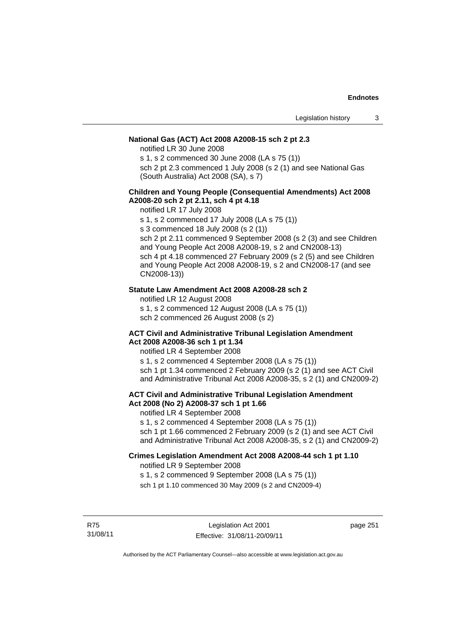## **National Gas (ACT) Act 2008 A2008-15 sch 2 pt 2.3**

notified LR 30 June 2008

s 1, s 2 commenced 30 June 2008 (LA s 75 (1))

sch 2 pt 2.3 commenced 1 July 2008 (s 2 (1) and see National Gas (South Australia) Act 2008 (SA), s 7)

### **Children and Young People (Consequential Amendments) Act 2008 A2008-20 sch 2 pt 2.11, sch 4 pt 4.18**

notified LR 17 July 2008

s 1, s 2 commenced 17 July 2008 (LA s 75 (1))

s 3 commenced 18 July 2008 (s 2 (1))

sch 2 pt 2.11 commenced 9 September 2008 (s 2 (3) and see Children and Young People Act 2008 A2008-19, s 2 and CN2008-13) sch 4 pt 4.18 commenced 27 February 2009 (s 2 (5) and see Children and Young People Act 2008 A2008-19, s 2 and CN2008-17 (and see CN2008-13))

### **Statute Law Amendment Act 2008 A2008-28 sch 2**

notified LR 12 August 2008

s 1, s 2 commenced 12 August 2008 (LA s 75 (1))

sch 2 commenced 26 August 2008 (s 2)

#### **ACT Civil and Administrative Tribunal Legislation Amendment Act 2008 A2008-36 sch 1 pt 1.34**

notified LR 4 September 2008

s 1, s 2 commenced 4 September 2008 (LA s 75 (1)) sch 1 pt 1.34 commenced 2 February 2009 (s 2 (1) and see ACT Civil and Administrative Tribunal Act 2008 A2008-35, s 2 (1) and CN2009-2)

## **ACT Civil and Administrative Tribunal Legislation Amendment Act 2008 (No 2) A2008-37 sch 1 pt 1.66**

notified LR 4 September 2008

s 1, s 2 commenced 4 September 2008 (LA s 75 (1))

sch 1 pt 1.66 commenced 2 February 2009 (s 2 (1) and see ACT Civil and Administrative Tribunal Act 2008 A2008-35, s 2 (1) and CN2009-2)

#### **Crimes Legislation Amendment Act 2008 A2008-44 sch 1 pt 1.10**  notified LR 9 September 2008

s 1, s 2 commenced 9 September 2008 (LA s 75 (1))

sch 1 pt 1.10 commenced 30 May 2009 (s 2 and CN2009-4)

R75 31/08/11 page 251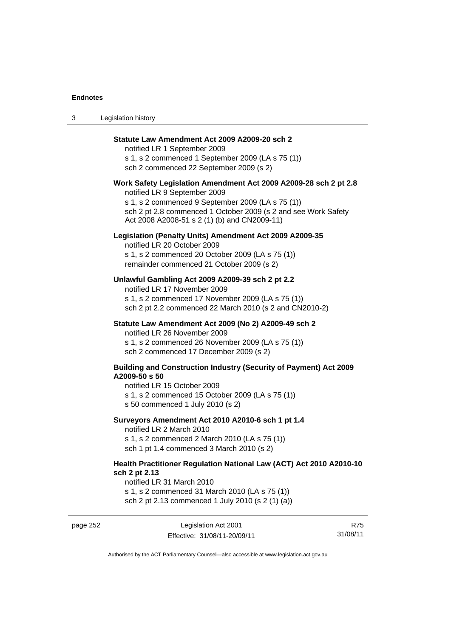3 Legislation history

| Statute Law Amendment Act 2009 A2009-20 sch 2<br>notified LR 1 September 2009<br>s 1, s 2 commenced 1 September 2009 (LA s 75 (1))<br>sch 2 commenced 22 September 2009 (s 2)                                                                                           |
|-------------------------------------------------------------------------------------------------------------------------------------------------------------------------------------------------------------------------------------------------------------------------|
| Work Safety Legislation Amendment Act 2009 A2009-28 sch 2 pt 2.8<br>notified LR 9 September 2009<br>s 1, s 2 commenced 9 September 2009 (LA s 75 (1))<br>sch 2 pt 2.8 commenced 1 October 2009 (s 2 and see Work Safety<br>Act 2008 A2008-51 s 2 (1) (b) and CN2009-11) |
| Legislation (Penalty Units) Amendment Act 2009 A2009-35<br>notified LR 20 October 2009<br>s 1, s 2 commenced 20 October 2009 (LA s 75 (1))<br>remainder commenced 21 October 2009 (s 2)                                                                                 |
| Unlawful Gambling Act 2009 A2009-39 sch 2 pt 2.2<br>notified LR 17 November 2009<br>s 1, s 2 commenced 17 November 2009 (LA s 75 (1))<br>sch 2 pt 2.2 commenced 22 March 2010 (s 2 and CN2010-2)                                                                        |
| Statute Law Amendment Act 2009 (No 2) A2009-49 sch 2<br>notified LR 26 November 2009<br>s 1, s 2 commenced 26 November 2009 (LA s 75 (1))<br>sch 2 commenced 17 December 2009 (s 2)                                                                                     |
| <b>Building and Construction Industry (Security of Payment) Act 2009</b><br>A2009-50 s 50<br>notified LR 15 October 2009<br>s 1, s 2 commenced 15 October 2009 (LA s 75 (1))<br>s 50 commenced 1 July 2010 (s 2)                                                        |
| Surveyors Amendment Act 2010 A2010-6 sch 1 pt 1.4<br>notified LR 2 March 2010<br>s 1, s 2 commenced 2 March 2010 (LA s 75 (1))<br>sch 1 pt 1.4 commenced 3 March 2010 (s 2)                                                                                             |
| Health Practitioner Regulation National Law (ACT) Act 2010 A2010-10<br>sch 2 pt 2.13<br>notified LR 31 March 2010                                                                                                                                                       |

s 1, s 2 commenced 31 March 2010 (LA s 75 (1)) sch 2 pt 2.13 commenced 1 July 2010 (s 2 (1) (a))

page 252 Legislation Act 2001 Effective: 31/08/11-20/09/11

R75 31/08/11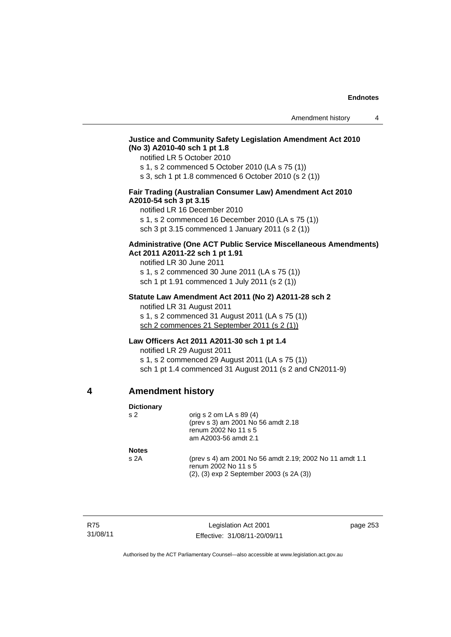## **Justice and Community Safety Legislation Amendment Act 2010 (No 3) A2010-40 sch 1 pt 1.8**

notified LR 5 October 2010

s 1, s 2 commenced 5 October 2010 (LA s 75 (1))

s 3, sch 1 pt 1.8 commenced 6 October 2010 (s 2 (1))

## **Fair Trading (Australian Consumer Law) Amendment Act 2010 A2010-54 sch 3 pt 3.15**

notified LR 16 December 2010 s 1, s 2 commenced 16 December 2010 (LA s 75 (1))

sch 3 pt 3.15 commenced 1 January 2011 (s 2 (1))

## **Administrative (One ACT Public Service Miscellaneous Amendments) Act 2011 A2011-22 sch 1 pt 1.91**

notified LR 30 June 2011 s 1, s 2 commenced 30 June 2011 (LA s 75 (1)) sch 1 pt 1.91 commenced 1 July 2011 (s 2 (1))

#### **Statute Law Amendment Act 2011 (No 2) A2011-28 sch 2**

notified LR 31 August 2011 s 1, s 2 commenced 31 August 2011 (LA s 75 (1)) sch 2 commences 21 September 2011 (s 2 (1))

## **Law Officers Act 2011 A2011-30 sch 1 pt 1.4**

notified LR 29 August 2011 s 1, s 2 commenced 29 August 2011 (LA s 75 (1)) sch 1 pt 1.4 commenced 31 August 2011 (s 2 and CN2011-9)

## **4 Amendment history**

| <b>Dictionary</b> |                                                                                 |
|-------------------|---------------------------------------------------------------------------------|
| s <sub>2</sub>    | orig s $2$ om LA s $89(4)$                                                      |
|                   | (prev s 3) am 2001 No 56 amdt 2.18                                              |
|                   | renum 2002 No 11 s 5                                                            |
|                   | am A2003-56 amdt 2.1                                                            |
| <b>Notes</b>      |                                                                                 |
| s <sub>2A</sub>   | (prev s 4) am 2001 No 56 amdt 2.19; 2002 No 11 amdt 1.1<br>renum 2002 No 11 s 5 |
|                   | $(2)$ , $(3)$ exp 2 September 2003 (s 2A $(3)$ )                                |

R75 31/08/11

Legislation Act 2001 Effective: 31/08/11-20/09/11 page 253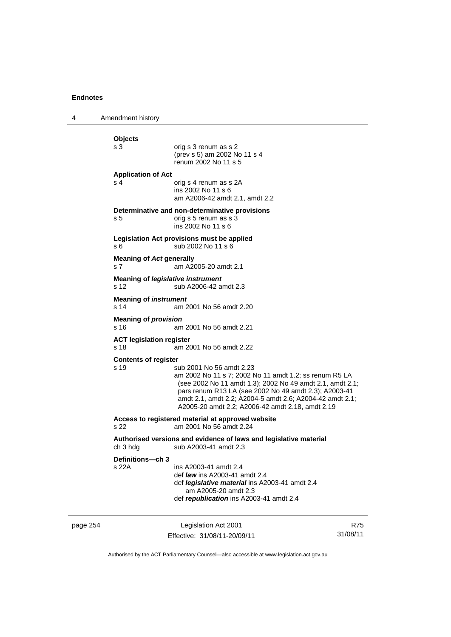4 Amendment history page 254 Legislation Act 2001 **Objects**  orig s 3 renum as s 2 (prev s 5) am 2002 No 11 s 4 renum 2002 No 11 s 5 **Application of Act**  s 4 corig s 4 renum as s 2A ins 2002 No 11 s 6 am A2006-42 amdt 2.1, amdt 2.2 **Determinative and non-determinative provisions**  s 5 orig s 5 renum as s 3 ins 2002 No 11 s 6 **Legislation Act provisions must be applied**  s 6 sub 2002 No 11 s 6 **Meaning of** *Act* **generally**  s 7 am A2005-20 amdt 2.1 **Meaning of** *legislative instrument* s 12 sub A2006-42 amdt 2.3 **Meaning of** *instrument*  s 14 am 2001 No 56 amdt 2.20 **Meaning of** *provision*  s 16 am 2001 No 56 amdt 2.21 **ACT legislation register**  s 18 am 2001 No 56 amdt 2.22 **Contents of register**  s 19 sub 2001 No 56 amdt 2.23 am 2002 No 11 s 7; 2002 No 11 amdt 1.2; ss renum R5 LA (see 2002 No 11 amdt 1.3); 2002 No 49 amdt 2.1, amdt 2.1; pars renum R13 LA (see 2002 No 49 amdt 2.3); A2003-41 amdt 2.1, amdt 2.2; A2004-5 amdt 2.6; A2004-42 amdt 2.1; A2005-20 amdt 2.2; A2006-42 amdt 2.18, amdt 2.19 **Access to registered material at approved website**  s 22 am 2001 No 56 amdt 2.24 **Authorised versions and evidence of laws and legislative material**  sub A2003-41 amdt 2.3 **Definitions—ch 3**  ins A2003-41 amdt 2.4 def *law* ins A2003-41 amdt 2.4 def *legislative material* ins A2003-41 amdt 2.4 am A2005-20 amdt 2.3 def *republication* ins A2003-41 amdt 2.4

Effective: 31/08/11-20/09/11

R75 31/08/11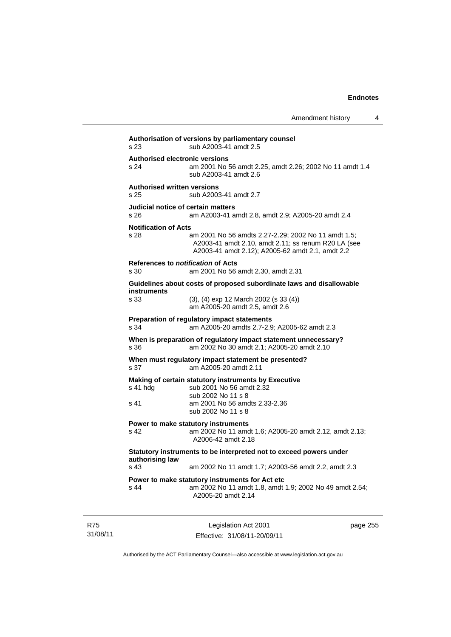| s 23                                                  | sub A2003-41 amdt 2.5                                                                                                            |
|-------------------------------------------------------|----------------------------------------------------------------------------------------------------------------------------------|
| <b>Authorised electronic versions</b><br>s 24         | am 2001 No 56 amdt 2.25, amdt 2.26; 2002 No 11 amdt 1.4<br>sub A2003-41 amdt 2.6                                                 |
| <b>Authorised written versions</b><br>s <sub>25</sub> | sub A2003-41 amdt 2.7                                                                                                            |
| s 26                                                  | Judicial notice of certain matters<br>am A2003-41 amdt 2.8, amdt 2.9; A2005-20 amdt 2.4                                          |
| <b>Notification of Acts</b><br>s 28                   | am 2001 No 56 amdts 2.27-2.29; 2002 No 11 amdt 1.5;<br>A2003-41 amdt 2.10, amdt 2.11; ss renum R20 LA (see                       |
|                                                       | A2003-41 amdt 2.12); A2005-62 amdt 2.1, amdt 2.2<br>References to notification of Acts                                           |
| s 30                                                  | am 2001 No 56 amdt 2.30, amdt 2.31                                                                                               |
| <b>instruments</b>                                    | Guidelines about costs of proposed subordinate laws and disallowable                                                             |
| s 33                                                  | $(3)$ , $(4)$ exp 12 March 2002 (s 33 $(4)$ )<br>am A2005-20 amdt 2.5, amdt 2.6                                                  |
| s 34                                                  | Preparation of regulatory impact statements<br>am A2005-20 amdts 2.7-2.9; A2005-62 amdt 2.3                                      |
| s 36                                                  | When is preparation of regulatory impact statement unnecessary?<br>am 2002 No 30 amdt 2.1; A2005-20 amdt 2.10                    |
| s 37                                                  | When must regulatory impact statement be presented?<br>am A2005-20 amdt 2.11                                                     |
| s 41 hda                                              | Making of certain statutory instruments by Executive<br>sub 2001 No 56 amdt 2.32                                                 |
| s 41                                                  | sub 2002 No 11 s 8<br>am 2001 No 56 amdts 2.33-2.36<br>sub 2002 No 11 s 8                                                        |
| s 42                                                  | Power to make statutory instruments<br>am 2002 No 11 amdt 1.6; A2005-20 amdt 2.12, amdt 2.13;<br>A2006-42 amdt 2.18              |
| authorising law                                       | Statutory instruments to be interpreted not to exceed powers under                                                               |
| s <sub>43</sub>                                       | am 2002 No 11 amdt 1.7; A2003-56 amdt 2.2, amdt 2.3                                                                              |
| $s$ 44                                                | Power to make statutory instruments for Act etc<br>am 2002 No 11 amdt 1.8, amdt 1.9; 2002 No 49 amdt 2.54;<br>A2005-20 amdt 2.14 |

R75 31/08/11

Legislation Act 2001 Effective: 31/08/11-20/09/11 page 255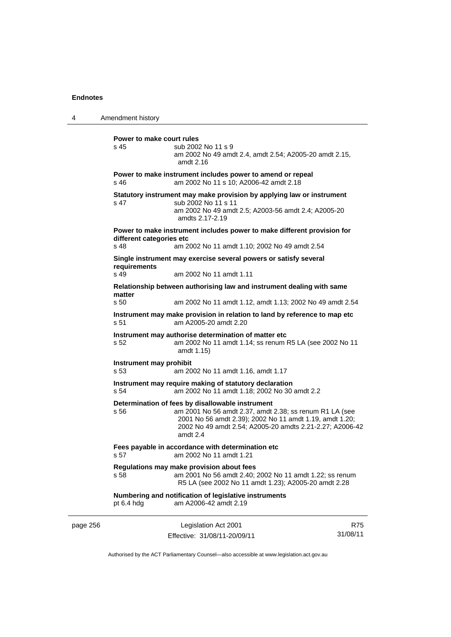| 4        | Amendment history                                                                                   |                                                                                                                                                                                                                                                  |     |
|----------|-----------------------------------------------------------------------------------------------------|--------------------------------------------------------------------------------------------------------------------------------------------------------------------------------------------------------------------------------------------------|-----|
|          | Power to make court rules<br>s <sub>45</sub>                                                        | sub 2002 No 11 s 9<br>am 2002 No 49 amdt 2.4, amdt 2.54; A2005-20 amdt 2.15,<br>amdt 2.16                                                                                                                                                        |     |
|          | s 46                                                                                                | Power to make instrument includes power to amend or repeal<br>am 2002 No 11 s 10; A2006-42 amdt 2.18                                                                                                                                             |     |
|          | s 47                                                                                                | Statutory instrument may make provision by applying law or instrument<br>sub 2002 No 11 s 11<br>am 2002 No 49 amdt 2.5; A2003-56 amdt 2.4; A2005-20<br>amdts 2.17-2.19                                                                           |     |
|          | Power to make instrument includes power to make different provision for<br>different categories etc |                                                                                                                                                                                                                                                  |     |
|          | s 48                                                                                                | am 2002 No 11 amdt 1.10; 2002 No 49 amdt 2.54                                                                                                                                                                                                    |     |
|          | requirements                                                                                        | Single instrument may exercise several powers or satisfy several                                                                                                                                                                                 |     |
|          | s 49                                                                                                | am 2002 No 11 amdt 1.11                                                                                                                                                                                                                          |     |
|          | matter                                                                                              | Relationship between authorising law and instrument dealing with same                                                                                                                                                                            |     |
|          | s 50                                                                                                | am 2002 No 11 amdt 1.12, amdt 1.13; 2002 No 49 amdt 2.54                                                                                                                                                                                         |     |
|          | s <sub>51</sub>                                                                                     | Instrument may make provision in relation to land by reference to map etc<br>am A2005-20 amdt 2.20                                                                                                                                               |     |
|          | s 52                                                                                                | Instrument may authorise determination of matter etc<br>am 2002 No 11 amdt 1.14; ss renum R5 LA (see 2002 No 11<br>amdt 1.15)                                                                                                                    |     |
|          | Instrument may prohibit<br>s 53                                                                     | am 2002 No 11 amdt 1.16, amdt 1.17                                                                                                                                                                                                               |     |
|          | s 54                                                                                                | Instrument may require making of statutory declaration<br>am 2002 No 11 amdt 1.18; 2002 No 30 amdt 2.2                                                                                                                                           |     |
|          | s 56                                                                                                | Determination of fees by disallowable instrument<br>am 2001 No 56 amdt 2.37, amdt 2.38; ss renum R1 LA (see<br>2001 No 56 amdt 2.39); 2002 No 11 amdt 1.19, amdt 1.20;<br>2002 No 49 amdt 2.54; A2005-20 amdts 2.21-2.27; A2006-42<br>amdt $2.4$ |     |
|          | s 57                                                                                                | Fees payable in accordance with determination etc<br>am 2002 No 11 amdt 1.21                                                                                                                                                                     |     |
|          | s 58                                                                                                | Regulations may make provision about fees<br>am 2001 No 56 amdt 2.40; 2002 No 11 amdt 1.22; ss renum<br>R5 LA (see 2002 No 11 amdt 1.23); A2005-20 amdt 2.28                                                                                     |     |
|          | pt 6.4 hdg                                                                                          | Numbering and notification of legislative instruments<br>am A2006-42 amdt 2.19                                                                                                                                                                   |     |
| page 256 |                                                                                                     | Legislation Act 2001                                                                                                                                                                                                                             | R75 |

Authorised by the ACT Parliamentary Counsel—also accessible at www.legislation.act.gov.au

31/08/11

Effective: 31/08/11-20/09/11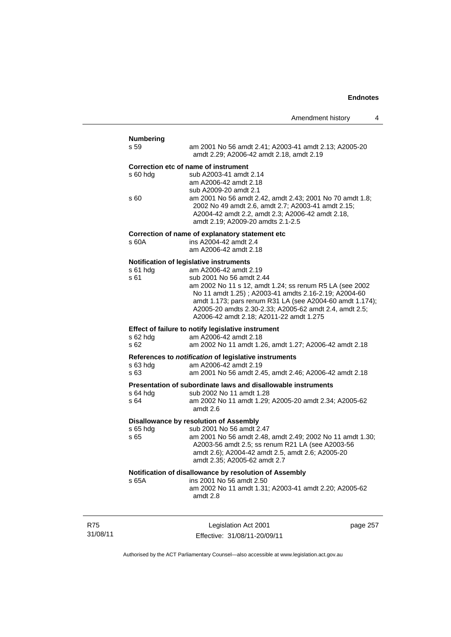| <b>Numbering</b><br>s 59                              | am 2001 No 56 amdt 2.41; A2003-41 amdt 2.13; A2005-20<br>amdt 2.29; A2006-42 amdt 2.18, amdt 2.19                                                                                                                     |  |
|-------------------------------------------------------|-----------------------------------------------------------------------------------------------------------------------------------------------------------------------------------------------------------------------|--|
| $s$ 60 hdg                                            | Correction etc of name of instrument<br>sub A2003-41 amdt 2.14                                                                                                                                                        |  |
|                                                       | am A2006-42 amdt 2.18<br>sub A2009-20 amdt 2.1                                                                                                                                                                        |  |
| s 60                                                  | am 2001 No 56 amdt 2.42, amdt 2.43; 2001 No 70 amdt 1.8;<br>2002 No 49 amdt 2.6, amdt 2.7; A2003-41 amdt 2.15;<br>A2004-42 amdt 2.2, amdt 2.3; A2006-42 amdt 2.18,<br>amdt 2.19; A2009-20 amdts 2.1-2.5               |  |
| s 60A                                                 | Correction of name of explanatory statement etc<br>ins A2004-42 amdt 2.4<br>am A2006-42 amdt 2.18                                                                                                                     |  |
|                                                       | Notification of legislative instruments                                                                                                                                                                               |  |
| $s61$ hdg<br>s 61                                     | am A2006-42 amdt 2.19<br>sub 2001 No 56 amdt 2.44                                                                                                                                                                     |  |
|                                                       | am 2002 No 11 s 12, amdt 1.24; ss renum R5 LA (see 2002                                                                                                                                                               |  |
|                                                       | No 11 amdt 1.25); A2003-41 amdts 2.16-2.19; A2004-60<br>amdt 1.173; pars renum R31 LA (see A2004-60 amdt 1.174);<br>A2005-20 amdts 2.30-2.33; A2005-62 amdt 2.4, amdt 2.5;<br>A2006-42 amdt 2.18; A2011-22 amdt 1.275 |  |
|                                                       | Effect of failure to notify legislative instrument                                                                                                                                                                    |  |
| $s$ 62 hdg                                            | am A2006-42 amdt 2.18                                                                                                                                                                                                 |  |
| s 62                                                  | am 2002 No 11 amdt 1.26, amdt 1.27; A2006-42 amdt 2.18                                                                                                                                                                |  |
| References to notification of legislative instruments |                                                                                                                                                                                                                       |  |
| $s$ 63 hdg<br>s 63                                    | am A2006-42 amdt 2.19<br>am 2001 No 56 amdt 2.45, amdt 2.46; A2006-42 amdt 2.18                                                                                                                                       |  |
|                                                       | Presentation of subordinate laws and disallowable instruments                                                                                                                                                         |  |
| $s$ 64 hdg<br>s 64                                    | sub 2002 No 11 amdt 1.28<br>am 2002 No 11 amdt 1.29; A2005-20 amdt 2.34; A2005-62<br>amdt 2.6                                                                                                                         |  |
| <b>Disallowance by resolution of Assembly</b>         |                                                                                                                                                                                                                       |  |
| s 65 hdg<br>s 65                                      | sub 2001 No 56 amdt 2.47<br>am 2001 No 56 amdt 2.48, amdt 2.49; 2002 No 11 amdt 1.30;                                                                                                                                 |  |
|                                                       | A2003-56 amdt 2.5; ss renum R21 LA (see A2003-56<br>amdt 2.6); A2004-42 amdt 2.5, amdt 2.6; A2005-20<br>amdt 2.35; A2005-62 amdt 2.7                                                                                  |  |
|                                                       | Notification of disallowance by resolution of Assembly                                                                                                                                                                |  |
| s 65A                                                 | ins 2001 No 56 amdt 2.50<br>am 2002 No 11 amdt 1.31; A2003-41 amdt 2.20; A2005-62<br>amdt 2.8                                                                                                                         |  |
|                                                       |                                                                                                                                                                                                                       |  |
|                                                       |                                                                                                                                                                                                                       |  |

R75 31/08/11

Legislation Act 2001 Effective: 31/08/11-20/09/11 page 257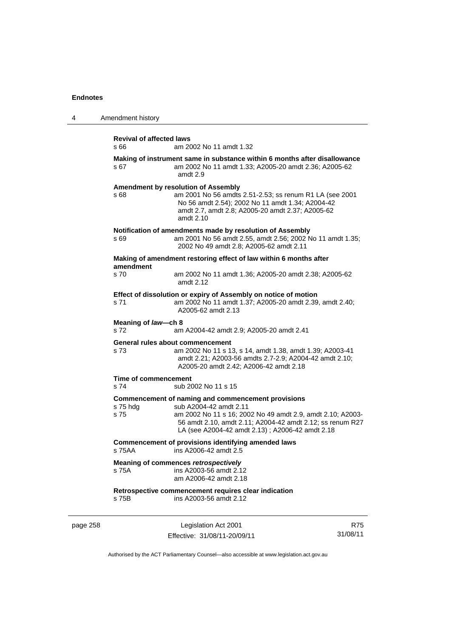| 4        | Amendment history                                                                             |                                                                                                                                                                                                                                                            |            |
|----------|-----------------------------------------------------------------------------------------------|------------------------------------------------------------------------------------------------------------------------------------------------------------------------------------------------------------------------------------------------------------|------------|
|          | <b>Revival of affected laws</b><br>s 66<br>am 2002 No 11 amdt 1.32                            |                                                                                                                                                                                                                                                            |            |
|          | s 67                                                                                          | Making of instrument same in substance within 6 months after disallowance<br>am 2002 No 11 amdt 1.33; A2005-20 amdt 2.36; A2005-62<br>amdt 2.9                                                                                                             |            |
|          | s 68                                                                                          | Amendment by resolution of Assembly<br>am 2001 No 56 amdts 2.51-2.53; ss renum R1 LA (see 2001<br>No 56 amdt 2.54); 2002 No 11 amdt 1.34; A2004-42<br>amdt 2.7, amdt 2.8; A2005-20 amdt 2.37; A2005-62<br>amdt 2.10                                        |            |
|          | s 69                                                                                          | Notification of amendments made by resolution of Assembly<br>am 2001 No 56 amdt 2.55, amdt 2.56; 2002 No 11 amdt 1.35;<br>2002 No 49 amdt 2.8; A2005-62 amdt 2.11                                                                                          |            |
|          |                                                                                               | Making of amendment restoring effect of law within 6 months after                                                                                                                                                                                          |            |
|          | amendment<br>s 70                                                                             | am 2002 No 11 amdt 1.36; A2005-20 amdt 2.38; A2005-62<br>amdt 2.12                                                                                                                                                                                         |            |
|          | s 71                                                                                          | Effect of dissolution or expiry of Assembly on notice of motion<br>am 2002 No 11 amdt 1.37; A2005-20 amdt 2.39, amdt 2.40;<br>A2005-62 amdt 2.13                                                                                                           |            |
|          | Meaning of law-ch 8<br>s 72                                                                   | am A2004-42 amdt 2.9; A2005-20 amdt 2.41                                                                                                                                                                                                                   |            |
|          | s 73                                                                                          | General rules about commencement<br>am 2002 No 11 s 13, s 14, amdt 1.38, amdt 1.39; A2003-41<br>amdt 2.21; A2003-56 amdts 2.7-2.9; A2004-42 amdt 2.10;<br>A2005-20 amdt 2.42; A2006-42 amdt 2.18                                                           |            |
|          | Time of commencement<br>s 74                                                                  | sub 2002 No 11 s 15                                                                                                                                                                                                                                        |            |
|          | s 75 hdg<br>s 75                                                                              | Commencement of naming and commencement provisions<br>sub A2004-42 amdt 2.11<br>am 2002 No 11 s 16; 2002 No 49 amdt 2.9, amdt 2.10; A2003-<br>56 amdt 2.10, amdt 2.11; A2004-42 amdt 2.12; ss renum R27<br>LA (see A2004-42 amdt 2.13); A2006-42 amdt 2.18 |            |
|          | <b>Commencement of provisions identifying amended laws</b><br>ins A2006-42 amdt 2.5<br>s 75AA |                                                                                                                                                                                                                                                            |            |
|          | s 75A                                                                                         | Meaning of commences retrospectively<br>ins A2003-56 amdt 2.12<br>am A2006-42 amdt 2.18                                                                                                                                                                    |            |
|          | s 75B                                                                                         | Retrospective commencement requires clear indication<br>ins A2003-56 amdt 2.12                                                                                                                                                                             |            |
| page 258 |                                                                                               | Legislation Act 2001                                                                                                                                                                                                                                       | <b>R75</b> |

Effective: 31/08/11-20/09/11

R75 31/08/11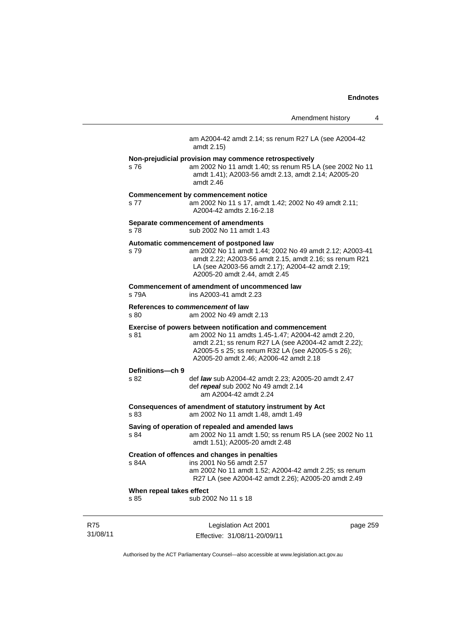|                                  | Amendment history                                                                                                                                                                                                                                                     |          | 4 |
|----------------------------------|-----------------------------------------------------------------------------------------------------------------------------------------------------------------------------------------------------------------------------------------------------------------------|----------|---|
|                                  | am A2004-42 amdt 2.14; ss renum R27 LA (see A2004-42<br>amdt 2.15)                                                                                                                                                                                                    |          |   |
| s 76                             | Non-prejudicial provision may commence retrospectively<br>am 2002 No 11 amdt 1.40; ss renum R5 LA (see 2002 No 11<br>amdt 1.41); A2003-56 amdt 2.13, amdt 2.14; A2005-20<br>amdt 2.46                                                                                 |          |   |
| s 77                             | <b>Commencement by commencement notice</b><br>am 2002 No 11 s 17, amdt 1.42; 2002 No 49 amdt 2.11;<br>A2004-42 amdts 2.16-2.18                                                                                                                                        |          |   |
| s 78                             | Separate commencement of amendments<br>sub 2002 No 11 amdt 1.43                                                                                                                                                                                                       |          |   |
| s 79                             | Automatic commencement of postponed law<br>am 2002 No 11 amdt 1.44; 2002 No 49 amdt 2.12; A2003-41<br>amdt 2.22; A2003-56 amdt 2.15, amdt 2.16; ss renum R21<br>LA (see A2003-56 amdt 2.17); A2004-42 amdt 2.19;<br>A2005-20 amdt 2.44, amdt 2.45                     |          |   |
| s 79A                            | Commencement of amendment of uncommenced law<br>ins A2003-41 amdt 2.23                                                                                                                                                                                                |          |   |
| s 80                             | References to commencement of law<br>am 2002 No 49 amdt 2.13                                                                                                                                                                                                          |          |   |
| s 81                             | Exercise of powers between notification and commencement<br>am 2002 No 11 amdts 1.45-1.47; A2004-42 amdt 2.20,<br>amdt 2.21; ss renum R27 LA (see A2004-42 amdt 2.22);<br>A2005-5 s 25; ss renum R32 LA (see A2005-5 s 26);<br>A2005-20 amdt 2.46; A2006-42 amdt 2.18 |          |   |
| Definitions-ch 9                 |                                                                                                                                                                                                                                                                       |          |   |
| s 82                             | def law sub A2004-42 amdt 2.23; A2005-20 amdt 2.47<br>def repeal sub 2002 No 49 amdt 2.14<br>am A2004-42 amdt 2.24                                                                                                                                                    |          |   |
| s 83                             | Consequences of amendment of statutory instrument by Act<br>am 2002 No 11 amdt 1.48, amdt 1.49                                                                                                                                                                        |          |   |
| s 84                             | Saving of operation of repealed and amended laws<br>am 2002 No 11 amdt 1.50; ss renum R5 LA (see 2002 No 11<br>amdt 1.51); A2005-20 amdt 2.48                                                                                                                         |          |   |
| s 84A                            | Creation of offences and changes in penalties<br>ins 2001 No 56 amdt 2.57<br>am 2002 No 11 amdt 1.52; A2004-42 amdt 2.25; ss renum<br>R27 LA (see A2004-42 amdt 2.26); A2005-20 amdt 2.49                                                                             |          |   |
| When repeal takes effect<br>s 85 | sub 2002 No 11 s 18                                                                                                                                                                                                                                                   |          |   |
|                                  | Legislation Act 2001                                                                                                                                                                                                                                                  | page 259 |   |

Authorised by the ACT Parliamentary Counsel—also accessible at www.legislation.act.gov.au

Effective: 31/08/11-20/09/11

R75 31/08/11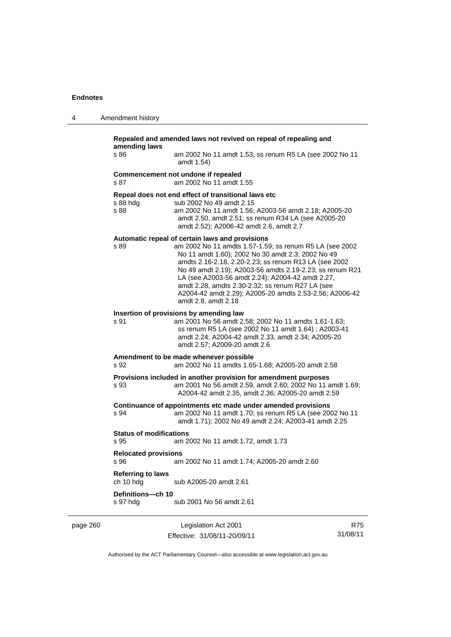| 4 | Amendment history                                                                                                                                                                                                                                                                                                                                                                                                                                                                      |
|---|----------------------------------------------------------------------------------------------------------------------------------------------------------------------------------------------------------------------------------------------------------------------------------------------------------------------------------------------------------------------------------------------------------------------------------------------------------------------------------------|
|   | Repealed and amended laws not revived on repeal of repealing and<br>amending laws                                                                                                                                                                                                                                                                                                                                                                                                      |
|   | s 86<br>am 2002 No 11 amdt 1.53; ss renum R5 LA (see 2002 No 11<br>amdt 1.54)                                                                                                                                                                                                                                                                                                                                                                                                          |
|   | Commencement not undone if repealed<br>am 2002 No 11 amdt 1.55<br>s 87                                                                                                                                                                                                                                                                                                                                                                                                                 |
|   | Repeal does not end effect of transitional laws etc<br>s 88 hdg<br>sub 2002 No 49 amdt 2.15<br>s 88<br>am 2002 No 11 amdt 1.56; A2003-56 amdt 2.18; A2005-20<br>amdt 2.50, amdt 2.51; ss renum R34 LA (see A2005-20<br>amdt 2.52); A2006-42 amdt 2.6, amdt 2.7                                                                                                                                                                                                                         |
|   | Automatic repeal of certain laws and provisions<br>s 89<br>am 2002 No 11 amdts 1.57-1.59; ss renum R5 LA (see 2002<br>No 11 amdt 1.60); 2002 No 30 amdt 2.3; 2002 No 49<br>amdts 2.16-2.18, 2.20-2.23; ss renum R13 LA (see 2002<br>No 49 amdt 2.19); A2003-56 amdts 2.19-2.23; ss renum R21<br>LA (see A2003-56 amdt 2.24); A2004-42 amdt 2.27,<br>amdt 2.28, amdts 2.30-2.32; ss renum R27 LA (see<br>A2004-42 amdt 2.29); A2005-20 amdts 2.53-2.56; A2006-42<br>amdt 2.8, amdt 2.18 |
|   | Insertion of provisions by amending law<br>s 91<br>am 2001 No 56 amdt 2.58; 2002 No 11 amdts 1.61-1.63;<br>ss renum R5 LA (see 2002 No 11 amdt 1.64) ; A2003-41<br>amdt 2.24; A2004-42 amdt 2.33, amdt 2.34; A2005-20<br>amdt 2.57; A2009-20 amdt 2.6                                                                                                                                                                                                                                  |
|   | Amendment to be made whenever possible<br>s 92<br>am 2002 No 11 amdts 1.65-1.68; A2005-20 amdt 2.58                                                                                                                                                                                                                                                                                                                                                                                    |
|   | Provisions included in another provision for amendment purposes<br>s 93<br>am 2001 No 56 amdt 2.59, amdt 2.60; 2002 No 11 amdt 1.69;<br>A2004-42 amdt 2.35, amdt 2.36; A2005-20 amdt 2.59                                                                                                                                                                                                                                                                                              |
|   | Continuance of appointments etc made under amended provisions<br>am 2002 No 11 amdt 1.70; ss renum R5 LA (see 2002 No 11<br>s 94<br>amdt 1.71); 2002 No 49 amdt 2.24; A2003-41 amdt 2.25                                                                                                                                                                                                                                                                                               |
|   | <b>Status of modifications</b><br>am 2002 No 11 amdt 1.72, amdt 1.73<br>s 95                                                                                                                                                                                                                                                                                                                                                                                                           |
|   | <b>Relocated provisions</b><br>am 2002 No 11 amdt 1.74; A2005-20 amdt 2.60<br>s 96                                                                                                                                                                                                                                                                                                                                                                                                     |
|   | <b>Referring to laws</b><br>ch 10 hdg<br>sub A2005-20 amdt 2.61                                                                                                                                                                                                                                                                                                                                                                                                                        |
|   | Definitions-ch 10<br>sub 2001 No 56 amdt 2.61<br>s 97 hdg                                                                                                                                                                                                                                                                                                                                                                                                                              |
|   |                                                                                                                                                                                                                                                                                                                                                                                                                                                                                        |

page 260 Legislation Act 2001 Effective: 31/08/11-20/09/11

R75 31/08/11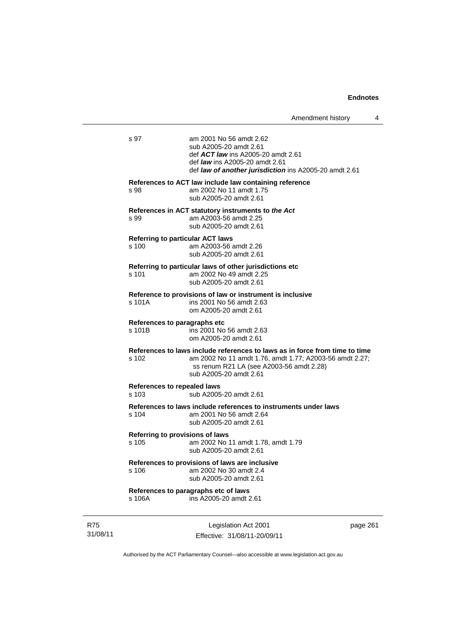| s 97                                             |                                                                                                                                                                                                              |
|--------------------------------------------------|--------------------------------------------------------------------------------------------------------------------------------------------------------------------------------------------------------------|
|                                                  | am 2001 No 56 amdt 2.62<br>sub A2005-20 amdt 2.61<br>def ACT law ins A2005-20 amdt 2.61<br>def <i>law</i> ins A2005-20 amdt 2.61<br>def law of another jurisdiction ins A2005-20 amdt 2.61                   |
| s 98                                             | References to ACT law include law containing reference<br>am 2002 No 11 amdt 1.75<br>sub A2005-20 amdt 2.61                                                                                                  |
| s 99                                             | References in ACT statutory instruments to the Act<br>am A2003-56 amdt 2.25<br>sub A2005-20 amdt 2.61                                                                                                        |
| <b>Referring to particular ACT laws</b><br>s 100 | am A2003-56 amdt 2.26<br>sub A2005-20 amdt 2.61                                                                                                                                                              |
| s 101                                            | Referring to particular laws of other jurisdictions etc<br>am 2002 No 49 amdt 2.25<br>sub A2005-20 amdt 2.61                                                                                                 |
| s 101A                                           | Reference to provisions of law or instrument is inclusive<br>ins 2001 No 56 amdt 2.63<br>om A2005-20 amdt 2.61                                                                                               |
| References to paragraphs etc<br>s 101B           | ins 2001 No 56 amdt 2.63<br>om A2005-20 amdt 2.61                                                                                                                                                            |
| s 102                                            | References to laws include references to laws as in force from time to time<br>am 2002 No 11 amdt 1.76, amdt 1.77; A2003-56 amdt 2.27;<br>ss renum R21 LA (see A2003-56 amdt 2.28)<br>sub A2005-20 amdt 2.61 |
| References to repealed laws<br>s 103             | sub A2005-20 amdt 2.61                                                                                                                                                                                       |
| $s$ 104                                          | References to laws include references to instruments under laws<br>am 2001 No 56 amdt 2.64<br>sub A2005-20 amdt 2.61                                                                                         |
| Referring to provisions of laws<br>s 105         | am 2002 No 11 amdt 1.78, amdt 1.79<br>sub A2005-20 amdt 2.61                                                                                                                                                 |
| s 106                                            | References to provisions of laws are inclusive<br>am 2002 No 30 amdt 2.4<br>sub A2005-20 amdt 2.61                                                                                                           |
|                                                  | References to paragraphs etc of laws                                                                                                                                                                         |

R75 31/08/11

Legislation Act 2001 Effective: 31/08/11-20/09/11 page 261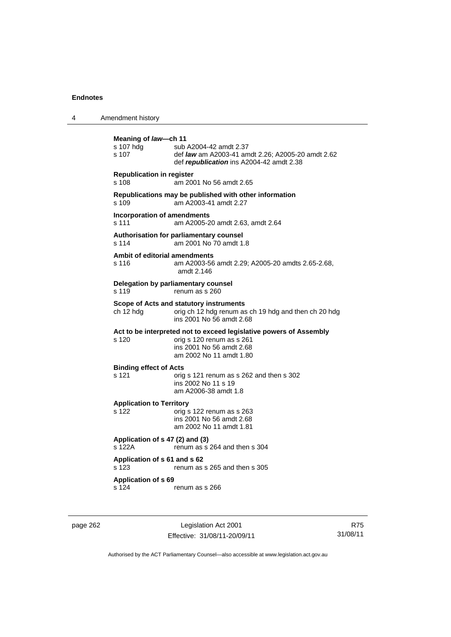| 4 | Amendment history                          |                                                                                                                                                        |
|---|--------------------------------------------|--------------------------------------------------------------------------------------------------------------------------------------------------------|
|   | Meaning of law—ch 11<br>s 107 hdg<br>s 107 | sub A2004-42 amdt 2.37<br>def law am A2003-41 amdt 2.26; A2005-20 amdt 2.62<br>def republication ins A2004-42 amdt 2.38                                |
|   | <b>Republication in register</b><br>s 108  | am 2001 No 56 amdt 2.65                                                                                                                                |
|   | s 109                                      | Republications may be published with other information<br>am A2003-41 amdt 2.27                                                                        |
|   | Incorporation of amendments<br>s 111       | am A2005-20 amdt 2.63, amdt 2.64                                                                                                                       |
|   | s 114                                      | Authorisation for parliamentary counsel<br>am 2001 No 70 amdt 1.8                                                                                      |
|   | Ambit of editorial amendments<br>s 116     | am A2003-56 amdt 2.29; A2005-20 amdts 2.65-2.68,<br>amdt 2.146                                                                                         |
|   | s 119                                      | Delegation by parliamentary counsel<br>renum as s 260                                                                                                  |
|   | ch 12 hda                                  | Scope of Acts and statutory instruments<br>orig ch 12 hdg renum as ch 19 hdg and then ch 20 hdg<br>ins 2001 No 56 amdt 2.68                            |
|   | s 120                                      | Act to be interpreted not to exceed legislative powers of Assembly<br>orig s 120 renum as s 261<br>ins 2001 No 56 amdt 2.68<br>am 2002 No 11 amdt 1.80 |
|   | <b>Binding effect of Acts</b><br>s 121     | orig s 121 renum as s 262 and then s 302<br>ins 2002 No 11 s 19<br>am A2006-38 amdt 1.8                                                                |
|   | <b>Application to Territory</b><br>s 122   | orig s 122 renum as s 263<br>ins 2001 No 56 amdt 2.68<br>am 2002 No 11 amdt 1.81                                                                       |
|   | Application of s 47 (2) and (3)<br>s 122A  | renum as s 264 and then s 304                                                                                                                          |
|   | Application of s 61 and s 62<br>s 123      | renum as s 265 and then s 305                                                                                                                          |
|   | Application of s 69<br>s 124               | renum as s 266                                                                                                                                         |

page 262 Legislation Act 2001 Effective: 31/08/11-20/09/11

R75 31/08/11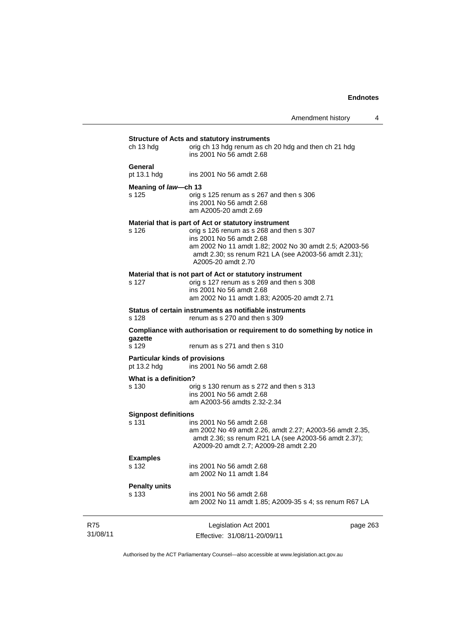|          | ch 13 hda                                                                            | <b>Structure of Acts and statutory instruments</b><br>orig ch 13 hdg renum as ch 20 hdg and then ch 21 hdg                                                                                                   |          |
|----------|--------------------------------------------------------------------------------------|--------------------------------------------------------------------------------------------------------------------------------------------------------------------------------------------------------------|----------|
|          |                                                                                      | ins 2001 No 56 amdt 2.68                                                                                                                                                                                     |          |
|          | General<br>pt 13.1 hdg                                                               | ins 2001 No 56 amdt 2.68                                                                                                                                                                                     |          |
|          | Meaning of law-ch 13                                                                 |                                                                                                                                                                                                              |          |
|          | s 125                                                                                | orig s 125 renum as s 267 and then s 306<br>ins 2001 No 56 amdt 2.68<br>am A2005-20 amdt 2.69                                                                                                                |          |
|          |                                                                                      | Material that is part of Act or statutory instrument                                                                                                                                                         |          |
|          | s 126                                                                                | orig s 126 renum as s 268 and then s 307<br>ins 2001 No 56 amdt 2.68<br>am 2002 No 11 amdt 1.82; 2002 No 30 amdt 2.5; A2003-56<br>amdt 2.30; ss renum R21 LA (see A2003-56 amdt 2.31);<br>A2005-20 amdt 2.70 |          |
|          |                                                                                      |                                                                                                                                                                                                              |          |
|          | s 127                                                                                | Material that is not part of Act or statutory instrument<br>orig s 127 renum as s 269 and then s 308<br>ins 2001 No 56 amdt 2.68<br>am 2002 No 11 amdt 1.83; A2005-20 amdt 2.71                              |          |
|          |                                                                                      |                                                                                                                                                                                                              |          |
|          | s 128                                                                                | Status of certain instruments as notifiable instruments<br>renum as s 270 and then s 309                                                                                                                     |          |
|          | Compliance with authorisation or requirement to do something by notice in<br>gazette |                                                                                                                                                                                                              |          |
|          | s 129                                                                                | renum as s 271 and then s 310                                                                                                                                                                                |          |
|          | <b>Particular kinds of provisions</b><br>pt 13.2 hdg                                 | ins 2001 No 56 amdt 2.68                                                                                                                                                                                     |          |
|          | What is a definition?                                                                |                                                                                                                                                                                                              |          |
|          | s 130                                                                                | orig s 130 renum as s 272 and then s 313<br>ins 2001 No 56 amdt 2.68<br>am A2003-56 amdts 2.32-2.34                                                                                                          |          |
|          | <b>Signpost definitions</b>                                                          |                                                                                                                                                                                                              |          |
|          | $s$ 131                                                                              | ins 2001 No 56 amdt 2.68<br>am 2002 No 49 amdt 2.26, amdt 2.27; A2003-56 amdt 2.35,<br>amdt 2.36; ss renum R21 LA (see A2003-56 amdt 2.37);<br>A2009-20 amdt 2.7; A2009-28 amdt 2.20                         |          |
|          | <b>Examples</b>                                                                      |                                                                                                                                                                                                              |          |
|          | s 132                                                                                | ins 2001 No 56 amdt 2.68<br>am 2002 No 11 amdt 1.84                                                                                                                                                          |          |
|          | <b>Penalty units</b>                                                                 |                                                                                                                                                                                                              |          |
|          | s 133                                                                                | ins 2001 No 56 amdt 2.68<br>am 2002 No 11 amdt 1.85; A2009-35 s 4; ss renum R67 LA                                                                                                                           |          |
| R75      |                                                                                      | Legislation Act 2001                                                                                                                                                                                         | page 263 |
| 31/08/11 |                                                                                      | Effective: 31/08/11-20/09/11                                                                                                                                                                                 |          |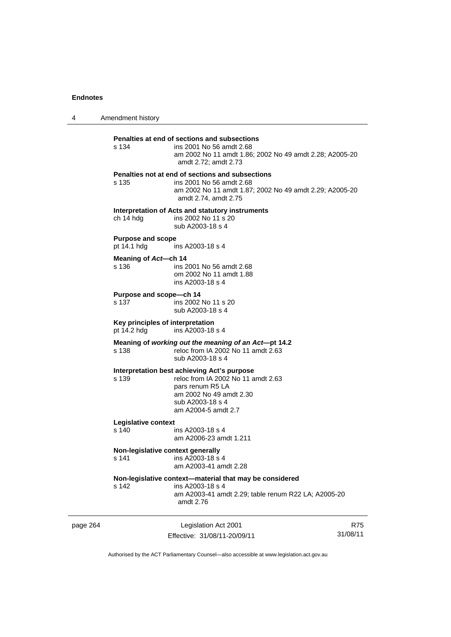4 Amendment history page 264 Legislation Act 2001 R75 **Penalties at end of sections and subsections**  ins 2001 No 56 amdt 2.68 am 2002 No 11 amdt 1.86; 2002 No 49 amdt 2.28; A2005-20 amdt 2.72; amdt 2.73 **Penalties not at end of sections and subsections**  s 135 ins 2001 No 56 amdt 2.68 am 2002 No 11 amdt 1.87; 2002 No 49 amdt 2.29; A2005-20 amdt 2.74, amdt 2.75 **Interpretation of Acts and statutory instruments**  ch 14 hdg ins 2002 No 11 s 20 sub A2003-18 s 4 **Purpose and scope**  pt 14.1 hdg ins A2003-18 s 4 **Meaning of** *Act***—ch 14**  s 136 **ins 2001 No 56 amdt 2.68**  om 2002 No 11 amdt 1.88 ins A2003-18 s 4 **Purpose and scope—ch 14**  s 137 ins 2002 No 11 s 20 sub A2003-18 s 4 **Key principles of interpretation**  pt 14.2 hdg ins A2003-18 s 4 **Meaning of** *working out the meaning of an Act***—pt 14.2**  s 138 reloc from IA 2002 No 11 amdt 2.63 sub A2003-18 s 4 **Interpretation best achieving Act's purpose**  reloc from IA 2002 No 11 amdt 2.63 pars renum R5 LA am 2002 No 49 amdt 2.30 sub A2003-18 s 4 am A2004-5 amdt 2.7 **Legislative context**  s 140 ins A2003-18 s 4 am A2006-23 amdt 1.211 **Non-legislative context generally**  s 141 ins A2003-18 s 4 am A2003-41 amdt 2.28 **Non-legislative context—material that may be considered**  s 142 ins A2003-18 s 4 am A2003-41 amdt 2.29; table renum R22 LA; A2005-20 amdt 2.76

Effective: 31/08/11-20/09/11 31/08/11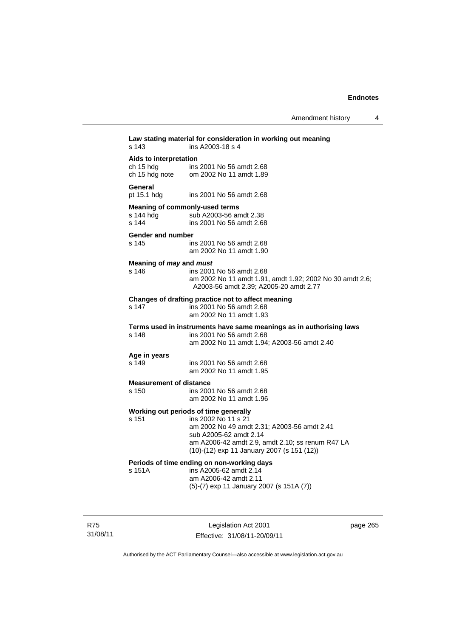| s 143                                                | Law stating material for consideration in working out meaning<br>ins A2003-18 s 4                                                                                                                                                       |
|------------------------------------------------------|-----------------------------------------------------------------------------------------------------------------------------------------------------------------------------------------------------------------------------------------|
| Aids to interpretation<br>ch 15 hdg                  | ins 2001 No 56 amdt 2.68<br>ch 15 hdg note om 2002 No 11 amdt 1.89                                                                                                                                                                      |
| General<br>pt 15.1 hdg                               | ins 2001 No 56 amdt 2.68                                                                                                                                                                                                                |
| Meaning of commonly-used terms<br>s 144 hdg<br>s 144 | sub A2003-56 amdt 2.38<br>ins 2001 No 56 amdt 2.68                                                                                                                                                                                      |
| Gender and number<br>s 145                           | ins 2001 No 56 amdt 2.68<br>am 2002 No 11 amdt 1.90                                                                                                                                                                                     |
| Meaning of may and must<br>s 146                     | ins 2001 No 56 amdt 2.68<br>am 2002 No 11 amdt 1.91, amdt 1.92; 2002 No 30 amdt 2.6;<br>A2003-56 amdt 2.39; A2005-20 amdt 2.77                                                                                                          |
| s 147                                                | Changes of drafting practice not to affect meaning<br>ins 2001 No 56 amdt 2.68<br>am 2002 No 11 amdt 1.93                                                                                                                               |
| s 148                                                | Terms used in instruments have same meanings as in authorising laws<br>ins 2001 No 56 amdt 2.68<br>am 2002 No 11 amdt 1.94; A2003-56 amdt 2.40                                                                                          |
| Age in years<br>s 149                                | ins 2001 No 56 amdt 2.68<br>am 2002 No 11 amdt 1.95                                                                                                                                                                                     |
| <b>Measurement of distance</b><br>s 150              | ins 2001 No 56 amdt 2.68<br>am 2002 No 11 amdt 1.96                                                                                                                                                                                     |
| s 151                                                | Working out periods of time generally<br>ins 2002 No 11 s 21<br>am 2002 No 49 amdt 2.31; A2003-56 amdt 2.41<br>sub A2005-62 amdt 2.14<br>am A2006-42 amdt 2.9, amdt 2.10; ss renum R47 LA<br>(10)-(12) exp 11 January 2007 (s 151 (12)) |
| s 151A                                               | Periods of time ending on non-working days<br>ins A2005-62 amdt 2.14<br>am A2006-42 amdt 2.11<br>(5)-(7) exp 11 January 2007 (s 151A (7))                                                                                               |
|                                                      |                                                                                                                                                                                                                                         |

R75 31/08/11

Legislation Act 2001 Effective: 31/08/11-20/09/11 page 265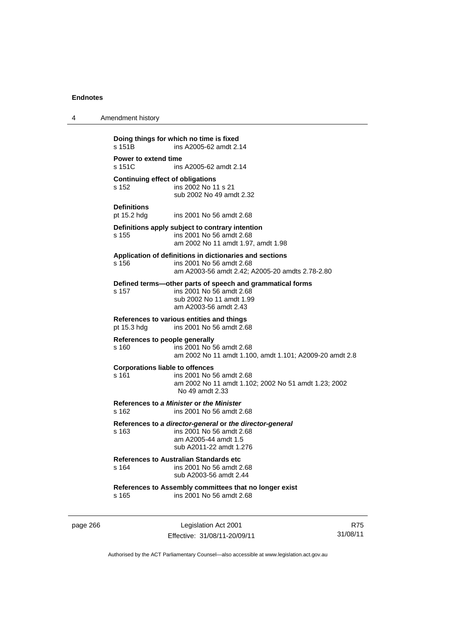| 4 | Amendment history                                                                                                                                      |
|---|--------------------------------------------------------------------------------------------------------------------------------------------------------|
|   | Doing things for which no time is fixed<br>s 151B<br>ins A2005-62 amdt 2.14                                                                            |
|   | Power to extend time<br>s 151C<br>ins A2005-62 amdt 2.14                                                                                               |
|   | <b>Continuing effect of obligations</b><br>s 152<br>ins 2002 No 11 s 21<br>sub 2002 No 49 amdt 2.32                                                    |
|   | <b>Definitions</b><br>pt 15.2 hdg<br>ins 2001 No 56 amdt 2.68                                                                                          |
|   | Definitions apply subject to contrary intention<br>s 155<br>ins 2001 No 56 amdt 2.68<br>am 2002 No 11 amdt 1.97, amdt 1.98                             |
|   | Application of definitions in dictionaries and sections<br>s 156<br>ins 2001 No 56 amdt 2.68<br>am A2003-56 amdt 2.42; A2005-20 amdts 2.78-2.80        |
|   | Defined terms—other parts of speech and grammatical forms<br>ins 2001 No 56 amdt 2.68<br>s 157<br>sub 2002 No 11 amdt 1.99<br>am A2003-56 amdt 2.43    |
|   | References to various entities and things<br>ins 2001 No 56 amdt 2.68<br>pt 15.3 hdg                                                                   |
|   | References to people generally<br>ins 2001 No 56 amdt 2.68<br>s 160<br>am 2002 No 11 amdt 1.100, amdt 1.101; A2009-20 amdt 2.8                         |
|   | <b>Corporations liable to offences</b><br>s 161<br>ins 2001 No 56 amdt 2.68<br>am 2002 No 11 amdt 1.102; 2002 No 51 amdt 1.23; 2002<br>No 49 amdt 2.33 |
|   | References to a Minister or the Minister<br>s 162<br>ins 2001 No 56 amdt 2.68                                                                          |
|   | References to a director-general or the director-general<br>s 163<br>ins 2001 No 56 amdt 2.68<br>am A2005-44 amdt 1.5<br>sub A2011-22 amdt 1.276       |
|   | <b>References to Australian Standards etc.</b><br>ins 2001 No 56 amdt 2.68<br>s 164<br>sub A2003-56 amdt 2.44                                          |
|   | References to Assembly committees that no longer exist<br>ins 2001 No 56 amdt 2.68<br>s 165                                                            |
|   |                                                                                                                                                        |

page 266 Legislation Act 2001 Effective: 31/08/11-20/09/11

R75 31/08/11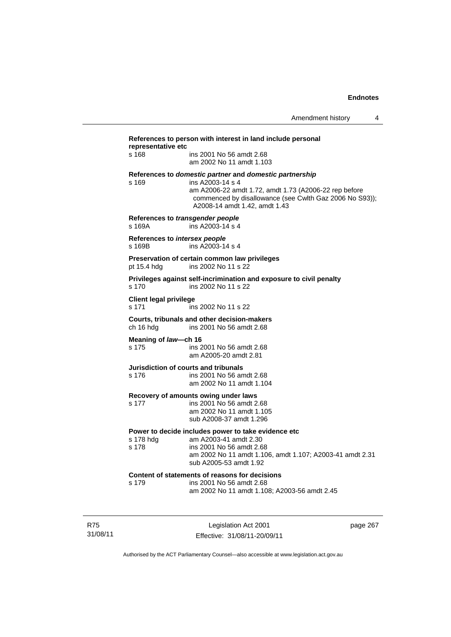| References to person with interest in land include personal<br>representative etc |                                                                                                                                                                                                                                  |          |  |
|-----------------------------------------------------------------------------------|----------------------------------------------------------------------------------------------------------------------------------------------------------------------------------------------------------------------------------|----------|--|
| s 168                                                                             | ins 2001 No 56 amdt 2.68<br>am 2002 No 11 amdt 1.103                                                                                                                                                                             |          |  |
| s 169                                                                             | References to domestic partner and domestic partnership<br>ins A2003-14 s 4<br>am A2006-22 amdt 1.72, amdt 1.73 (A2006-22 rep before<br>commenced by disallowance (see Cwlth Gaz 2006 No S93));<br>A2008-14 amdt 1.42, amdt 1.43 |          |  |
| References to transgender people<br>s 169A                                        | ins A2003-14 s 4                                                                                                                                                                                                                 |          |  |
| References to intersex people<br>s 169B                                           | ins A2003-14 s 4                                                                                                                                                                                                                 |          |  |
| pt 15.4 hdg                                                                       | Preservation of certain common law privileges<br>ins 2002 No 11 s 22                                                                                                                                                             |          |  |
| s 170                                                                             | Privileges against self-incrimination and exposure to civil penalty<br>ins 2002 No 11 s 22                                                                                                                                       |          |  |
| <b>Client legal privilege</b><br>s 171                                            | ins 2002 No 11 s 22                                                                                                                                                                                                              |          |  |
| ch 16 hdg                                                                         | Courts, tribunals and other decision-makers<br>ins 2001 No 56 amdt 2.68                                                                                                                                                          |          |  |
| Meaning of law-ch 16<br>s 175                                                     | ins 2001 No 56 amdt 2.68<br>am A2005-20 amdt 2.81                                                                                                                                                                                |          |  |
| Jurisdiction of courts and tribunals<br>s 176                                     | ins 2001 No 56 amdt 2.68<br>am 2002 No 11 amdt 1.104                                                                                                                                                                             |          |  |
| s 177                                                                             | Recovery of amounts owing under laws<br>ins 2001 No 56 amdt 2.68<br>am 2002 No 11 amdt 1.105<br>sub A2008-37 amdt 1.296                                                                                                          |          |  |
| s 178 hdg<br>s 178                                                                | Power to decide includes power to take evidence etc<br>am A2003-41 amdt 2.30<br>ins 2001 No 56 amdt 2.68<br>am 2002 No 11 amdt 1.106, amdt 1.107; A2003-41 amdt 2.31<br>sub A2005-53 amdt 1.92                                   |          |  |
| s 179                                                                             | Content of statements of reasons for decisions<br>ins 2001 No 56 amdt 2.68<br>am 2002 No 11 amdt 1.108; A2003-56 amdt 2.45                                                                                                       |          |  |
|                                                                                   | Legislation Act 2001<br>Effective: 31/08/11-20/09/11                                                                                                                                                                             | page 267 |  |

Authorised by the ACT Parliamentary Counsel—also accessible at www.legislation.act.gov.au

R75 31/08/11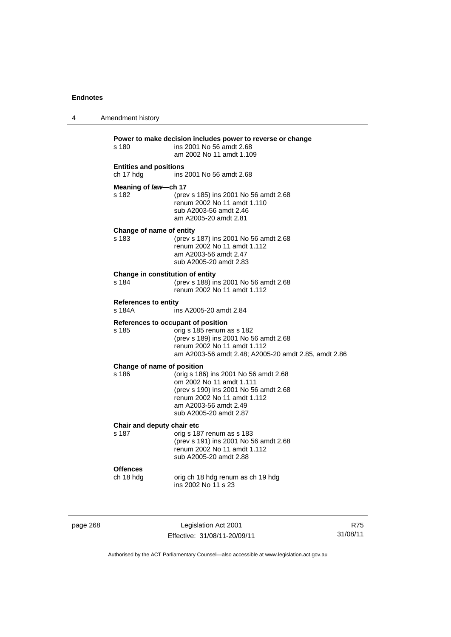| 4 | Amendment history                           |                                                                                                                                                                                              |
|---|---------------------------------------------|----------------------------------------------------------------------------------------------------------------------------------------------------------------------------------------------|
|   | $s$ 180                                     | Power to make decision includes power to reverse or change<br>ins 2001 No 56 amdt 2.68<br>am 2002 No 11 amdt 1.109                                                                           |
|   | <b>Entities and positions</b><br>ch 17 hdg  | ins 2001 No 56 amdt 2.68                                                                                                                                                                     |
|   | Meaning of law-ch 17<br>s 182               | (prev s 185) ins 2001 No 56 amdt 2.68<br>renum 2002 No 11 amdt 1.110<br>sub A2003-56 amdt 2.46<br>am A2005-20 amdt 2.81                                                                      |
|   | Change of name of entity<br>s 183           | (prev s 187) ins 2001 No 56 amdt 2.68<br>renum 2002 No 11 amdt 1.112<br>am A2003-56 amdt 2.47<br>sub A2005-20 amdt 2.83                                                                      |
|   | Change in constitution of entity<br>s 184   | (prev s 188) ins 2001 No 56 amdt 2.68<br>renum 2002 No 11 amdt 1.112                                                                                                                         |
|   | <b>References to entity</b><br>s 184A       | ins A2005-20 amdt 2.84                                                                                                                                                                       |
|   | References to occupant of position<br>s 185 | orig s 185 renum as s 182<br>(prev s 189) ins 2001 No 56 amdt 2.68<br>renum 2002 No 11 amdt 1.112<br>am A2003-56 amdt 2.48; A2005-20 amdt 2.85, amdt 2.86                                    |
|   | Change of name of position<br>s 186         | (orig s 186) ins 2001 No 56 amdt 2.68<br>om 2002 No 11 amdt 1.111<br>(prev s 190) ins 2001 No 56 amdt 2.68<br>renum 2002 No 11 amdt 1.112<br>am A2003-56 amdt 2.49<br>sub A2005-20 amdt 2.87 |
|   | Chair and deputy chair etc<br>s 187         | orig s 187 renum as s 183<br>(prev s 191) ins 2001 No 56 amdt 2.68<br>renum 2002 No 11 amdt 1.112<br>sub A2005-20 amdt 2.88                                                                  |
|   | <b>Offences</b><br>ch 18 hdg                | orig ch 18 hdg renum as ch 19 hdg<br>ins 2002 No 11 s 23                                                                                                                                     |
|   |                                             |                                                                                                                                                                                              |

page 268 Legislation Act 2001 Effective: 31/08/11-20/09/11

R75 31/08/11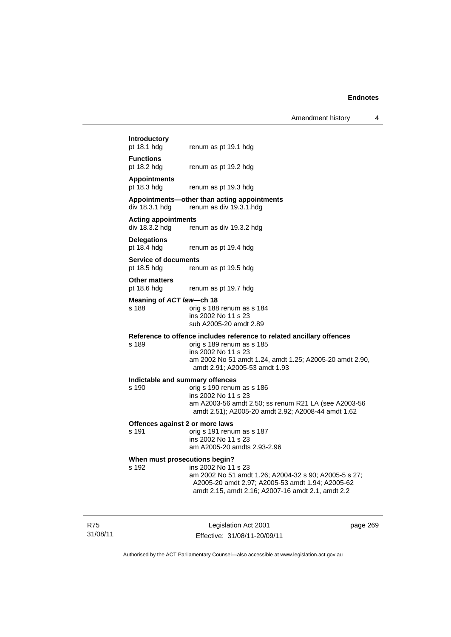Amendment history 4

# **Introductory**

renum as pt 19.1 hdg

**Functions** 

pt 18.2 hdg renum as pt 19.2 hdg

# **Appointments**

renum as pt 19.3 hdg

# **Appointments—other than acting appointments**

div 18.3.1 hdg renum as div 19.3.1.hdg

# **Acting appointments**

renum as div 19.3.2 hdg

**Delegations**  pt 18.4 hdg renum as pt 19.4 hdg

**Service of documents** 

pt 18.5 hdg renum as pt 19.5 hdg

## **Other matters**

pt 18.6 hdg renum as pt 19.7 hdg

#### **Meaning of** *ACT law***—ch 18**

#### s 188 orig s 188 renum as s 184 ins 2002 No 11 s 23 sub A2005-20 amdt 2.89

# **Reference to offence includes reference to related ancillary offences**

orig s 189 renum as s 185 ins 2002 No 11 s 23 am 2002 No 51 amdt 1.24, amdt 1.25; A2005-20 amdt 2.90, amdt 2.91; A2005-53 amdt 1.93

#### **Indictable and summary offences**

s 190 orig s 190 renum as s 186 ins 2002 No 11 s 23 am A2003-56 amdt 2.50; ss renum R21 LA (see A2003-56 amdt 2.51); A2005-20 amdt 2.92; A2008-44 amdt 1.62

#### **Offences against 2 or more laws**

s 191 orig s 191 renum as s 187 ins 2002 No 11 s 23 am A2005-20 amdts 2.93-2.96

# **When must prosecutions begin?**<br>s 192 **ins 2002** No 11

ins 2002 No 11 s 23 am 2002 No 51 amdt 1.26; A2004-32 s 90; A2005-5 s 27; A2005-20 amdt 2.97; A2005-53 amdt 1.94; A2005-62 amdt 2.15, amdt 2.16; A2007-16 amdt 2.1, amdt 2.2

R75 31/08/11

Legislation Act 2001 Effective: 31/08/11-20/09/11 page 269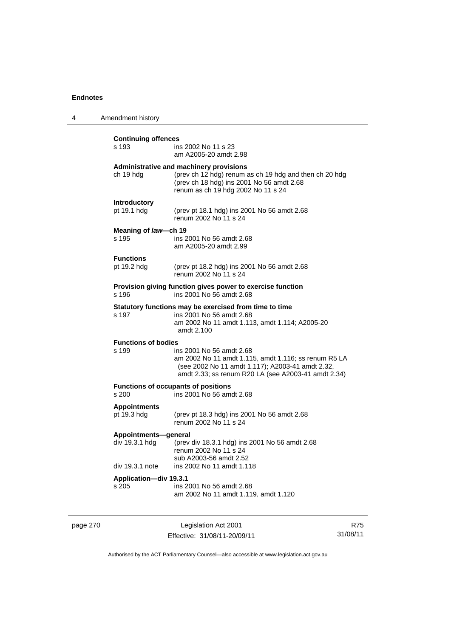| 4 | Amendment history                      |                                                                                                                                                                                             |
|---|----------------------------------------|---------------------------------------------------------------------------------------------------------------------------------------------------------------------------------------------|
|   | <b>Continuing offences</b><br>s 193    | ins 2002 No 11 s 23<br>am A2005-20 amdt 2.98                                                                                                                                                |
|   | ch 19 hdg                              | Administrative and machinery provisions<br>(prev ch 12 hdg) renum as ch 19 hdg and then ch 20 hdg<br>(prev ch 18 hdg) ins 2001 No 56 amdt 2.68<br>renum as ch 19 hdg 2002 No 11 s 24        |
|   | <b>Introductory</b><br>pt 19.1 hdg     | (prev pt 18.1 hdg) ins 2001 No 56 amdt 2.68<br>renum 2002 No 11 s 24                                                                                                                        |
|   | Meaning of law-ch 19<br>s 195          | ins 2001 No 56 amdt 2.68<br>am A2005-20 amdt 2.99                                                                                                                                           |
|   | <b>Functions</b><br>pt 19.2 hdg        | (prev pt 18.2 hdg) ins 2001 No 56 amdt 2.68<br>renum 2002 No 11 s 24                                                                                                                        |
|   | s 196                                  | Provision giving function gives power to exercise function<br>ins 2001 No 56 amdt 2.68                                                                                                      |
|   | s 197                                  | Statutory functions may be exercised from time to time<br>ins 2001 No 56 amdt 2.68<br>am 2002 No 11 amdt 1.113, amdt 1.114; A2005-20<br>amdt 2.100                                          |
|   | <b>Functions of bodies</b><br>s 199    | ins 2001 No 56 amdt 2.68<br>am 2002 No 11 amdt 1.115, amdt 1.116; ss renum R5 LA<br>(see 2002 No 11 amdt 1.117); A2003-41 amdt 2.32,<br>amdt 2.33; ss renum R20 LA (see A2003-41 amdt 2.34) |
|   | s 200                                  | <b>Functions of occupants of positions</b><br>ins 2001 No 56 amdt 2.68                                                                                                                      |
|   | <b>Appointments</b><br>pt 19.3 hdg     | (prev pt 18.3 hdg) ins 2001 No 56 amdt 2.68<br>renum 2002 No 11 s 24                                                                                                                        |
|   | Appointments-general<br>div 19.3.1 hdg | (prev div 18.3.1 hdg) ins 2001 No 56 amdt 2.68<br>renum 2002 No 11 s 24<br>sub A2003-56 amdt 2.52                                                                                           |
|   | div 19.3.1 note                        | ins 2002 No 11 amdt 1.118                                                                                                                                                                   |
|   | Application-div 19.3.1<br>s 205        | ins 2001 No 56 amdt 2.68<br>am 2002 No 11 amdt 1.119, amdt 1.120                                                                                                                            |
|   |                                        |                                                                                                                                                                                             |

page 270 Legislation Act 2001 Effective: 31/08/11-20/09/11

R75 31/08/11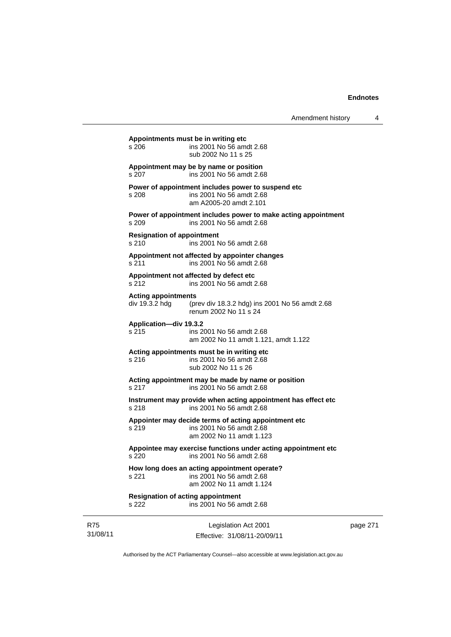page 271

|                        | Appointments must be in writing etc<br>s 206<br>sub 2002 No 11 s 25        | ins 2001 No 56 amdt 2.68                                                                   |
|------------------------|----------------------------------------------------------------------------|--------------------------------------------------------------------------------------------|
|                        | Appointment may be by name or position<br>s 207                            | ins 2001 No 56 amdt 2.68                                                                   |
|                        | Power of appointment includes power to suspend etc<br>s 208                | ins 2001 No 56 amdt 2.68<br>am A2005-20 amdt 2.101                                         |
|                        | s 209                                                                      | Power of appointment includes power to make acting appointment<br>ins 2001 No 56 amdt 2.68 |
|                        | <b>Resignation of appointment</b><br>s 210                                 | ins 2001 No 56 amdt 2.68                                                                   |
|                        | Appointment not affected by appointer changes<br>s 211                     | ins 2001 No 56 amdt 2.68                                                                   |
|                        | Appointment not affected by defect etc<br>s 212                            | ins 2001 No 56 amdt 2.68                                                                   |
|                        | <b>Acting appointments</b><br>div 19.3.2 hdg<br>renum 2002 No 11 s 24      | (prev div 18.3.2 hdg) ins 2001 No 56 amdt 2.68                                             |
|                        | Application-div 19.3.2<br>s 215                                            | ins 2001 No 56 amdt 2.68<br>am 2002 No 11 amdt 1.121, amdt 1.122                           |
|                        | Acting appointments must be in writing etc<br>s 216<br>sub 2002 No 11 s 26 | ins 2001 No 56 amdt 2.68                                                                   |
|                        | Acting appointment may be made by name or position<br>s 217                | ins 2001 No 56 amdt 2.68                                                                   |
|                        | s 218                                                                      | Instrument may provide when acting appointment has effect etc<br>ins 2001 No 56 amdt 2.68  |
|                        | Appointer may decide terms of acting appointment etc<br>s 219              | ins 2001 No 56 amdt 2.68<br>am 2002 No 11 amdt 1.123                                       |
|                        | s 220                                                                      | Appointee may exercise functions under acting appointment etc<br>ins 2001 No 56 amdt 2.68  |
|                        | How long does an acting appointment operate?<br>s 221                      | ins 2001 No 56 amdt 2.68<br>am 2002 No 11 amdt 1.124                                       |
|                        | <b>Resignation of acting appointment</b><br>s 222                          | ins 2001 No 56 amdt 2.68                                                                   |
| <b>R75</b><br>31/08/11 |                                                                            | Legislation Act 2001<br>Effective: 31/08/11-20/09/11                                       |

Authorised by the ACT Parliamentary Counsel—also accessible at www.legislation.act.gov.au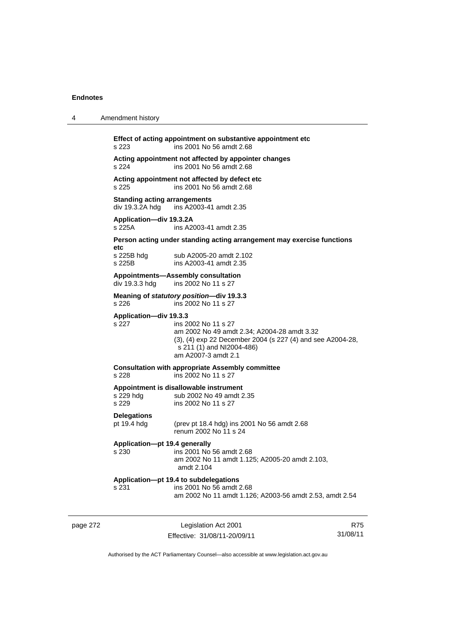| 4        | Amendment history                                      |                                                                                                                                                                                      |                 |
|----------|--------------------------------------------------------|--------------------------------------------------------------------------------------------------------------------------------------------------------------------------------------|-----------------|
|          | s 223                                                  | Effect of acting appointment on substantive appointment etc<br>ins 2001 No 56 amdt 2.68                                                                                              |                 |
|          | s 224                                                  | Acting appointment not affected by appointer changes<br>ins 2001 No 56 amdt 2.68                                                                                                     |                 |
|          | s 225                                                  | Acting appointment not affected by defect etc<br>ins 2001 No 56 amdt 2.68                                                                                                            |                 |
|          | <b>Standing acting arrangements</b><br>div 19.3.2A hdg | ins A2003-41 amdt 2.35                                                                                                                                                               |                 |
|          | Application-div 19.3.2A<br>s 225A                      | ins A2003-41 amdt 2.35                                                                                                                                                               |                 |
|          |                                                        | Person acting under standing acting arrangement may exercise functions                                                                                                               |                 |
|          | etc<br>s 225B hdg<br>s 225B                            | sub A2005-20 amdt 2.102<br>ins A2003-41 amdt 2.35                                                                                                                                    |                 |
|          | div 19.3.3 hdg                                         | Appointments-Assembly consultation<br>ins 2002 No 11 s 27                                                                                                                            |                 |
|          | s 226                                                  | Meaning of statutory position-div 19.3.3<br>ins 2002 No 11 s 27                                                                                                                      |                 |
|          | Application-div 19.3.3<br>s 227                        | ins 2002 No 11 s 27<br>am 2002 No 49 amdt 2.34; A2004-28 amdt 3.32<br>(3), (4) exp 22 December 2004 (s 227 (4) and see A2004-28,<br>s 211 (1) and NI2004-486)<br>am A2007-3 amdt 2.1 |                 |
|          | s 228                                                  | <b>Consultation with appropriate Assembly committee</b><br>ins 2002 No 11 s 27                                                                                                       |                 |
|          | s 229 hdg<br>s 229                                     | Appointment is disallowable instrument<br>sub 2002 No 49 amdt 2.35<br>ins 2002 No 11 s 27                                                                                            |                 |
|          | <b>Delegations</b><br>pt 19.4 hdg                      | (prev pt 18.4 hdg) ins 2001 No 56 amdt 2.68<br>renum 2002 No 11 s 24                                                                                                                 |                 |
|          | Application-pt 19.4 generally                          | s 230 ins 2001 No 56 amdt 2.68<br>am 2002 No 11 amdt 1.125; A2005-20 amdt 2.103,<br>amdt 2.104                                                                                       |                 |
|          | s 231                                                  | Application-pt 19.4 to subdelegations<br>ins 2001 No 56 amdt 2.68<br>am 2002 No 11 amdt 1.126; A2003-56 amdt 2.53, amdt 2.54                                                         |                 |
| page 272 |                                                        | Legislation Act 2001<br>Effective: 31/08/11-20/09/11                                                                                                                                 | R75<br>31/08/11 |

Authorised by the ACT Parliamentary Counsel—also accessible at www.legislation.act.gov.au

Effective: 31/08/11-20/09/11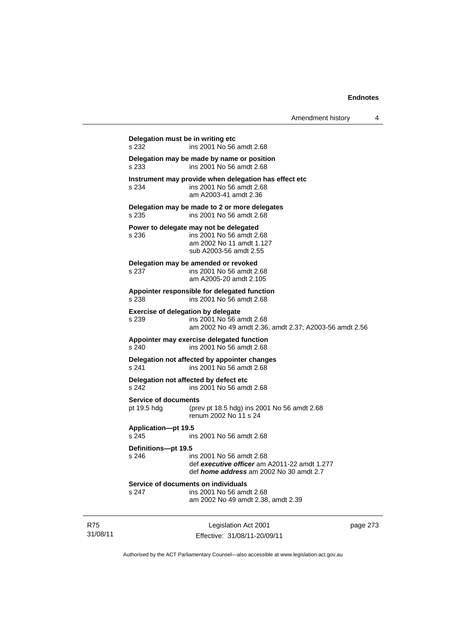| Delegation must be in writing etc<br>s 232 | ins 2001 No 56 amdt 2.68                                                                                                        |
|--------------------------------------------|---------------------------------------------------------------------------------------------------------------------------------|
| s 233                                      | Delegation may be made by name or position<br>ins 2001 No 56 amdt 2.68                                                          |
| s 234                                      | Instrument may provide when delegation has effect etc<br>ins 2001 No 56 amdt 2.68<br>am A2003-41 amdt 2.36                      |
| s 235                                      | Delegation may be made to 2 or more delegates<br>ins 2001 No 56 amdt 2.68                                                       |
| s 236                                      | Power to delegate may not be delegated<br>ins 2001 No 56 amdt 2.68<br>am 2002 No 11 amdt 1.127<br>sub A2003-56 amdt 2.55        |
| s 237                                      | Delegation may be amended or revoked<br>ins 2001 No 56 amdt 2.68<br>am A2005-20 amdt 2.105                                      |
| s 238                                      | Appointer responsible for delegated function<br>ins 2001 No 56 amdt 2.68                                                        |
| s 239                                      | <b>Exercise of delegation by delegate</b><br>ins 2001 No 56 amdt 2.68<br>am 2002 No 49 amdt 2.36, amdt 2.37; A2003-56 amdt 2.56 |
| s 240                                      | Appointer may exercise delegated function<br>ins 2001 No 56 amdt 2.68                                                           |
| s 241                                      | Delegation not affected by appointer changes<br>ins 2001 No 56 amdt 2.68                                                        |
| s 242                                      | Delegation not affected by defect etc<br>ins 2001 No 56 amdt 2.68                                                               |
| <b>Service of documents</b><br>pt 19.5 hdg | (prev pt 18.5 hdg) ins 2001 No 56 amdt 2.68<br>renum 2002 No 11 s 24                                                            |
| <b>Application-pt 19.5</b><br>s 245        | ins 2001 No 56 amdt 2.68                                                                                                        |
| Definitions-pt 19.5<br>s <sub>246</sub>    | ins 2001 No 56 amdt 2.68<br>def executive officer am A2011-22 amdt 1.277<br>def <i>home address</i> am 2002 No 30 amdt 2.7      |
| s 247                                      | Service of documents on individuals<br>ins 2001 No 56 amdt 2.68<br>am 2002 No 49 amdt 2.38, amdt 2.39                           |

R75 31/08/11

Legislation Act 2001 Effective: 31/08/11-20/09/11 page 273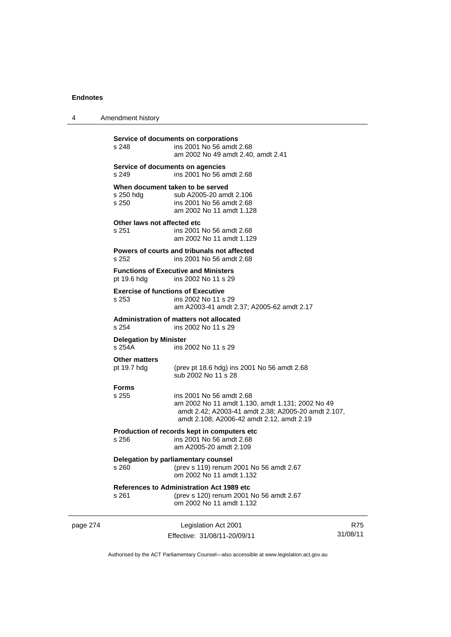page 274

4 Amendment history

| s 248                                   | Service of documents on corporations<br>ins 2001 No 56 amdt 2.68<br>am 2002 No 49 amdt 2.40, amdt 2.41                                                                           |                        |
|-----------------------------------------|----------------------------------------------------------------------------------------------------------------------------------------------------------------------------------|------------------------|
| s 249                                   | Service of documents on agencies<br>ins 2001 No 56 amdt 2.68                                                                                                                     |                        |
| s 250 hdg<br>s 250                      | When document taken to be served<br>sub A2005-20 amdt 2.106<br>ins 2001 No 56 amdt 2.68<br>am 2002 No 11 amdt 1.128                                                              |                        |
| Other laws not affected etc<br>s 251    | ins 2001 No 56 amdt 2.68<br>am 2002 No 11 amdt 1.129                                                                                                                             |                        |
| s 252                                   | Powers of courts and tribunals not affected<br>ins 2001 No 56 amdt 2.68                                                                                                          |                        |
| pt 19.6 hdg                             | <b>Functions of Executive and Ministers</b><br>ins 2002 No 11 s 29                                                                                                               |                        |
| s 253                                   | <b>Exercise of functions of Executive</b><br>ins 2002 No 11 s 29<br>am A2003-41 amdt 2.37; A2005-62 amdt 2.17                                                                    |                        |
| s 254                                   | Administration of matters not allocated<br>ins 2002 No 11 s 29                                                                                                                   |                        |
| <b>Delegation by Minister</b><br>s 254A | ins 2002 No 11 s 29                                                                                                                                                              |                        |
| <b>Other matters</b><br>pt 19.7 hdg     | (prev pt 18.6 hdg) ins 2001 No 56 amdt 2.68<br>sub 2002 No 11 s 28                                                                                                               |                        |
| <b>Forms</b><br>s 255                   | ins 2001 No 56 amdt 2.68<br>am 2002 No 11 amdt 1.130, amdt 1.131; 2002 No 49<br>amdt 2.42; A2003-41 amdt 2.38; A2005-20 amdt 2.107,<br>amdt 2.108; A2006-42 amdt 2.12, amdt 2.19 |                        |
| $s$ 256                                 | Production of records kept in computers etc<br>ins 2001 No 56 amdt 2.68<br>am A2005-20 amdt 2.109                                                                                |                        |
| s 260                                   | Delegation by parliamentary counsel<br>(prev s 119) renum 2001 No 56 amdt 2.67<br>om 2002 No 11 amdt 1.132                                                                       |                        |
| s 261                                   | <b>References to Administration Act 1989 etc</b><br>(prev s 120) renum 2001 No 56 amdt 2.67<br>om 2002 No 11 amdt 1.132                                                          |                        |
|                                         | Legislation Act 2001<br>Effective: 31/08/11-20/09/11                                                                                                                             | <b>R75</b><br>31/08/11 |

Authorised by the ACT Parliamentary Counsel—also accessible at www.legislation.act.gov.au

R75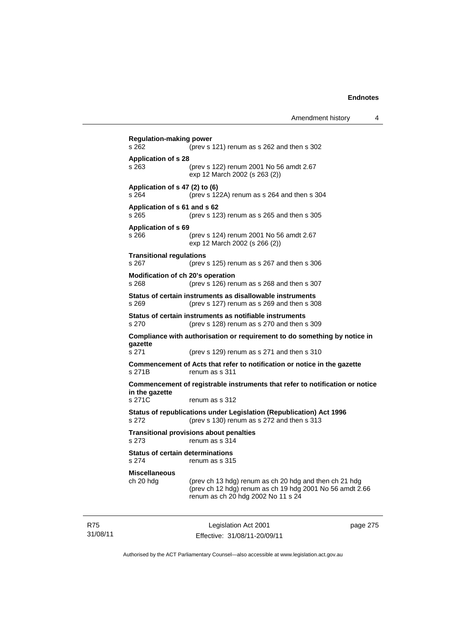| <b>Regulation-making power</b><br>s 262          | (prev s 121) renum as s 262 and then s 302                                                                                                               |
|--------------------------------------------------|----------------------------------------------------------------------------------------------------------------------------------------------------------|
| <b>Application of s 28</b><br>s 263              | (prev s 122) renum 2001 No 56 amdt 2.67<br>exp 12 March 2002 (s 263 (2))                                                                                 |
| Application of s 47 (2) to (6)<br>s 264          | (prev s 122A) renum as s 264 and then s 304                                                                                                              |
| Application of s 61 and s 62<br>s 265            | (prev s $123$ ) renum as s $265$ and then s $305$                                                                                                        |
| <b>Application of s 69</b><br>s 266              | (prev s 124) renum 2001 No 56 amdt 2.67<br>exp 12 March 2002 (s 266 (2))                                                                                 |
| <b>Transitional regulations</b><br>s 267         | (prev s $125$ ) renum as s $267$ and then s $306$                                                                                                        |
| Modification of ch 20's operation<br>s 268       | (prev s 126) renum as s 268 and then s 307                                                                                                               |
| s 269                                            | Status of certain instruments as disallowable instruments<br>(prev s 127) renum as s 269 and then s 308                                                  |
| s 270                                            | Status of certain instruments as notifiable instruments<br>(prev s 128) renum as s 270 and then s 309                                                    |
| qazette                                          | Compliance with authorisation or requirement to do something by notice in                                                                                |
| s 271                                            | (prev s 129) renum as s 271 and then s 310                                                                                                               |
| s 271B                                           | Commencement of Acts that refer to notification or notice in the gazette<br>renum as s 311                                                               |
| in the gazette                                   | Commencement of registrable instruments that refer to notification or notice                                                                             |
| s 271C                                           | renum as s 312                                                                                                                                           |
| s 272                                            | Status of republications under Legislation (Republication) Act 1996<br>(prev s 130) renum as s 272 and then s 313                                        |
| s 273                                            | <b>Transitional provisions about penalties</b><br>renum as s 314                                                                                         |
| <b>Status of certain determinations</b><br>s 274 | renum as s 315                                                                                                                                           |
| <b>Miscellaneous</b><br>ch 20 hdg                | (prev ch 13 hdg) renum as ch 20 hdg and then ch 21 hdg<br>(prev ch 12 hdg) renum as ch 19 hdg 2001 No 56 amdt 2.66<br>renum as ch 20 hdg 2002 No 11 s 24 |

R75 31/08/11

Legislation Act 2001 Effective: 31/08/11-20/09/11 page 275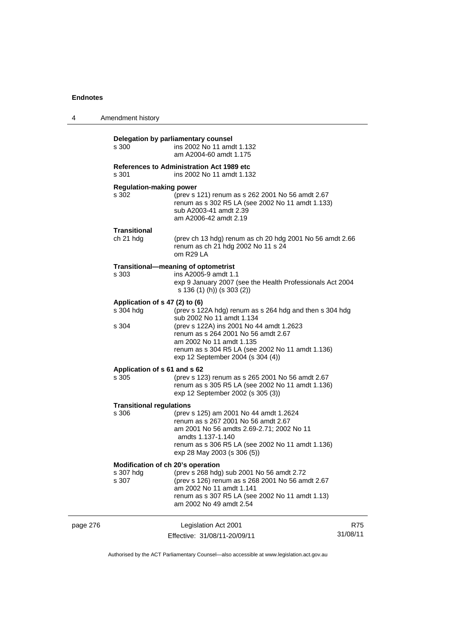| 4        | Amendment history                                       |                                                                                                                                                                                                                                    |                        |
|----------|---------------------------------------------------------|------------------------------------------------------------------------------------------------------------------------------------------------------------------------------------------------------------------------------------|------------------------|
|          | s 300                                                   | Delegation by parliamentary counsel<br>ins 2002 No 11 amdt 1.132<br>am A2004-60 amdt 1.175                                                                                                                                         |                        |
|          | s 301                                                   | References to Administration Act 1989 etc<br>ins 2002 No 11 amdt 1.132                                                                                                                                                             |                        |
|          | <b>Regulation-making power</b><br>s 302                 | (prev s 121) renum as s 262 2001 No 56 amdt 2.67<br>renum as s 302 R5 LA (see 2002 No 11 amdt 1.133)<br>sub A2003-41 amdt 2.39<br>am A2006-42 amdt 2.19                                                                            |                        |
|          | Transitional<br>ch 21 hdg                               | (prev ch 13 hdg) renum as ch 20 hdg 2001 No 56 amdt 2.66<br>renum as ch 21 hdg 2002 No 11 s 24<br>om R29 LA                                                                                                                        |                        |
|          | s 303                                                   | Transitional-meaning of optometrist<br>ins A2005-9 amdt 1.1<br>exp 9 January 2007 (see the Health Professionals Act 2004<br>s 136 (1) (h)) (s 303 (2))                                                                             |                        |
|          | Application of s 47 (2) to (6)<br>s 304 hdg             | (prev s 122A hdg) renum as s 264 hdg and then s 304 hdg<br>sub 2002 No 11 amdt 1.134                                                                                                                                               |                        |
|          | s 304                                                   | (prev s 122A) ins 2001 No 44 amdt 1.2623<br>renum as s 264 2001 No 56 amdt 2.67<br>am 2002 No 11 amdt 1.135<br>renum as s 304 R5 LA (see 2002 No 11 amdt 1.136)<br>exp 12 September 2004 (s 304 (4))                               |                        |
|          | Application of s 61 and s 62<br>s 305                   | (prev s 123) renum as s 265 2001 No 56 amdt 2.67<br>renum as s 305 R5 LA (see 2002 No 11 amdt 1.136)<br>exp 12 September 2002 (s 305 (3))                                                                                          |                        |
|          | <b>Transitional regulations</b><br>s 306                | (prev s 125) am 2001 No 44 amdt 1.2624<br>renum as s 267 2001 No 56 amdt 2.67<br>am 2001 No 56 amdts 2.69-2.71; 2002 No 11<br>amdts 1.137-1.140<br>renum as s 306 R5 LA (see 2002 No 11 amdt 1.136)<br>exp 28 May 2003 (s 306 (5)) |                        |
|          | Modification of ch 20's operation<br>s 307 hdg<br>s 307 | (prev s 268 hdg) sub 2001 No 56 amdt 2.72<br>(prev s 126) renum as s 268 2001 No 56 amdt 2.67<br>am 2002 No 11 amdt 1.141<br>renum as s 307 R5 LA (see 2002 No 11 amdt 1.13)<br>am 2002 No 49 amdt 2.54                            |                        |
| page 276 |                                                         | Legislation Act 2001<br>Effective: 31/08/11-20/09/11                                                                                                                                                                               | <b>R75</b><br>31/08/11 |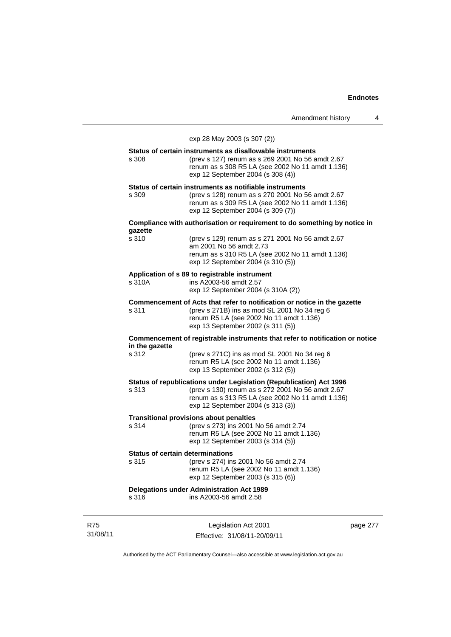Amendment history 4

exp 28 May 2003 (s 307 (2)) **Status of certain instruments as disallowable instruments**  s 308 (prev s 127) renum as s 269 2001 No 56 amdt 2.67 renum as s 308 R5 LA (see 2002 No 11 amdt 1.136) exp 12 September 2004 (s 308 (4)) **Status of certain instruments as notifiable instruments**  s 309 (prev s 128) renum as s 270 2001 No 56 amdt 2.67 renum as s 309 R5 LA (see 2002 No 11 amdt 1.136) exp 12 September 2004 (s 309 (7)) **Compliance with authorisation or requirement to do something by notice in gazette**  (prev s 129) renum as s 271 2001 No 56 amdt 2.67 am 2001 No 56 amdt 2.73 renum as s 310 R5 LA (see 2002 No 11 amdt 1.136) exp 12 September 2004 (s 310 (5)) **Application of s 89 to registrable instrument**  s 310A ins A2003-56 amdt 2.57 exp 12 September 2004 (s 310A (2)) **Commencement of Acts that refer to notification or notice in the gazette**  s 311 (prev s 271B) ins as mod SL 2001 No 34 reg 6 renum R5 LA (see 2002 No 11 amdt 1.136) exp 13 September 2002 (s 311 (5)) **Commencement of registrable instruments that refer to notification or notice in the gazette**  s 312 (prev s 271C) ins as mod SL 2001 No 34 reg 6 renum R5 LA (see 2002 No 11 amdt 1.136) exp 13 September 2002 (s 312 (5)) **Status of republications under Legislation (Republication) Act 1996**  s 313 (prev s 130) renum as s 272 2001 No 56 amdt 2.67 renum as s 313 R5 LA (see 2002 No 11 amdt 1.136) exp 12 September 2004 (s 313 (3)) **Transitional provisions about penalties**<br>s 314 (prev s 273) ins 2001 (prev s 273) ins 2001 No 56 amdt 2.74 renum R5 LA (see 2002 No 11 amdt 1.136) exp 12 September 2003 (s 314 (5)) **Status of certain determinations**<br>s 315 (prev s 274) in: (prev s 274) ins 2001 No 56 amdt 2.74 renum R5 LA (see 2002 No 11 amdt 1.136) exp 12 September 2003 (s 315 (6)) **Delegations under Administration Act 1989**  s 316 ins A2003-56 amdt 2.58

R75 31/08/11

Legislation Act 2001 Effective: 31/08/11-20/09/11 page 277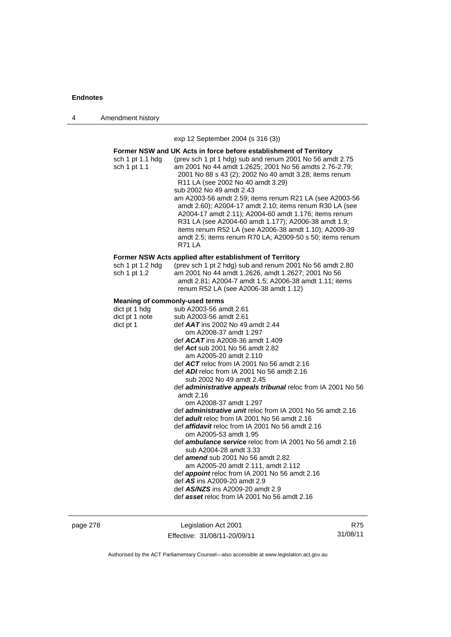4 Amendment history

exp 12 September 2004 (s 316 (3))

|                                  | Former NSW and UK Acts in force before establishment of Territory                                                                                                                                                                                                                                                                                                         |
|----------------------------------|---------------------------------------------------------------------------------------------------------------------------------------------------------------------------------------------------------------------------------------------------------------------------------------------------------------------------------------------------------------------------|
| sch 1 pt 1.1 hdg<br>sch 1 pt 1.1 | (prev sch 1 pt 1 hdg) sub and renum 2001 No 56 amdt 2.75<br>am 2001 No 44 amdt 1.2625; 2001 No 56 amdts 2.76-2.79;<br>2001 No 88 s 43 (2); 2002 No 40 amdt 3.28; items renum<br>R11 LA (see 2002 No 40 amdt 3.29)<br>sub 2002 No 49 amdt 2.43                                                                                                                             |
|                                  | am A2003-56 amdt 2.59; items renum R21 LA (see A2003-56<br>amdt 2.60); A2004-17 amdt 2.10; items renum R30 LA (see<br>A2004-17 amdt 2.11); A2004-60 amdt 1.176; items renum<br>R31 LA (see A2004-60 amdt 1.177); A2006-38 amdt 1.9;<br>items renum R52 LA (see A2006-38 amdt 1.10); A2009-39<br>amdt 2.5; items renum R70 LA; A2009-50 s 50; items renum<br><b>R71 LA</b> |
|                                  | Former NSW Acts applied after establishment of Territory                                                                                                                                                                                                                                                                                                                  |
| sch 1 pt 1.2 hdg<br>sch 1 pt 1.2 | (prev sch 1 pt 2 hdg) sub and renum 2001 No 56 amdt 2.80<br>am 2001 No 44 amdt 1.2626, amdt 1.2627; 2001 No 56<br>amdt 2.81; A2004-7 amdt 1.5; A2006-38 amdt 1.11; items<br>renum R52 LA (see A2006-38 amdt 1.12)                                                                                                                                                         |
| Meaning of commonly-used terms   |                                                                                                                                                                                                                                                                                                                                                                           |
| dict pt 1 hdg                    | sub A2003-56 amdt 2.61                                                                                                                                                                                                                                                                                                                                                    |
| dict pt 1 note                   | sub A2003-56 amdt 2.61                                                                                                                                                                                                                                                                                                                                                    |
| dict pt 1                        | def AAT ins 2002 No 49 amdt 2.44<br>om A2008-37 amdt 1.297                                                                                                                                                                                                                                                                                                                |
|                                  | def ACAT ins A2008-36 amdt 1.409                                                                                                                                                                                                                                                                                                                                          |
|                                  | def Act sub 2001 No 56 amdt 2.82                                                                                                                                                                                                                                                                                                                                          |
|                                  | am A2005-20 amdt 2.110                                                                                                                                                                                                                                                                                                                                                    |
|                                  | def $ACT$ reloc from IA 2001 No 56 amdt 2.16                                                                                                                                                                                                                                                                                                                              |
|                                  | def $ADI$ reloc from IA 2001 No 56 amdt 2.16                                                                                                                                                                                                                                                                                                                              |
|                                  | sub 2002 No 49 amdt 2.45                                                                                                                                                                                                                                                                                                                                                  |
|                                  | def administrative appeals tribunal reloc from IA 2001 No 56                                                                                                                                                                                                                                                                                                              |
|                                  | amdt 2.16<br>om A2008-37 amdt 1.297                                                                                                                                                                                                                                                                                                                                       |
|                                  | def administrative unit reloc from IA 2001 No 56 amdt 2.16                                                                                                                                                                                                                                                                                                                |
|                                  | def <i>adult</i> reloc from IA 2001 No 56 amdt 2.16                                                                                                                                                                                                                                                                                                                       |
|                                  | def affidavit reloc from IA 2001 No 56 amdt 2.16<br>om A2005-53 amdt 1.95                                                                                                                                                                                                                                                                                                 |
|                                  | def <i>ambulance service</i> reloc from IA 2001 No 56 amdt 2.16<br>sub A2004-28 amdt 3.33                                                                                                                                                                                                                                                                                 |
|                                  | def <i>amend</i> sub 2001 No 56 amdt 2.82<br>am A2005-20 amdt 2.111, amdt 2.112                                                                                                                                                                                                                                                                                           |
|                                  | def appoint reloc from IA 2001 No 56 amdt 2.16                                                                                                                                                                                                                                                                                                                            |
|                                  | def AS ins A2009-20 amdt 2.9                                                                                                                                                                                                                                                                                                                                              |
|                                  | def AS/NZS ins A2009-20 amdt 2.9<br>def asset reloc from IA 2001 No 56 amdt 2.16                                                                                                                                                                                                                                                                                          |
|                                  |                                                                                                                                                                                                                                                                                                                                                                           |

page 278 Legislation Act 2001 Effective: 31/08/11-20/09/11

R75 31/08/11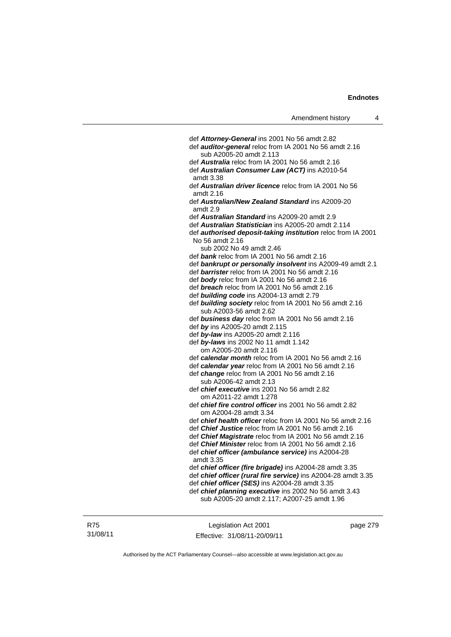| Amendment history |  |
|-------------------|--|
|-------------------|--|

 def *Attorney-General* ins 2001 No 56 amdt 2.82 def *auditor-general* reloc from IA 2001 No 56 amdt 2.16 sub A2005-20 amdt 2.113 def *Australia* reloc from IA 2001 No 56 amdt 2.16 def *Australian Consumer Law (ACT)* ins A2010-54 amdt 3.38 def *Australian driver licence* reloc from IA 2001 No 56 amdt 2.16 def *Australian/New Zealand Standard* ins A2009-20 amdt 2.9 def *Australian Standard* ins A2009-20 amdt 2.9 def *Australian Statistician* ins A2005-20 amdt 2.114 def *authorised deposit-taking institution* reloc from IA 2001 No 56 amdt 2.16 sub 2002 No 49 amdt 2.46 def *bank* reloc from IA 2001 No 56 amdt 2.16 def *bankrupt or personally insolvent* ins A2009-49 amdt 2.1 def *barrister* reloc from IA 2001 No 56 amdt 2.16 def *body* reloc from IA 2001 No 56 amdt 2.16 def *breach* reloc from IA 2001 No 56 amdt 2.16 def *building code* ins A2004-13 amdt 2.79 def *building society* reloc from IA 2001 No 56 amdt 2.16 sub A2003-56 amdt 2.62 def *business day* reloc from IA 2001 No 56 amdt 2.16 def *by* ins A2005-20 amdt 2.115 def *by-law* ins A2005-20 amdt 2.116 def *by-laws* ins 2002 No 11 amdt 1.142 om A2005-20 amdt 2.116 def *calendar month* reloc from IA 2001 No 56 amdt 2.16 def *calendar year* reloc from IA 2001 No 56 amdt 2.16 def *change* reloc from IA 2001 No 56 amdt 2.16 sub A2006-42 amdt 2.13 def *chief executive* ins 2001 No 56 amdt 2.82 om A2011-22 amdt 1.278 def *chief fire control officer* ins 2001 No 56 amdt 2.82 om A2004-28 amdt 3.34 def *chief health officer* reloc from IA 2001 No 56 amdt 2.16 def *Chief Justice* reloc from IA 2001 No 56 amdt 2.16 def *Chief Magistrate* reloc from IA 2001 No 56 amdt 2.16 def *Chief Minister* reloc from IA 2001 No 56 amdt 2.16 def *chief officer (ambulance service)* ins A2004-28 amdt 3.35 def *chief officer (fire brigade)* ins A2004-28 amdt 3.35 def *chief officer (rural fire service)* ins A2004-28 amdt 3.35 def *chief officer (SES)* ins A2004-28 amdt 3.35 def *chief planning executive* ins 2002 No 56 amdt 3.43 sub A2005-20 amdt 2.117; A2007-25 amdt 1.96

Legislation Act 2001 Effective: 31/08/11-20/09/11 page 279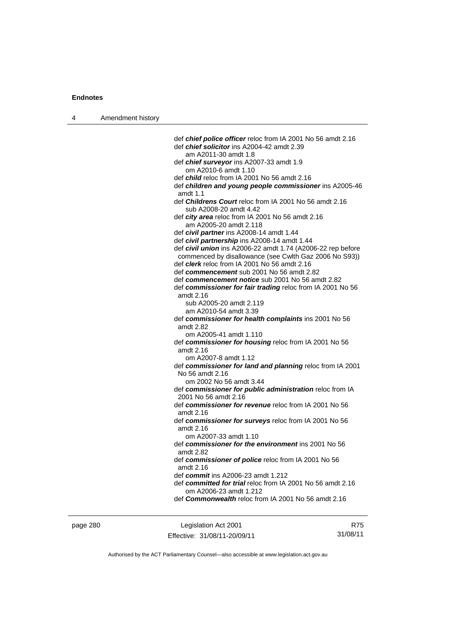| 4 | Amendment history |                                                                                               |
|---|-------------------|-----------------------------------------------------------------------------------------------|
|   |                   |                                                                                               |
|   |                   | def <i>chief police officer</i> reloc from IA 2001 No 56 amdt 2.16                            |
|   |                   | def <i>chief solicitor</i> ins A2004-42 amdt 2.39<br>am A2011-30 amdt 1.8                     |
|   |                   | def <i>chief surveyor</i> ins A2007-33 amdt 1.9                                               |
|   |                   | om A2010-6 amdt 1.10                                                                          |
|   |                   | def <i>child</i> reloc from IA 2001 No 56 amdt 2.16                                           |
|   |                   | def children and young people commissioner ins A2005-46<br>amdt 1.1                           |
|   |                   | def Childrens Court reloc from IA 2001 No 56 amdt 2.16<br>sub A2008-20 amdt 4.42              |
|   |                   | def city area reloc from IA 2001 No 56 amdt 2.16<br>am A2005-20 amdt 2.118                    |
|   |                   | def civil partner ins A2008-14 amdt 1.44                                                      |
|   |                   | def civil partnership ins A2008-14 amdt 1.44                                                  |
|   |                   | def civil union ins A2006-22 amdt 1.74 (A2006-22 rep before                                   |
|   |                   | commenced by disallowance (see Cwlth Gaz 2006 No S93))                                        |
|   |                   | def <i>clerk</i> reloc from IA 2001 No 56 amdt 2.16                                           |
|   |                   | def commencement sub 2001 No 56 amdt 2.82<br>def commencement notice sub 2001 No 56 amdt 2.82 |
|   |                   | def commissioner for fair trading reloc from IA 2001 No 56                                    |
|   |                   | amdt 2.16                                                                                     |
|   |                   | sub A2005-20 amdt 2.119                                                                       |
|   |                   | am A2010-54 amdt 3.39                                                                         |
|   |                   | def commissioner for health complaints ins 2001 No 56<br>amdt 2.82                            |
|   |                   | om A2005-41 amdt 1.110                                                                        |
|   |                   | def commissioner for housing reloc from IA 2001 No 56                                         |
|   |                   | amdt 2.16                                                                                     |
|   |                   | om A2007-8 amdt 1.12                                                                          |
|   |                   | def commissioner for land and planning reloc from IA 2001<br>No 56 amdt 2.16                  |
|   |                   | om 2002 No 56 amdt 3.44                                                                       |
|   |                   | def commissioner for public administration reloc from IA                                      |
|   |                   | 2001 No 56 amdt 2.16<br>def commissioner for revenue reloc from IA 2001 No 56                 |
|   |                   | amdt 2.16                                                                                     |
|   |                   | def commissioner for surveys reloc from IA 2001 No 56                                         |
|   |                   | amdt 2.16<br>om A2007-33 amdt 1.10                                                            |
|   |                   | def commissioner for the environment ins 2001 No 56                                           |
|   |                   | amdt 2.82                                                                                     |
|   |                   | def commissioner of police reloc from IA 2001 No 56<br>amdt 2.16                              |
|   |                   | def <i>commit</i> ins A2006-23 amdt 1.212                                                     |
|   |                   | def committed for trial reloc from IA 2001 No 56 amdt 2.16                                    |
|   |                   | om A2006-23 amdt 1.212<br>def <b>Commonwealth</b> reloc from IA 2001 No 56 amdt 2.16          |
|   |                   |                                                                                               |
|   |                   |                                                                                               |

page 280 Legislation Act 2001 Effective: 31/08/11-20/09/11

R75 31/08/11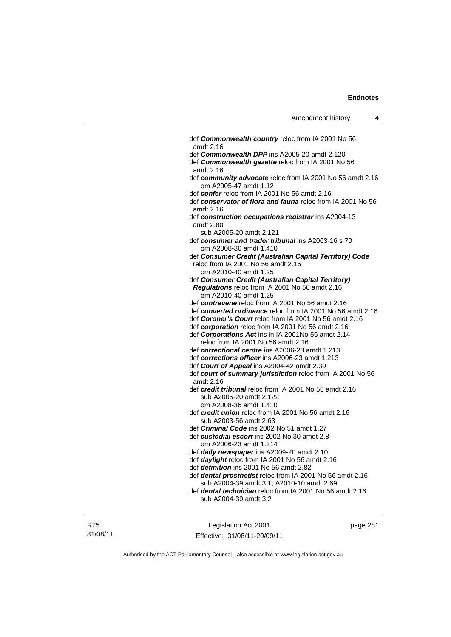| def <b>Commonwealth country</b> reloc from IA 2001 No 56<br>amdt 2.16                                                |
|----------------------------------------------------------------------------------------------------------------------|
| def Commonwealth DPP ins A2005-20 amdt 2.120                                                                         |
| def Commonwealth gazette reloc from IA 2001 No 56<br>amdt 2.16                                                       |
| def community advocate reloc from IA 2001 No 56 amdt 2.16<br>om A2005-47 amdt 1.12                                   |
| def confer reloc from IA 2001 No 56 amdt 2.16                                                                        |
| def conservator of flora and fauna reloc from IA 2001 No 56<br>amdt 2.16                                             |
| def construction occupations registrar ins A2004-13<br>amdt 2.80                                                     |
| sub A2005-20 amdt 2.121                                                                                              |
| def consumer and trader tribunal ins A2003-16 s 70<br>om A2008-36 amdt 1.410                                         |
| def Consumer Credit (Australian Capital Territory) Code                                                              |
| reloc from IA 2001 No 56 amdt 2.16                                                                                   |
| om A2010-40 amdt 1.25                                                                                                |
| def Consumer Credit (Australian Capital Territory)                                                                   |
| Regulations reloc from IA 2001 No 56 amdt 2.16<br>om A2010-40 amdt 1.25                                              |
| def contravene reloc from IA 2001 No 56 amdt 2.16                                                                    |
| def converted ordinance reloc from IA 2001 No 56 amdt 2.16<br>def Coroner's Court reloc from IA 2001 No 56 amdt 2.16 |
| def corporation reloc from IA 2001 No 56 amdt 2.16                                                                   |
| def Corporations Act ins in IA 2001No 56 amdt 2.14                                                                   |
| reloc from IA 2001 No 56 amdt 2.16                                                                                   |
| def correctional centre ins A2006-23 amdt 1.213                                                                      |
| def corrections officer ins A2006-23 amdt 1.213                                                                      |
| def Court of Appeal ins A2004-42 amdt 2.39                                                                           |
| def court of summary jurisdiction reloc from IA 2001 No 56<br>amdt 2.16                                              |
| def credit tribunal reloc from IA 2001 No 56 amdt 2.16                                                               |
| sub A2005-20 amdt 2.122                                                                                              |
| om A2008-36 amdt 1.410                                                                                               |
| def credit union reloc from IA 2001 No 56 amdt 2.16                                                                  |
| sub A2003-56 amdt 2.63                                                                                               |
| def <i>Criminal Code</i> ins 2002 No 51 amdt 1.27                                                                    |
| def custodial escort ins 2002 No 30 amdt 2.8                                                                         |
| om A2006-23 amdt 1.214                                                                                               |
| def daily newspaper ins A2009-20 amdt 2.10                                                                           |
| def daylight reloc from IA 2001 No 56 amdt 2.16                                                                      |
| def definition ins 2001 No 56 amdt 2.82                                                                              |
| def dental prosthetist reloc from IA 2001 No 56 amdt 2.16                                                            |
| sub A2004-39 amdt 3.1; A2010-10 amdt 2.69                                                                            |
| def dental technician reloc from IA 2001 No 56 amdt 2.16                                                             |
| sub A2004-39 amdt 3.2                                                                                                |
|                                                                                                                      |

R75 31/08/11

Legislation Act 2001 Effective: 31/08/11-20/09/11 page 281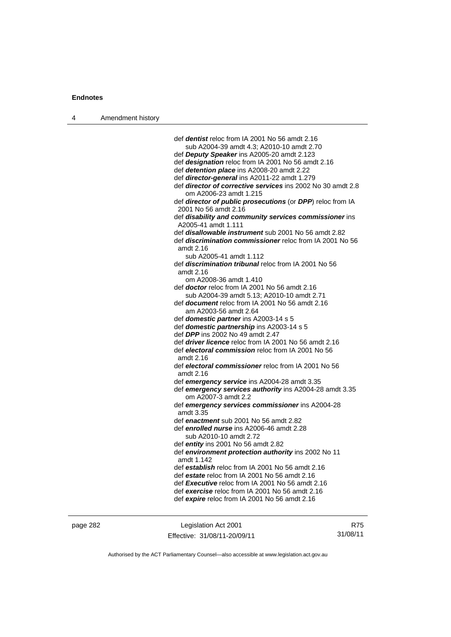| 4 | Amendment history |                                                                                              |
|---|-------------------|----------------------------------------------------------------------------------------------|
|   |                   |                                                                                              |
|   |                   | def <i>dentist</i> reloc from IA 2001 No 56 amdt 2.16                                        |
|   |                   | sub A2004-39 amdt 4.3; A2010-10 amdt 2.70                                                    |
|   |                   | def Deputy Speaker ins A2005-20 amdt 2.123                                                   |
|   |                   | def designation reloc from IA 2001 No 56 amdt 2.16                                           |
|   |                   | def detention place ins A2008-20 amdt 2.22                                                   |
|   |                   | def director-general ins A2011-22 amdt 1.279                                                 |
|   |                   | def <i>director of corrective services</i> ins 2002 No 30 amdt 2.8<br>om A2006-23 amdt 1.215 |
|   |                   | def director of public prosecutions (or DPP) reloc from IA<br>2001 No 56 amdt 2.16           |
|   |                   | def disability and community services commissioner ins<br>A2005-41 amdt 1.111                |
|   |                   | def disallowable instrument sub 2001 No 56 amdt 2.82                                         |
|   |                   | def <i>discrimination commissioner</i> reloc from IA 2001 No 56<br>amdt 2.16                 |
|   |                   | sub A2005-41 amdt 1.112                                                                      |
|   |                   | def <i>discrimination tribunal</i> reloc from IA 2001 No 56<br>amdt 2.16                     |
|   |                   | om A2008-36 amdt 1.410                                                                       |
|   |                   | def <b>doctor</b> reloc from IA 2001 No 56 amdt 2.16                                         |
|   |                   | sub A2004-39 amdt 5.13; A2010-10 amdt 2.71                                                   |
|   |                   | def <b>document</b> reloc from IA 2001 No 56 amdt 2.16                                       |
|   |                   | am A2003-56 amdt 2.64                                                                        |
|   |                   | def domestic partner ins A2003-14 s 5<br>def domestic partnership ins A2003-14 s 5           |
|   |                   | def DPP ins 2002 No 49 amdt 2.47                                                             |
|   |                   | def <i>driver licence</i> reloc from IA 2001 No 56 amdt 2.16                                 |
|   |                   | def electoral commission reloc from IA 2001 No 56<br>amdt 2.16                               |
|   |                   | def electoral commissioner reloc from IA 2001 No 56                                          |
|   |                   | amdt 2.16                                                                                    |
|   |                   | def emergency service ins A2004-28 amdt 3.35                                                 |
|   |                   | def emergency services authority ins A2004-28 amdt 3.35<br>om A2007-3 amdt 2.2               |
|   |                   | def emergency services commissioner ins A2004-28                                             |
|   |                   | amdt 3.35                                                                                    |
|   |                   | def enactment sub 2001 No 56 amdt 2.82                                                       |
|   |                   | def enrolled nurse ins A2006-46 amdt 2.28<br>sub A2010-10 amdt 2.72                          |
|   |                   | def entity ins 2001 No 56 amdt 2.82                                                          |
|   |                   | def environment protection authority ins 2002 No 11<br>amdt 1.142                            |
|   |                   | def establish reloc from IA 2001 No 56 amdt 2.16                                             |
|   |                   | def estate reloc from IA 2001 No 56 amdt 2.16                                                |
|   |                   | def Executive reloc from IA 2001 No 56 amdt 2.16                                             |
|   |                   | def exercise reloc from IA 2001 No 56 amdt 2.16                                              |
|   |                   | def expire reloc from IA 2001 No 56 amdt 2.16                                                |
|   |                   |                                                                                              |

page 282 Legislation Act 2001 Effective: 31/08/11-20/09/11

R75 31/08/11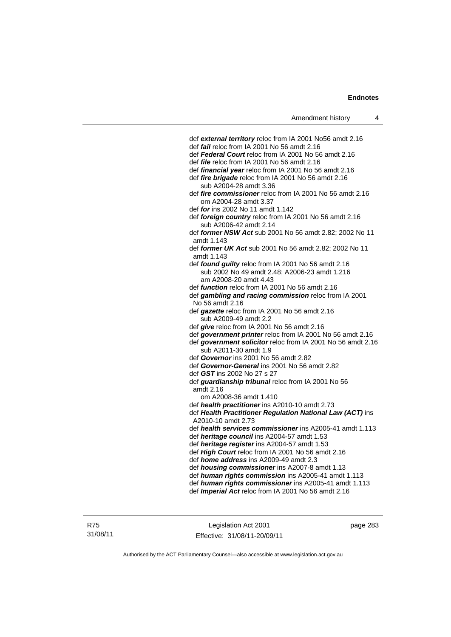def *external territory* reloc from IA 2001 No56 amdt 2.16 def *fail* reloc from IA 2001 No 56 amdt 2.16 def *Federal Court* reloc from IA 2001 No 56 amdt 2.16 def *file* reloc from IA 2001 No 56 amdt 2.16 def *financial year* reloc from IA 2001 No 56 amdt 2.16 def *fire brigade* reloc from IA 2001 No 56 amdt 2.16 sub A2004-28 amdt 3.36 def *fire commissioner* reloc from IA 2001 No 56 amdt 2.16 om A2004-28 amdt 3.37 def *for* ins 2002 No 11 amdt 1.142 def *foreign country* reloc from IA 2001 No 56 amdt 2.16 sub A2006-42 amdt 2.14 def *former NSW Act* sub 2001 No 56 amdt 2.82; 2002 No 11 amdt 1.143 def *former UK Act* sub 2001 No 56 amdt 2.82; 2002 No 11 amdt 1.143 def *found guilty* reloc from IA 2001 No 56 amdt 2.16 sub 2002 No 49 amdt 2.48; A2006-23 amdt 1.216 am A2008-20 amdt 4.43 def *function* reloc from IA 2001 No 56 amdt 2.16 def *gambling and racing commission* reloc from IA 2001 No 56 amdt 2.16 def *gazette* reloc from IA 2001 No 56 amdt 2.16 sub A2009-49 amdt 2.2 def *give* reloc from IA 2001 No 56 amdt 2.16 def *government printer* reloc from IA 2001 No 56 amdt 2.16 def *government solicitor* reloc from IA 2001 No 56 amdt 2.16 sub A2011-30 amdt 1.9 def *Governor* ins 2001 No 56 amdt 2.82 def *Governor-General* ins 2001 No 56 amdt 2.82 def *GST* ins 2002 No 27 s 27 def *guardianship tribunal* reloc from IA 2001 No 56 amdt 2.16 om A2008-36 amdt 1.410 def *health practitioner* ins A2010-10 amdt 2.73 def *Health Practitioner Regulation National Law (ACT)* ins A2010-10 amdt 2.73 def *health services commissioner* ins A2005-41 amdt 1.113 def *heritage council* ins A2004-57 amdt 1.53 def *heritage register* ins A2004-57 amdt 1.53 def *High Court* reloc from IA 2001 No 56 amdt 2.16 def *home address* ins A2009-49 amdt 2.3 def *housing commissioner* ins A2007-8 amdt 1.13 def *human rights commission* ins A2005-41 amdt 1.113 def *human rights commissioner* ins A2005-41 amdt 1.113 def *Imperial Act* reloc from IA 2001 No 56 amdt 2.16

Legislation Act 2001 Effective: 31/08/11-20/09/11 page 283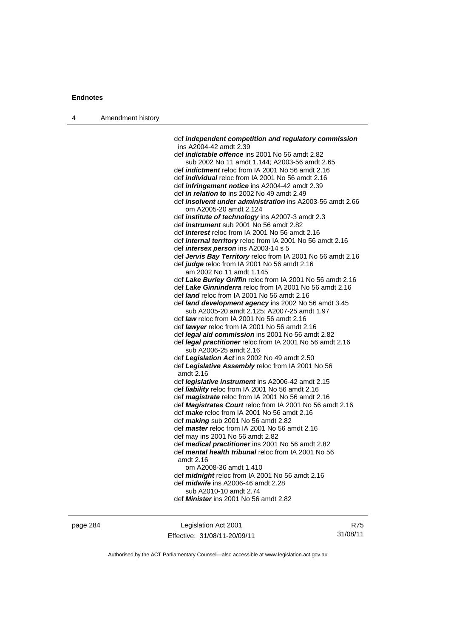| 4 | Amendment history |                                                                                                                 |
|---|-------------------|-----------------------------------------------------------------------------------------------------------------|
|   |                   | def independent competition and regulatory commission                                                           |
|   |                   | ins A2004-42 amdt 2.39                                                                                          |
|   |                   | def <i>indictable offence</i> ins 2001 No 56 amdt 2.82                                                          |
|   |                   | sub 2002 No 11 amdt 1.144; A2003-56 amdt 2.65                                                                   |
|   |                   | def <i>indictment</i> reloc from IA 2001 No 56 amdt 2.16                                                        |
|   |                   | def <i>individual</i> reloc from IA 2001 No 56 amdt 2.16                                                        |
|   |                   | def <i>infringement notice</i> ins A2004-42 amdt 2.39                                                           |
|   |                   | def <i>in relation to</i> ins 2002 No 49 amdt 2.49                                                              |
|   |                   | def <i>insolvent under administration</i> ins A2003-56 amdt 2.66<br>om A2005-20 amdt 2.124                      |
|   |                   | def <i>institute</i> of <i>technology</i> ins A2007-3 amdt 2.3                                                  |
|   |                   | def <i>instrument</i> sub 2001 No 56 amdt 2.82                                                                  |
|   |                   | def <i>interest</i> reloc from IA 2001 No 56 amdt 2.16                                                          |
|   |                   | def <i>internal territory</i> reloc from IA 2001 No 56 amdt 2.16<br>def <i>intersex person</i> ins A2003-14 s 5 |
|   |                   | def Jervis Bay Territory reloc from IA 2001 No 56 amdt 2.16                                                     |
|   |                   | def judge reloc from IA 2001 No 56 amdt 2.16                                                                    |
|   |                   | am 2002 No 11 amdt 1.145                                                                                        |
|   |                   | def Lake Burley Griffin reloc from IA 2001 No 56 amdt 2.16                                                      |
|   |                   | def Lake Ginninderra reloc from IA 2001 No 56 amdt 2.16                                                         |
|   |                   | def land reloc from IA 2001 No 56 amdt 2.16                                                                     |
|   |                   | def <i>land development agency</i> ins 2002 No 56 amdt 3.45<br>sub A2005-20 amdt 2.125; A2007-25 amdt 1.97      |
|   |                   | def law reloc from IA 2001 No 56 amdt 2.16                                                                      |
|   |                   | def lawyer reloc from IA 2001 No 56 amdt 2.16                                                                   |
|   |                   | def legal aid commission ins 2001 No 56 amdt 2.82                                                               |
|   |                   | def legal practitioner reloc from IA 2001 No 56 amdt 2.16<br>sub A2006-25 amdt 2.16                             |
|   |                   | def Legislation Act ins 2002 No 49 amdt 2.50                                                                    |
|   |                   | def Legislative Assembly reloc from IA 2001 No 56<br>amdt 2.16                                                  |
|   |                   | def legislative instrument ins A2006-42 amdt 2.15                                                               |
|   |                   | def liability reloc from IA 2001 No 56 amdt 2.16                                                                |
|   |                   | def magistrate reloc from IA 2001 No 56 amdt 2.16                                                               |
|   |                   | def <b>Magistrates Court</b> reloc from IA 2001 No 56 amdt 2.16                                                 |
|   |                   | def make reloc from IA 2001 No 56 amdt 2.16                                                                     |
|   |                   | def $making$ sub 2001 No 56 amdt 2.82                                                                           |
|   |                   | def <i>master</i> reloc from IA 2001 No 56 amdt 2.16                                                            |
|   |                   | def may ins 2001 No 56 amdt 2.82                                                                                |
|   |                   | def medical practitioner ins 2001 No 56 amdt 2.82                                                               |
|   |                   | def <i>mental health tribunal</i> reloc from IA 2001 No 56<br>amdt 2.16                                         |
|   |                   | om A2008-36 amdt 1.410                                                                                          |
|   |                   | def <i>midnight</i> reloc from IA 2001 No 56 amdt 2.16                                                          |
|   |                   | def <i>midwife</i> ins A2006-46 amdt 2.28                                                                       |
|   |                   | sub A2010-10 amdt 2.74                                                                                          |
|   |                   | def <b>Minister</b> ins 2001 No 56 amdt 2.82                                                                    |

page 284 Legislation Act 2001 Effective: 31/08/11-20/09/11

R75 31/08/11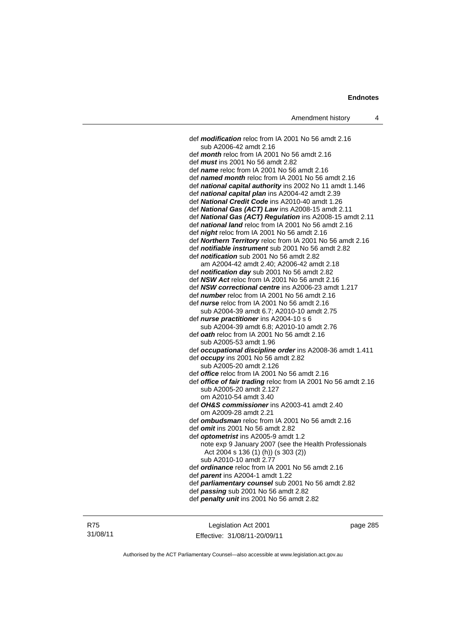def *modification* reloc from IA 2001 No 56 amdt 2.16 sub A2006-42 amdt 2.16 def *month* reloc from IA 2001 No 56 amdt 2.16 def *must* ins 2001 No 56 amdt 2.82 def *name* reloc from IA 2001 No 56 amdt 2.16 def *named month* reloc from IA 2001 No 56 amdt 2.16 def *national capital authority* ins 2002 No 11 amdt 1.146 def *national capital plan* ins A2004-42 amdt 2.39 def *National Credit Code* ins A2010-40 amdt 1.26 def *National Gas (ACT) Law* ins A2008-15 amdt 2.11 def *National Gas (ACT) Regulation* ins A2008-15 amdt 2.11 def *national land* reloc from IA 2001 No 56 amdt 2.16 def *night* reloc from IA 2001 No 56 amdt 2.16 def *Northern Territory* reloc from IA 2001 No 56 amdt 2.16 def *notifiable instrument* sub 2001 No 56 amdt 2.82 def *notification* sub 2001 No 56 amdt 2.82 am A2004-42 amdt 2.40; A2006-42 amdt 2.18 def *notification day* sub 2001 No 56 amdt 2.82 def *NSW Act* reloc from IA 2001 No 56 amdt 2.16 def *NSW correctional centre* ins A2006-23 amdt 1.217 def *number* reloc from IA 2001 No 56 amdt 2.16 def *nurse* reloc from IA 2001 No 56 amdt 2.16 sub A2004-39 amdt 6.7; A2010-10 amdt 2.75 def *nurse practitioner* ins A2004-10 s 6 sub A2004-39 amdt 6.8; A2010-10 amdt 2.76 def *oath* reloc from IA 2001 No 56 amdt 2.16 sub A2005-53 amdt 1.96 def *occupational discipline order* ins A2008-36 amdt 1.411 def *occupy* ins 2001 No 56 amdt 2.82 sub A2005-20 amdt 2.126 def *office* reloc from IA 2001 No 56 amdt 2.16 def *office of fair trading* reloc from IA 2001 No 56 amdt 2.16 sub A2005-20 amdt 2.127 om A2010-54 amdt 3.40 def *OH&S commissioner* ins A2003-41 amdt 2.40 om A2009-28 amdt 2.21 def *ombudsman* reloc from IA 2001 No 56 amdt 2.16 def *omit* ins 2001 No 56 amdt 2.82 def *optometrist* ins A2005-9 amdt 1.2 note exp 9 January 2007 (see the Health Professionals Act 2004 s 136 (1) (h)) (s 303 (2)) sub A2010-10 amdt 2.77 def *ordinance* reloc from IA 2001 No 56 amdt 2.16 def *parent* ins A2004-1 amdt 1.22 def *parliamentary counsel* sub 2001 No 56 amdt 2.82 def *passing* sub 2001 No 56 amdt 2.82 def *penalty unit* ins 2001 No 56 amdt 2.82

R75 31/08/11

Legislation Act 2001 Effective: 31/08/11-20/09/11 page 285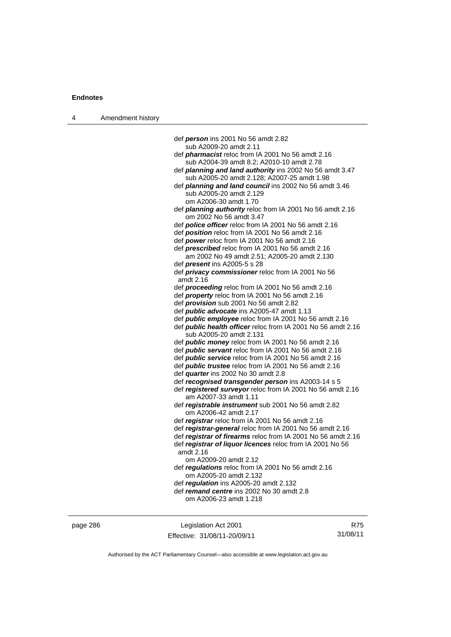| 4 | Amendment history |                                                                                                                                      |
|---|-------------------|--------------------------------------------------------------------------------------------------------------------------------------|
|   |                   |                                                                                                                                      |
|   |                   | def <i>person</i> ins 2001 No 56 amdt 2.82                                                                                           |
|   |                   | sub A2009-20 amdt 2.11                                                                                                               |
|   |                   | def <i>pharmacist</i> reloc from IA 2001 No 56 amdt 2.16                                                                             |
|   |                   | sub A2004-39 amdt 8.2; A2010-10 amdt 2.78                                                                                            |
|   |                   | def planning and land authority ins 2002 No 56 amdt 3.47                                                                             |
|   |                   | sub A2005-20 amdt 2.128; A2007-25 amdt 1.98                                                                                          |
|   |                   | def <i>planning and land council</i> ins 2002 No 56 amdt 3.46<br>sub A2005-20 amdt 2.129                                             |
|   |                   | om A2006-30 amdt 1.70                                                                                                                |
|   |                   | def <i>planning authority</i> reloc from IA 2001 No 56 amdt 2.16                                                                     |
|   |                   | om 2002 No 56 amdt 3.47                                                                                                              |
|   |                   | def <i>police officer</i> reloc from IA 2001 No 56 amdt 2.16                                                                         |
|   |                   | def position reloc from IA 2001 No 56 amdt 2.16                                                                                      |
|   |                   | def power reloc from IA 2001 No 56 amdt 2.16                                                                                         |
|   |                   | def <i>prescribed</i> reloc from IA 2001 No 56 amdt 2.16                                                                             |
|   |                   | am 2002 No 49 amdt 2.51; A2005-20 amdt 2.130                                                                                         |
|   |                   | def <i>present</i> ins A2005-5 s 28                                                                                                  |
|   |                   | def privacy commissioner reloc from IA 2001 No 56                                                                                    |
|   |                   | amdt 2.16                                                                                                                            |
|   |                   | def <i>proceeding</i> reloc from IA 2001 No 56 amdt 2.16                                                                             |
|   |                   | def <i>property</i> reloc from IA 2001 No 56 amdt 2.16                                                                               |
|   |                   | def <i>provision</i> sub 2001 No 56 amdt 2.82                                                                                        |
|   |                   | def <i>public advocate</i> ins A2005-47 amdt 1.13                                                                                    |
|   |                   | def <i>public</i> employee reloc from IA 2001 No 56 amdt 2.16<br>def <i>public health officer</i> reloc from IA 2001 No 56 amdt 2.16 |
|   |                   | sub A2005-20 amdt 2.131                                                                                                              |
|   |                   | def <i>public money</i> reloc from IA 2001 No 56 amdt 2.16                                                                           |
|   |                   | def <i>public servant</i> reloc from IA 2001 No 56 amdt 2.16                                                                         |
|   |                   | def <i>public service</i> reloc from IA 2001 No 56 amdt 2.16                                                                         |
|   |                   | def <i>public trustee</i> reloc from IA 2001 No 56 amdt 2.16                                                                         |
|   |                   | def <i>quarter</i> ins 2002 No 30 amdt 2.8                                                                                           |
|   |                   | def recognised transgender person ins A2003-14 s 5                                                                                   |
|   |                   | def registered surveyor reloc from IA 2001 No 56 amdt 2.16                                                                           |
|   |                   | am A2007-33 amdt 1.11                                                                                                                |
|   |                   | def registrable instrument sub 2001 No 56 amdt 2.82<br>om A2006-42 amdt 2.17                                                         |
|   |                   | def registrar reloc from IA 2001 No 56 amdt 2.16                                                                                     |
|   |                   | def registrar-general reloc from IA 2001 No 56 amdt 2.16                                                                             |
|   |                   | def registrar of firearms reloc from IA 2001 No 56 amdt 2.16                                                                         |
|   |                   | def registrar of liquor licences reloc from IA 2001 No 56                                                                            |
|   |                   | amdt 2.16                                                                                                                            |
|   |                   | om A2009-20 amdt 2.12                                                                                                                |
|   |                   | def regulations reloc from IA 2001 No 56 amdt 2.16                                                                                   |
|   |                   | om A2005-20 amdt 2.132                                                                                                               |
|   |                   | def regulation ins A2005-20 amdt 2.132                                                                                               |
|   |                   | def remand centre ins 2002 No 30 amdt 2.8                                                                                            |
|   |                   | om A2006-23 amdt 1.218                                                                                                               |
|   |                   |                                                                                                                                      |

page 286 Legislation Act 2001 Effective: 31/08/11-20/09/11

R75 31/08/11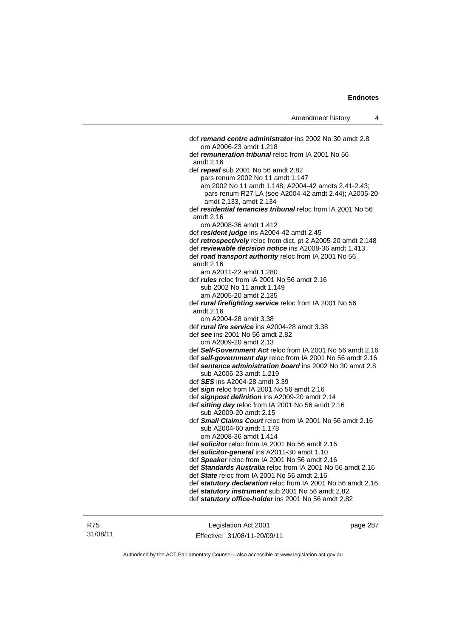def *remand centre administrator* ins 2002 No 30 amdt 2.8 om A2006-23 amdt 1.218 def *remuneration tribunal* reloc from IA 2001 No 56 amdt 2.16 def *repeal* sub 2001 No 56 amdt 2.82 pars renum 2002 No 11 amdt 1.147 am 2002 No 11 amdt 1.148; A2004-42 amdts 2.41-2.43; pars renum R27 LA (see A2004-42 amdt 2.44); A2005-20 amdt 2.133, amdt 2.134 def *residential tenancies tribunal* reloc from IA 2001 No 56 amdt 2.16 om A2008-36 amdt 1.412 def *resident judge* ins A2004-42 amdt 2.45 def *retrospectively* reloc from dict, pt 2 A2005-20 amdt 2.148 def *reviewable decision notice* ins A2008-36 amdt 1.413 def *road transport authority* reloc from IA 2001 No 56 amdt 2.16 am A2011-22 amdt 1.280 def *rules* reloc from IA 2001 No 56 amdt 2.16 sub 2002 No 11 amdt 1.149 am A2005-20 amdt 2.135 def *rural firefighting service* reloc from IA 2001 No 56 amdt 2.16 om A2004-28 amdt 3.38 def *rural fire service* ins A2004-28 amdt 3.38 def *see* ins 2001 No 56 amdt 2.82 om A2009-20 amdt 2.13 def *Self-Government Act* reloc from IA 2001 No 56 amdt 2.16 def *self-government day* reloc from IA 2001 No 56 amdt 2.16 def *sentence administration board* ins 2002 No 30 amdt 2.8 sub A2006-23 amdt 1.219 def *SES* ins A2004-28 amdt 3.39 def *sign* reloc from IA 2001 No 56 amdt 2.16 def *signpost definition* ins A2009-20 amdt 2.14 def *sitting day* reloc from IA 2001 No 56 amdt 2.16 sub A2009-20 amdt 2.15 def *Small Claims Court* reloc from IA 2001 No 56 amdt 2.16 sub A2004-60 amdt 1.178 om A2008-36 amdt 1.414 def *solicitor* reloc from IA 2001 No 56 amdt 2.16 def *solicitor-general* ins A2011-30 amdt 1.10 def *Speaker* reloc from IA 2001 No 56 amdt 2.16 def *Standards Australia* reloc from IA 2001 No 56 amdt 2.16 def *State* reloc from IA 2001 No 56 amdt 2.16 def *statutory declaration* reloc from IA 2001 No 56 amdt 2.16 def *statutory instrument* sub 2001 No 56 amdt 2.82 def *statutory office-holder* ins 2001 No 56 amdt 2.82

Legislation Act 2001 Effective: 31/08/11-20/09/11 page 287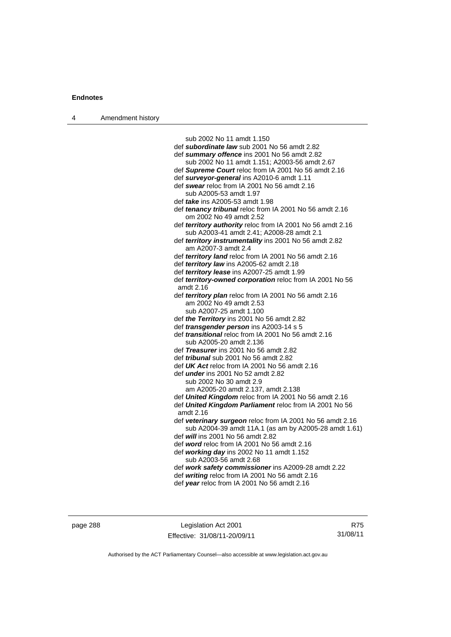| 4 | Amendment history |                                                                                                         |
|---|-------------------|---------------------------------------------------------------------------------------------------------|
|   |                   |                                                                                                         |
|   |                   | sub 2002 No 11 amdt 1.150                                                                               |
|   |                   | def subordinate law sub 2001 No 56 amdt 2.82                                                            |
|   |                   | def summary offence ins 2001 No 56 amdt 2.82                                                            |
|   |                   | sub 2002 No 11 amdt 1.151; A2003-56 amdt 2.67                                                           |
|   |                   | def <b>Supreme Court</b> reloc from IA 2001 No 56 amdt 2.16                                             |
|   |                   | def surveyor-general ins A2010-6 amdt 1.11                                                              |
|   |                   | def swear reloc from IA 2001 No 56 amdt 2.16                                                            |
|   |                   | sub A2005-53 amdt 1.97                                                                                  |
|   |                   | def <i>take</i> ins A2005-53 amdt 1.98                                                                  |
|   |                   | def tenancy tribunal reloc from IA 2001 No 56 amdt 2.16<br>om 2002 No 49 amdt 2.52                      |
|   |                   | def territory authority reloc from IA 2001 No 56 amdt 2.16<br>sub A2003-41 amdt 2.41; A2008-28 amdt 2.1 |
|   |                   | def territory instrumentality ins 2001 No 56 amdt 2.82<br>am A2007-3 amdt 2.4                           |
|   |                   | def <i>territory land</i> reloc from IA 2001 No 56 amdt 2.16                                            |
|   |                   | def <i>territory law</i> ins A2005-62 amdt 2.18                                                         |
|   |                   | def territory lease ins A2007-25 amdt 1.99                                                              |
|   |                   | def territory-owned corporation reloc from IA 2001 No 56<br>amdt 2.16                                   |
|   |                   | def territory plan reloc from IA 2001 No 56 amdt 2.16                                                   |
|   |                   | am 2002 No 49 amdt 2.53                                                                                 |
|   |                   | sub A2007-25 amdt 1.100                                                                                 |
|   |                   | def the Territory ins 2001 No 56 amdt 2.82                                                              |
|   |                   | def <i>transgender person</i> ins A2003-14 s 5                                                          |
|   |                   | def <i>transitional</i> reloc from IA 2001 No 56 amdt 2.16                                              |
|   |                   | sub A2005-20 amdt 2.136                                                                                 |
|   |                   | def Treasurer ins 2001 No 56 amdt 2.82                                                                  |
|   |                   | def <i>tribunal</i> sub 2001 No 56 amdt 2.82                                                            |
|   |                   | def UK Act reloc from IA 2001 No 56 amdt 2.16                                                           |
|   |                   | def <i>under</i> ins 2001 No 52 amdt 2.82                                                               |
|   |                   | sub 2002 No 30 amdt 2.9                                                                                 |
|   |                   | am A2005-20 amdt 2.137, amdt 2.138                                                                      |
|   |                   | def United Kingdom reloc from IA 2001 No 56 amdt 2.16                                                   |
|   |                   | def United Kingdom Parliament reloc from IA 2001 No 56<br>amdt 2.16                                     |
|   |                   | def veterinary surgeon reloc from IA 2001 No 56 amdt 2.16                                               |
|   |                   | sub A2004-39 amdt 11A.1 (as am by A2005-28 amdt 1.61)                                                   |
|   |                   | def will ins 2001 No 56 amdt 2.82                                                                       |
|   |                   | def word reloc from IA 2001 No 56 amdt 2.16                                                             |
|   |                   | def working day ins 2002 No 11 amdt 1.152                                                               |
|   |                   | sub A2003-56 amdt 2.68                                                                                  |
|   |                   | def work safety commissioner ins A2009-28 amdt 2.22                                                     |
|   |                   | def writing reloc from IA 2001 No 56 amdt 2.16                                                          |
|   |                   | def year reloc from IA 2001 No 56 amdt 2.16                                                             |
|   |                   |                                                                                                         |

page 288 Legislation Act 2001 Effective: 31/08/11-20/09/11

R75 31/08/11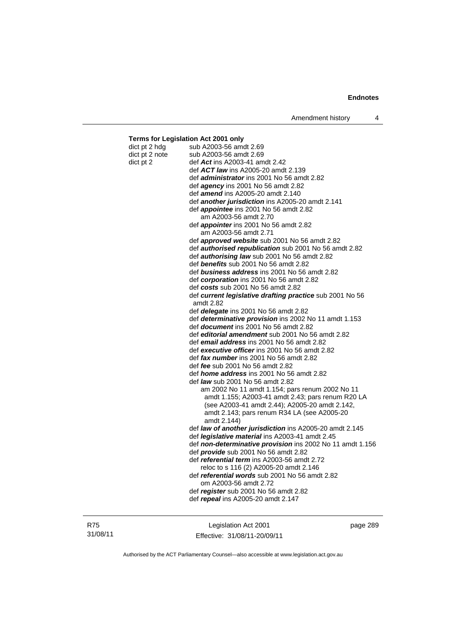#### **Terms for Legislation Act 2001 only**  dict pt 2 hdg sub A2003-56 amdt 2.69 dict pt 2 note sub A2003-56 amdt 2.69 dict pt 2 def *Act* ins A2003-41 amdt 2.42 def *ACT law* ins A2005-20 amdt 2.139 def *administrator* ins 2001 No 56 amdt 2.82 def *agency* ins 2001 No 56 amdt 2.82 def *amend* ins A2005-20 amdt 2.140 def *another jurisdiction* ins A2005-20 amdt 2.141 def *appointee* ins 2001 No 56 amdt 2.82 am A2003-56 amdt 2.70 def *appointer* ins 2001 No 56 amdt 2.82 am A2003-56 amdt 2.71 def *approved website* sub 2001 No 56 amdt 2.82 def *authorised republication* sub 2001 No 56 amdt 2.82 def *authorising law* sub 2001 No 56 amdt 2.82 def *benefits* sub 2001 No 56 amdt 2.82 def *business address* ins 2001 No 56 amdt 2.82 def *corporation* ins 2001 No 56 amdt 2.82 def *costs* sub 2001 No 56 amdt 2.82 def *current legislative drafting practice* sub 2001 No 56 amdt 2.82 def *delegate* ins 2001 No 56 amdt 2.82 def *determinative provision* ins 2002 No 11 amdt 1.153 def *document* ins 2001 No 56 amdt 2.82 def *editorial amendment* sub 2001 No 56 amdt 2.82 def *email address* ins 2001 No 56 amdt 2.82 def *executive officer* ins 2001 No 56 amdt 2.82 def *fax number* ins 2001 No 56 amdt 2.82 def *fee* sub 2001 No 56 amdt 2.82 def *home address* ins 2001 No 56 amdt 2.82 def *law* sub 2001 No 56 amdt 2.82 am 2002 No 11 amdt 1.154; pars renum 2002 No 11 amdt 1.155; A2003-41 amdt 2.43; pars renum R20 LA (see A2003-41 amdt 2.44); A2005-20 amdt 2.142, amdt 2.143; pars renum R34 LA (see A2005-20 amdt 2.144) def *law of another jurisdiction* ins A2005-20 amdt 2.145 def *legislative material* ins A2003-41 amdt 2.45 def *non-determinative provision* ins 2002 No 11 amdt 1.156 def *provide* sub 2001 No 56 amdt 2.82 def *referential term* ins A2003-56 amdt 2.72 reloc to s 116 (2) A2005-20 amdt 2.146 def *referential words* sub 2001 No 56 amdt 2.82 om A2003-56 amdt 2.72 def *register* sub 2001 No 56 amdt 2.82

R75 31/08/11

Legislation Act 2001 Effective: 31/08/11-20/09/11

def *repeal* ins A2005-20 amdt 2.147

page 289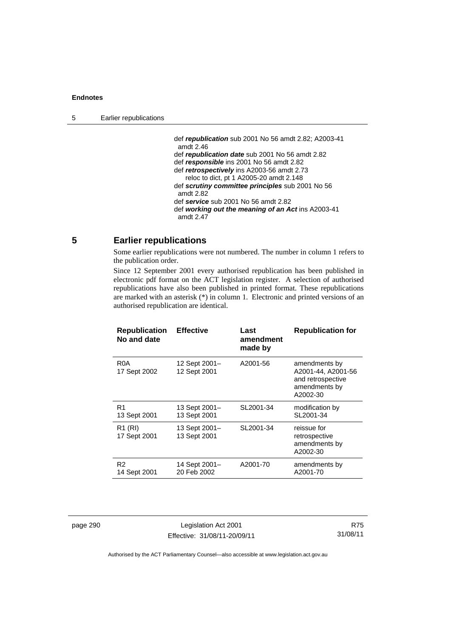def *republication* sub 2001 No 56 amdt 2.82; A2003-41 amdt 2.46 def *republication date* sub 2001 No 56 amdt 2.82 def *responsible* ins 2001 No 56 amdt 2.82 def *retrospectively* ins A2003-56 amdt 2.73 reloc to dict, pt 1 A2005-20 amdt 2.148 def *scrutiny committee principles* sub 2001 No 56 amdt 2.82 def *service* sub 2001 No 56 amdt 2.82 def *working out the meaning of an Act* ins A2003-41 amdt 2.47

# **5 Earlier republications**

Some earlier republications were not numbered. The number in column 1 refers to the publication order.

Since 12 September 2001 every authorised republication has been published in electronic pdf format on the ACT legislation register. A selection of authorised republications have also been published in printed format. These republications are marked with an asterisk (\*) in column 1. Electronic and printed versions of an authorised republication are identical.

| <b>Republication</b><br>No and date | <b>Effective</b>              | Last<br>amendment<br>made by | <b>Republication for</b>                                                              |
|-------------------------------------|-------------------------------|------------------------------|---------------------------------------------------------------------------------------|
| R <sub>0</sub> A<br>17 Sept 2002    | 12 Sept 2001-<br>12 Sept 2001 | A2001-56                     | amendments by<br>A2001-44, A2001-56<br>and retrospective<br>amendments by<br>A2002-30 |
| R1<br>13 Sept 2001                  | 13 Sept 2001-<br>13 Sept 2001 | SL2001-34                    | modification by<br>SL2001-34                                                          |
| R <sub>1</sub> (RI)<br>17 Sept 2001 | 13 Sept 2001-<br>13 Sept 2001 | SL2001-34                    | reissue for<br>retrospective<br>amendments by<br>A2002-30                             |
| R <sub>2</sub><br>14 Sept 2001      | 14 Sept 2001-<br>20 Feb 2002  | A2001-70                     | amendments by<br>A2001-70                                                             |

page 290 Legislation Act 2001 Effective: 31/08/11-20/09/11

R75 31/08/11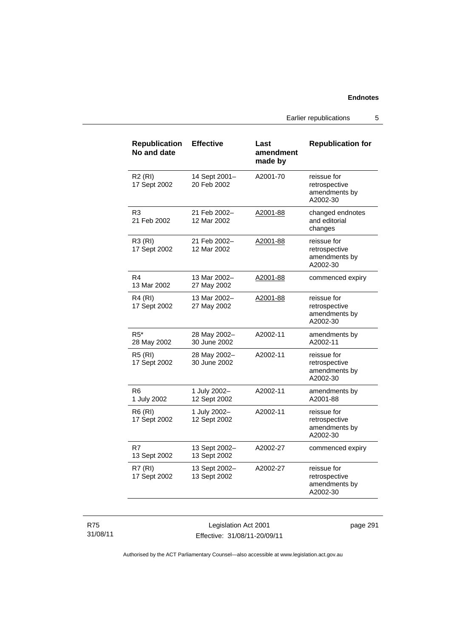Earlier republications 5

| <b>Republication</b><br>No and date | <b>Effective</b>              | Last<br>amendment<br>made by | <b>Republication for</b>                                  |
|-------------------------------------|-------------------------------|------------------------------|-----------------------------------------------------------|
| R2(RI)<br>17 Sept 2002              | 14 Sept 2001-<br>20 Feb 2002  | A2001-70                     | reissue for<br>retrospective<br>amendments by<br>A2002-30 |
| R3<br>21 Feb 2002                   | 21 Feb 2002-<br>12 Mar 2002   | A2001-88                     | changed endnotes<br>and editorial<br>changes              |
| R3 (RI)<br>17 Sept 2002             | 21 Feb 2002-<br>12 Mar 2002   | A2001-88                     | reissue for<br>retrospective<br>amendments by<br>A2002-30 |
| R4<br>13 Mar 2002                   | 13 Mar 2002-<br>27 May 2002   | A2001-88                     | commenced expiry                                          |
| <b>R4 (RI)</b><br>17 Sept 2002      | 13 Mar 2002-<br>27 May 2002   | A2001-88                     | reissue for<br>retrospective<br>amendments by<br>A2002-30 |
| $R5^*$<br>28 May 2002               | 28 May 2002-<br>30 June 2002  | A2002-11                     | amendments by<br>A2002-11                                 |
| <b>R5 (RI)</b><br>17 Sept 2002      | 28 May 2002-<br>30 June 2002  | A2002-11                     | reissue for<br>retrospective<br>amendments by<br>A2002-30 |
| R6<br>1 July 2002                   | 1 July 2002-<br>12 Sept 2002  | A2002-11                     | amendments by<br>A2001-88                                 |
| <b>R6 (RI)</b><br>17 Sept 2002      | 1 July 2002-<br>12 Sept 2002  | A2002-11                     | reissue for<br>retrospective<br>amendments by<br>A2002-30 |
| R7<br>13 Sept 2002                  | 13 Sept 2002-<br>13 Sept 2002 | A2002-27                     | commenced expiry                                          |
| R7(RI)<br>17 Sept 2002              | 13 Sept 2002-<br>13 Sept 2002 | A2002-27                     | reissue for<br>retrospective<br>amendments by<br>A2002-30 |

R75 31/08/11

Legislation Act 2001 Effective: 31/08/11-20/09/11 page 291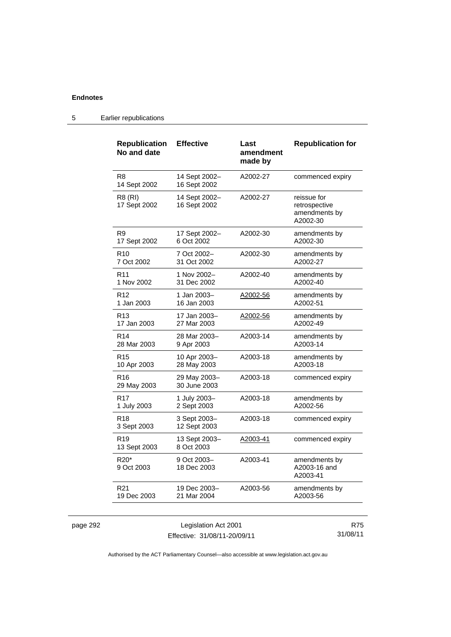| Republication<br>No and date               | <b>Effective</b>              | Last<br>amendment<br>made by | <b>Republication for</b>                                  |
|--------------------------------------------|-------------------------------|------------------------------|-----------------------------------------------------------|
| R <sub>8</sub><br>14 Sept 2002             | 14 Sept 2002-<br>16 Sept 2002 | A2002-27                     | commenced expiry                                          |
| <b>R8 (RI)</b><br>17 Sept 2002             | 14 Sept 2002-<br>16 Sept 2002 | A2002-27                     | reissue for<br>retrospective<br>amendments by<br>A2002-30 |
| R9                                         | 17 Sept 2002-                 | A2002-30                     | amendments by                                             |
| 17 Sept 2002                               | 6 Oct 2002                    |                              | A2002-30                                                  |
| R <sub>10</sub>                            | 7 Oct 2002-                   | A2002-30                     | amendments by                                             |
| 7 Oct 2002                                 | 31 Oct 2002                   |                              | A2002-27                                                  |
| R <sub>11</sub>                            | 1 Nov 2002-                   | A2002-40                     | amendments by                                             |
| 1 Nov 2002                                 | 31 Dec 2002                   |                              | A2002-40                                                  |
| R <sub>12</sub>                            | 1 Jan 2003-                   | A2002-56                     | amendments by                                             |
| 1 Jan 2003                                 | 16 Jan 2003                   |                              | A2002-51                                                  |
| R <sub>13</sub>                            | 17 Jan 2003–                  | A2002-56                     | amendments by                                             |
| 17 Jan 2003                                | 27 Mar 2003                   |                              | A2002-49                                                  |
| R <sub>14</sub>                            | 28 Mar 2003-                  | A2003-14                     | amendments by                                             |
| 28 Mar 2003                                | 9 Apr 2003                    |                              | A2003-14                                                  |
| R <sub>15</sub>                            | 10 Apr 2003-                  | A2003-18                     | amendments by                                             |
| 10 Apr 2003                                | 28 May 2003                   |                              | A2003-18                                                  |
| R <sub>16</sub><br>29 May 2003             | 29 May 2003-<br>30 June 2003  | A2003-18                     | commenced expiry                                          |
| R <sub>17</sub>                            | 1 July 2003-                  | A2003-18                     | amendments by                                             |
| 1 July 2003                                | 2 Sept 2003                   |                              | A2002-56                                                  |
| R <sub>18</sub><br>3 Sept 2003             | 3 Sept 2003-<br>12 Sept 2003  | A2003-18                     | commenced expiry                                          |
| R <sub>19</sub><br>13 Sept 2003            | 13 Sept 2003-<br>8 Oct 2003   | A2003-41                     | commenced expiry                                          |
| R <sub>20</sub> <sup>*</sup><br>9 Oct 2003 | 9 Oct 2003-<br>18 Dec 2003    | A2003-41                     | amendments by<br>A2003-16 and<br>A2003-41                 |
| R <sub>21</sub>                            | 19 Dec 2003-                  | A2003-56                     | amendments by                                             |
| 19 Dec 2003                                | 21 Mar 2004                   |                              | A2003-56                                                  |

# 5 Earlier republications

|      |  | מ |
|------|--|---|
| bade |  |   |
|      |  |   |

Legislation Act 2001 Effective: 31/08/11-20/09/11

R75 31/08/11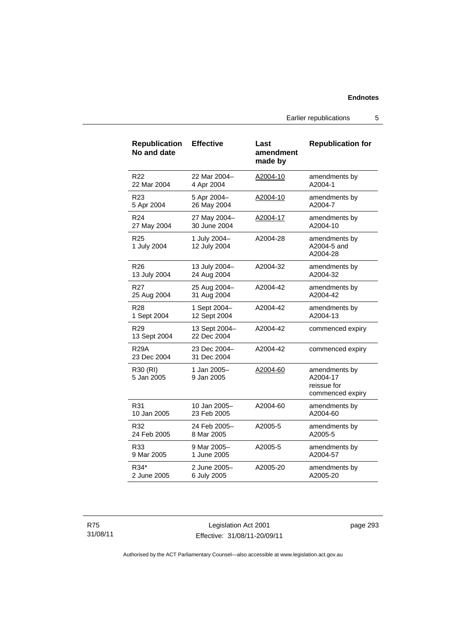Earlier republications 5

| <b>Republication</b><br>No and date | <b>Effective</b>             | Last<br>amendment<br>made by | <b>Republication for</b>                                     |
|-------------------------------------|------------------------------|------------------------------|--------------------------------------------------------------|
| R22                                 | 22 Mar 2004-                 | A2004-10                     | amendments by                                                |
| 22 Mar 2004                         | 4 Apr 2004                   |                              | A2004-1                                                      |
| R <sub>23</sub>                     | 5 Apr 2004-                  | A2004-10                     | amendments by                                                |
| 5 Apr 2004                          | 26 May 2004                  |                              | A2004-7                                                      |
| R <sub>24</sub>                     | 27 May 2004-                 | A2004-17                     | amendments by                                                |
| 27 May 2004                         | 30 June 2004                 |                              | A2004-10                                                     |
| R <sub>25</sub><br>1 July 2004      | 1 July 2004-<br>12 July 2004 | A2004-28                     | amendments by<br>A2004-5 and<br>A2004-28                     |
| R <sub>26</sub>                     | 13 July 2004-                | A2004-32                     | amendments by                                                |
| 13 July 2004                        | 24 Aug 2004                  |                              | A2004-32                                                     |
| R27                                 | 25 Aug 2004-                 | A2004-42                     | amendments by                                                |
| 25 Aug 2004                         | 31 Aug 2004                  |                              | A2004-42                                                     |
| R <sub>28</sub>                     | 1 Sept 2004-                 | A2004-42                     | amendments by                                                |
| 1 Sept 2004                         | 12 Sept 2004                 |                              | A2004-13                                                     |
| R <sub>29</sub><br>13 Sept 2004     | 13 Sept 2004-<br>22 Dec 2004 | A2004-42                     | commenced expiry                                             |
| <b>R29A</b><br>23 Dec 2004          | 23 Dec 2004-<br>31 Dec 2004  | A2004-42                     | commenced expiry                                             |
| R30 (RI)<br>5 Jan 2005              | 1 Jan 2005-<br>9 Jan 2005    | A2004-60                     | amendments by<br>A2004-17<br>reissue for<br>commenced expiry |
| R31                                 | 10 Jan 2005-                 | A2004-60                     | amendments by                                                |
| 10 Jan 2005                         | 23 Feb 2005                  |                              | A2004-60                                                     |
| R32                                 | 24 Feb 2005–                 | A2005-5                      | amendments by                                                |
| 24 Feb 2005                         | 8 Mar 2005                   |                              | A2005-5                                                      |
| R33                                 | 9 Mar 2005-                  | A2005-5                      | amendments by                                                |
| 9 Mar 2005                          | 1 June 2005                  |                              | A2004-57                                                     |
| R34*                                | 2 June 2005-                 | A2005-20                     | amendments by                                                |
| 2 June 2005                         | 6 July 2005                  |                              | A2005-20                                                     |

R75 31/08/11

Legislation Act 2001 Effective: 31/08/11-20/09/11 page 293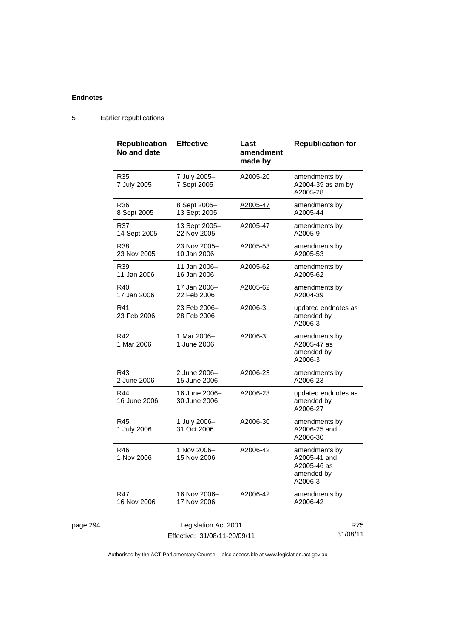page 294

| <b>Republication</b><br>No and date | <b>Effective</b>              | Last<br>amendment<br>made by | <b>Republication for</b>                                              |
|-------------------------------------|-------------------------------|------------------------------|-----------------------------------------------------------------------|
| R35<br>7 July 2005                  | 7 July 2005-<br>7 Sept 2005   | A2005-20                     | amendments by<br>A2004-39 as am by<br>A2005-28                        |
| R36<br>8 Sept 2005                  | 8 Sept 2005-<br>13 Sept 2005  | A2005-47                     | amendments by<br>A2005-44                                             |
| R37<br>14 Sept 2005                 | 13 Sept 2005-<br>22 Nov 2005  | A2005-47                     | amendments by<br>A2005-9                                              |
| R38<br>23 Nov 2005                  | 23 Nov 2005-<br>10 Jan 2006   | A2005-53                     | amendments by<br>A2005-53                                             |
| R39<br>11 Jan 2006                  | 11 Jan 2006–<br>16 Jan 2006   | A2005-62                     | amendments by<br>A2005-62                                             |
| R40<br>17 Jan 2006                  | 17 Jan 2006–<br>22 Feb 2006   | A2005-62                     | amendments by<br>A2004-39                                             |
| R41<br>23 Feb 2006                  | 23 Feb 2006-<br>28 Feb 2006   | A2006-3                      | updated endnotes as<br>amended by<br>A2006-3                          |
| R42<br>1 Mar 2006                   | 1 Mar 2006–<br>1 June 2006    | A2006-3                      | amendments by<br>A2005-47 as<br>amended by<br>A2006-3                 |
| R43<br>2 June 2006                  | 2 June 2006-<br>15 June 2006  | A2006-23                     | amendments by<br>A2006-23                                             |
| R44<br>16 June 2006                 | 16 June 2006–<br>30 June 2006 | A2006-23                     | updated endnotes as<br>amended by<br>A2006-27                         |
| R45<br>1 July 2006                  | 1 July 2006-<br>31 Oct 2006   | A2006-30                     | amendments by<br>A2006-25 and<br>A2006-30                             |
| R46<br>1 Nov 2006                   | 1 Nov 2006-<br>15 Nov 2006    | A2006-42                     | amendments by<br>A2005-41 and<br>A2005-46 as<br>amended by<br>A2006-3 |
| R47<br>16 Nov 2006                  | 16 Nov 2006-<br>17 Nov 2006   | A2006-42                     | amendments by<br>A2006-42                                             |
|                                     | Legislation Act 2001          |                              | <b>R75</b><br>31/08/11                                                |

5 Earlier republications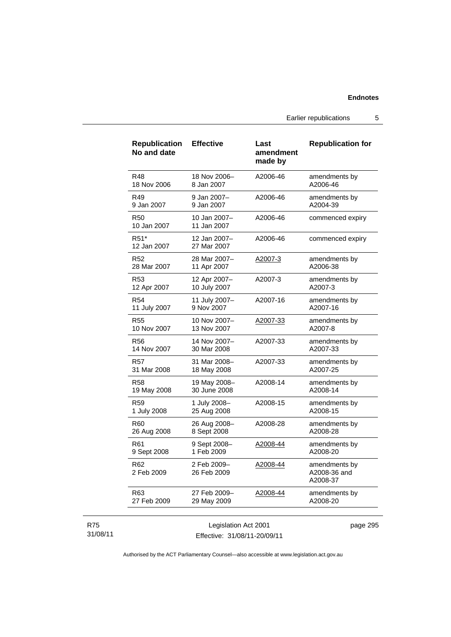Earlier republications 5

| <b>Republication</b><br>No and date | <b>Effective</b>            | Last<br>amendment<br>made by | <b>Republication for</b>                  |
|-------------------------------------|-----------------------------|------------------------------|-------------------------------------------|
| R48                                 | 18 Nov 2006-                | A2006-46                     | amendments by                             |
| 18 Nov 2006                         | 8 Jan 2007                  |                              | A2006-46                                  |
| R49                                 | 9 Jan 2007-                 | A2006-46                     | amendments by                             |
| 9 Jan 2007                          | 9 Jan 2007                  |                              | A2004-39                                  |
| <b>R50</b><br>10 Jan 2007           | 10 Jan 2007-<br>11 Jan 2007 | A2006-46                     | commenced expiry                          |
| R51*<br>12 Jan 2007                 | 12 Jan 2007-<br>27 Mar 2007 | A2006-46                     | commenced expiry                          |
| R <sub>52</sub>                     | 28 Mar 2007-                | A2007-3                      | amendments by                             |
| 28 Mar 2007                         | 11 Apr 2007                 |                              | A2006-38                                  |
| R <sub>53</sub>                     | 12 Apr 2007-                | A2007-3                      | amendments by                             |
| 12 Apr 2007                         | 10 July 2007                |                              | A2007-3                                   |
| <b>R54</b>                          | 11 July 2007-               | A2007-16                     | amendments by                             |
| 11 July 2007                        | 9 Nov 2007                  |                              | A2007-16                                  |
| <b>R55</b>                          | 10 Nov 2007-                | A2007-33                     | amendments by                             |
| 10 Nov 2007                         | 13 Nov 2007                 |                              | A2007-8                                   |
| <b>R56</b>                          | 14 Nov 2007-                | A2007-33                     | amendments by                             |
| 14 Nov 2007                         | 30 Mar 2008                 |                              | A2007-33                                  |
| R57                                 | 31 Mar 2008-                | A2007-33                     | amendments by                             |
| 31 Mar 2008                         | 18 May 2008                 |                              | A2007-25                                  |
| R58                                 | 19 May 2008-                | A2008-14                     | amendments by                             |
| 19 May 2008                         | 30 June 2008                |                              | A2008-14                                  |
| R <sub>59</sub>                     | 1 July 2008-                | A2008-15                     | amendments by                             |
| 1 July 2008                         | 25 Aug 2008                 |                              | A2008-15                                  |
| R60                                 | 26 Aug 2008-                | A2008-28                     | amendments by                             |
| 26 Aug 2008                         | 8 Sept 2008                 |                              | A2008-28                                  |
| R61                                 | 9 Sept 2008-                | A2008-44                     | amendments by                             |
| 9 Sept 2008                         | 1 Feb 2009                  |                              | A2008-20                                  |
| R62<br>2 Feb 2009                   | 2 Feb 2009-<br>26 Feb 2009  | A2008-44                     | amendments by<br>A2008-36 and<br>A2008-37 |
| R63                                 | 27 Feb 2009-                | A2008-44                     | amendments by                             |
| 27 Feb 2009                         | 29 May 2009                 |                              | A2008-20                                  |
|                                     |                             |                              |                                           |

### R75 31/08/11

Legislation Act 2001 Effective: 31/08/11-20/09/11 page 295